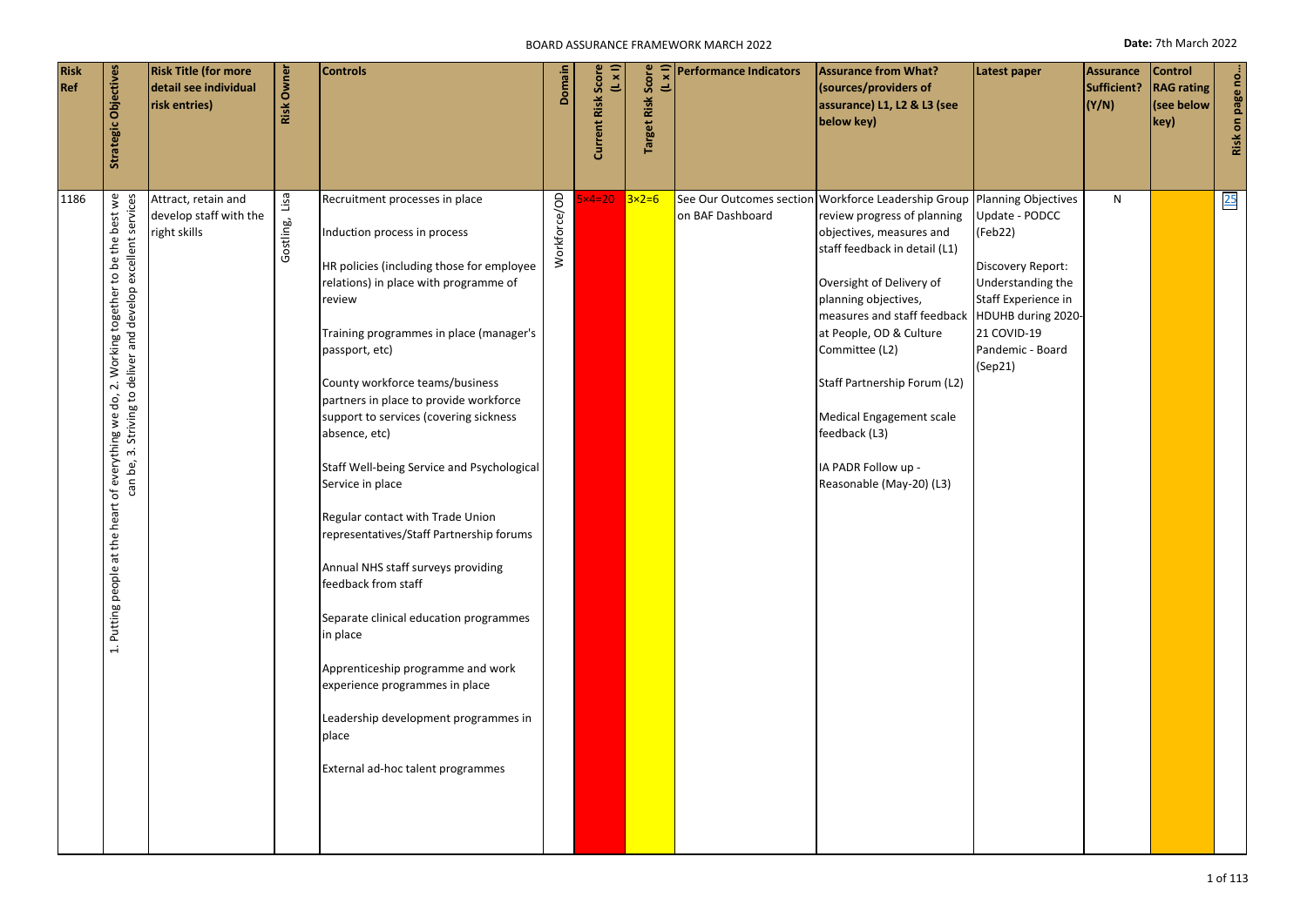#### BOARD ASSURANCE FRAMEWORK MARCH 2022 **Date:** 7th March 2022

| <b>Risk</b><br>Ref | Strategic Objectives                                                                                                                                                                   | <b>Risk Title (for more</b><br>detail see individual<br>risk entries) | <b>Risk Owner</b> | <b>Controls</b>                                                                                                                                                                                                                                                                                                                                                                                                                                                                                                                                                                                                                                                                                                                                                                                       | Domain       | Score<br>$(1 \times 1)$<br>Current Risk | <b>Target Risk Score</b><br>$(L \times I)$ | <b>Performance Indicators</b> | <b>Assurance from What?</b><br>(sources/providers of<br>assurance) L1, L2 & L3 (see<br>below key)                                                                                                                                                                                                                                                                                                                                   | Latest paper                                                                                                                                                   | <b>Assurance</b><br>Sufficient?<br>(Y/N) | <b>Control</b><br><b>RAG</b> rating<br>(see below<br>key) | Risk on page no |
|--------------------|----------------------------------------------------------------------------------------------------------------------------------------------------------------------------------------|-----------------------------------------------------------------------|-------------------|-------------------------------------------------------------------------------------------------------------------------------------------------------------------------------------------------------------------------------------------------------------------------------------------------------------------------------------------------------------------------------------------------------------------------------------------------------------------------------------------------------------------------------------------------------------------------------------------------------------------------------------------------------------------------------------------------------------------------------------------------------------------------------------------------------|--------------|-----------------------------------------|--------------------------------------------|-------------------------------|-------------------------------------------------------------------------------------------------------------------------------------------------------------------------------------------------------------------------------------------------------------------------------------------------------------------------------------------------------------------------------------------------------------------------------------|----------------------------------------------------------------------------------------------------------------------------------------------------------------|------------------------------------------|-----------------------------------------------------------|-----------------|
| 1186               | 2. Working together to be the best we<br>can be, 3. Striving to deliver and develop excellent services<br>of everything we do,<br>at the heart<br>people a<br><b>Putting</b><br>$\div$ | Attract, retain and<br>develop staff with the<br>right skills         | Gostling, Lisa    | Recruitment processes in place<br>Induction process in process<br>HR policies (including those for employee<br>relations) in place with programme of<br>review<br>Training programmes in place (manager's<br>passport, etc)<br>County workforce teams/business<br>partners in place to provide workforce<br>support to services (covering sickness<br>absence, etc)<br>Staff Well-being Service and Psychological<br>Service in place<br>Regular contact with Trade Union<br>representatives/Staff Partnership forums<br>Annual NHS staff surveys providing<br>feedback from staff<br>Separate clinical education programmes<br>in place<br>Apprenticeship programme and work<br>experience programmes in place<br>Leadership development programmes in<br>place<br>External ad-hoc talent programmes | Workforce/OD | $x4=20$                                 | $3x2=6$                                    | on BAF Dashboard              | See Our Outcomes section Workforce Leadership Group Planning Objectives<br>review progress of planning<br>objectives, measures and<br>staff feedback in detail (L1)<br>Oversight of Delivery of<br>planning objectives,<br>measures and staff feedback<br>at People, OD & Culture<br>Committee (L2)<br>Staff Partnership Forum (L2)<br>Medical Engagement scale<br>feedback (L3)<br>IA PADR Follow up -<br>Reasonable (May-20) (L3) | Update - PODCC<br>(Feb22)<br>Discovery Report:<br>Understanding the<br>Staff Experience in<br>HDUHB during 2020-<br>21 COVID-19<br>Pandemic - Board<br>(Sep21) | N                                        |                                                           | 25              |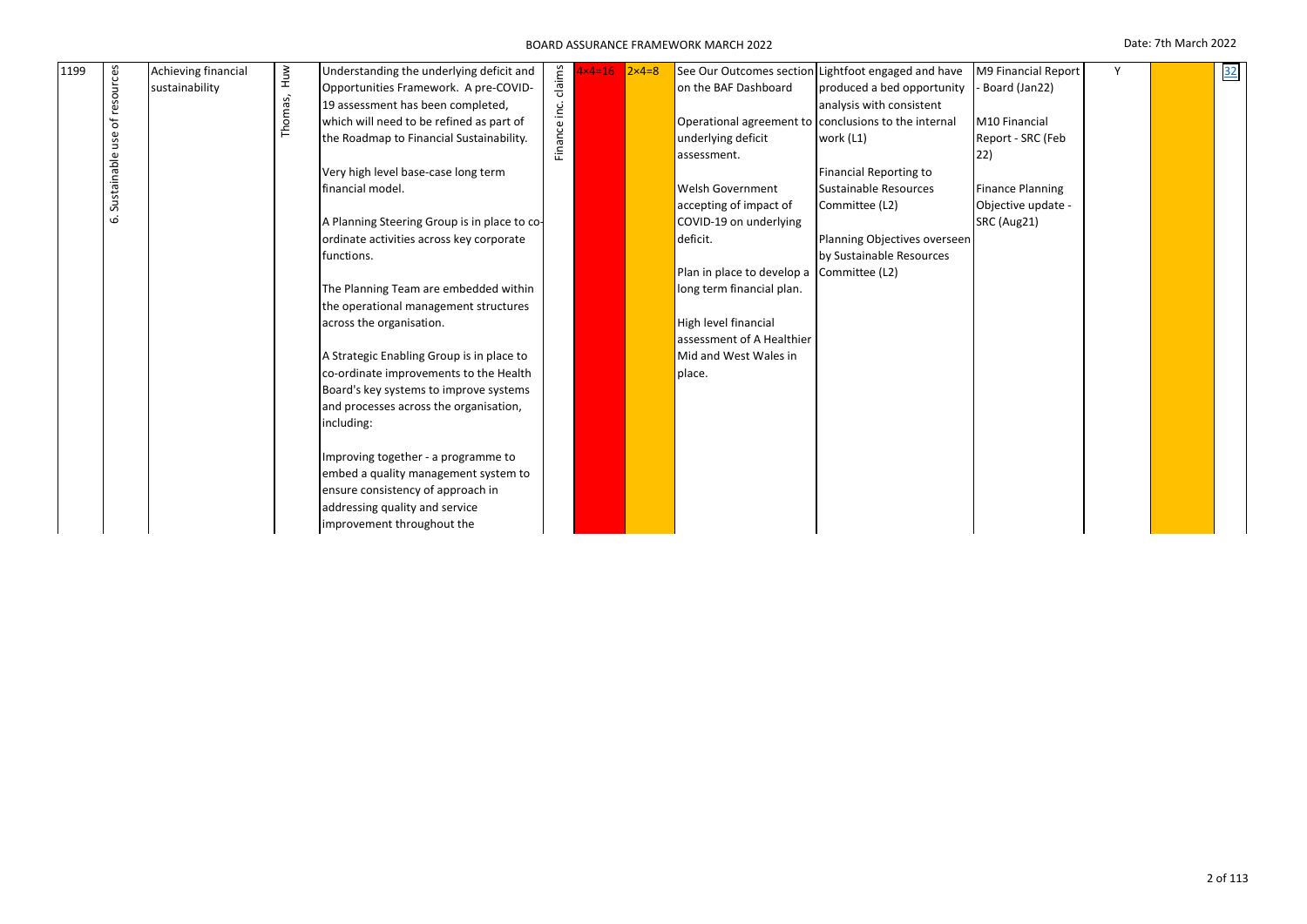| 1199 |             | Achieving financial |             | Understanding the underlying deficit and     |              | $x4=16$ | $2x4=8$ |                            | See Our Outcomes section Lightfoot engaged and have  | M9 Financial Report     | Y | 32 |
|------|-------------|---------------------|-------------|----------------------------------------------|--------------|---------|---------|----------------------------|------------------------------------------------------|-------------------------|---|----|
|      |             | sustainability      |             | Opportunities Framework. A pre-COVID-        | claims       |         |         | on the BAF Dashboard       | produced a bed opportunity                           | Board (Jan22)           |   |    |
|      | resources   |                     |             | 19 assessment has been completed,            |              |         |         |                            | analysis with consistent                             |                         |   |    |
|      | Ⴆ           |                     | Thomas, Huw | which will need to be refined as part of     |              |         |         |                            | Operational agreement to conclusions to the internal | M10 Financial           |   |    |
|      | use         |                     |             | the Roadmap to Financial Sustainability.     | Finance inc. |         |         | underlying deficit         | work (L1)                                            | Report - SRC (Feb       |   |    |
|      |             |                     |             |                                              |              |         |         | assessment.                |                                                      | 22)                     |   |    |
|      |             |                     |             | Very high level base-case long term          |              |         |         |                            | Financial Reporting to                               |                         |   |    |
|      | Sustainable |                     |             | financial model.                             |              |         |         | <b>Welsh Government</b>    | Sustainable Resources                                | <b>Finance Planning</b> |   |    |
|      |             |                     |             |                                              |              |         |         | accepting of impact of     | Committee (L2)                                       | Objective update -      |   |    |
|      | ق           |                     |             | A Planning Steering Group is in place to co- |              |         |         | COVID-19 on underlying     |                                                      | SRC (Aug21)             |   |    |
|      |             |                     |             | ordinate activities across key corporate     |              |         |         | deficit.                   | Planning Objectives overseen                         |                         |   |    |
|      |             |                     |             | functions.                                   |              |         |         |                            | by Sustainable Resources                             |                         |   |    |
|      |             |                     |             |                                              |              |         |         | Plan in place to develop a | Committee (L2)                                       |                         |   |    |
|      |             |                     |             | The Planning Team are embedded within        |              |         |         | long term financial plan.  |                                                      |                         |   |    |
|      |             |                     |             | the operational management structures        |              |         |         |                            |                                                      |                         |   |    |
|      |             |                     |             | across the organisation.                     |              |         |         | High level financial       |                                                      |                         |   |    |
|      |             |                     |             |                                              |              |         |         | assessment of A Healthier  |                                                      |                         |   |    |
|      |             |                     |             | A Strategic Enabling Group is in place to    |              |         |         | Mid and West Wales in      |                                                      |                         |   |    |
|      |             |                     |             | co-ordinate improvements to the Health       |              |         |         | place.                     |                                                      |                         |   |    |
|      |             |                     |             | Board's key systems to improve systems       |              |         |         |                            |                                                      |                         |   |    |
|      |             |                     |             | and processes across the organisation,       |              |         |         |                            |                                                      |                         |   |    |
|      |             |                     |             | including:                                   |              |         |         |                            |                                                      |                         |   |    |
|      |             |                     |             | Improving together - a programme to          |              |         |         |                            |                                                      |                         |   |    |
|      |             |                     |             | embed a quality management system to         |              |         |         |                            |                                                      |                         |   |    |
|      |             |                     |             | ensure consistency of approach in            |              |         |         |                            |                                                      |                         |   |    |
|      |             |                     |             | addressing quality and service               |              |         |         |                            |                                                      |                         |   |    |
|      |             |                     |             | improvement throughout the                   |              |         |         |                            |                                                      |                         |   |    |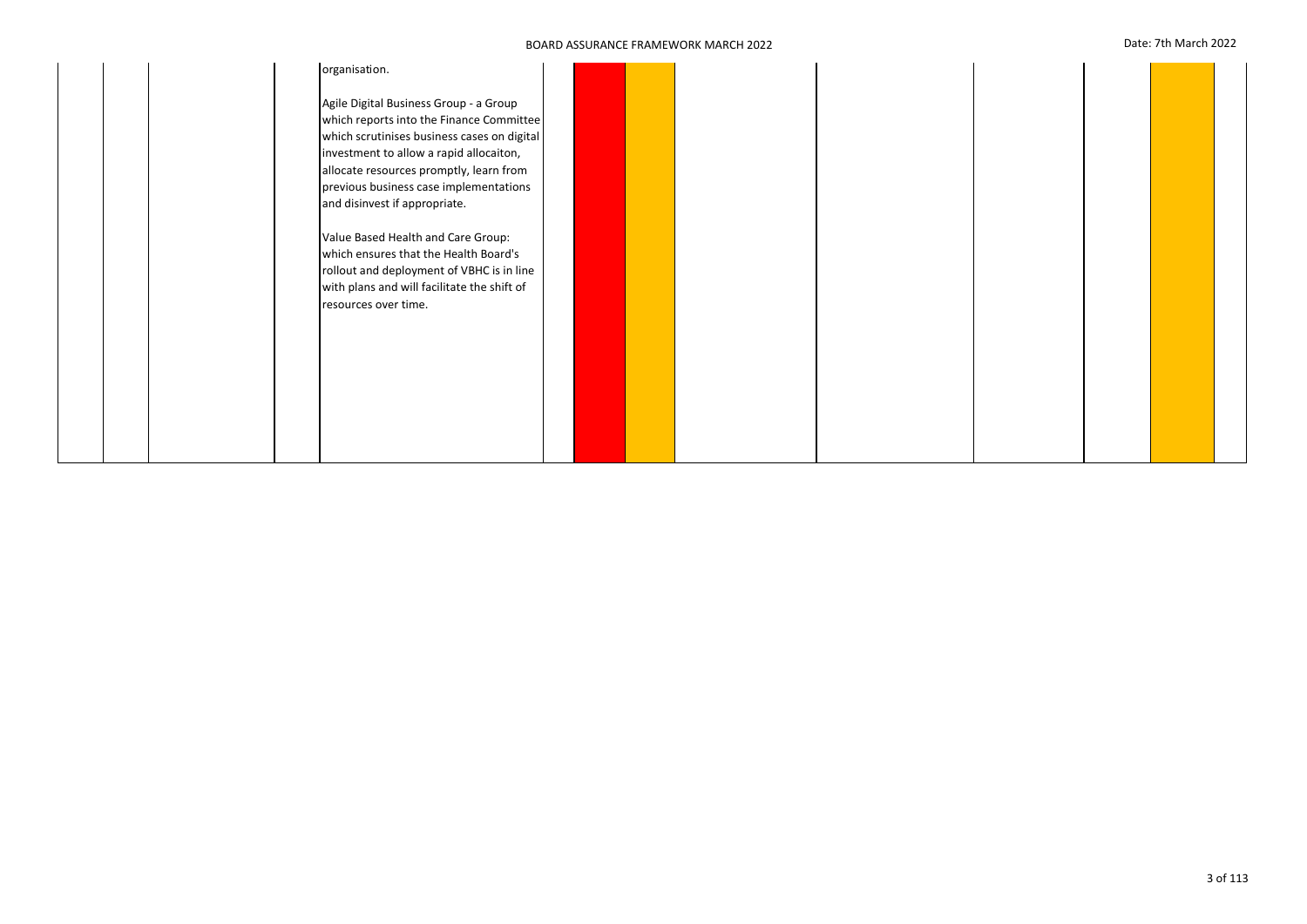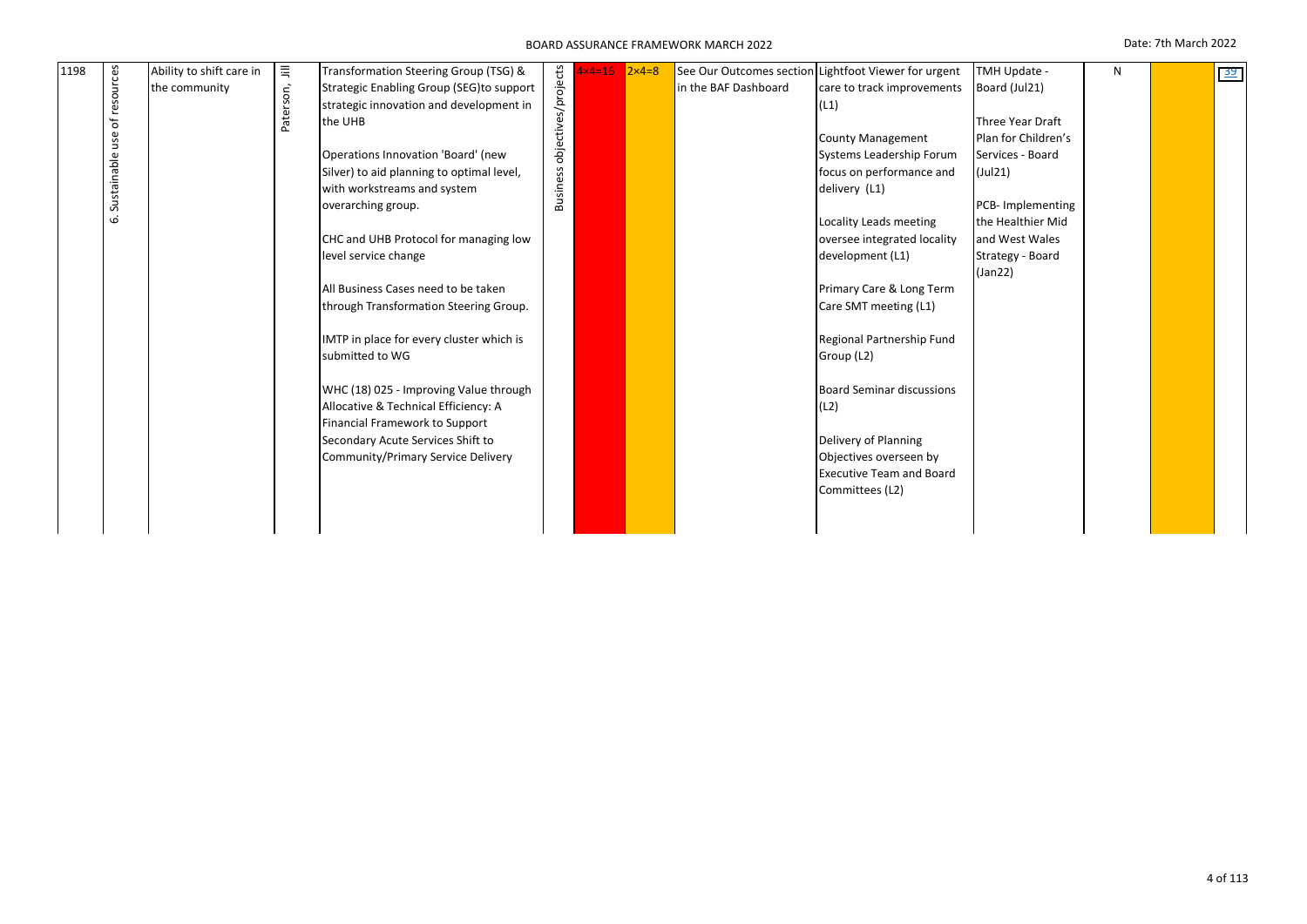| 1198 | ces         | Ability to shift care in | 巪         | Transformation Steering Group (TSG) &     | Business objectives/projects | $1 \times 4 = 16$ | $2 \times 4 = 8$ | See Our Outcomes section | Lightfoot Viewer for urgent      | TMH Update -        | N | 39 |
|------|-------------|--------------------------|-----------|-------------------------------------------|------------------------------|-------------------|------------------|--------------------------|----------------------------------|---------------------|---|----|
|      | $\circ$     | the community            | Paterson, | Strategic Enabling Group (SEG)to support  |                              |                   |                  | in the BAF Dashboard     | care to track improvements       | Board (Jul21)       |   |    |
|      | نة          |                          |           | strategic innovation and development in   |                              |                   |                  |                          | (L1)                             |                     |   |    |
|      | Ⴆ           |                          |           | the UHB                                   |                              |                   |                  |                          |                                  | Three Year Draft    |   |    |
|      | G)<br>ğ     |                          |           |                                           |                              |                   |                  |                          | <b>County Management</b>         | Plan for Children's |   |    |
|      |             |                          |           | Operations Innovation 'Board' (new        |                              |                   |                  |                          | Systems Leadership Forum         | Services - Board    |   |    |
|      | Sustainable |                          |           | Silver) to aid planning to optimal level, |                              |                   |                  |                          | focus on performance and         | (Jul21)             |   |    |
|      |             |                          |           | with workstreams and system               |                              |                   |                  |                          | delivery (L1)                    |                     |   |    |
|      |             |                          |           | overarching group.                        |                              |                   |                  |                          |                                  | PCB-Implementing    |   |    |
|      | نما         |                          |           |                                           |                              |                   |                  |                          | Locality Leads meeting           | the Healthier Mid   |   |    |
|      |             |                          |           | CHC and UHB Protocol for managing low     |                              |                   |                  |                          | oversee integrated locality      | and West Wales      |   |    |
|      |             |                          |           | level service change                      |                              |                   |                  |                          | development (L1)                 | Strategy - Board    |   |    |
|      |             |                          |           |                                           |                              |                   |                  |                          |                                  | (Jan22)             |   |    |
|      |             |                          |           | All Business Cases need to be taken       |                              |                   |                  |                          | Primary Care & Long Term         |                     |   |    |
|      |             |                          |           | through Transformation Steering Group.    |                              |                   |                  |                          | Care SMT meeting (L1)            |                     |   |    |
|      |             |                          |           |                                           |                              |                   |                  |                          |                                  |                     |   |    |
|      |             |                          |           | IMTP in place for every cluster which is  |                              |                   |                  |                          | Regional Partnership Fund        |                     |   |    |
|      |             |                          |           | submitted to WG                           |                              |                   |                  |                          | Group (L2)                       |                     |   |    |
|      |             |                          |           | WHC (18) 025 - Improving Value through    |                              |                   |                  |                          | <b>Board Seminar discussions</b> |                     |   |    |
|      |             |                          |           | Allocative & Technical Efficiency: A      |                              |                   |                  |                          | (L2)                             |                     |   |    |
|      |             |                          |           | Financial Framework to Support            |                              |                   |                  |                          |                                  |                     |   |    |
|      |             |                          |           | Secondary Acute Services Shift to         |                              |                   |                  |                          | Delivery of Planning             |                     |   |    |
|      |             |                          |           | Community/Primary Service Delivery        |                              |                   |                  |                          | Objectives overseen by           |                     |   |    |
|      |             |                          |           |                                           |                              |                   |                  |                          | <b>Executive Team and Board</b>  |                     |   |    |
|      |             |                          |           |                                           |                              |                   |                  |                          | Committees (L2)                  |                     |   |    |
|      |             |                          |           |                                           |                              |                   |                  |                          |                                  |                     |   |    |
|      |             |                          |           |                                           |                              |                   |                  |                          |                                  |                     |   |    |
|      |             |                          |           |                                           |                              |                   |                  |                          |                                  |                     |   |    |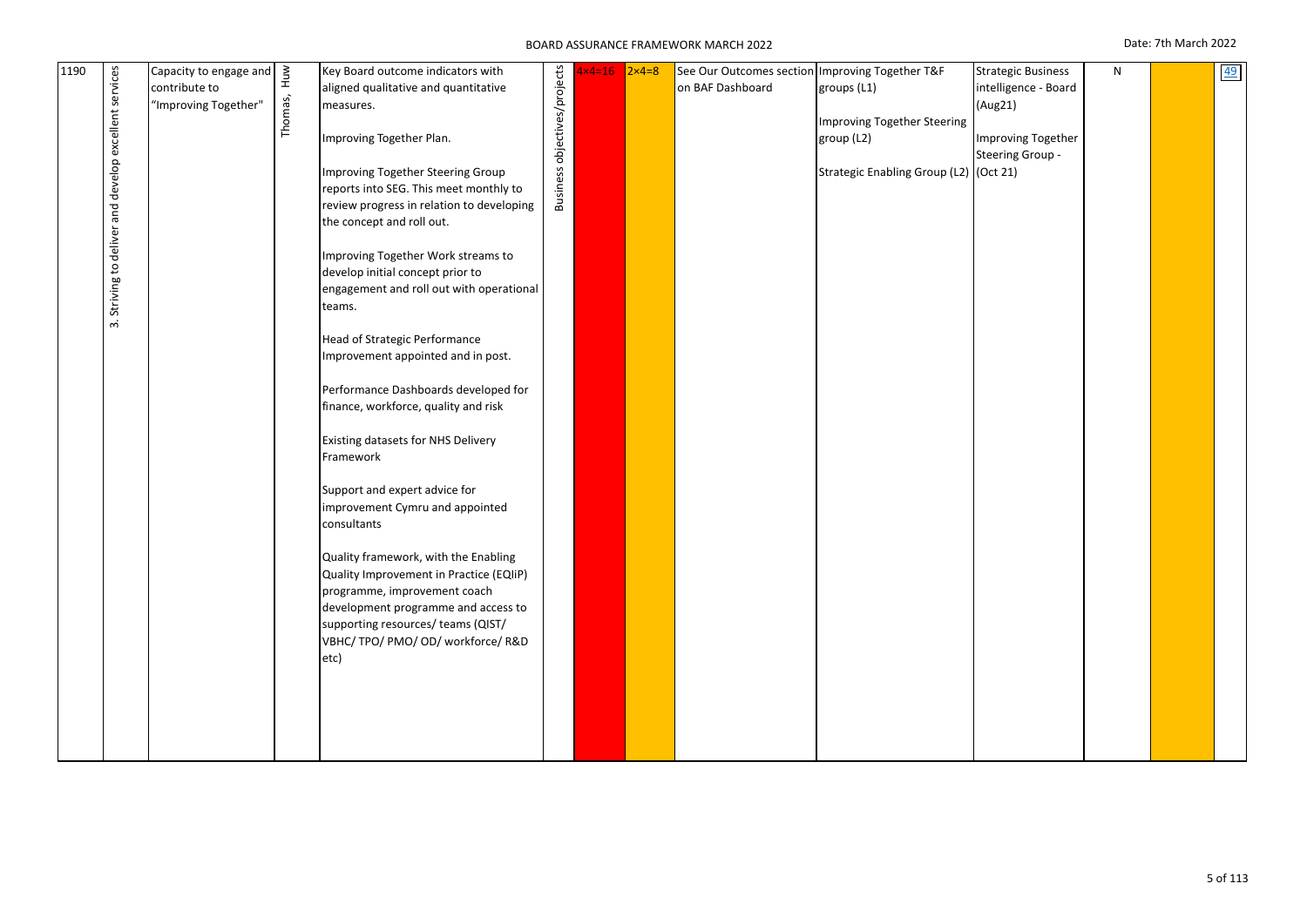| 1190 | Striving to deliver and develop excellent services<br>ന് | Capacity to engage and<br>contribute to<br>"Improving Together" | Thomas, Huw | Key Board outcome indicators with<br>aligned qualitative and quantitative<br>measures.<br>Improving Together Plan.<br>Improving Together Steering Group<br>reports into SEG. This meet monthly to<br>review progress in relation to developing<br>the concept and roll out.<br>Improving Together Work streams to<br>develop initial concept prior to<br>engagement and roll out with operational<br>teams.<br>Head of Strategic Performance<br>Improvement appointed and in post.<br>Performance Dashboards developed for<br>finance, workforce, quality and risk<br>Existing datasets for NHS Delivery<br>Framework<br>Support and expert advice for<br>improvement Cymru and appointed<br>consultants<br>Quality framework, with the Enabling<br>Quality Improvement in Practice (EQIIP)<br>programme, improvement coach<br>development programme and access to<br>supporting resources/ teams (QIST/<br>VBHC/TPO/PMO/OD/workforce/R&D<br>etc) | Business objectives/projects | $x4=16$ | $2\times 4=8$ | See Our Outcomes section Improving Together T&F<br>on BAF Dashboard | groups (L1)<br>Improving Together Steering<br>group (L2)<br>Strategic Enabling Group (L2) (Oct 21) | <b>Strategic Business</b><br>intelligence - Board<br>(Aug21)<br>Improving Together<br>Steering Group - | N |  | 49 |
|------|----------------------------------------------------------|-----------------------------------------------------------------|-------------|---------------------------------------------------------------------------------------------------------------------------------------------------------------------------------------------------------------------------------------------------------------------------------------------------------------------------------------------------------------------------------------------------------------------------------------------------------------------------------------------------------------------------------------------------------------------------------------------------------------------------------------------------------------------------------------------------------------------------------------------------------------------------------------------------------------------------------------------------------------------------------------------------------------------------------------------------|------------------------------|---------|---------------|---------------------------------------------------------------------|----------------------------------------------------------------------------------------------------|--------------------------------------------------------------------------------------------------------|---|--|----|
|------|----------------------------------------------------------|-----------------------------------------------------------------|-------------|---------------------------------------------------------------------------------------------------------------------------------------------------------------------------------------------------------------------------------------------------------------------------------------------------------------------------------------------------------------------------------------------------------------------------------------------------------------------------------------------------------------------------------------------------------------------------------------------------------------------------------------------------------------------------------------------------------------------------------------------------------------------------------------------------------------------------------------------------------------------------------------------------------------------------------------------------|------------------------------|---------|---------------|---------------------------------------------------------------------|----------------------------------------------------------------------------------------------------|--------------------------------------------------------------------------------------------------------|---|--|----|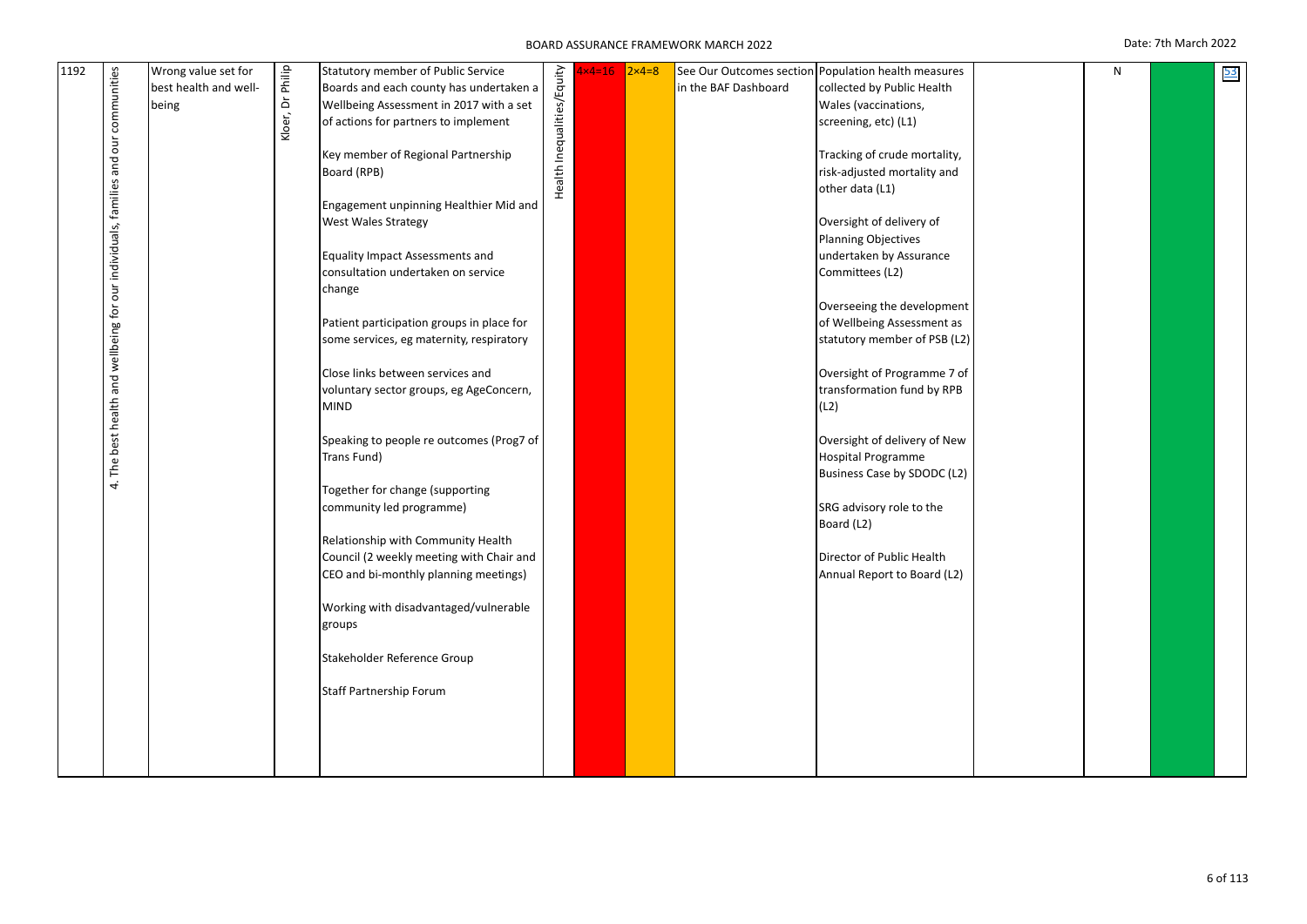| 1192 | and our communities                                     | Wrong value set for<br>best health and well-<br>being | Kloer, Dr Philip | Statutory member of Public Service<br>Boards and each county has undertaken a<br>Wellbeing Assessment in 2017 with a set<br>of actions for partners to implement<br>Key member of Regional Partnership<br>Board (RPB)<br>Engagement unpinning Healthier Mid and<br>West Wales Strategy | Health Inequalities/Equity | $\times$ 4=16 | $2\times 4=8$ | in the BAF Dashboard | See Our Outcomes section Population health measures<br>collected by Public Health<br>Wales (vaccinations,<br>screening, etc) (L1)<br>Tracking of crude mortality,<br>risk-adjusted mortality and<br>other data (L1)<br>Oversight of delivery of | N | 53 |
|------|---------------------------------------------------------|-------------------------------------------------------|------------------|----------------------------------------------------------------------------------------------------------------------------------------------------------------------------------------------------------------------------------------------------------------------------------------|----------------------------|---------------|---------------|----------------------|-------------------------------------------------------------------------------------------------------------------------------------------------------------------------------------------------------------------------------------------------|---|----|
|      | best health and wellbeing for our individuals, families |                                                       |                  | <b>Equality Impact Assessments and</b><br>consultation undertaken on service<br>change<br>Patient participation groups in place for                                                                                                                                                    |                            |               |               |                      | <b>Planning Objectives</b><br>undertaken by Assurance<br>Committees (L2)<br>Overseeing the development<br>of Wellbeing Assessment as                                                                                                            |   |    |
|      |                                                         |                                                       |                  | some services, eg maternity, respiratory<br>Close links between services and<br>voluntary sector groups, eg AgeConcern,<br>MIND<br>Speaking to people re outcomes (Prog7 of                                                                                                            |                            |               |               |                      | statutory member of PSB (L2)<br>Oversight of Programme 7 of<br>transformation fund by RPB<br>(L2)<br>Oversight of delivery of New                                                                                                               |   |    |
|      | The<br>4.                                               |                                                       |                  | Trans Fund)<br>Together for change (supporting<br>community led programme)                                                                                                                                                                                                             |                            |               |               |                      | <b>Hospital Programme</b><br>Business Case by SDODC (L2)<br>SRG advisory role to the<br>Board (L2)                                                                                                                                              |   |    |
|      |                                                         |                                                       |                  | Relationship with Community Health<br>Council (2 weekly meeting with Chair and<br>CEO and bi-monthly planning meetings)<br>Working with disadvantaged/vulnerable<br>groups                                                                                                             |                            |               |               |                      | Director of Public Health<br>Annual Report to Board (L2)                                                                                                                                                                                        |   |    |
|      |                                                         |                                                       |                  | Stakeholder Reference Group<br><b>Staff Partnership Forum</b>                                                                                                                                                                                                                          |                            |               |               |                      |                                                                                                                                                                                                                                                 |   |    |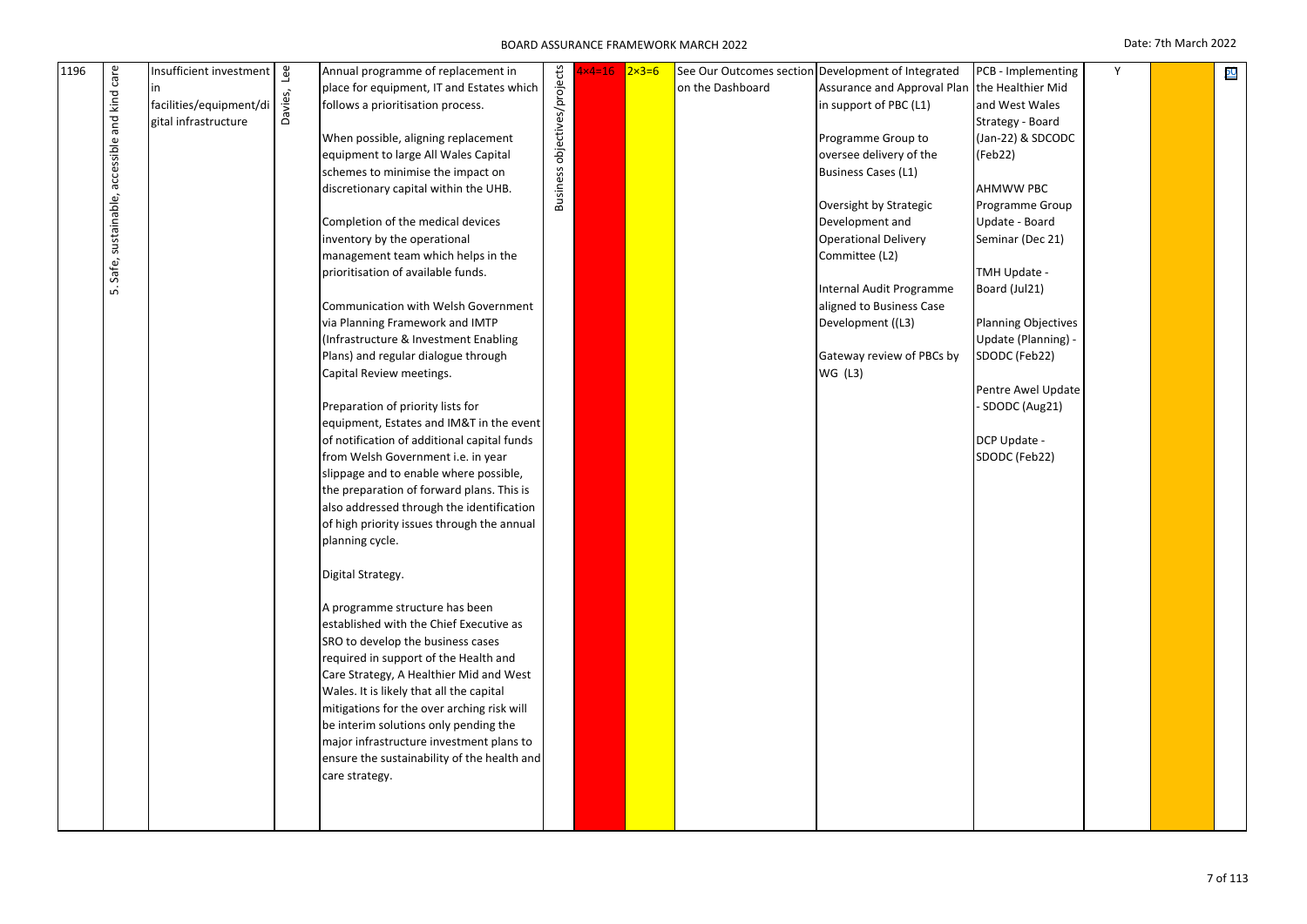| 1196 | care                             | Insufficient investment | ee      | Annual programme of replacement in          |                              | $x4=16$ | $2x3=6$ |                  | See Our Outcomes section Development of Integrated | PCB - Implementing         | Y | 60 |
|------|----------------------------------|-------------------------|---------|---------------------------------------------|------------------------------|---------|---------|------------------|----------------------------------------------------|----------------------------|---|----|
|      |                                  | in                      |         | place for equipment, IT and Estates which   |                              |         |         | on the Dashboard | Assurance and Approval Plan                        | the Healthier Mid          |   |    |
|      |                                  | facilities/equipment/di | Davies, | follows a prioritisation process.           |                              |         |         |                  | in support of PBC (L1)                             | and West Wales             |   |    |
|      |                                  | gital infrastructure    |         |                                             |                              |         |         |                  |                                                    | Strategy - Board           |   |    |
|      |                                  |                         |         | When possible, aligning replacement         |                              |         |         |                  | Programme Group to                                 | (Jan-22) & SDCODC          |   |    |
|      | sustainable, accessible and kind |                         |         | equipment to large All Wales Capital        | Business objectives/projects |         |         |                  | oversee delivery of the                            | (Feb22)                    |   |    |
|      |                                  |                         |         | schemes to minimise the impact on           |                              |         |         |                  | Business Cases (L1)                                |                            |   |    |
|      |                                  |                         |         | discretionary capital within the UHB.       |                              |         |         |                  |                                                    | AHMWW PBC                  |   |    |
|      |                                  |                         |         |                                             |                              |         |         |                  | Oversight by Strategic                             | Programme Group            |   |    |
|      |                                  |                         |         | Completion of the medical devices           |                              |         |         |                  | Development and                                    | Update - Board             |   |    |
|      |                                  |                         |         | inventory by the operational                |                              |         |         |                  | <b>Operational Delivery</b>                        | Seminar (Dec 21)           |   |    |
|      |                                  |                         |         | management team which helps in the          |                              |         |         |                  | Committee (L2)                                     |                            |   |    |
|      | Safe,                            |                         |         | prioritisation of available funds.          |                              |         |         |                  |                                                    | TMH Update -               |   |    |
|      |                                  |                         |         |                                             |                              |         |         |                  | Internal Audit Programme                           | Board (Jul21)              |   |    |
|      | ιή.                              |                         |         |                                             |                              |         |         |                  |                                                    |                            |   |    |
|      |                                  |                         |         | Communication with Welsh Government         |                              |         |         |                  | aligned to Business Case                           |                            |   |    |
|      |                                  |                         |         | via Planning Framework and IMTP             |                              |         |         |                  | Development ((L3)                                  | <b>Planning Objectives</b> |   |    |
|      |                                  |                         |         | (Infrastructure & Investment Enabling       |                              |         |         |                  |                                                    | Update (Planning) -        |   |    |
|      |                                  |                         |         | Plans) and regular dialogue through         |                              |         |         |                  | Gateway review of PBCs by                          | SDODC (Feb22)              |   |    |
|      |                                  |                         |         | Capital Review meetings.                    |                              |         |         |                  | WG (L3)                                            |                            |   |    |
|      |                                  |                         |         |                                             |                              |         |         |                  |                                                    | Pentre Awel Update         |   |    |
|      |                                  |                         |         | Preparation of priority lists for           |                              |         |         |                  |                                                    | SDODC (Aug21)              |   |    |
|      |                                  |                         |         | equipment, Estates and IM&T in the event    |                              |         |         |                  |                                                    |                            |   |    |
|      |                                  |                         |         | of notification of additional capital funds |                              |         |         |                  |                                                    | DCP Update -               |   |    |
|      |                                  |                         |         | from Welsh Government i.e. in year          |                              |         |         |                  |                                                    | SDODC (Feb22)              |   |    |
|      |                                  |                         |         | slippage and to enable where possible,      |                              |         |         |                  |                                                    |                            |   |    |
|      |                                  |                         |         | the preparation of forward plans. This is   |                              |         |         |                  |                                                    |                            |   |    |
|      |                                  |                         |         | also addressed through the identification   |                              |         |         |                  |                                                    |                            |   |    |
|      |                                  |                         |         | of high priority issues through the annual  |                              |         |         |                  |                                                    |                            |   |    |
|      |                                  |                         |         | planning cycle.                             |                              |         |         |                  |                                                    |                            |   |    |
|      |                                  |                         |         |                                             |                              |         |         |                  |                                                    |                            |   |    |
|      |                                  |                         |         | Digital Strategy.                           |                              |         |         |                  |                                                    |                            |   |    |
|      |                                  |                         |         | A programme structure has been              |                              |         |         |                  |                                                    |                            |   |    |
|      |                                  |                         |         | established with the Chief Executive as     |                              |         |         |                  |                                                    |                            |   |    |
|      |                                  |                         |         | SRO to develop the business cases           |                              |         |         |                  |                                                    |                            |   |    |
|      |                                  |                         |         | required in support of the Health and       |                              |         |         |                  |                                                    |                            |   |    |
|      |                                  |                         |         | Care Strategy, A Healthier Mid and West     |                              |         |         |                  |                                                    |                            |   |    |
|      |                                  |                         |         | Wales. It is likely that all the capital    |                              |         |         |                  |                                                    |                            |   |    |
|      |                                  |                         |         | mitigations for the over arching risk will  |                              |         |         |                  |                                                    |                            |   |    |
|      |                                  |                         |         |                                             |                              |         |         |                  |                                                    |                            |   |    |
|      |                                  |                         |         | be interim solutions only pending the       |                              |         |         |                  |                                                    |                            |   |    |
|      |                                  |                         |         | major infrastructure investment plans to    |                              |         |         |                  |                                                    |                            |   |    |
|      |                                  |                         |         | ensure the sustainability of the health and |                              |         |         |                  |                                                    |                            |   |    |
|      |                                  |                         |         | care strategy.                              |                              |         |         |                  |                                                    |                            |   |    |
|      |                                  |                         |         |                                             |                              |         |         |                  |                                                    |                            |   |    |
|      |                                  |                         |         |                                             |                              |         |         |                  |                                                    |                            |   |    |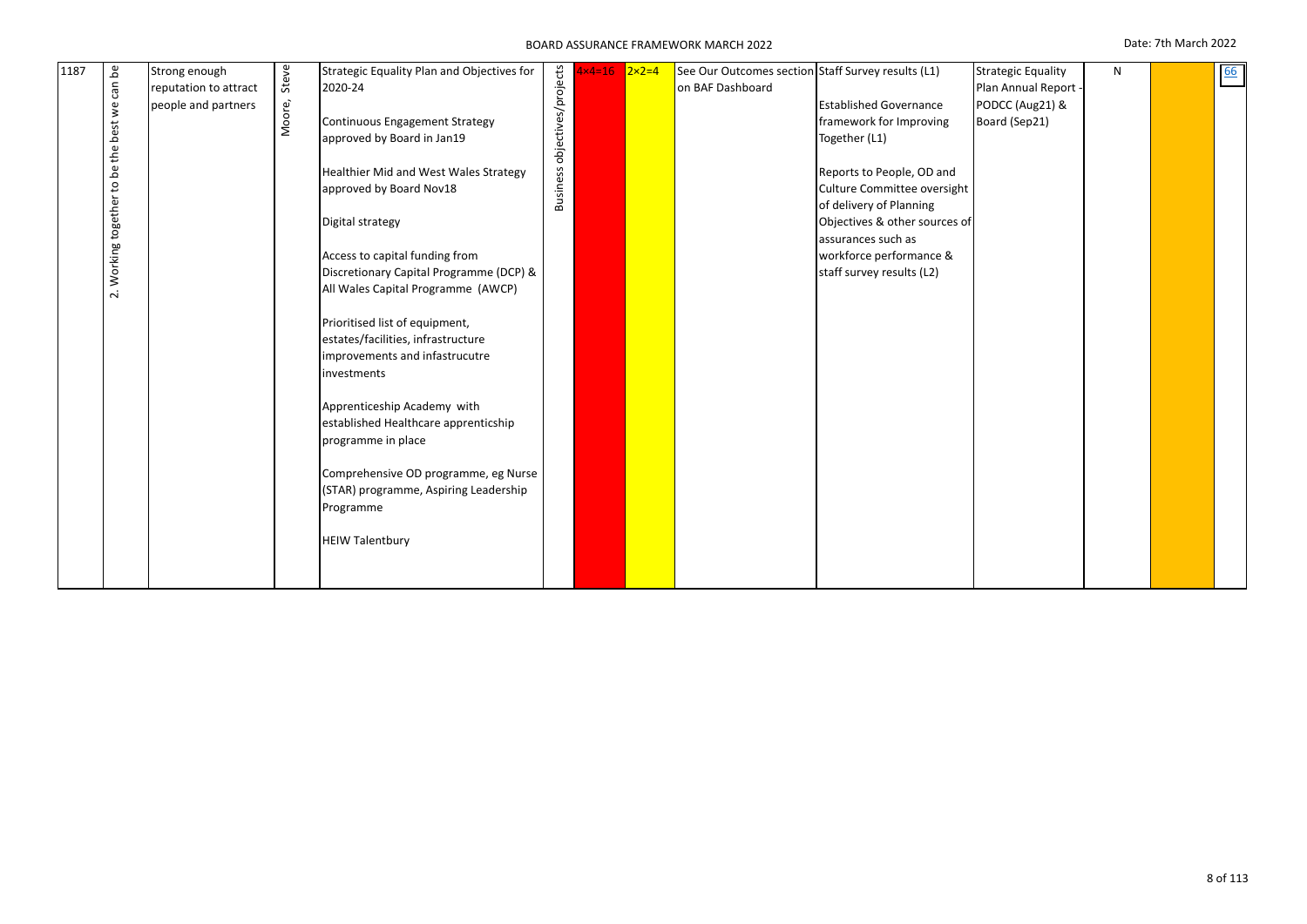| 1187 | ٩G<br>can<br>$\stackrel{\scriptscriptstyle\rm e}{\ge}$<br>best<br>the<br>ഉ<br>S,<br>Working together<br>$\overline{\mathbf{v}}$ | Strong enough<br>reputation to attract<br>people and partners | Steve<br>Moore, | Strategic Equality Plan and Objectives for<br>2020-24<br>Continuous Engagement Strategy<br>approved by Board in Jan19<br><b>Healthier Mid and West Wales Strategy</b><br>approved by Board Nov18<br>Digital strategy<br>Access to capital funding from<br>Discretionary Capital Programme (DCP) &<br>All Wales Capital Programme (AWCP)<br>Prioritised list of equipment,<br>estates/facilities, infrastructure<br>improvements and infastrucutre<br>investments<br>Apprenticeship Academy with<br>established Healthcare apprenticship<br>programme in place<br>Comprehensive OD programme, eg Nurse<br>(STAR) programme, Aspiring Leadership<br>Programme<br><b>HEIW Talentbury</b> | Business objectives/projects | 1×4=16 <mark>2×2=4</mark> |  | See Our Outcomes section Staff Survey results (L1)<br>on BAF Dashboard | <b>Established Governance</b><br>framework for Improving<br>Together (L1)<br>Reports to People, OD and<br>Culture Committee oversight<br>of delivery of Planning<br>Objectives & other sources of<br>assurances such as<br>workforce performance &<br>staff survey results (L2) | <b>Strategic Equality</b><br>Plan Annual Report -<br>PODCC (Aug21) &<br>Board (Sep21) | N |  | 66 |
|------|---------------------------------------------------------------------------------------------------------------------------------|---------------------------------------------------------------|-----------------|---------------------------------------------------------------------------------------------------------------------------------------------------------------------------------------------------------------------------------------------------------------------------------------------------------------------------------------------------------------------------------------------------------------------------------------------------------------------------------------------------------------------------------------------------------------------------------------------------------------------------------------------------------------------------------------|------------------------------|---------------------------|--|------------------------------------------------------------------------|---------------------------------------------------------------------------------------------------------------------------------------------------------------------------------------------------------------------------------------------------------------------------------|---------------------------------------------------------------------------------------|---|--|----|
|------|---------------------------------------------------------------------------------------------------------------------------------|---------------------------------------------------------------|-----------------|---------------------------------------------------------------------------------------------------------------------------------------------------------------------------------------------------------------------------------------------------------------------------------------------------------------------------------------------------------------------------------------------------------------------------------------------------------------------------------------------------------------------------------------------------------------------------------------------------------------------------------------------------------------------------------------|------------------------------|---------------------------|--|------------------------------------------------------------------------|---------------------------------------------------------------------------------------------------------------------------------------------------------------------------------------------------------------------------------------------------------------------------------|---------------------------------------------------------------------------------------|---|--|----|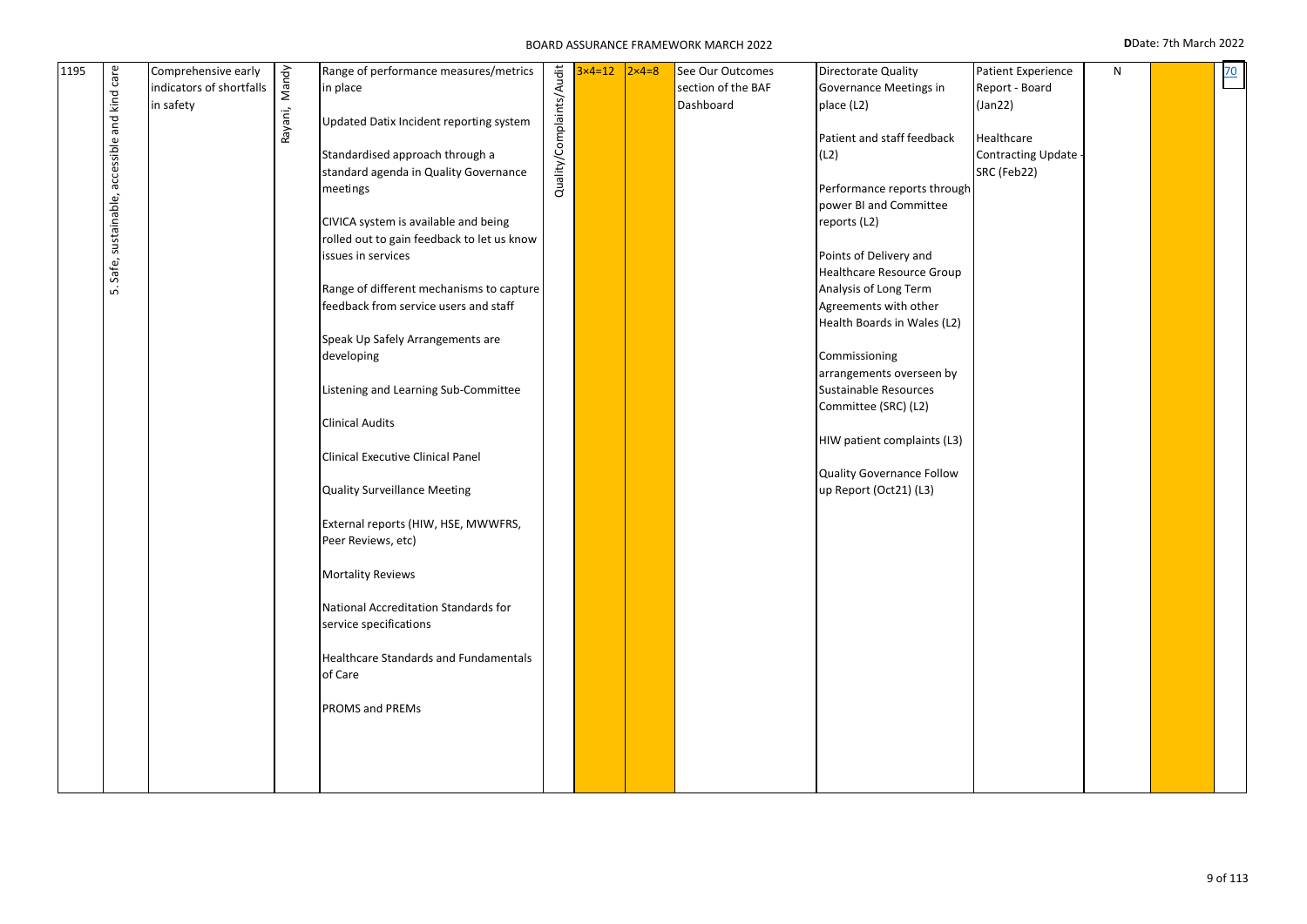### BOARD ASSURANCE FRAMEWORK MARCH 2022 **D**Date: 7th March 2022

| arrangements overseen by<br>Listening and Learning Sub-Committee<br>Sustainable Resources<br>Committee (SRC) (L2)<br><b>Clinical Audits</b><br>HIW patient complaints (L3)<br>Clinical Executive Clinical Panel<br>Quality Governance Follow<br>up Report (Oct21) (L3)<br>Quality Surveillance Meeting<br>External reports (HIW, HSE, MWWFRS,<br>Peer Reviews, etc)<br><b>Mortality Reviews</b><br>National Accreditation Standards for<br>service specifications<br><b>Healthcare Standards and Fundamentals</b><br>of Care<br>PROMS and PREMs | Safe, sustainable, accessible<br>ம் |  | rolled out to gain feedback to let us know<br>issues in services<br>Range of different mechanisms to capture<br>feedback from service users and staff<br>Speak Up Safely Arrangements are<br>developing |  |  |  |  | Points of Delivery and<br>Healthcare Resource Group<br>Analysis of Long Term<br>Agreements with other<br>Health Boards in Wales (L2)<br>Commissioning |  |  |  |  |
|-------------------------------------------------------------------------------------------------------------------------------------------------------------------------------------------------------------------------------------------------------------------------------------------------------------------------------------------------------------------------------------------------------------------------------------------------------------------------------------------------------------------------------------------------|-------------------------------------|--|---------------------------------------------------------------------------------------------------------------------------------------------------------------------------------------------------------|--|--|--|--|-------------------------------------------------------------------------------------------------------------------------------------------------------|--|--|--|--|
|-------------------------------------------------------------------------------------------------------------------------------------------------------------------------------------------------------------------------------------------------------------------------------------------------------------------------------------------------------------------------------------------------------------------------------------------------------------------------------------------------------------------------------------------------|-------------------------------------|--|---------------------------------------------------------------------------------------------------------------------------------------------------------------------------------------------------------|--|--|--|--|-------------------------------------------------------------------------------------------------------------------------------------------------------|--|--|--|--|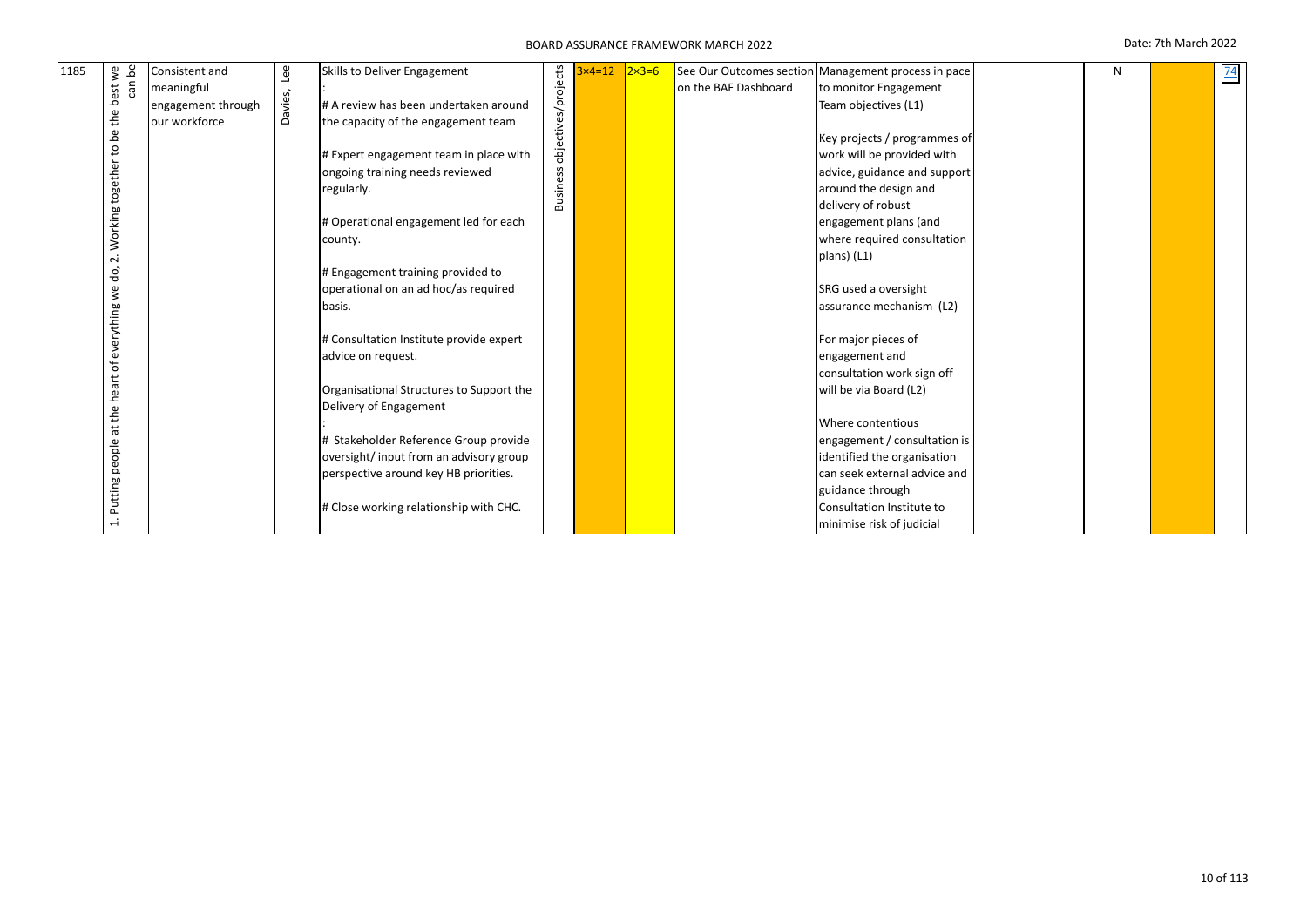| 1185 | $\mathbf{v}$  | Consistent and     | Iee     | Skills to Deliver Engagement             |                     | $3\times 4=12$ | $2 \times 3 = 6$ |                      | See Our Outcomes section Management process in pace | N | 74 |
|------|---------------|--------------------|---------|------------------------------------------|---------------------|----------------|------------------|----------------------|-----------------------------------------------------|---|----|
|      | can be<br>est | meaningful         |         |                                          | objectives/projects |                |                  | on the BAF Dashboard | to monitor Engagement                               |   |    |
|      | ٩             | engagement through | Davies, | # A review has been undertaken around    |                     |                |                  |                      | Team objectives (L1)                                |   |    |
|      | the           | our workforce      |         | the capacity of the engagement team      |                     |                |                  |                      |                                                     |   |    |
|      | Ъe            |                    |         |                                          |                     |                |                  |                      | Key projects / programmes of                        |   |    |
|      | S,            |                    |         | # Expert engagement team in place with   |                     |                |                  |                      | work will be provided with                          |   |    |
|      | together      |                    |         | ongoing training needs reviewed          |                     |                |                  |                      | advice, guidance and support                        |   |    |
|      |               |                    |         | regularly.                               | <b>Business</b>     |                |                  |                      | around the design and                               |   |    |
|      |               |                    |         |                                          |                     |                |                  |                      | delivery of robust                                  |   |    |
|      |               |                    |         | # Operational engagement led for each    |                     |                |                  |                      | engagement plans (and                               |   |    |
|      | Working       |                    |         | county.                                  |                     |                |                  |                      | where required consultation                         |   |    |
|      | $\sim$        |                    |         |                                          |                     |                |                  |                      | plans) (L1)                                         |   |    |
|      | do,           |                    |         | # Engagement training provided to        |                     |                |                  |                      |                                                     |   |    |
|      | we            |                    |         | operational on an ad hoc/as required     |                     |                |                  |                      | SRG used a oversight                                |   |    |
|      |               |                    |         | basis.                                   |                     |                |                  |                      | assurance mechanism (L2)                            |   |    |
|      |               |                    |         |                                          |                     |                |                  |                      |                                                     |   |    |
|      | everything    |                    |         | # Consultation Institute provide expert  |                     |                |                  |                      | For major pieces of                                 |   |    |
|      | ৳             |                    |         | advice on request.                       |                     |                |                  |                      | engagement and                                      |   |    |
|      |               |                    |         |                                          |                     |                |                  |                      | consultation work sign off                          |   |    |
|      | heart         |                    |         | Organisational Structures to Support the |                     |                |                  |                      | will be via Board (L2)                              |   |    |
|      | the           |                    |         | Delivery of Engagement                   |                     |                |                  |                      |                                                     |   |    |
|      | $\vec{a}$     |                    |         |                                          |                     |                |                  |                      | Where contentious                                   |   |    |
|      |               |                    |         | # Stakeholder Reference Group provide    |                     |                |                  |                      | engagement / consultation is                        |   |    |
|      | people        |                    |         | oversight/ input from an advisory group  |                     |                |                  |                      | identified the organisation                         |   |    |
|      |               |                    |         | perspective around key HB priorities.    |                     |                |                  |                      | can seek external advice and                        |   |    |
|      | Putting       |                    |         |                                          |                     |                |                  |                      | guidance through                                    |   |    |
|      |               |                    |         | # Close working relationship with CHC.   |                     |                |                  |                      | Consultation Institute to                           |   |    |
|      | $\vec{a}$     |                    |         |                                          |                     |                |                  |                      | minimise risk of judicial                           |   |    |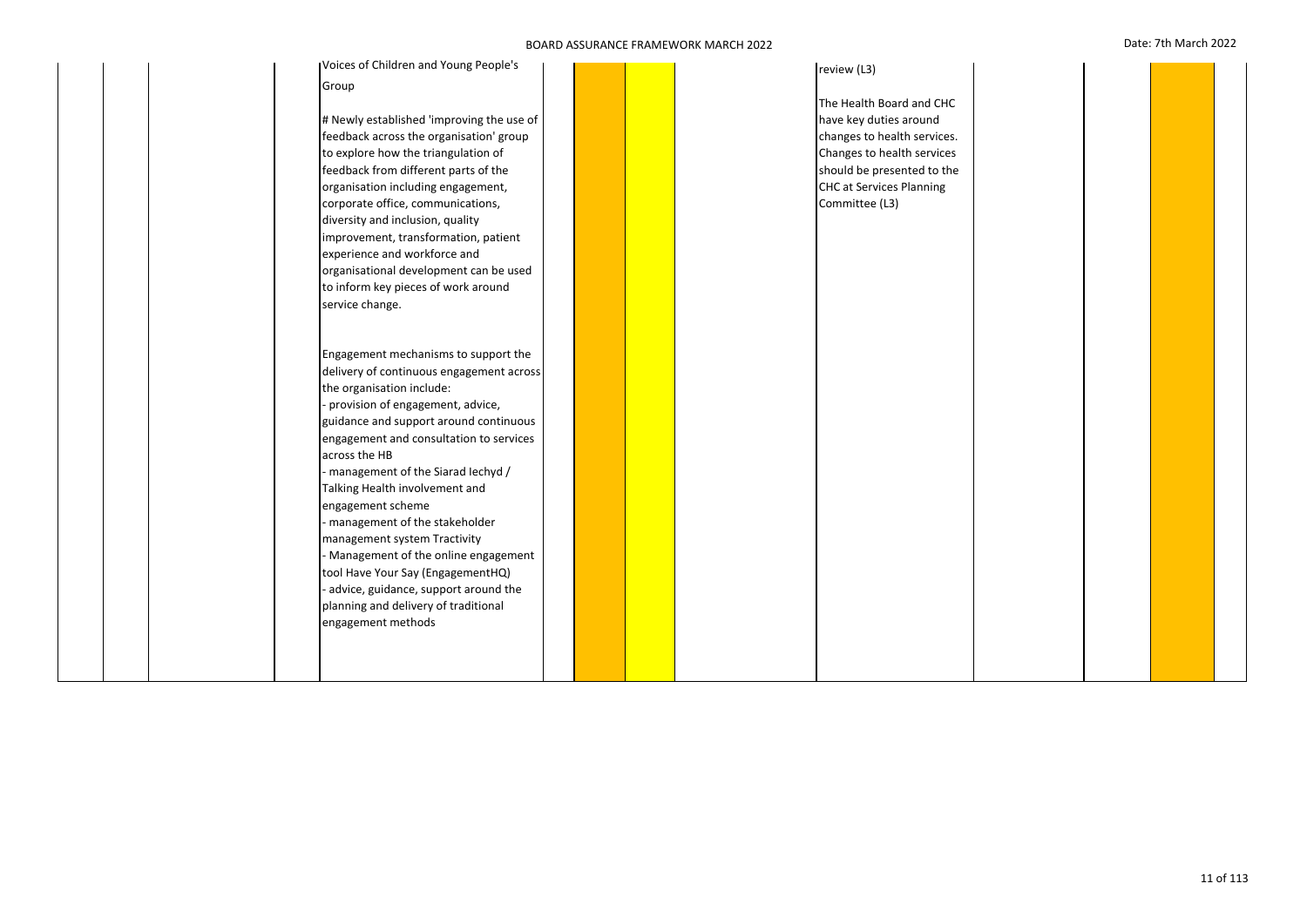| Voices of Children and Young People's     |  |  | review (L3)                 |  |  |
|-------------------------------------------|--|--|-----------------------------|--|--|
| Group                                     |  |  |                             |  |  |
|                                           |  |  | The Health Board and CHC    |  |  |
| # Newly established 'improving the use of |  |  | have key duties around      |  |  |
| feedback across the organisation' group   |  |  | changes to health services. |  |  |
| to explore how the triangulation of       |  |  | Changes to health services  |  |  |
| feedback from different parts of the      |  |  | should be presented to the  |  |  |
| organisation including engagement,        |  |  | CHC at Services Planning    |  |  |
| corporate office, communications,         |  |  | Committee (L3)              |  |  |
| diversity and inclusion, quality          |  |  |                             |  |  |
| improvement, transformation, patient      |  |  |                             |  |  |
| experience and workforce and              |  |  |                             |  |  |
| organisational development can be used    |  |  |                             |  |  |
| to inform key pieces of work around       |  |  |                             |  |  |
| service change.                           |  |  |                             |  |  |
|                                           |  |  |                             |  |  |
|                                           |  |  |                             |  |  |
| Engagement mechanisms to support the      |  |  |                             |  |  |
| delivery of continuous engagement across  |  |  |                             |  |  |
| the organisation include:                 |  |  |                             |  |  |
| provision of engagement, advice,          |  |  |                             |  |  |
| guidance and support around continuous    |  |  |                             |  |  |
| engagement and consultation to services   |  |  |                             |  |  |
| across the HB                             |  |  |                             |  |  |
| - management of the Siarad lechyd /       |  |  |                             |  |  |
| Talking Health involvement and            |  |  |                             |  |  |
| engagement scheme                         |  |  |                             |  |  |
| - management of the stakeholder           |  |  |                             |  |  |
| management system Tractivity              |  |  |                             |  |  |
| Management of the online engagement       |  |  |                             |  |  |
| tool Have Your Say (EngagementHQ)         |  |  |                             |  |  |
| advice, guidance, support around the      |  |  |                             |  |  |
| planning and delivery of traditional      |  |  |                             |  |  |
| engagement methods                        |  |  |                             |  |  |
|                                           |  |  |                             |  |  |
|                                           |  |  |                             |  |  |
|                                           |  |  |                             |  |  |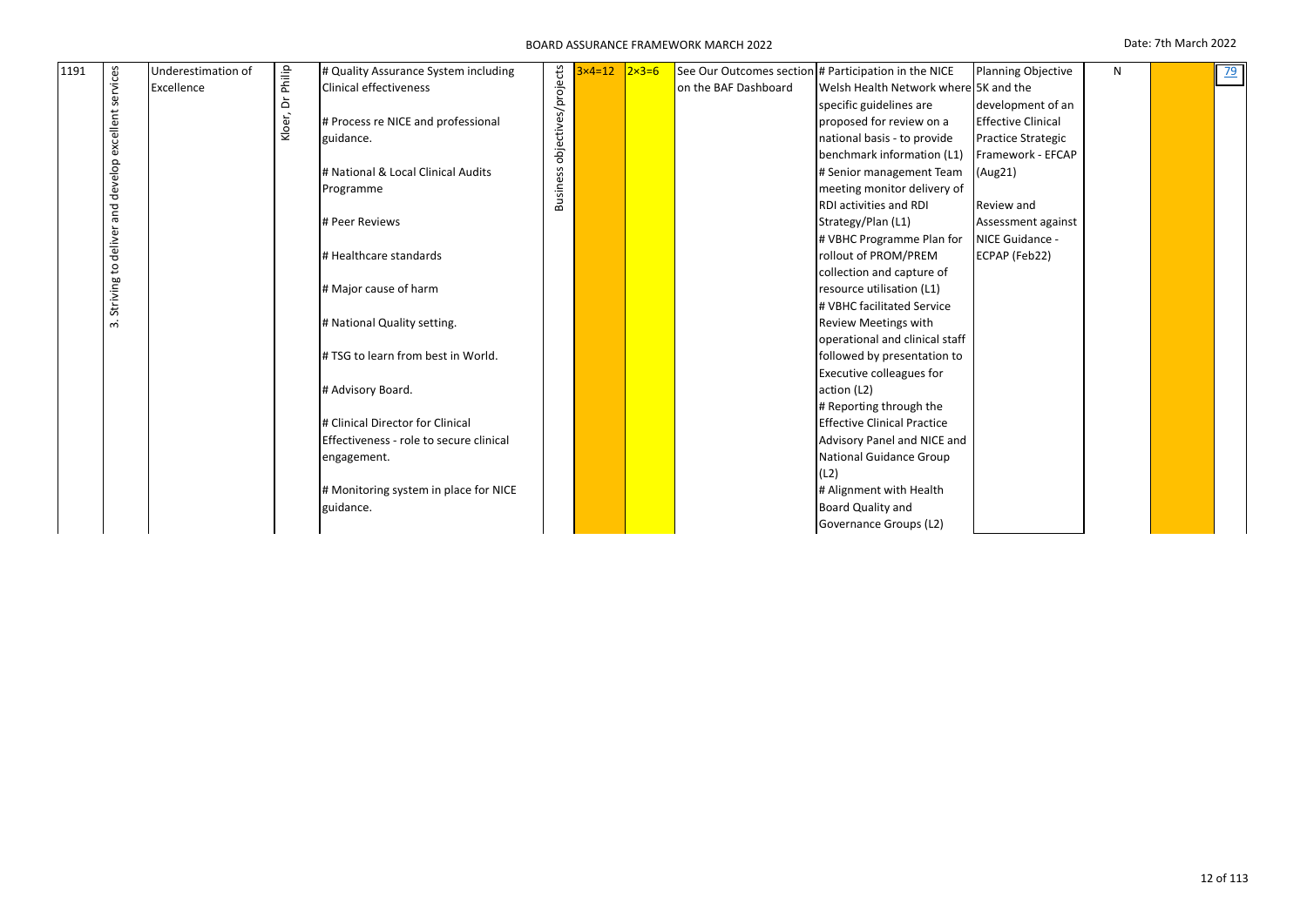| 1191 |           | Underestimation of |                  | # Quality Assurance System including    |                     | $x4=12$ | $2x3=6$ |                      | See Our Outcomes section # Participation in the NICE | <b>Planning Objective</b> | N | <u>79</u> |
|------|-----------|--------------------|------------------|-----------------------------------------|---------------------|---------|---------|----------------------|------------------------------------------------------|---------------------------|---|-----------|
|      | services  | Excellence         | Kloer, Dr Philip | <b>Clinical effectiveness</b>           | objectives/projects |         |         | on the BAF Dashboard | Welsh Health Network where 5K and the                |                           |   |           |
|      |           |                    |                  |                                         |                     |         |         |                      | specific guidelines are                              | development of an         |   |           |
|      |           |                    |                  | # Process re NICE and professional      |                     |         |         |                      | proposed for review on a                             | <b>Effective Clinical</b> |   |           |
|      | excellent |                    |                  | guidance.                               |                     |         |         |                      | national basis - to provide                          | <b>Practice Strategic</b> |   |           |
|      |           |                    |                  |                                         |                     |         |         |                      | benchmark information (L1)                           | Framework - EFCAP         |   |           |
|      | develop   |                    |                  | # National & Local Clinical Audits      |                     |         |         |                      | # Senior management Team                             | (Aug21)                   |   |           |
|      |           |                    |                  | Programme                               | <b>Business</b>     |         |         |                      | meeting monitor delivery of                          |                           |   |           |
|      | and       |                    |                  |                                         |                     |         |         |                      | <b>RDI activities and RDI</b>                        | Review and                |   |           |
|      |           |                    |                  | # Peer Reviews                          |                     |         |         |                      | Strategy/Plan (L1)                                   | Assessment against        |   |           |
|      | deliver   |                    |                  |                                         |                     |         |         |                      | # VBHC Programme Plan for                            | NICE Guidance -           |   |           |
|      |           |                    |                  | # Healthcare standards                  |                     |         |         |                      | rollout of PROM/PREM                                 | ECPAP (Feb22)             |   |           |
|      | 5         |                    |                  |                                         |                     |         |         |                      | collection and capture of                            |                           |   |           |
|      | Striving  |                    |                  | # Major cause of harm                   |                     |         |         |                      | resource utilisation (L1)                            |                           |   |           |
|      |           |                    |                  |                                         |                     |         |         |                      | # VBHC facilitated Service                           |                           |   |           |
|      | ന്        |                    |                  | # National Quality setting.             |                     |         |         |                      | <b>Review Meetings with</b>                          |                           |   |           |
|      |           |                    |                  |                                         |                     |         |         |                      | operational and clinical staff                       |                           |   |           |
|      |           |                    |                  | # TSG to learn from best in World.      |                     |         |         |                      | followed by presentation to                          |                           |   |           |
|      |           |                    |                  |                                         |                     |         |         |                      | <b>Executive colleagues for</b>                      |                           |   |           |
|      |           |                    |                  | # Advisory Board.                       |                     |         |         |                      | action (L2)                                          |                           |   |           |
|      |           |                    |                  |                                         |                     |         |         |                      | # Reporting through the                              |                           |   |           |
|      |           |                    |                  | # Clinical Director for Clinical        |                     |         |         |                      | <b>Effective Clinical Practice</b>                   |                           |   |           |
|      |           |                    |                  | Effectiveness - role to secure clinical |                     |         |         |                      | Advisory Panel and NICE and                          |                           |   |           |
|      |           |                    |                  | engagement.                             |                     |         |         |                      | National Guidance Group                              |                           |   |           |
|      |           |                    |                  |                                         |                     |         |         |                      | (L2)                                                 |                           |   |           |
|      |           |                    |                  | # Monitoring system in place for NICE   |                     |         |         |                      | # Alignment with Health                              |                           |   |           |
|      |           |                    |                  | guidance.                               |                     |         |         |                      | Board Quality and                                    |                           |   |           |
|      |           |                    |                  |                                         |                     |         |         |                      | Governance Groups (L2)                               |                           |   |           |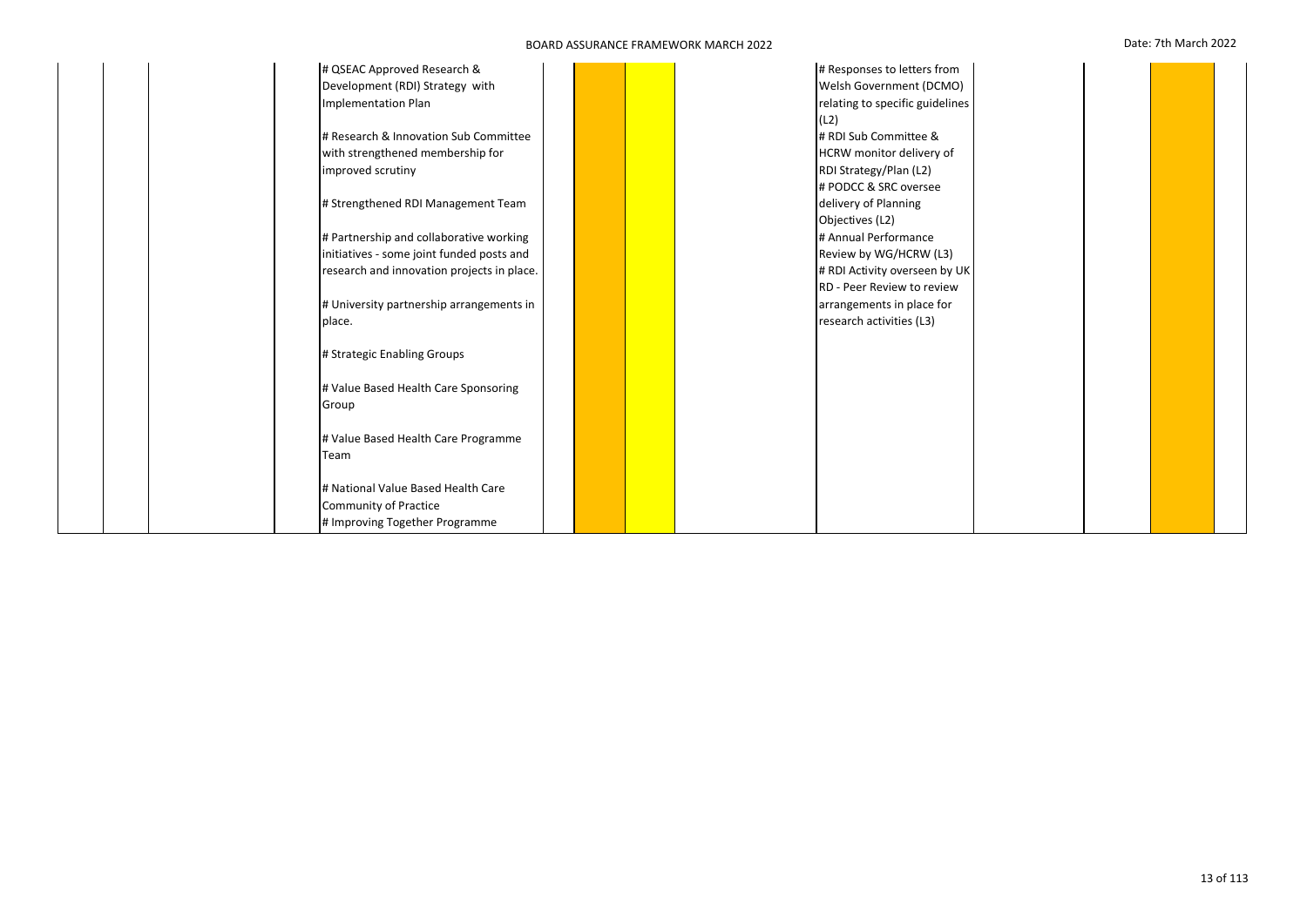|        | # QSEAC Approved Research &                |  | # Responses to letters from     |  |  |
|--------|--------------------------------------------|--|---------------------------------|--|--|
|        | Development (RDI) Strategy with            |  | Welsh Government (DCMO)         |  |  |
|        | Implementation Plan                        |  | relating to specific guidelines |  |  |
|        |                                            |  | (L2)                            |  |  |
|        | # Research & Innovation Sub Committee      |  | # RDI Sub Committee &           |  |  |
|        | with strengthened membership for           |  | HCRW monitor delivery of        |  |  |
|        | improved scrutiny                          |  | RDI Strategy/Plan (L2)          |  |  |
|        |                                            |  | # PODCC & SRC oversee           |  |  |
|        | # Strengthened RDI Management Team         |  | delivery of Planning            |  |  |
|        |                                            |  | Objectives (L2)                 |  |  |
|        | # Partnership and collaborative working    |  | # Annual Performance            |  |  |
|        | initiatives - some joint funded posts and  |  | Review by WG/HCRW (L3)          |  |  |
|        | research and innovation projects in place. |  | # RDI Activity overseen by UK   |  |  |
|        |                                            |  | RD - Peer Review to review      |  |  |
|        | # University partnership arrangements in   |  | arrangements in place for       |  |  |
| place. |                                            |  | research activities (L3)        |  |  |
|        |                                            |  |                                 |  |  |
|        | # Strategic Enabling Groups                |  |                                 |  |  |
|        |                                            |  |                                 |  |  |
|        | # Value Based Health Care Sponsoring       |  |                                 |  |  |
| Group  |                                            |  |                                 |  |  |
|        |                                            |  |                                 |  |  |
|        | # Value Based Health Care Programme        |  |                                 |  |  |
| Team   |                                            |  |                                 |  |  |
|        |                                            |  |                                 |  |  |
|        | # National Value Based Health Care         |  |                                 |  |  |
|        | <b>Community of Practice</b>               |  |                                 |  |  |
|        | # Improving Together Programme             |  |                                 |  |  |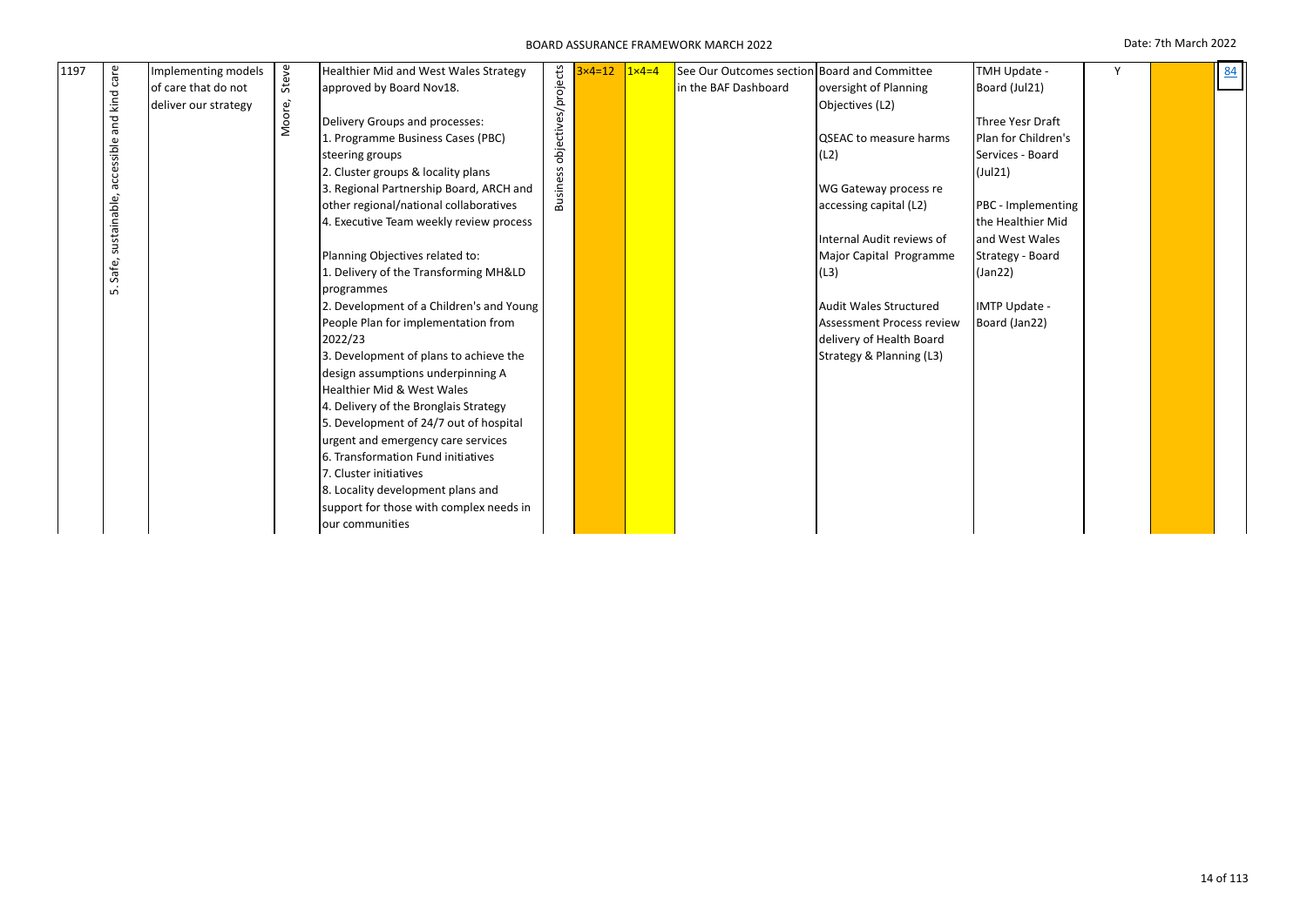| 1197 | care         | Implementing models  |        | Healthier Mid and West Wales Strategy    |                     | $3x4=12$ | $1 \times 4 = 4$ | See Our Outcomes section Board and Committee |                                  | TMH Update -        | Υ | 84 |
|------|--------------|----------------------|--------|------------------------------------------|---------------------|----------|------------------|----------------------------------------------|----------------------------------|---------------------|---|----|
|      |              | of care that do not  | Steve  | approved by Board Nov18.                 | objectives/projects |          |                  | in the BAF Dashboard                         | oversight of Planning            | Board (Jul21)       |   |    |
|      | and kind     | deliver our strategy | Moore, |                                          |                     |          |                  |                                              | Objectives (L2)                  |                     |   |    |
|      |              |                      |        | Delivery Groups and processes:           |                     |          |                  |                                              |                                  | Three Yesr Draft    |   |    |
|      |              |                      |        | 1. Programme Business Cases (PBC)        |                     |          |                  |                                              | QSEAC to measure harms           | Plan for Children's |   |    |
|      | accessible   |                      |        | steering groups                          |                     |          |                  |                                              | (L2)                             | Services - Board    |   |    |
|      |              |                      |        | 2. Cluster groups & locality plans       |                     |          |                  |                                              |                                  | $($ Jul $21)$       |   |    |
|      |              |                      |        | 3. Regional Partnership Board, ARCH and  | Business            |          |                  |                                              | WG Gateway process re            |                     |   |    |
|      | sustainable, |                      |        | other regional/national collaboratives   |                     |          |                  |                                              | accessing capital (L2)           | PBC - Implementing  |   |    |
|      |              |                      |        | 4. Executive Team weekly review process  |                     |          |                  |                                              |                                  | the Healthier Mid   |   |    |
|      |              |                      |        |                                          |                     |          |                  |                                              | Internal Audit reviews of        | and West Wales      |   |    |
|      |              |                      |        | Planning Objectives related to:          |                     |          |                  |                                              | Major Capital Programme          | Strategy - Board    |   |    |
|      | Safe,        |                      |        | 1. Delivery of the Transforming MH&LD    |                     |          |                  |                                              | (L3)                             | (Jan22)             |   |    |
|      | ம்           |                      |        | programmes                               |                     |          |                  |                                              |                                  |                     |   |    |
|      |              |                      |        | 2. Development of a Children's and Young |                     |          |                  |                                              | <b>Audit Wales Structured</b>    | IMTP Update -       |   |    |
|      |              |                      |        | People Plan for implementation from      |                     |          |                  |                                              | <b>Assessment Process review</b> | Board (Jan22)       |   |    |
|      |              |                      |        | 2022/23                                  |                     |          |                  |                                              | delivery of Health Board         |                     |   |    |
|      |              |                      |        | 3. Development of plans to achieve the   |                     |          |                  |                                              | Strategy & Planning (L3)         |                     |   |    |
|      |              |                      |        | design assumptions underpinning A        |                     |          |                  |                                              |                                  |                     |   |    |
|      |              |                      |        | <b>Healthier Mid &amp; West Wales</b>    |                     |          |                  |                                              |                                  |                     |   |    |
|      |              |                      |        | 4. Delivery of the Bronglais Strategy    |                     |          |                  |                                              |                                  |                     |   |    |
|      |              |                      |        | 5. Development of 24/7 out of hospital   |                     |          |                  |                                              |                                  |                     |   |    |
|      |              |                      |        | urgent and emergency care services       |                     |          |                  |                                              |                                  |                     |   |    |
|      |              |                      |        | 6. Transformation Fund initiatives       |                     |          |                  |                                              |                                  |                     |   |    |
|      |              |                      |        | 7. Cluster initiatives                   |                     |          |                  |                                              |                                  |                     |   |    |
|      |              |                      |        | 8. Locality development plans and        |                     |          |                  |                                              |                                  |                     |   |    |
|      |              |                      |        | support for those with complex needs in  |                     |          |                  |                                              |                                  |                     |   |    |
|      |              |                      |        | our communities                          |                     |          |                  |                                              |                                  |                     |   |    |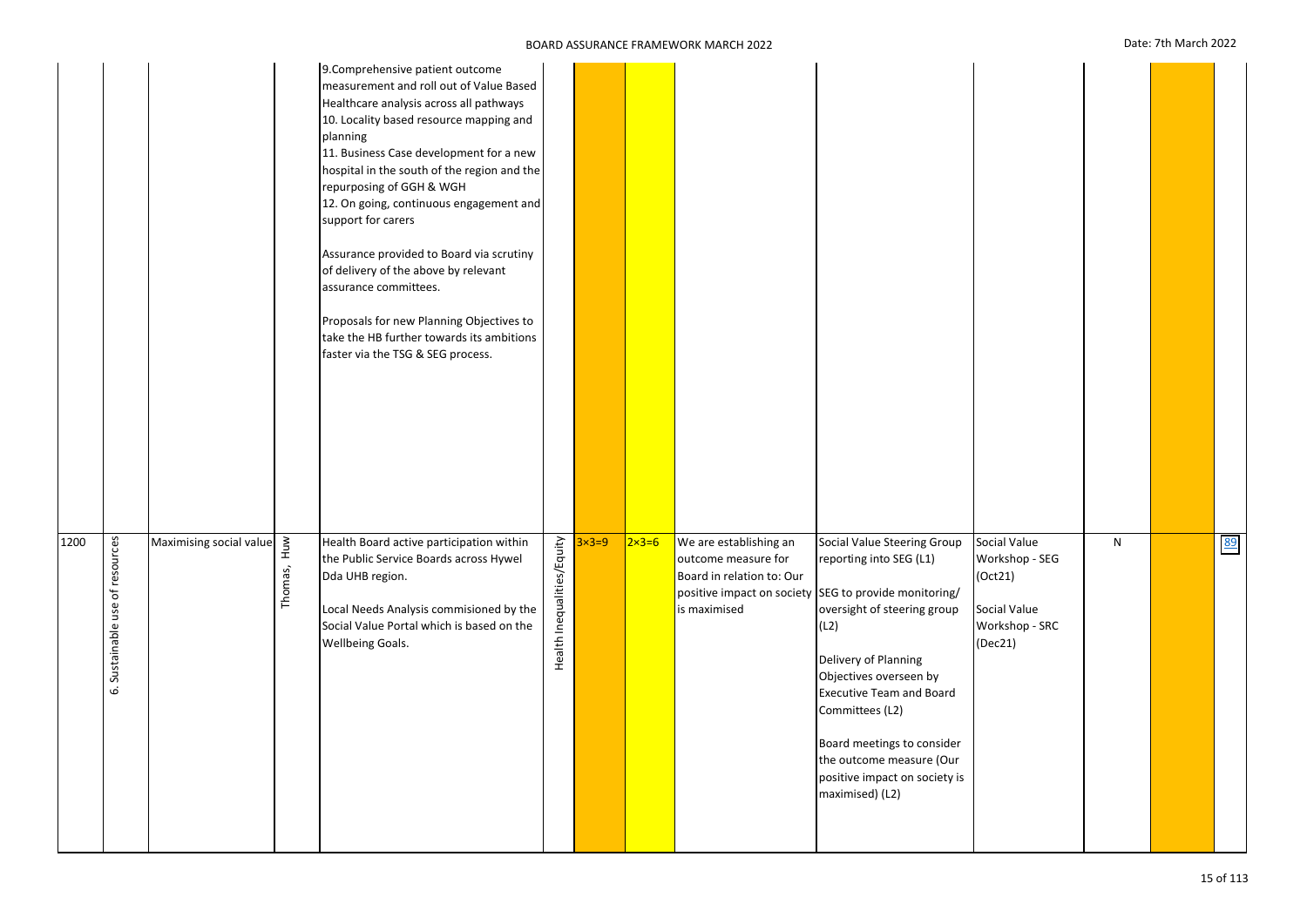|  | Date: 7th March 202 |  |
|--|---------------------|--|
|  |                     |  |

|      |                                    |                         |             | 9. Comprehensive patient outcome<br>measurement and roll out of Value Based<br>Healthcare analysis across all pathways<br>10. Locality based resource mapping and<br>planning<br>11. Business Case development for a new<br>hospital in the south of the region and the<br>repurposing of GGH & WGH<br>12. On going, continuous engagement and<br>support for carers<br>Assurance provided to Board via scrutiny<br>of delivery of the above by relevant<br>assurance committees.<br>Proposals for new Planning Objectives to<br>take the HB further towards its ambitions<br>faster via the TSG & SEG process. |                            |              |                  |                                                                                            |                                                                                                                                                                                                                                                                                                                                                                              |                                                                                        |   |    |
|------|------------------------------------|-------------------------|-------------|-----------------------------------------------------------------------------------------------------------------------------------------------------------------------------------------------------------------------------------------------------------------------------------------------------------------------------------------------------------------------------------------------------------------------------------------------------------------------------------------------------------------------------------------------------------------------------------------------------------------|----------------------------|--------------|------------------|--------------------------------------------------------------------------------------------|------------------------------------------------------------------------------------------------------------------------------------------------------------------------------------------------------------------------------------------------------------------------------------------------------------------------------------------------------------------------------|----------------------------------------------------------------------------------------|---|----|
| 1200 | Sustainable use of resources<br>نه | Maximising social value | Thomas, Huw | Health Board active participation within<br>the Public Service Boards across Hywel<br>Dda UHB region.<br>Local Needs Analysis commisioned by the<br>Social Value Portal which is based on the<br>Wellbeing Goals.                                                                                                                                                                                                                                                                                                                                                                                               | Health Inequalities/Equity | $3\times3=9$ | $2 \times 3 = 6$ | We are establishing an<br>outcome measure for<br>Board in relation to: Our<br>is maximised | Social Value Steering Group<br>reporting into SEG (L1)<br>positive impact on society SEG to provide monitoring/<br>oversight of steering group<br>(L2)<br>Delivery of Planning<br>Objectives overseen by<br><b>Executive Team and Board</b><br>Committees (L2)<br>Board meetings to consider<br>the outcome measure (Our<br>positive impact on society is<br>maximised) (L2) | Social Value<br>Workshop - SEG<br>(Oct21)<br>Social Value<br>Workshop - SRC<br>(Dec21) | N | 89 |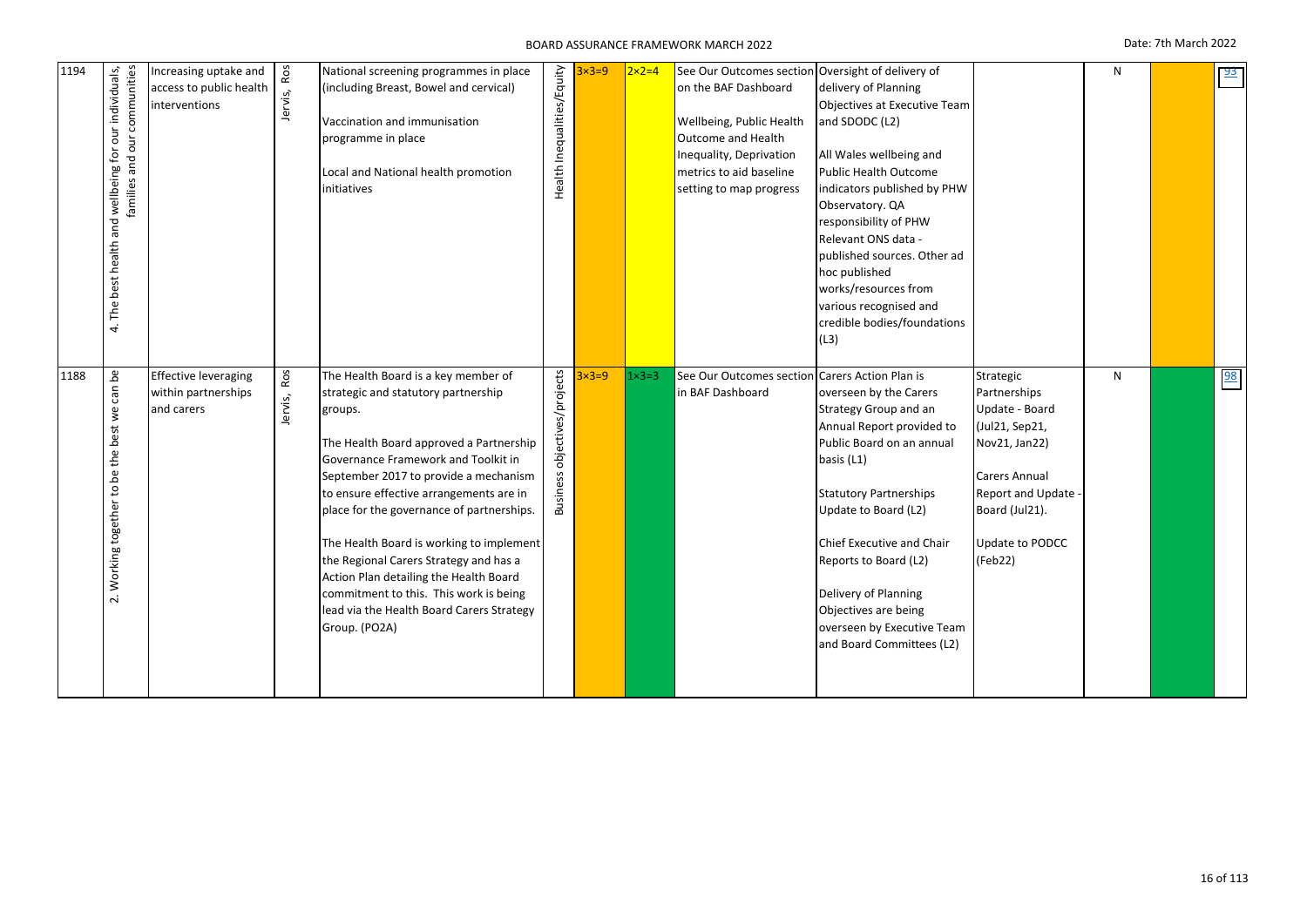| 1194 | The best health and wellbeing for our individuals,<br>families and our communities<br>4 | Increasing uptake and<br>access to public health<br>interventions | Ros<br>Jervis, | National screening programmes in place<br>(including Breast, Bowel and cervical)<br>Vaccination and immunisation<br>programme in place<br>Local and National health promotion<br>initiatives                                                                                                                                                                                                                                                                                                                                                     | Health Inequalities/Equity             | $3\times3=9$ | $2 \times 2 = 4$ | See Our Outcomes section Oversight of delivery of<br>on the BAF Dashboard<br>Wellbeing, Public Health<br>Outcome and Health<br>Inequality, Deprivation<br>metrics to aid baseline<br>setting to map progress | delivery of Planning<br>Objectives at Executive Team<br>and SDODC (L2)<br>All Wales wellbeing and<br><b>Public Health Outcome</b><br>indicators published by PHW<br>Observatory. QA<br>responsibility of PHW<br>Relevant ONS data -<br>published sources. Other ad<br>hoc published<br>works/resources from<br>various recognised and<br>credible bodies/foundations<br>(L3) |                                                                                                                                                                      | N | 93 |
|------|-----------------------------------------------------------------------------------------|-------------------------------------------------------------------|----------------|--------------------------------------------------------------------------------------------------------------------------------------------------------------------------------------------------------------------------------------------------------------------------------------------------------------------------------------------------------------------------------------------------------------------------------------------------------------------------------------------------------------------------------------------------|----------------------------------------|--------------|------------------|--------------------------------------------------------------------------------------------------------------------------------------------------------------------------------------------------------------|------------------------------------------------------------------------------------------------------------------------------------------------------------------------------------------------------------------------------------------------------------------------------------------------------------------------------------------------------------------------------|----------------------------------------------------------------------------------------------------------------------------------------------------------------------|---|----|
| 1188 | ە<br>م<br>can<br>2. Working together to be the best we                                  | <b>Effective leveraging</b><br>within partnerships<br>and carers  | Jervis, Ros    | The Health Board is a key member of<br>strategic and statutory partnership<br>groups.<br>The Health Board approved a Partnership<br>Governance Framework and Toolkit in<br>September 2017 to provide a mechanism<br>to ensure effective arrangements are in<br>place for the governance of partnerships.<br>The Health Board is working to implement<br>the Regional Carers Strategy and has a<br>Action Plan detailing the Health Board<br>commitment to this. This work is being<br>lead via the Health Board Carers Strategy<br>Group. (PO2A) | objectives/projects<br><b>Business</b> | $3\times3=9$ | $1 \times 3 = 3$ | See Our Outcomes section Carers Action Plan is<br>in BAF Dashboard                                                                                                                                           | overseen by the Carers<br>Strategy Group and an<br>Annual Report provided to<br>Public Board on an annual<br>basis (L1)<br><b>Statutory Partnerships</b><br>Update to Board (L2)<br>Chief Executive and Chair<br>Reports to Board (L2)<br>Delivery of Planning<br>Objectives are being<br>overseen by Executive Team<br>and Board Committees (L2)                            | Strategic<br>Partnerships<br>Update - Board<br>(Jul21, Sep21,<br>Nov21, Jan22)<br>Carers Annual<br>Report and Update<br>Board (Jul21).<br>Update to PODCC<br>(Feb22) | N | 98 |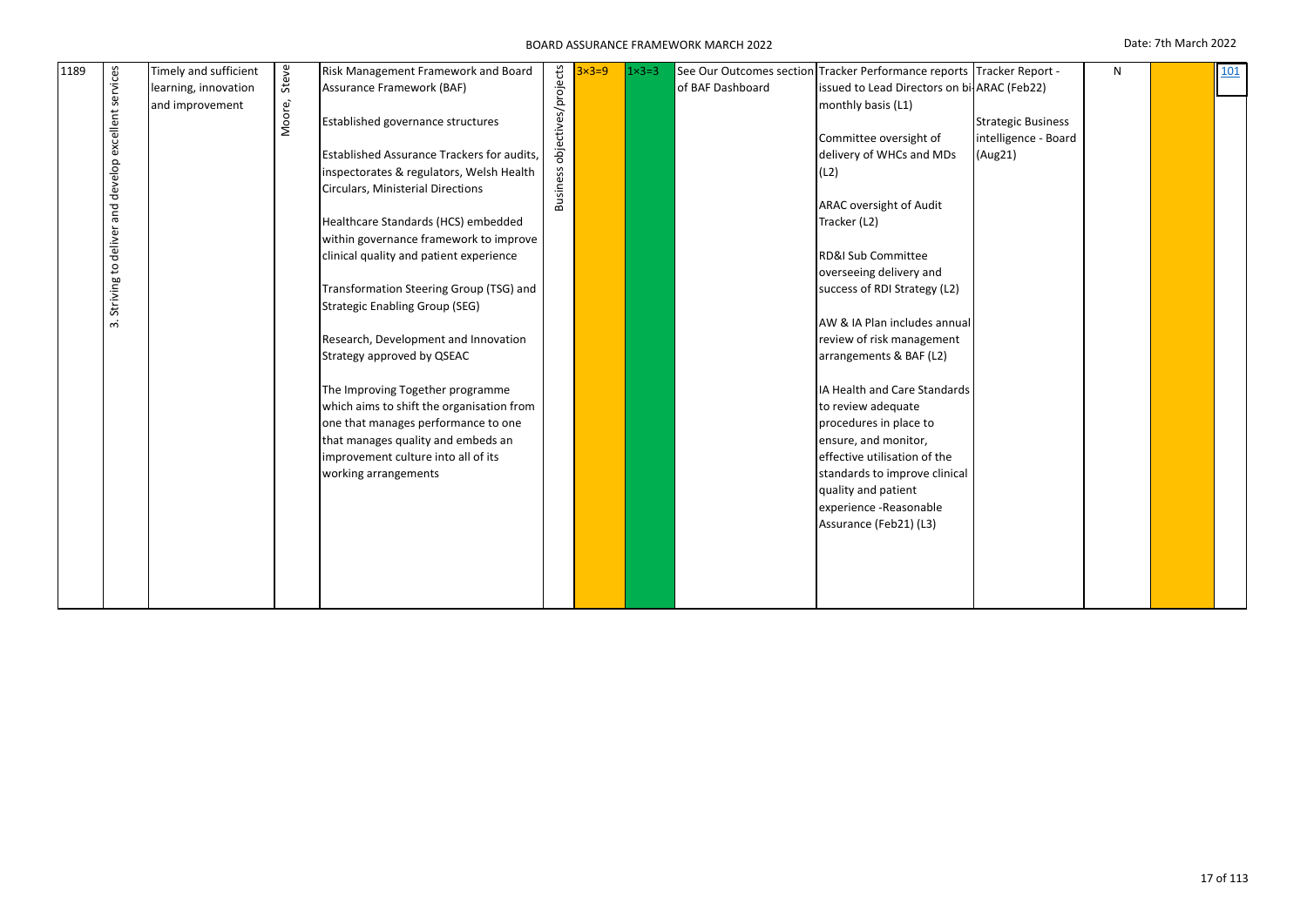| 1189 | excellent services<br>and develop<br>deliver<br>$\mathtt{S}$<br>Striving<br>ന് | Timely and sufficient<br>learning, innovation<br>and improvement | Steve<br>Moore, | Risk Management Framework and Board<br>Assurance Framework (BAF)<br>Established governance structures<br>Established Assurance Trackers for audits,<br>inspectorates & regulators, Welsh Health<br>Circulars, Ministerial Directions<br>Healthcare Standards (HCS) embedded<br>within governance framework to improve<br>clinical quality and patient experience<br>Transformation Steering Group (TSG) and<br><b>Strategic Enabling Group (SEG)</b><br>Research, Development and Innovation<br>Strategy approved by QSEAC<br>The Improving Together programme<br>which aims to shift the organisation from<br>one that manages performance to one<br>that manages quality and embeds an<br>improvement culture into all of its<br>working arrangements | objectives/projects<br><b>Business</b> | $3\times3=9$ | $1 \times 3 = 3$ | See Our Outcomes section<br>of BAF Dashboard | Tracker Performance reports Tracker Report -<br>issued to Lead Directors on bi-ARAC (Feb22)<br>monthly basis (L1)<br>Committee oversight of<br>delivery of WHCs and MDs<br>(L2)<br>ARAC oversight of Audit<br>Tracker (L2)<br>RD&I Sub Committee<br>overseeing delivery and<br>success of RDI Strategy (L2)<br>AW & IA Plan includes annual<br>review of risk management<br>arrangements & BAF (L2)<br>IA Health and Care Standards<br>to review adequate<br>procedures in place to<br>ensure, and monitor,<br>effective utilisation of the<br>standards to improve clinical<br>quality and patient<br>experience -Reasonable<br>Assurance (Feb21) (L3) | <b>Strategic Business</b><br>intelligence - Board<br>(Aug21) | N |  | 101 |  |
|------|--------------------------------------------------------------------------------|------------------------------------------------------------------|-----------------|---------------------------------------------------------------------------------------------------------------------------------------------------------------------------------------------------------------------------------------------------------------------------------------------------------------------------------------------------------------------------------------------------------------------------------------------------------------------------------------------------------------------------------------------------------------------------------------------------------------------------------------------------------------------------------------------------------------------------------------------------------|----------------------------------------|--------------|------------------|----------------------------------------------|---------------------------------------------------------------------------------------------------------------------------------------------------------------------------------------------------------------------------------------------------------------------------------------------------------------------------------------------------------------------------------------------------------------------------------------------------------------------------------------------------------------------------------------------------------------------------------------------------------------------------------------------------------|--------------------------------------------------------------|---|--|-----|--|
|------|--------------------------------------------------------------------------------|------------------------------------------------------------------|-----------------|---------------------------------------------------------------------------------------------------------------------------------------------------------------------------------------------------------------------------------------------------------------------------------------------------------------------------------------------------------------------------------------------------------------------------------------------------------------------------------------------------------------------------------------------------------------------------------------------------------------------------------------------------------------------------------------------------------------------------------------------------------|----------------------------------------|--------------|------------------|----------------------------------------------|---------------------------------------------------------------------------------------------------------------------------------------------------------------------------------------------------------------------------------------------------------------------------------------------------------------------------------------------------------------------------------------------------------------------------------------------------------------------------------------------------------------------------------------------------------------------------------------------------------------------------------------------------------|--------------------------------------------------------------|---|--|-----|--|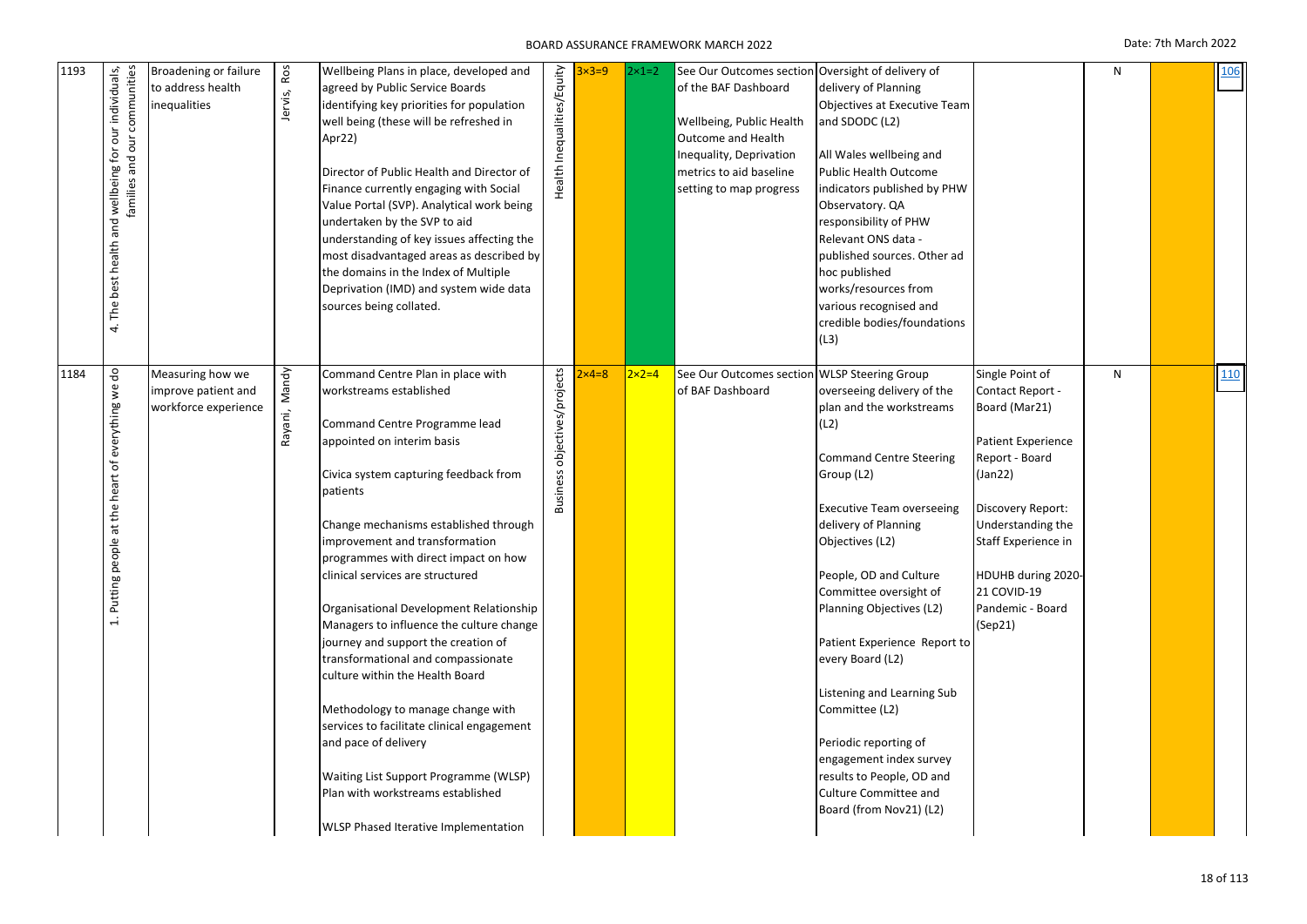| 1193 | wellbeing for our individuals,<br>families and our communities<br>best health and wellbeing for<br>The<br>$\vec{a}$ | Broadening or failure<br>to address health<br>inequalities      | Jervis, Ros   | Wellbeing Plans in place, developed and<br>agreed by Public Service Boards<br>identifying key priorities for population<br>well being (these will be refreshed in<br>Apr22)<br>Director of Public Health and Director of<br>Finance currently engaging with Social<br>Value Portal (SVP). Analytical work being<br>undertaken by the SVP to aid<br>understanding of key issues affecting the<br>most disadvantaged areas as described by<br>the domains in the Index of Multiple<br>Deprivation (IMD) and system wide data<br>sources being collated.                                                                                                                                                                                                                           | Health Inequalities/Equity   | $32 = 9$     | $2 \times 1 = 2$ | See Our Outcomes section Oversight of delivery of<br>of the BAF Dashboard<br>Wellbeing, Public Health<br><b>Outcome and Health</b><br>Inequality, Deprivation<br>metrics to aid baseline<br>setting to map progress | delivery of Planning<br>Objectives at Executive Team<br>and SDODC (L2)<br>All Wales wellbeing and<br><b>Public Health Outcome</b><br>indicators published by PHW<br>Observatory. QA<br>responsibility of PHW<br>Relevant ONS data -<br>published sources. Other ad<br>hoc published<br>works/resources from<br>various recognised and<br>credible bodies/foundations<br>(L3)                                                                                                                                                  |                                                                                                                                                                                                                                              | ${\sf N}$ | <b>106</b> |
|------|---------------------------------------------------------------------------------------------------------------------|-----------------------------------------------------------------|---------------|---------------------------------------------------------------------------------------------------------------------------------------------------------------------------------------------------------------------------------------------------------------------------------------------------------------------------------------------------------------------------------------------------------------------------------------------------------------------------------------------------------------------------------------------------------------------------------------------------------------------------------------------------------------------------------------------------------------------------------------------------------------------------------|------------------------------|--------------|------------------|---------------------------------------------------------------------------------------------------------------------------------------------------------------------------------------------------------------------|-------------------------------------------------------------------------------------------------------------------------------------------------------------------------------------------------------------------------------------------------------------------------------------------------------------------------------------------------------------------------------------------------------------------------------------------------------------------------------------------------------------------------------|----------------------------------------------------------------------------------------------------------------------------------------------------------------------------------------------------------------------------------------------|-----------|------------|
| 1184 | $\frac{9}{6}$<br>$\mathsf{v}^{\mathsf{e}}$<br>heart of everything<br>at the<br>Putting people<br>$\ddot{ }$         | Measuring how we<br>improve patient and<br>workforce experience | Rayani, Mandy | Command Centre Plan in place with<br>workstreams established<br>Command Centre Programme lead<br>appointed on interim basis<br>Civica system capturing feedback from<br>patients<br>Change mechanisms established through<br>improvement and transformation<br>programmes with direct impact on how<br>clinical services are structured<br>Organisational Development Relationship<br>Managers to influence the culture change<br>journey and support the creation of<br>transformational and compassionate<br>culture within the Health Board<br>Methodology to manage change with<br>services to facilitate clinical engagement<br>and pace of delivery<br>Waiting List Support Programme (WLSP)<br>Plan with workstreams established<br>WLSP Phased Iterative Implementation | Business objectives/projects | $\times$ 4=8 | $2 \times 2 = 4$ | See Our Outcomes section WLSP Steering Group<br>of BAF Dashboard                                                                                                                                                    | overseeing delivery of the<br>plan and the workstreams<br>(L2)<br><b>Command Centre Steering</b><br>Group (L2)<br><b>Executive Team overseeing</b><br>delivery of Planning<br>Objectives (L2)<br>People, OD and Culture<br>Committee oversight of<br>Planning Objectives (L2)<br>Patient Experience Report to<br>every Board (L2)<br>Listening and Learning Sub<br>Committee (L2)<br>Periodic reporting of<br>engagement index survey<br>results to People, OD and<br><b>Culture Committee and</b><br>Board (from Nov21) (L2) | Single Point of<br>Contact Report -<br>Board (Mar21)<br>Patient Experience<br>Report - Board<br>(Jan22)<br>Discovery Report:<br>Understanding the<br>Staff Experience in<br>HDUHB during 2020-<br>21 COVID-19<br>Pandemic - Board<br>(Sep21) | N         | 110        |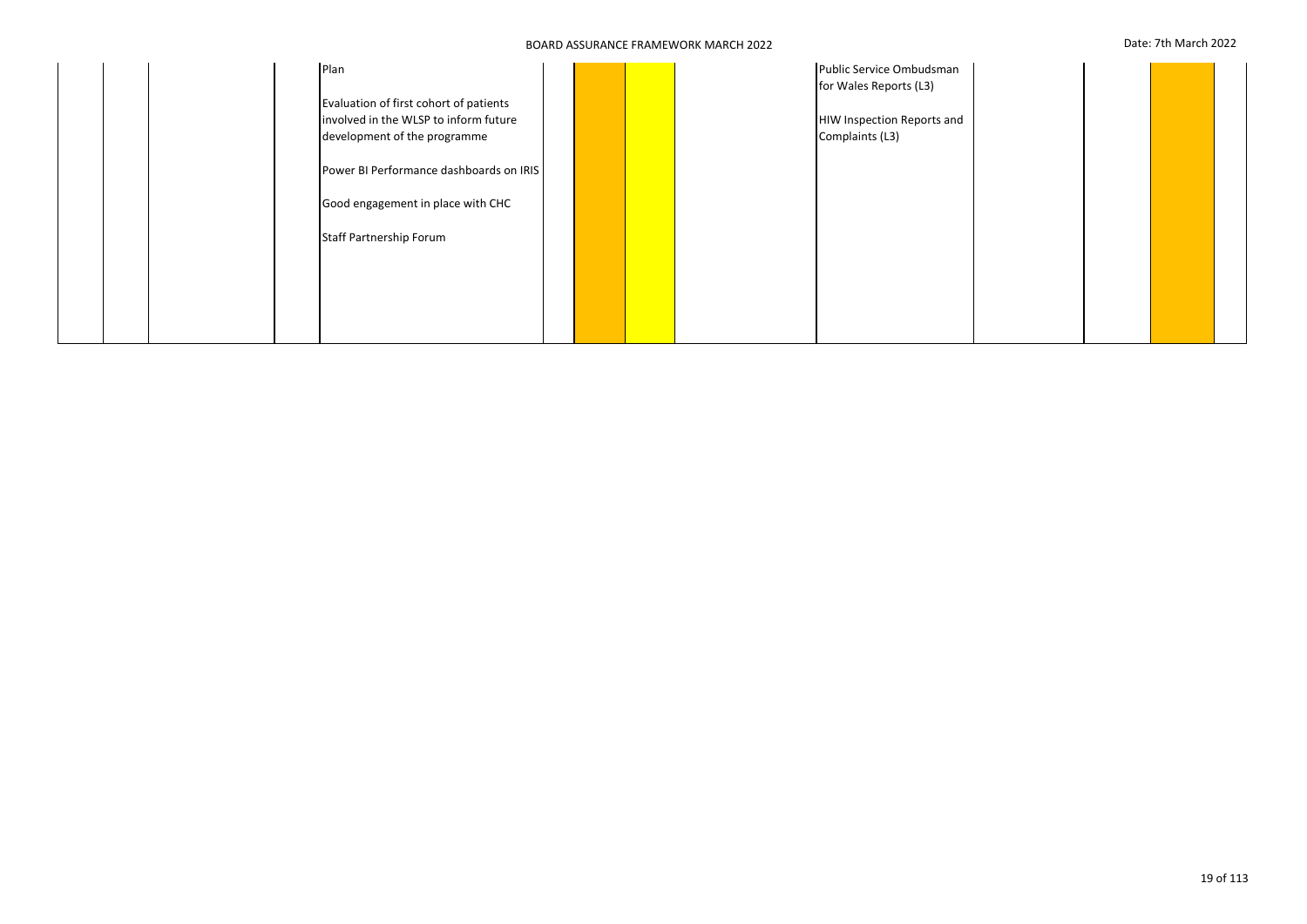|  | Plan                                    |  |  | Public Service Ombudsman   |  |  |
|--|-----------------------------------------|--|--|----------------------------|--|--|
|  |                                         |  |  | for Wales Reports (L3)     |  |  |
|  | Evaluation of first cohort of patients  |  |  |                            |  |  |
|  | involved in the WLSP to inform future   |  |  | HIW Inspection Reports and |  |  |
|  | development of the programme            |  |  | Complaints (L3)            |  |  |
|  | Power BI Performance dashboards on IRIS |  |  |                            |  |  |
|  | Good engagement in place with CHC       |  |  |                            |  |  |
|  | <b>Staff Partnership Forum</b>          |  |  |                            |  |  |
|  |                                         |  |  |                            |  |  |
|  |                                         |  |  |                            |  |  |
|  |                                         |  |  |                            |  |  |
|  |                                         |  |  |                            |  |  |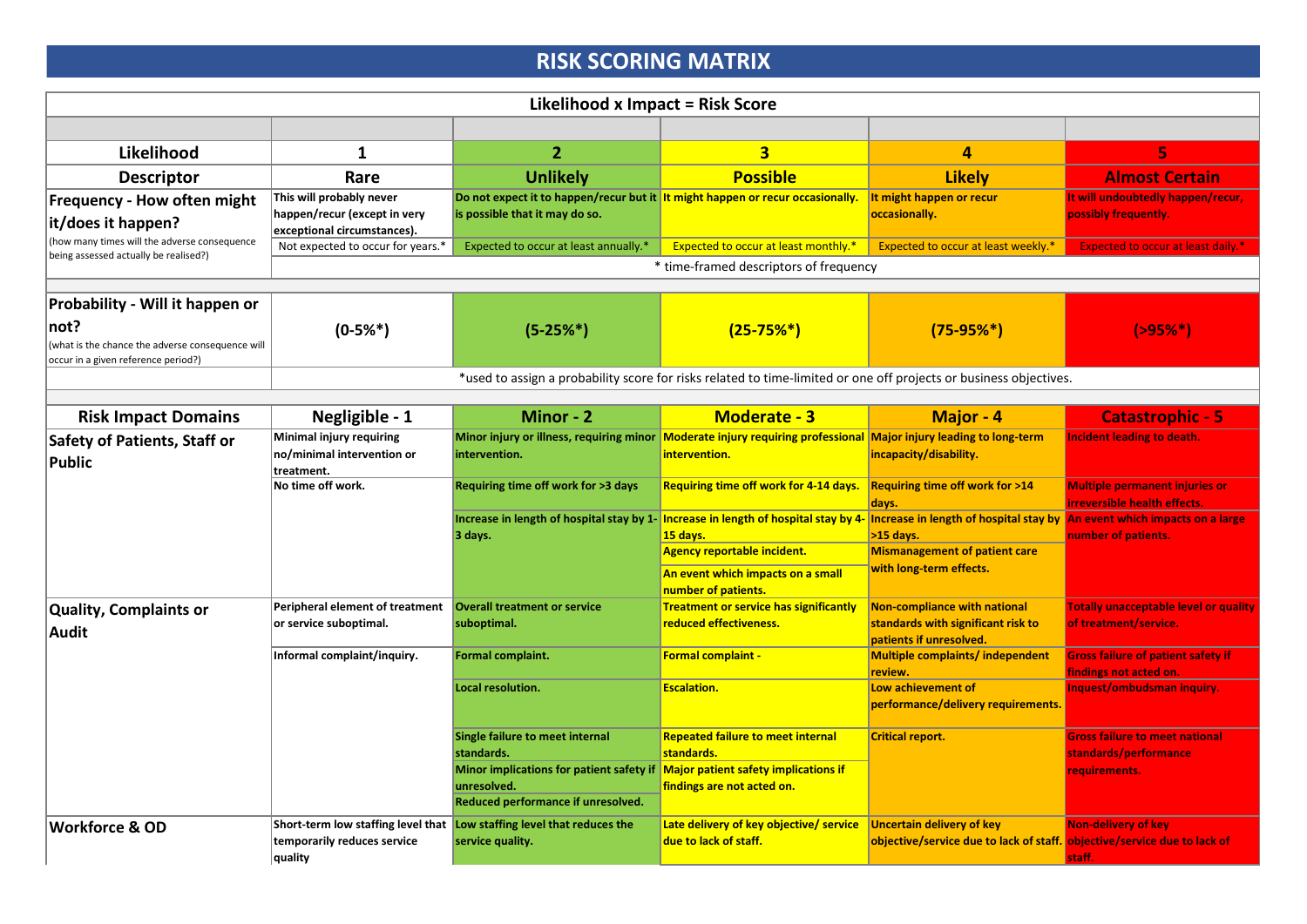# **RISK SCORING MATRIX**

|                                                                                                 | <b>Likelihood x Impact = Risk Score</b>                                                 |                                                                                                                                    |                                                                                                                                                                                                                |                                                                                                              |                                                                       |  |  |  |  |
|-------------------------------------------------------------------------------------------------|-----------------------------------------------------------------------------------------|------------------------------------------------------------------------------------------------------------------------------------|----------------------------------------------------------------------------------------------------------------------------------------------------------------------------------------------------------------|--------------------------------------------------------------------------------------------------------------|-----------------------------------------------------------------------|--|--|--|--|
|                                                                                                 |                                                                                         |                                                                                                                                    |                                                                                                                                                                                                                |                                                                                                              |                                                                       |  |  |  |  |
| Likelihood                                                                                      | 1                                                                                       | $\overline{2}$                                                                                                                     | 3                                                                                                                                                                                                              | 4                                                                                                            | 5                                                                     |  |  |  |  |
| <b>Descriptor</b>                                                                               | Rare                                                                                    | <b>Unlikely</b>                                                                                                                    | <b>Possible</b>                                                                                                                                                                                                | <b>Likely</b>                                                                                                | <b>Almost Certain</b>                                                 |  |  |  |  |
| <b>Frequency - How often might</b><br>it/does it happen?                                        | This will probably never<br>happen/recur (except in very<br>exceptional circumstances). | Do not expect it to happen/recur but it it might happen or recur occasionally.<br>is possible that it may do so.                   |                                                                                                                                                                                                                | It might happen or recur<br>occasionally.                                                                    | It will undoubtedly happen/recur<br>possibly frequently.              |  |  |  |  |
| (how many times will the adverse consequence<br>being assessed actually be realised?)           | Not expected to occur for years.*                                                       | Expected to occur at least annually.*                                                                                              | Expected to occur at least monthly.*                                                                                                                                                                           | Expected to occur at least weekly.*                                                                          | <b>Expected to occur at least daily.'</b>                             |  |  |  |  |
|                                                                                                 |                                                                                         |                                                                                                                                    | * time-framed descriptors of frequency                                                                                                                                                                         |                                                                                                              |                                                                       |  |  |  |  |
|                                                                                                 |                                                                                         |                                                                                                                                    |                                                                                                                                                                                                                |                                                                                                              |                                                                       |  |  |  |  |
| Probability - Will it happen or                                                                 |                                                                                         |                                                                                                                                    |                                                                                                                                                                                                                |                                                                                                              |                                                                       |  |  |  |  |
| not?<br>(what is the chance the adverse consequence will<br>occur in a given reference period?) | $(0-5%*)$                                                                               | $(5-25%)$                                                                                                                          | $(25-75%)$                                                                                                                                                                                                     | $(75-95\%*)$                                                                                                 | $( > 95\%^*)$                                                         |  |  |  |  |
|                                                                                                 |                                                                                         |                                                                                                                                    | *used to assign a probability score for risks related to time-limited or one off projects or business objectives.                                                                                              |                                                                                                              |                                                                       |  |  |  |  |
|                                                                                                 |                                                                                         |                                                                                                                                    |                                                                                                                                                                                                                |                                                                                                              |                                                                       |  |  |  |  |
| <b>Risk Impact Domains</b>                                                                      | Negligible - 1                                                                          | Minor - 2                                                                                                                          | <b>Moderate - 3</b>                                                                                                                                                                                            | Major - 4                                                                                                    | <b>Catastrophic - 5</b>                                               |  |  |  |  |
| <b>Safety of Patients, Staff or</b><br>Public                                                   | Minimal injury requiring<br>no/minimal intervention or<br>treatment.                    | intervention.                                                                                                                      | Minor injury or illness, requiring minor Moderate injury requiring professional Major injury leading to long-term<br>intervention.                                                                             | incapacity/disability.                                                                                       | Incident leading to death.                                            |  |  |  |  |
|                                                                                                 | No time off work.                                                                       | Requiring time off work for >3 days                                                                                                | Requiring time off work for 4-14 days.                                                                                                                                                                         | <b>Requiring time off work for &gt;14</b><br>days.                                                           | <b>Multiple permanent injuries or</b><br>irreversible health effects. |  |  |  |  |
|                                                                                                 |                                                                                         | 3 days.                                                                                                                            | Increase in length of hospital stay by 1- Increase in length of hospital stay by 4- Increase in length of hospital stay by An event which impacts on a large<br>15 days.<br><b>Agency reportable incident.</b> | $>15$ days.<br><b>Mismanagement of patient care</b>                                                          | number of patients.                                                   |  |  |  |  |
|                                                                                                 |                                                                                         |                                                                                                                                    | An event which impacts on a small<br>number of patients.                                                                                                                                                       | with long-term effects.                                                                                      |                                                                       |  |  |  |  |
| Quality, Complaints or<br>Audit                                                                 | Peripheral element of treatment<br>or service suboptimal.                               | <b>Overall treatment or service</b><br>suboptimal.                                                                                 | <b>Treatment or service has significantly</b><br>reduced effectiveness.                                                                                                                                        | <b>Non-compliance with national</b><br>standards with significant risk to<br>patients if unresolved.         | <b>Totally unacceptable level or quality</b><br>of treatment/service. |  |  |  |  |
|                                                                                                 | Informal complaint/inquiry.                                                             | Formal complaint.                                                                                                                  | <b>Formal complaint -</b>                                                                                                                                                                                      | <b>Multiple complaints/independent</b><br>review.                                                            | <b>Gross failure of patient safety if</b><br>findings not acted on.   |  |  |  |  |
|                                                                                                 |                                                                                         | Local resolution.                                                                                                                  | <b>Escalation.</b>                                                                                                                                                                                             | Low achievement of<br>performance/delivery requirements.                                                     | Inquest/ombudsman inquiry.                                            |  |  |  |  |
|                                                                                                 |                                                                                         | Single failure to meet internal<br>standards.                                                                                      | <b>Repeated failure to meet internal</b><br>standards.                                                                                                                                                         | <b>Critical report.</b>                                                                                      | <b>Gross failure to meet national</b><br>standards/performance        |  |  |  |  |
|                                                                                                 |                                                                                         | Minor implications for patient safety if Major patient safety implications if<br>unresolved.<br>Reduced performance if unresolved. | findings are not acted on.                                                                                                                                                                                     |                                                                                                              | requirements.                                                         |  |  |  |  |
| <b>Workforce &amp; OD</b>                                                                       | temporarily reduces service<br>quality                                                  | Short-term low staffing level that Low staffing level that reduces the<br>service quality.                                         | Late delivery of key objective/ service<br>due to lack of staff.                                                                                                                                               | <b>Uncertain delivery of key</b><br>objective/service due to lack of staff. objective/service due to lack of | <b>Non-delivery of key</b><br>staff.                                  |  |  |  |  |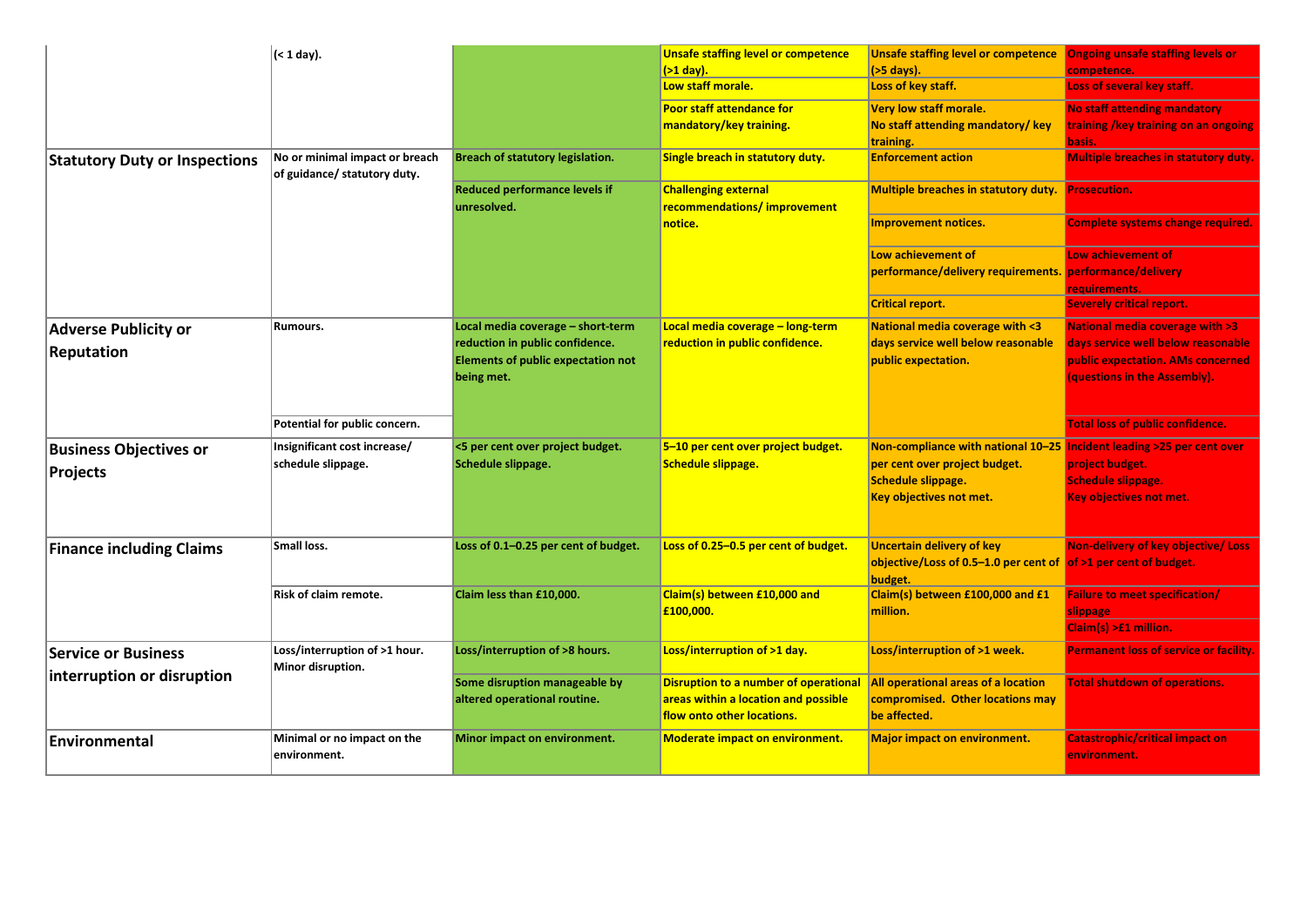|                                      | (< 1 day).                                                     |                                                     | <b>Unsafe staffing level or competence</b>                         | Unsafe staffing level or competence Ongoing unsafe staffing levels or          |                                                        |
|--------------------------------------|----------------------------------------------------------------|-----------------------------------------------------|--------------------------------------------------------------------|--------------------------------------------------------------------------------|--------------------------------------------------------|
|                                      |                                                                |                                                     | $($ >1 day).                                                       | $(55 \text{ days}).$                                                           | competence.                                            |
|                                      |                                                                |                                                     | Low staff morale.                                                  | Loss of key staff.                                                             | Loss of several key staff.                             |
|                                      |                                                                |                                                     | <b>Poor staff attendance for</b>                                   | <b>Very low staff morale.</b>                                                  | <b>No staff attending mandatory</b>                    |
|                                      |                                                                |                                                     | mandatory/key training.                                            | No staff attending mandatory/ key                                              | training /key training on an ongoing                   |
|                                      |                                                                |                                                     |                                                                    | training.                                                                      | basis.                                                 |
| <b>Statutory Duty or Inspections</b> | No or minimal impact or breach<br>of guidance/ statutory duty. | Breach of statutory legislation.                    | Single breach in statutory duty.                                   | <b>Enforcement action</b>                                                      | <b>Multiple breaches in statutory duty.</b>            |
|                                      |                                                                | <b>Reduced performance levels if</b><br>unresolved. | <b>Challenging external</b><br>recommendations/improvement         | <b>Multiple breaches in statutory duty.</b> Prosecution.                       |                                                        |
|                                      |                                                                |                                                     | notice.                                                            | <b>Improvement notices.</b>                                                    | <b>Complete systems change required.</b>               |
|                                      |                                                                |                                                     |                                                                    | Low achievement of                                                             | Low achievement of                                     |
|                                      |                                                                |                                                     |                                                                    | performance/delivery requirements. performance/delivery                        |                                                        |
|                                      |                                                                |                                                     |                                                                    |                                                                                | requirements.                                          |
|                                      |                                                                |                                                     |                                                                    | <b>Critical report.</b>                                                        | <b>Severely critical report.</b>                       |
| <b>Adverse Publicity or</b>          | Rumours.                                                       | Local media coverage - short-term                   | Local media coverage – long-term                                   | <b>National media coverage with &lt;3</b>                                      | <b>National media coverage with &gt;3</b>              |
| <b>Reputation</b>                    |                                                                | reduction in public confidence.                     | reduction in public confidence.                                    | days service well below reasonable                                             | days service well below reasonable                     |
|                                      |                                                                | <b>Elements of public expectation not</b>           |                                                                    | public expectation.                                                            | public expectation. AMs concerned                      |
|                                      |                                                                | being met.                                          |                                                                    |                                                                                | (questions in the Assembly).                           |
|                                      |                                                                |                                                     |                                                                    |                                                                                |                                                        |
|                                      | Potential for public concern.                                  |                                                     |                                                                    |                                                                                | <b>Total loss of public confidence.</b>                |
| <b>Business Objectives or</b>        | Insignificant cost increase/                                   | <5 per cent over project budget.                    | 5-10 per cent over project budget.                                 | Non-compliance with national 10-25 Incident leading >25 per cent over          |                                                        |
| Projects                             | schedule slippage.                                             | Schedule slippage.                                  | Schedule slippage.                                                 | per cent over project budget.                                                  | project budget.                                        |
|                                      |                                                                |                                                     |                                                                    | Schedule slippage.                                                             | <b>Schedule slippage.</b>                              |
|                                      |                                                                |                                                     |                                                                    | Key objectives not met.                                                        | <b>Key objectives not met.</b>                         |
|                                      |                                                                |                                                     |                                                                    |                                                                                |                                                        |
| <b>Finance including Claims</b>      | Small loss.                                                    | Loss of 0.1-0.25 per cent of budget.                | Loss of 0.25-0.5 per cent of budget.                               | <b>Uncertain delivery of key</b>                                               | Non-delivery of key objective/ Loss                    |
|                                      |                                                                |                                                     |                                                                    | objective/Loss of $0.5-1.0$ per cent of of $>1$ per cent of budget.<br>budget. |                                                        |
|                                      | Risk of claim remote.                                          | Claim less than £10,000.                            | Claim(s) between £10,000 and                                       | Claim(s) between £100,000 and £1                                               | <b>Failure to meet specification/</b>                  |
|                                      |                                                                |                                                     | £100,000.                                                          | million.                                                                       | <u>slippage</u>                                        |
|                                      |                                                                |                                                     |                                                                    |                                                                                | Claim(s) >£1 million.                                  |
| <b>Service or Business</b>           | Loss/interruption of >1 hour.                                  | Loss/interruption of >8 hours.                      | Loss/interruption of >1 day.                                       | Loss/interruption of >1 week.                                                  | <b>Permanent loss of service or facility.</b>          |
| interruption or disruption           | Minor disruption.                                              |                                                     |                                                                    |                                                                                |                                                        |
|                                      |                                                                | Some disruption manageable by                       | Disruption to a number of operational                              | All operational areas of a location                                            | <b>Total shutdown of operations.</b>                   |
|                                      |                                                                | altered operational routine.                        | areas within a location and possible<br>flow onto other locations. | compromised. Other locations may<br>be affected.                               |                                                        |
|                                      |                                                                |                                                     |                                                                    |                                                                                |                                                        |
| Environmental                        | Minimal or no impact on the<br>environment.                    | Minor impact on environment.                        | <b>Moderate impact on environment.</b>                             | <b>Major impact on environment.</b>                                            | <b>Catastrophic/critical impact on</b><br>environment. |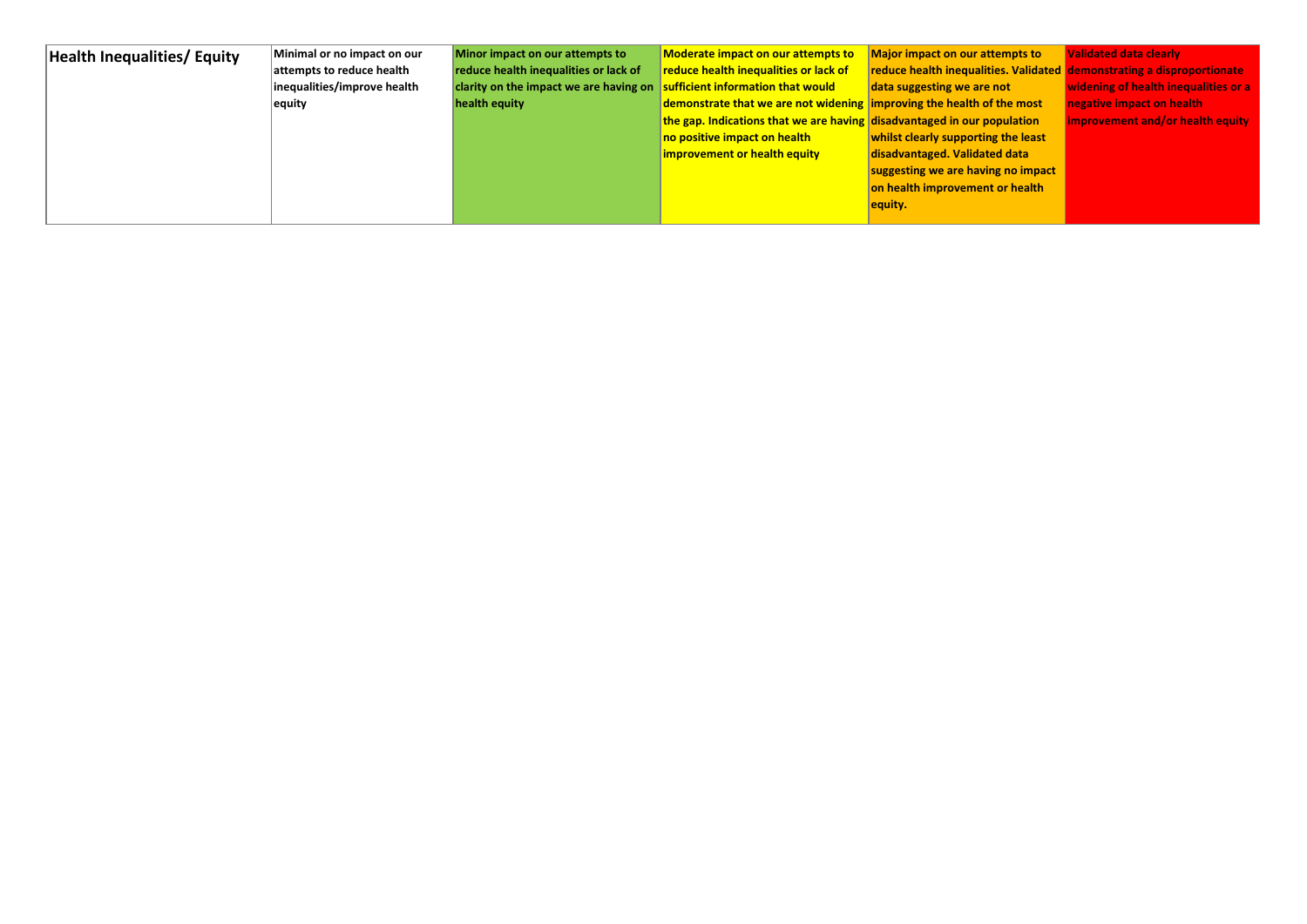| <b>Health Inequalities/ Equity</b> | Minimal or no impact on our | Minor impact on our attempts to                                              | <b>Moderate impact on our attempts to</b>                               | Major impact on our attempts to                                        | <b>Validated data clearly</b>        |
|------------------------------------|-----------------------------|------------------------------------------------------------------------------|-------------------------------------------------------------------------|------------------------------------------------------------------------|--------------------------------------|
|                                    | attempts to reduce health   | reduce health inequalities or lack of                                        | reduce health inequalities or lack of                                   | reduce health inequalities. Validated demonstrating a disproportionate |                                      |
|                                    | inequalities/improve health | clarity on the impact we are having on $ $ sufficient information that would |                                                                         | data suggesting we are not                                             | widening of health inequalities or a |
|                                    | equity                      | health equity                                                                | demonstrate that we are not widening improving the health of the most   |                                                                        | negative impact on health            |
|                                    |                             |                                                                              | the gap. Indications that we are having disadvantaged in our population |                                                                        | improvement and/or health equity     |
|                                    |                             |                                                                              | no positive impact on health                                            | whilst clearly supporting the least                                    |                                      |
|                                    |                             |                                                                              | improvement or health equity                                            | disadvantaged. Validated data                                          |                                      |
|                                    |                             |                                                                              |                                                                         | suggesting we are having no impact                                     |                                      |
|                                    |                             |                                                                              |                                                                         | on health improvement or health                                        |                                      |
|                                    |                             |                                                                              |                                                                         | equity.                                                                |                                      |
|                                    |                             |                                                                              |                                                                         |                                                                        |                                      |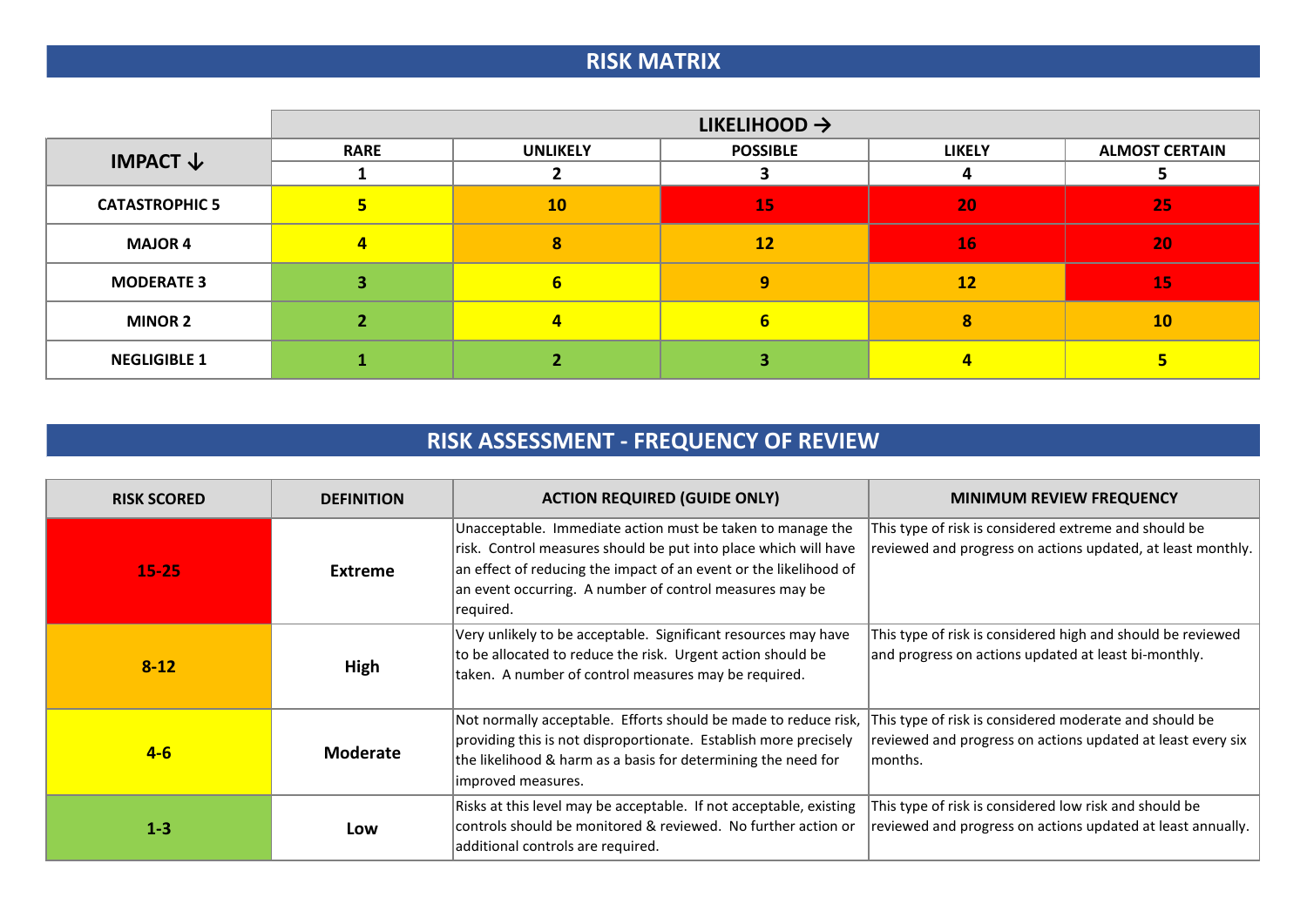# **RISK MATRIX**

|                       |             | LIKELIHOOD $\rightarrow$ |                 |               |                       |  |  |  |  |  |  |  |  |
|-----------------------|-------------|--------------------------|-----------------|---------------|-----------------------|--|--|--|--|--|--|--|--|
| IMPACT $\downarrow$   | <b>RARE</b> | <b>UNLIKELY</b>          | <b>POSSIBLE</b> | <b>LIKELY</b> | <b>ALMOST CERTAIN</b> |  |  |  |  |  |  |  |  |
|                       |             |                          |                 | 4             |                       |  |  |  |  |  |  |  |  |
| <b>CATASTROPHIC 5</b> |             | 10                       | 15              | 20            | 25                    |  |  |  |  |  |  |  |  |
| <b>MAJOR 4</b>        | 4           | 8                        | 12              | 16            | 20                    |  |  |  |  |  |  |  |  |
| <b>MODERATE 3</b>     |             | 6                        | 9               | 12            | 15                    |  |  |  |  |  |  |  |  |
| <b>MINOR 2</b>        |             | 4                        | 6               | 8             | 10                    |  |  |  |  |  |  |  |  |
| <b>NEGLIGIBLE 1</b>   |             |                          |                 |               |                       |  |  |  |  |  |  |  |  |

# **RISK ASSESSMENT - FREQUENCY OF REVIEW**

| <b>RISK SCORED</b> | <b>DEFINITION</b> | <b>ACTION REQUIRED (GUIDE ONLY)</b>                                                                                                                                                                                                                                        | <b>MINIMUM REVIEW FREQUENCY</b>                                                                                                  |
|--------------------|-------------------|----------------------------------------------------------------------------------------------------------------------------------------------------------------------------------------------------------------------------------------------------------------------------|----------------------------------------------------------------------------------------------------------------------------------|
| $15 - 25$          | <b>Extreme</b>    | Unacceptable. Immediate action must be taken to manage the<br>risk. Control measures should be put into place which will have<br>an effect of reducing the impact of an event or the likelihood of<br>an event occurring. A number of control measures may be<br>required. | This type of risk is considered extreme and should be<br>reviewed and progress on actions updated, at least monthly.             |
| $8 - 12$           | High              | Very unlikely to be acceptable. Significant resources may have<br>to be allocated to reduce the risk. Urgent action should be<br>taken. A number of control measures may be required.                                                                                      | This type of risk is considered high and should be reviewed<br>and progress on actions updated at least bi-monthly.              |
| $4-6$              | <b>Moderate</b>   | Not normally acceptable. Efforts should be made to reduce risk,<br>providing this is not disproportionate. Establish more precisely<br>the likelihood & harm as a basis for determining the need for<br>improved measures.                                                 | This type of risk is considered moderate and should be<br>reviewed and progress on actions updated at least every six<br>months. |
| $1-3$              | Low               | Risks at this level may be acceptable. If not acceptable, existing<br>controls should be monitored & reviewed. No further action or<br>additional controls are required.                                                                                                   | This type of risk is considered low risk and should be<br>reviewed and progress on actions updated at least annually.            |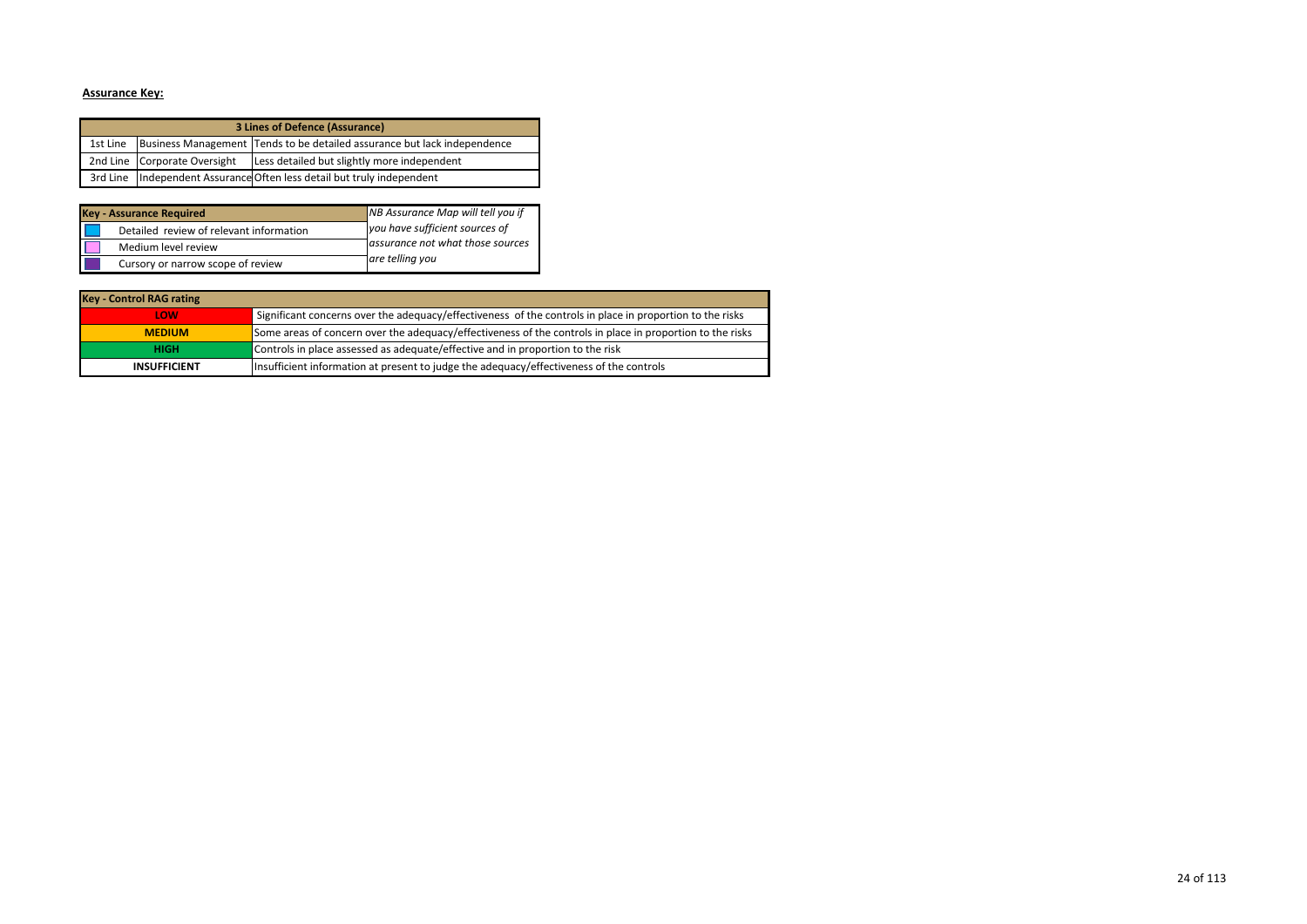#### **Assurance Key:**

|          |                              | 3 Lines of Defence (Assurance)                                           |
|----------|------------------------------|--------------------------------------------------------------------------|
| 1st Line |                              | Business Management Tends to be detailed assurance but lack independence |
|          | 2nd Line Corporate Oversight | Less detailed but slightly more independent                              |
|          |                              | 3rd Line   Independent Assurance Often less detail but truly independent |

| <b>Key - Assurance Required</b>         | NB Assurance Map will tell you if |
|-----------------------------------------|-----------------------------------|
| Detailed review of relevant information | you have sufficient sources of    |
| Medium level review                     | assurance not what those sources  |
| Cursory or narrow scope of review       | are telling you                   |

| <b>Key - Control RAG rating</b> |                                                                                                           |
|---------------------------------|-----------------------------------------------------------------------------------------------------------|
| LOW                             | Significant concerns over the adequacy/effectiveness of the controls in place in proportion to the risks  |
| <b>MEDIUM</b>                   | Some areas of concern over the adequacy/effectiveness of the controls in place in proportion to the risks |
| <b>HIGH</b>                     | Controls in place assessed as adequate/effective and in proportion to the risk                            |
| <b>INSUFFICIENT</b>             | Insufficient information at present to judge the adequacy/effectiveness of the controls                   |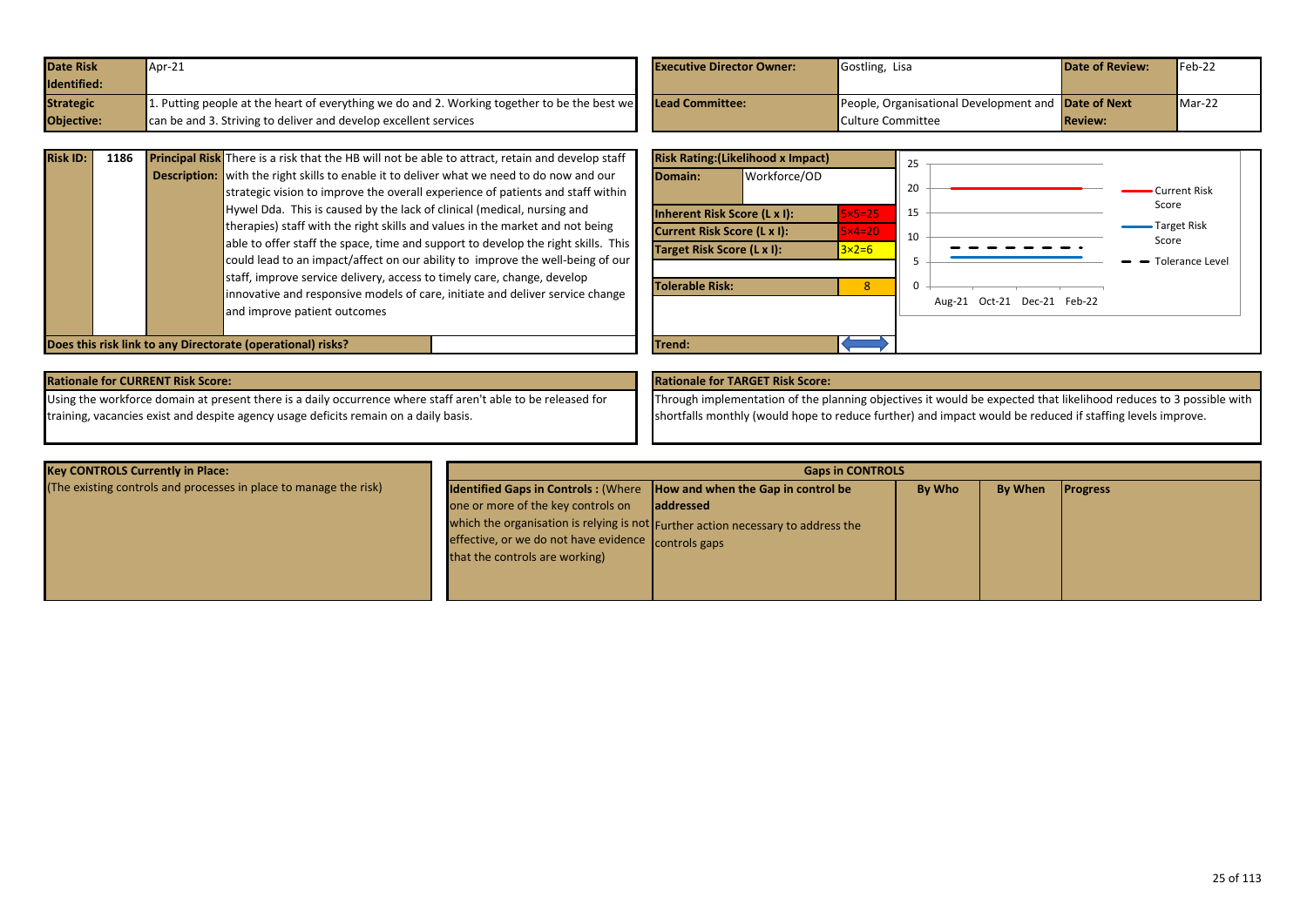<span id="page-24-0"></span>

| <b>Date Risk</b>  | $\sqrt{4pr-21}$                                                                              | <b>Executive Director Owner:</b> | Gostling, Lisa                                             | <b>Date of Review:</b> | $Feb-22$ |
|-------------------|----------------------------------------------------------------------------------------------|----------------------------------|------------------------------------------------------------|------------------------|----------|
| Identified:       |                                                                                              |                                  |                                                            |                        |          |
| <b>Strategic</b>  | 1. Putting people at the heart of everything we do and 2. Working together to be the best we | Lead Committee:                  | People, Organisational Development and <b>Date of Next</b> |                        | $Mar-22$ |
| <b>Objective:</b> | can be and 3. Striving to deliver and develop excellent services                             |                                  | Culture Committee                                          | <b>Review:</b>         |          |

| <b>Risk ID:</b> | 1186 | <b>Principal Risk</b> There is a risk that the HB will not be able to attract, retain and develop staff |
|-----------------|------|---------------------------------------------------------------------------------------------------------|
|                 |      | <b>Description:</b> with the right skills to enable it to deliver what we need to do now and our        |
|                 |      | strategic vision to improve the overall experience of patients and staff within                         |
|                 |      | Hywel Dda. This is caused by the lack of clinical (medical, nursing and                                 |
|                 |      | therapies) staff with the right skills and values in the market and not being                           |
|                 |      | able to offer staff the space, time and support to develop the right skills. This                       |
|                 |      | could lead to an impact/affect on our ability to improve the well-being of our                          |
|                 |      | staff, improve service delivery, access to timely care, change, develop                                 |
|                 |      | innovative and responsive models of care, initiate and deliver service change                           |
|                 |      | and improve patient outcomes                                                                            |
|                 |      |                                                                                                         |



**Does this risk link to any Directorate (operational) risks?** Trend: Trend: Trend:

## **Rationale for CURRENT Risk Score: Rationale for TARGET Risk Score:**

Using the workforce domain at present there is a daily occurrence where staff aren't able to be released for training, vacancies exist and despite agency usage deficits remain on a daily basis.

Through implementation of the planning objectives it would be expected that likelihood reduces to 3 possible with shortfalls monthly (would hope to reduce further) and impact would be reduced if staffing levels improve.

| <b>Key CONTROLS Currently in Place:</b>                           |                                                                                                                                                                                                              | <b>Gaps in CONTROLS</b>                                                                        |        |                |                 |
|-------------------------------------------------------------------|--------------------------------------------------------------------------------------------------------------------------------------------------------------------------------------------------------------|------------------------------------------------------------------------------------------------|--------|----------------|-----------------|
| (The existing controls and processes in place to manage the risk) | <b>Identified Gaps in Controls: (Where How and when the Gap in control be</b><br>one or more of the key controls on<br>effective, or we do not have evidence controls gaps<br>that the controls are working) | laddressed<br>which the organisation is relying is not Further action necessary to address the | By Who | <b>By When</b> | <b>Progress</b> |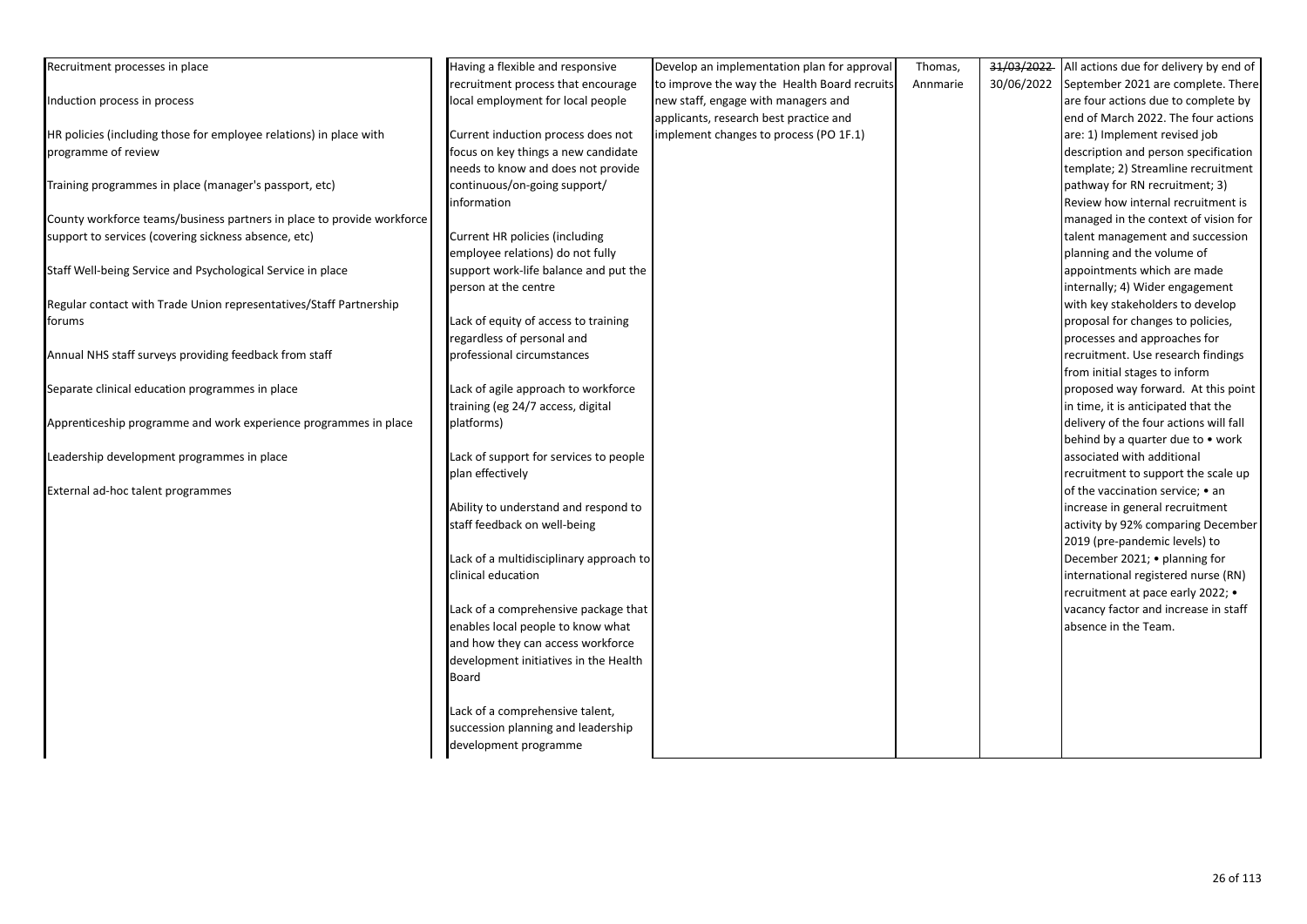| Recruitment processes in place                                         | Having a flexible and responsive        | Develop an implementation plan for approval  | Thomas,  | 31/03/2022<br>All actions due for delivery by end of |  |
|------------------------------------------------------------------------|-----------------------------------------|----------------------------------------------|----------|------------------------------------------------------|--|
|                                                                        | recruitment process that encourage      | to improve the way the Health Board recruits | Annmarie | 30/06/2022<br>September 2021 are complete. There     |  |
| Induction process in process                                           | local employment for local people       | new staff, engage with managers and          |          | are four actions due to complete by                  |  |
|                                                                        |                                         | applicants, research best practice and       |          | end of March 2022. The four actions                  |  |
| HR policies (including those for employee relations) in place with     | Current induction process does not      | implement changes to process (PO 1F.1)       |          | are: 1) Implement revised job                        |  |
| programme of review                                                    | focus on key things a new candidate     |                                              |          | description and person specification                 |  |
|                                                                        | needs to know and does not provide      |                                              |          | template; 2) Streamline recruitment                  |  |
| Training programmes in place (manager's passport, etc)                 | continuous/on-going support/            |                                              |          | pathway for RN recruitment; 3)                       |  |
|                                                                        | information                             |                                              |          | Review how internal recruitment is                   |  |
| County workforce teams/business partners in place to provide workforce |                                         |                                              |          | managed in the context of vision for                 |  |
| support to services (covering sickness absence, etc)                   | Current HR policies (including          |                                              |          | talent management and succession                     |  |
|                                                                        | employee relations) do not fully        |                                              |          | planning and the volume of                           |  |
| Staff Well-being Service and Psychological Service in place            | support work-life balance and put the   |                                              |          | appointments which are made                          |  |
|                                                                        | person at the centre                    |                                              |          | internally; 4) Wider engagement                      |  |
| Regular contact with Trade Union representatives/Staff Partnership     |                                         |                                              |          | with key stakeholders to develop                     |  |
| forums                                                                 | Lack of equity of access to training    |                                              |          | proposal for changes to policies,                    |  |
|                                                                        | regardless of personal and              |                                              |          | processes and approaches for                         |  |
| Annual NHS staff surveys providing feedback from staff                 | professional circumstances              |                                              |          | recruitment. Use research findings                   |  |
|                                                                        |                                         |                                              |          | from initial stages to inform                        |  |
| Separate clinical education programmes in place                        | Lack of agile approach to workforce     |                                              |          | proposed way forward. At this point                  |  |
|                                                                        | training (eg 24/7 access, digital       |                                              |          | in time, it is anticipated that the                  |  |
| Apprenticeship programme and work experience programmes in place       | platforms)                              |                                              |          | delivery of the four actions will fall               |  |
|                                                                        |                                         |                                              |          | behind by a quarter due to • work                    |  |
| Leadership development programmes in place                             | Lack of support for services to people  |                                              |          | associated with additional                           |  |
|                                                                        | plan effectively                        |                                              |          | recruitment to support the scale up                  |  |
| External ad-hoc talent programmes                                      |                                         |                                              |          | of the vaccination service; • an                     |  |
|                                                                        | Ability to understand and respond to    |                                              |          | increase in general recruitment                      |  |
|                                                                        | staff feedback on well-being            |                                              |          | activity by 92% comparing December                   |  |
|                                                                        |                                         |                                              |          | 2019 (pre-pandemic levels) to                        |  |
|                                                                        | Lack of a multidisciplinary approach to |                                              |          | December 2021; • planning for                        |  |
|                                                                        | clinical education                      |                                              |          | international registered nurse (RN)                  |  |
|                                                                        |                                         |                                              |          | recruitment at pace early 2022; •                    |  |
|                                                                        | Lack of a comprehensive package that    |                                              |          | vacancy factor and increase in staff                 |  |
|                                                                        | enables local people to know what       |                                              |          | absence in the Team.                                 |  |
|                                                                        | and how they can access workforce       |                                              |          |                                                      |  |
|                                                                        | development initiatives in the Health   |                                              |          |                                                      |  |
|                                                                        | Board                                   |                                              |          |                                                      |  |
|                                                                        |                                         |                                              |          |                                                      |  |
|                                                                        | Lack of a comprehensive talent,         |                                              |          |                                                      |  |
|                                                                        | succession planning and leadership      |                                              |          |                                                      |  |
|                                                                        | development programme                   |                                              |          |                                                      |  |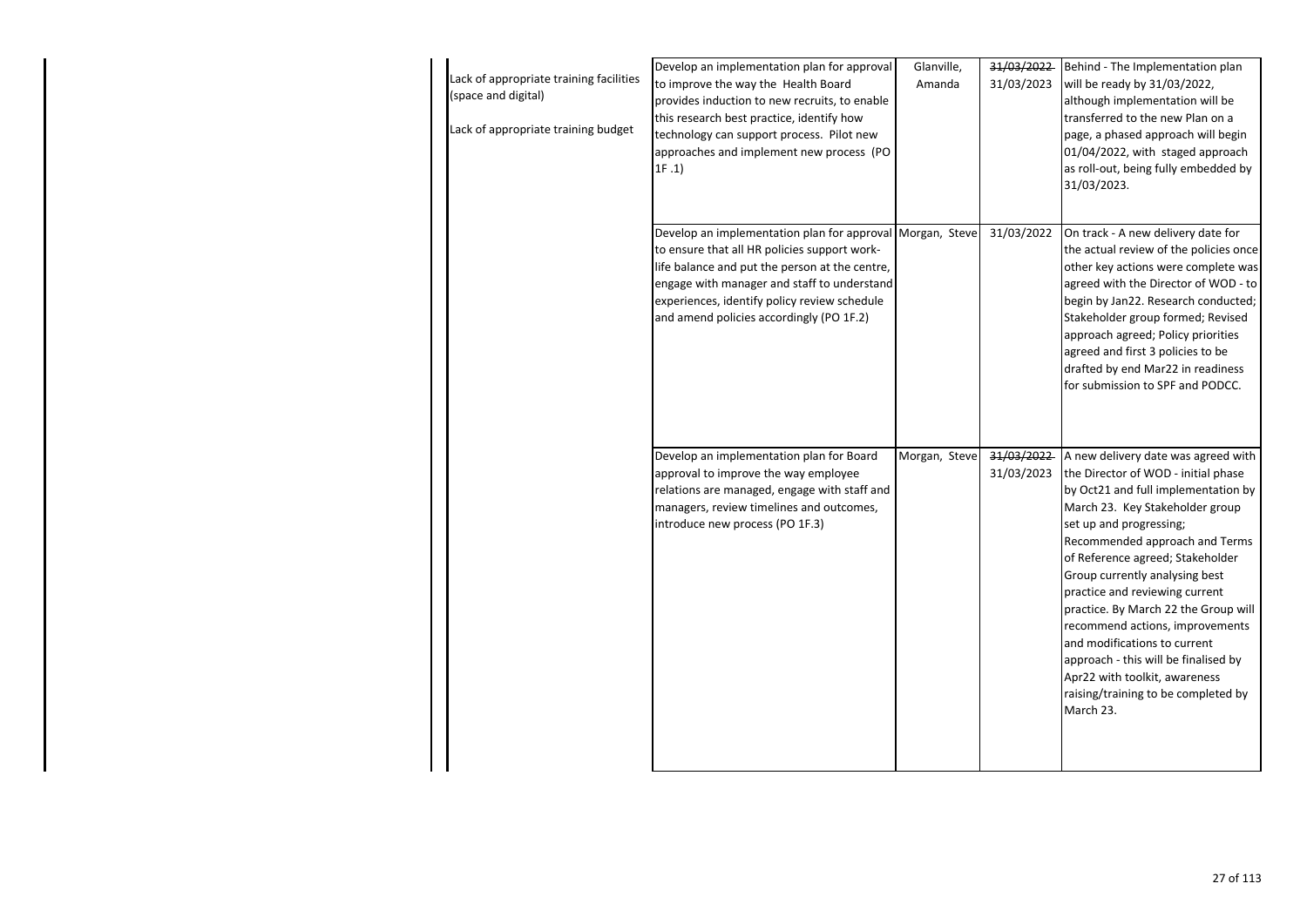| Lack of appropriate training facilities<br>(space and digital)<br>Lack of appropriate training budget | Develop an implementation plan for approval<br>to improve the way the Health Board<br>provides induction to new recruits, to enable<br>this research best practice, identify how<br>technology can support process. Pilot new<br>approaches and implement new process (PO<br>1F.1                      | Glanville,<br>Amanda | 31/03/2022<br>31/03/2023 | Behind - The Implementation plan<br>will be ready by 31/03/2022,<br>although implementation will be<br>transferred to the new Plan on a<br>page, a phased approach will begin<br>01/04/2022, with staged approach<br>as roll-out, being fully embedded by<br>31/03/2023.                                                                                                                                                                                                                                                                                          |
|-------------------------------------------------------------------------------------------------------|--------------------------------------------------------------------------------------------------------------------------------------------------------------------------------------------------------------------------------------------------------------------------------------------------------|----------------------|--------------------------|-------------------------------------------------------------------------------------------------------------------------------------------------------------------------------------------------------------------------------------------------------------------------------------------------------------------------------------------------------------------------------------------------------------------------------------------------------------------------------------------------------------------------------------------------------------------|
|                                                                                                       | Develop an implementation plan for approval Morgan, Steve<br>to ensure that all HR policies support work-<br>life balance and put the person at the centre,<br>engage with manager and staff to understand<br>experiences, identify policy review schedule<br>and amend policies accordingly (PO 1F.2) |                      | 31/03/2022               | On track - A new delivery date for<br>the actual review of the policies once<br>other key actions were complete was<br>agreed with the Director of WOD - to<br>begin by Jan22. Research conducted;<br>Stakeholder group formed; Revised<br>approach agreed; Policy priorities<br>agreed and first 3 policies to be<br>drafted by end Mar22 in readiness<br>for submission to SPF and PODCC.                                                                                                                                                                       |
|                                                                                                       | Develop an implementation plan for Board<br>approval to improve the way employee<br>relations are managed, engage with staff and<br>managers, review timelines and outcomes,<br>introduce new process (PO 1F.3)                                                                                        | Morgan, Steve        | 31/03/2022<br>31/03/2023 | A new delivery date was agreed with<br>the Director of WOD - initial phase<br>by Oct21 and full implementation by<br>March 23. Key Stakeholder group<br>set up and progressing;<br>Recommended approach and Terms<br>of Reference agreed; Stakeholder<br>Group currently analysing best<br>practice and reviewing current<br>practice. By March 22 the Group will<br>recommend actions, improvements<br>and modifications to current<br>approach - this will be finalised by<br>Apr22 with toolkit, awareness<br>raising/training to be completed by<br>March 23. |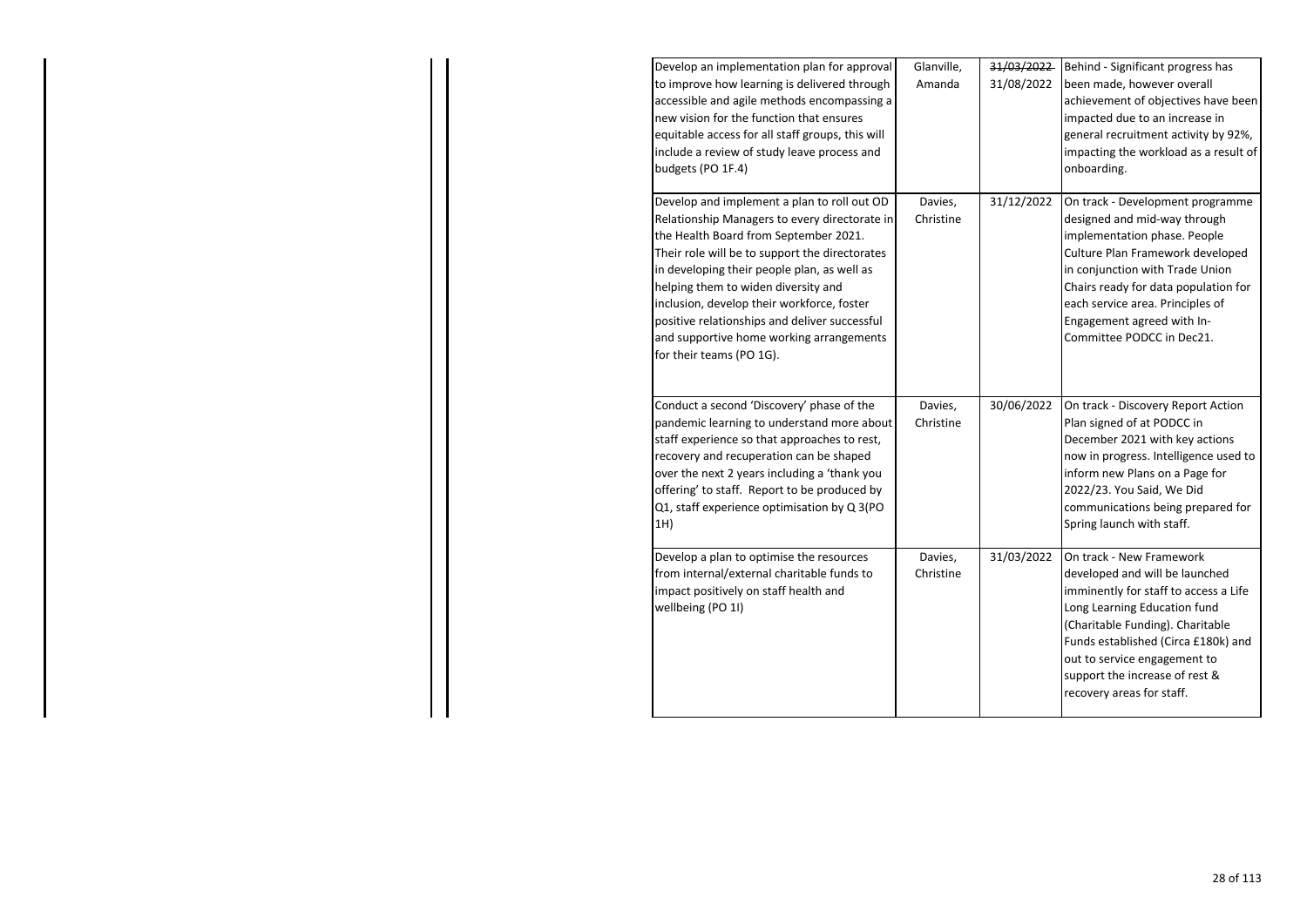| Develop an implementation plan for approval<br>to improve how learning is delivered through<br>accessible and agile methods encompassing a<br>new vision for the function that ensures<br>equitable access for all staff groups, this will<br>include a review of study leave process and<br>budgets (PO 1F.4)                                                                                                                                       | Glanville,<br>Amanda | 31/03/2022<br>31/08/2022 | Behind - Significant progress has<br>been made, however overall<br>achievement of objectives have been<br>impacted due to an increase in<br>general recruitment activity by 92%,<br>impacting the workload as a result of<br>onboarding.                                                                       |
|------------------------------------------------------------------------------------------------------------------------------------------------------------------------------------------------------------------------------------------------------------------------------------------------------------------------------------------------------------------------------------------------------------------------------------------------------|----------------------|--------------------------|----------------------------------------------------------------------------------------------------------------------------------------------------------------------------------------------------------------------------------------------------------------------------------------------------------------|
| Develop and implement a plan to roll out OD<br>Relationship Managers to every directorate in<br>the Health Board from September 2021.<br>Their role will be to support the directorates<br>in developing their people plan, as well as<br>helping them to widen diversity and<br>inclusion, develop their workforce, foster<br>positive relationships and deliver successful<br>and supportive home working arrangements<br>for their teams (PO 1G). | Davies,<br>Christine | 31/12/2022               | On track - Development programme<br>designed and mid-way through<br>implementation phase. People<br>Culture Plan Framework developed<br>in conjunction with Trade Union<br>Chairs ready for data population for<br>each service area. Principles of<br>Engagement agreed with In-<br>Committee PODCC in Dec21. |
| Conduct a second 'Discovery' phase of the<br>pandemic learning to understand more about<br>staff experience so that approaches to rest,<br>recovery and recuperation can be shaped<br>over the next 2 years including a 'thank you<br>offering' to staff. Report to be produced by<br>Q1, staff experience optimisation by Q 3(PO<br>1H)                                                                                                             | Davies,<br>Christine | 30/06/2022               | On track - Discovery Report Action<br>Plan signed of at PODCC in<br>December 2021 with key actions<br>now in progress. Intelligence used to<br>inform new Plans on a Page for<br>2022/23. You Said, We Did<br>communications being prepared for<br>Spring launch with staff.                                   |
| Develop a plan to optimise the resources<br>from internal/external charitable funds to<br>impact positively on staff health and<br>wellbeing (PO 1I)                                                                                                                                                                                                                                                                                                 | Davies,<br>Christine | 31/03/2022               | On track - New Framework<br>developed and will be launched<br>imminently for staff to access a Life<br>Long Learning Education fund<br>(Charitable Funding). Charitable<br>Funds established (Circa £180k) and<br>out to service engagement to<br>support the increase of rest &<br>recovery areas for staff.  |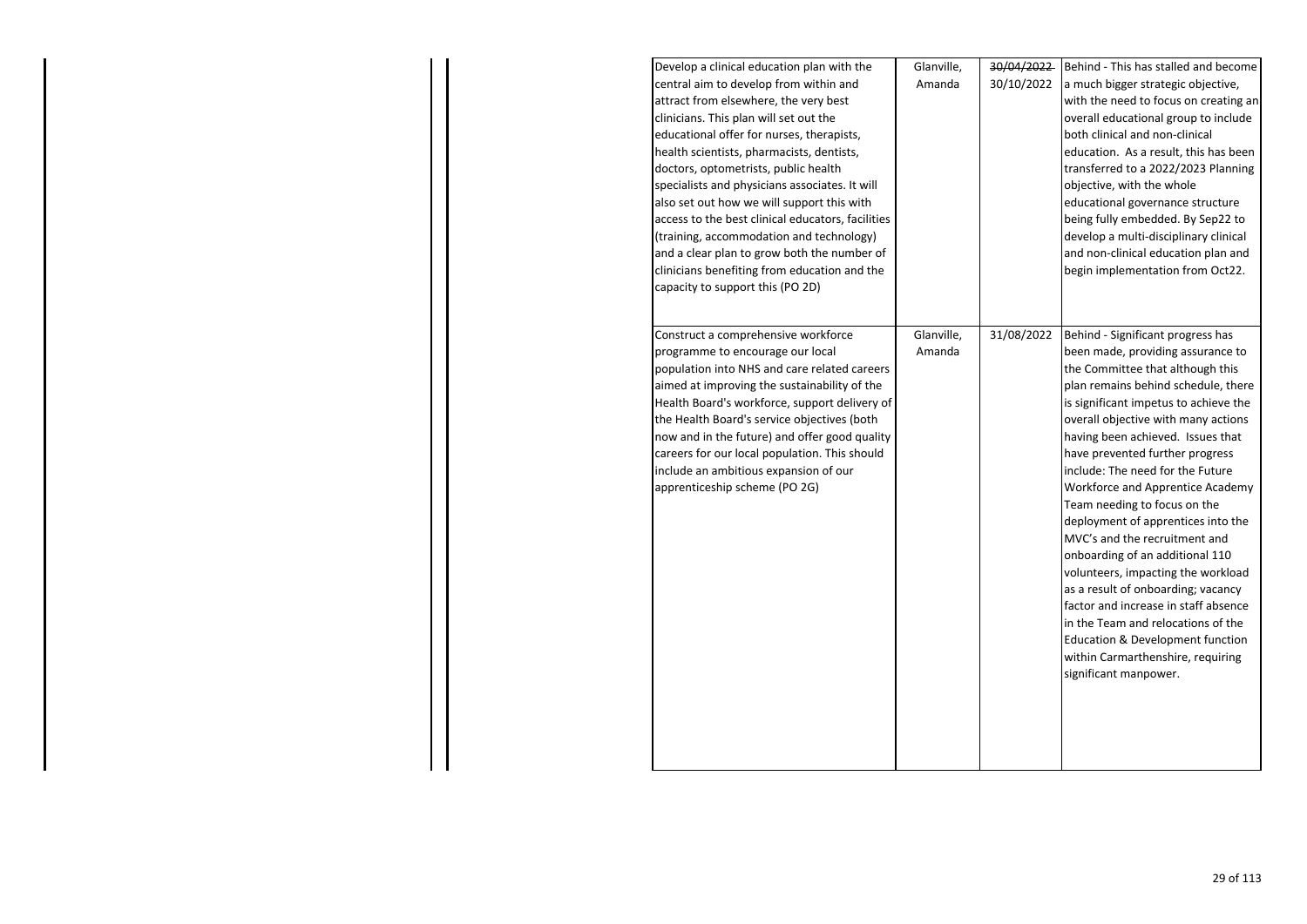| Develop a clinical education plan with the        | Glanville, | 30/04/2022 | Behind - This has stalled and become  |
|---------------------------------------------------|------------|------------|---------------------------------------|
| central aim to develop from within and            | Amanda     | 30/10/2022 | a much bigger strategic objective,    |
| attract from elsewhere, the very best             |            |            | with the need to focus on creating an |
| clinicians. This plan will set out the            |            |            | overall educational group to include  |
| educational offer for nurses, therapists,         |            |            | both clinical and non-clinical        |
| health scientists, pharmacists, dentists,         |            |            | education. As a result, this has been |
| doctors, optometrists, public health              |            |            | transferred to a 2022/2023 Planning   |
| specialists and physicians associates. It will    |            |            | objective, with the whole             |
| also set out how we will support this with        |            |            | educational governance structure      |
| access to the best clinical educators, facilities |            |            | being fully embedded. By Sep22 to     |
| (training, accommodation and technology)          |            |            | develop a multi-disciplinary clinical |
| and a clear plan to grow both the number of       |            |            | and non-clinical education plan and   |
| clinicians benefiting from education and the      |            |            | begin implementation from Oct22.      |
| capacity to support this (PO 2D)                  |            |            |                                       |
| Construct a comprehensive workforce               | Glanville, | 31/08/2022 | Behind - Significant progress has     |
| programme to encourage our local                  | Amanda     |            | been made, providing assurance to     |
| population into NHS and care related careers      |            |            | the Committee that although this      |
| aimed at improving the sustainability of the      |            |            | plan remains behind schedule, there   |
| Health Board's workforce, support delivery of     |            |            | is significant impetus to achieve the |
| the Health Board's service objectives (both       |            |            | overall objective with many actions   |
| now and in the future) and offer good quality     |            |            | having been achieved. Issues that     |
| careers for our local population. This should     |            |            | have prevented further progress       |
| include an ambitious expansion of our             |            |            | include: The need for the Future      |
| apprenticeship scheme (PO 2G)                     |            |            | Workforce and Apprentice Academy      |
|                                                   |            |            | Team needing to focus on the          |
|                                                   |            |            | deployment of apprentices into the    |
|                                                   |            |            | MVC's and the recruitment and         |
|                                                   |            |            | onboarding of an additional 110       |
|                                                   |            |            | volunteers, impacting the workload    |
|                                                   |            |            | as a result of onboarding; vacancy    |
|                                                   |            |            | factor and increase in staff absence  |
|                                                   |            |            | in the Team and relocations of the    |
|                                                   |            |            | Education & Development function      |
|                                                   |            |            | within Carmarthenshire, requiring     |
|                                                   |            |            | significant manpower.                 |
|                                                   |            |            |                                       |
|                                                   |            |            |                                       |
|                                                   |            |            |                                       |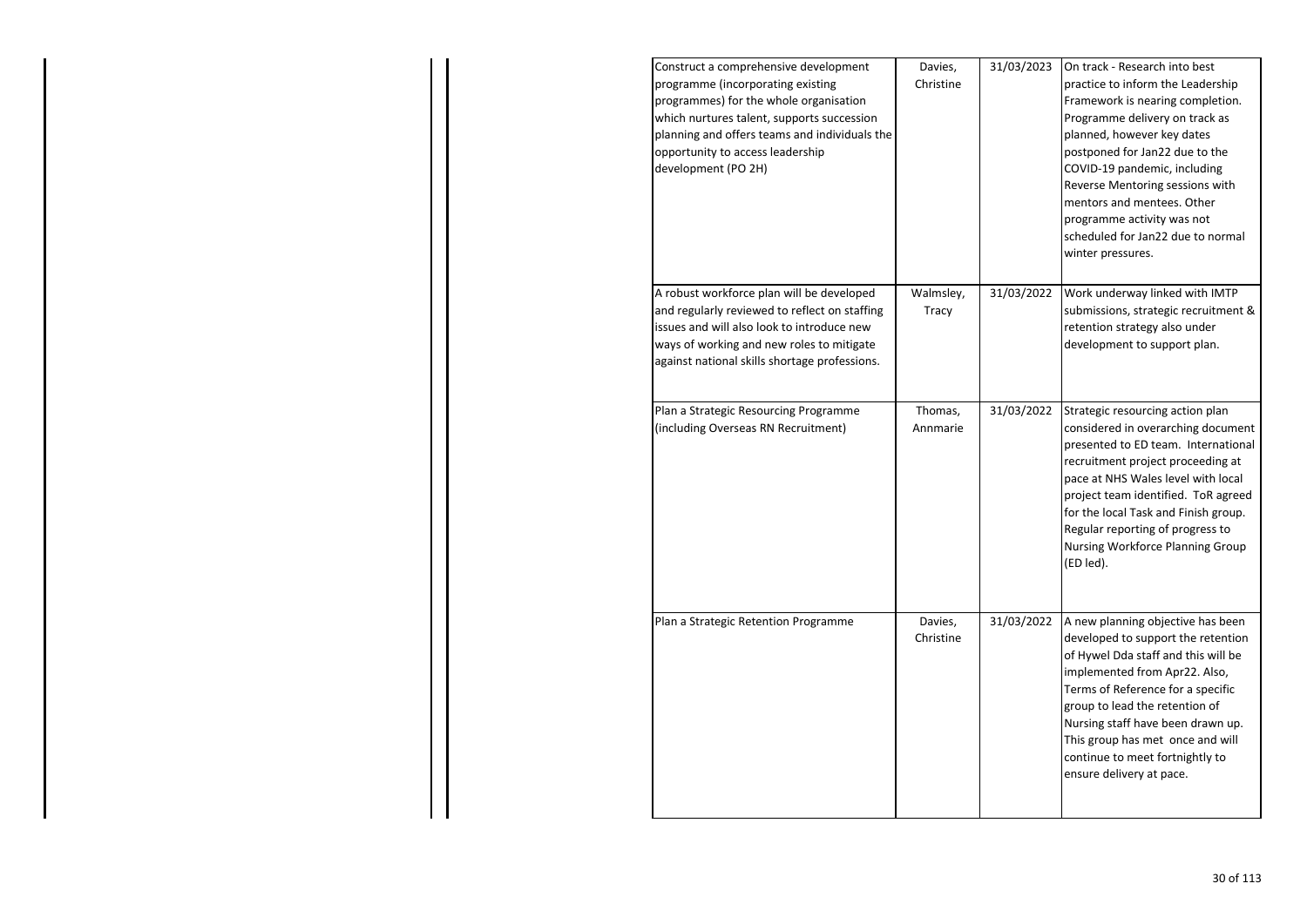| Davies,<br>Christine | 31/03/2023 | On track - Research into best<br>practice to inform the Leadership<br>Framework is nearing completion.<br>Programme delivery on track as<br>planned, however key dates<br>postponed for Jan22 due to the<br>COVID-19 pandemic, including<br>Reverse Mentoring sessions with<br>mentors and mentees. Other<br>programme activity was not<br>scheduled for Jan22 due to normal<br>winter pressures. |
|----------------------|------------|---------------------------------------------------------------------------------------------------------------------------------------------------------------------------------------------------------------------------------------------------------------------------------------------------------------------------------------------------------------------------------------------------|
| Walmsley,<br>Tracy   | 31/03/2022 | Work underway linked with IMTP<br>submissions, strategic recruitment &<br>retention strategy also under<br>development to support plan.                                                                                                                                                                                                                                                           |
| Thomas,<br>Annmarie  | 31/03/2022 | Strategic resourcing action plan<br>considered in overarching document<br>presented to ED team. International<br>recruitment project proceeding at<br>pace at NHS Wales level with local<br>project team identified. ToR agreed<br>for the local Task and Finish group.<br>Regular reporting of progress to<br>Nursing Workforce Planning Group<br>(ED led).                                      |
| Davies,<br>Christine | 31/03/2022 | A new planning objective has been<br>developed to support the retention<br>of Hywel Dda staff and this will be<br>implemented from Apr22. Also,<br>Terms of Reference for a specific<br>group to lead the retention of<br>Nursing staff have been drawn up.<br>This group has met once and will<br>continue to meet fortnightly to<br>ensure delivery at pace.                                    |
|                      |            |                                                                                                                                                                                                                                                                                                                                                                                                   |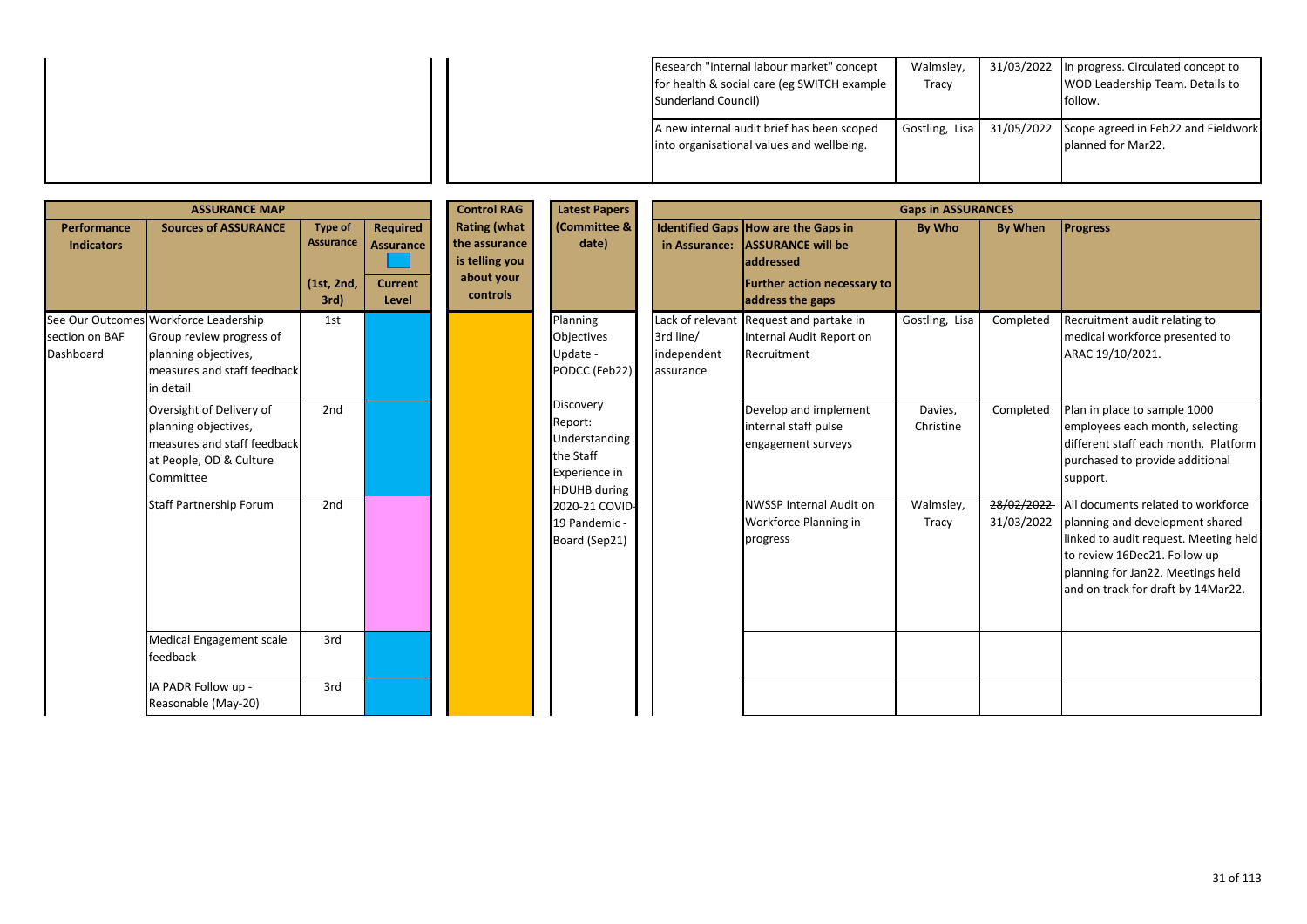| Research "internal labour market" concept   | Walmsley,                                                       | 31/03/2022 In progress. Circulated concept to |                                 |
|---------------------------------------------|-----------------------------------------------------------------|-----------------------------------------------|---------------------------------|
| for health & social care (eg SWITCH example | Tracy                                                           |                                               | WOD Leadership Team. Details to |
| Sunderland Council)                         |                                                                 |                                               | follow.                         |
| A new internal audit brief has been scoped  | Gostling, Lisa   31/05/2022 Scope agreed in Feb22 and Fieldwork |                                               |                                 |
| into organisational values and wellbeing.   |                                                                 |                                               | planned for Mar22.              |
|                                             |                                                                 |                                               |                                 |
|                                             |                                                                 |                                               |                                 |

| <b>ASSURANCE MAP</b>                                                                                                                                                                                                                                                              |                                                                                                                                       |     |                                                                                                                                                      | <b>Control RAG</b><br><b>Latest Papers</b><br><b>Gaps in ASSURANCES</b> |                                                                                                                                            |                                       |                                                                                    |                      |                          |                                                                                                                                                                                                                           |
|-----------------------------------------------------------------------------------------------------------------------------------------------------------------------------------------------------------------------------------------------------------------------------------|---------------------------------------------------------------------------------------------------------------------------------------|-----|------------------------------------------------------------------------------------------------------------------------------------------------------|-------------------------------------------------------------------------|--------------------------------------------------------------------------------------------------------------------------------------------|---------------------------------------|------------------------------------------------------------------------------------|----------------------|--------------------------|---------------------------------------------------------------------------------------------------------------------------------------------------------------------------------------------------------------------------|
| <b>Rating (what</b><br><b>Type of</b><br>Performance<br><b>Sources of ASSURANCE</b><br><b>Required</b><br><b>Assurance</b><br>the assurance<br><b>Assurance</b><br><b>Indicators</b><br>is telling you<br>about your<br><b>Current</b><br>(1st, 2nd,<br>controls<br>3rd)<br>Level | (Committee &<br>date)                                                                                                                 |     | <b>Identified Gaps How are the Gaps in</b><br>in Assurance: ASSURANCE will be<br>addressed<br><b>Further action necessary to</b><br>address the gaps | By Who                                                                  | <b>By When</b>                                                                                                                             | <b>Progress</b>                       |                                                                                    |                      |                          |                                                                                                                                                                                                                           |
| section on BAF<br>Dashboard                                                                                                                                                                                                                                                       | See Our Outcomes Workforce Leadership<br>Group review progress of<br>planning objectives,<br>measures and staff feedback<br>in detail | 1st |                                                                                                                                                      |                                                                         | Planning<br>Objectives<br>Update -<br>PODCC (Feb22)<br>Discovery<br>Report:<br>Understanding<br>the Staff<br>Experience in<br>HDUHB during | 3rd line/<br>independent<br>assurance | Lack of relevant Request and partake in<br>Internal Audit Report on<br>Recruitment | Gostling, Lisa       | Completed                | Recruitment audit relating to<br>medical workforce presented to<br>ARAC 19/10/2021.                                                                                                                                       |
|                                                                                                                                                                                                                                                                                   | Oversight of Delivery of<br>planning objectives,<br>measures and staff feedback<br>at People, OD & Culture<br>Committee               | 2nd |                                                                                                                                                      |                                                                         |                                                                                                                                            |                                       | Develop and implement<br>internal staff pulse<br>engagement surveys                | Davies,<br>Christine | Completed                | Plan in place to sample 1000<br>employees each month, selecting<br>different staff each month. Platform<br>purchased to provide additional<br>support.                                                                    |
|                                                                                                                                                                                                                                                                                   | <b>Staff Partnership Forum</b>                                                                                                        | 2nd |                                                                                                                                                      |                                                                         | 2020-21 COVID-<br>19 Pandemic -<br>Board (Sep21)                                                                                           |                                       | <b>NWSSP Internal Audit on</b><br>Workforce Planning in<br>progress                | Walmsley,<br>Tracy   | 28/02/2022<br>31/03/2022 | All documents related to workforce<br>planning and development shared<br>linked to audit request. Meeting held<br>to review 16Dec21. Follow up<br>planning for Jan22. Meetings held<br>and on track for draft by 14Mar22. |
|                                                                                                                                                                                                                                                                                   | Medical Engagement scale<br>feedback                                                                                                  | 3rd |                                                                                                                                                      |                                                                         |                                                                                                                                            |                                       |                                                                                    |                      |                          |                                                                                                                                                                                                                           |
|                                                                                                                                                                                                                                                                                   | IA PADR Follow up -<br>Reasonable (May-20)                                                                                            | 3rd |                                                                                                                                                      |                                                                         |                                                                                                                                            |                                       |                                                                                    |                      |                          |                                                                                                                                                                                                                           |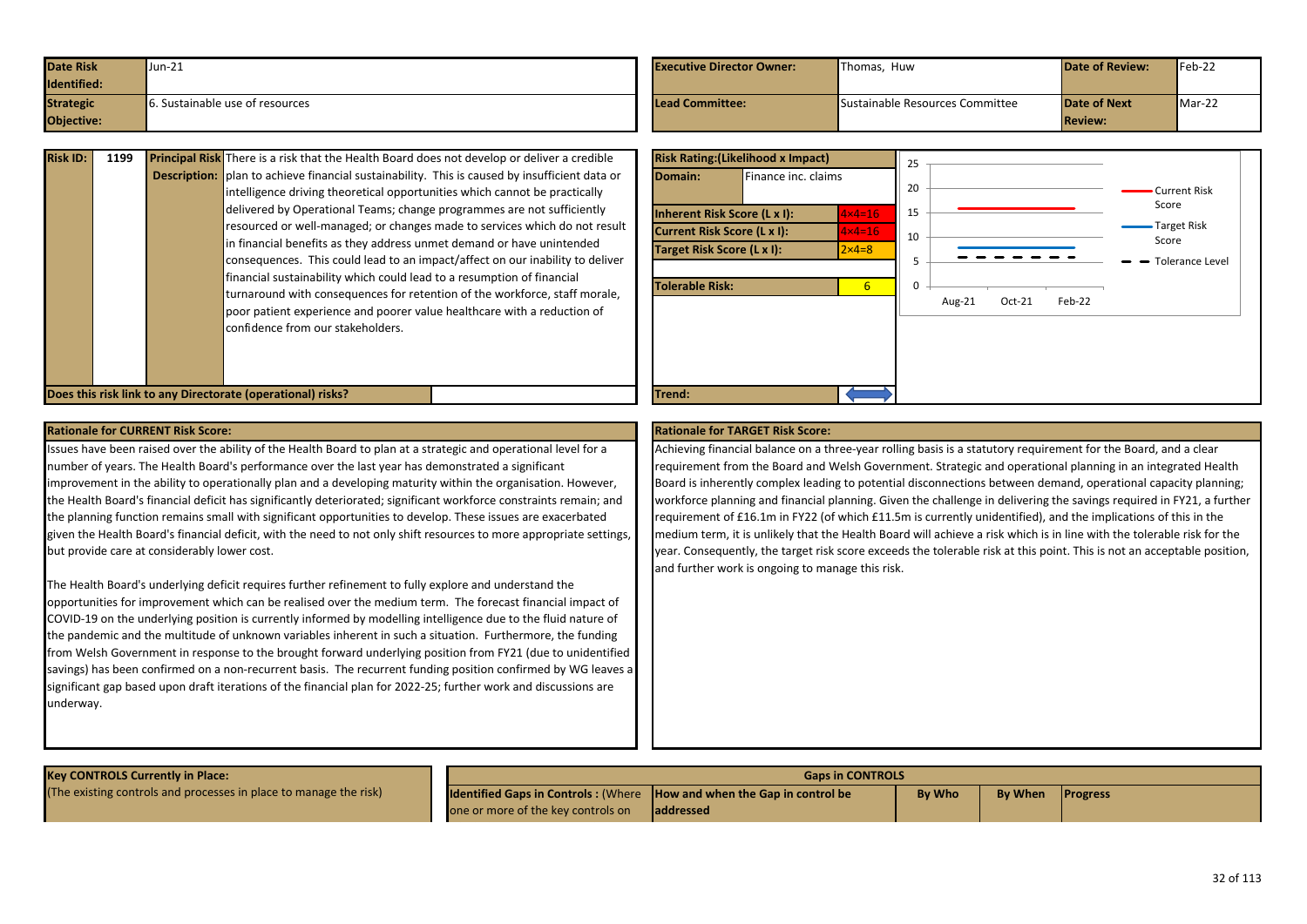<span id="page-31-0"></span>

| <b>Date Risk</b> | $Jun-21$                        | <b>Executive Director Owner:</b> | Thomas. Huw                     | <b>Date of Review:</b> | $Feb-22$ |
|------------------|---------------------------------|----------------------------------|---------------------------------|------------------------|----------|
| Identified:      |                                 |                                  |                                 |                        |          |
| <b>Strategic</b> | Sustainable use of resources is | <b>Lead Committee:</b>           | Sustainable Resources Committee | Date of Next           | $Mar-22$ |
| Objective:       |                                 |                                  |                                 | <b>Review:</b>         |          |

| <b>Risk ID:</b> | 1199 | <b>Principal Risk</b> There is a risk that the Health Board does not develop or deliver a credible   |
|-----------------|------|------------------------------------------------------------------------------------------------------|
|                 |      | <b>Description:</b> plan to achieve financial sustainability. This is caused by insufficient data or |
|                 |      | intelligence driving theoretical opportunities which cannot be practically                           |
|                 |      | delivered by Operational Teams; change programmes are not sufficiently                               |
|                 |      | resourced or well-managed; or changes made to services which do not result                           |
|                 |      | in financial benefits as they address unmet demand or have unintended                                |
|                 |      | consequences. This could lead to an impact/affect on our inability to deliver                        |
|                 |      | financial sustainability which could lead to a resumption of financial                               |
|                 |      | turnaround with consequences for retention of the workforce, staff morale,                           |
|                 |      | poor patient experience and poorer value healthcare with a reduction of                              |
|                 |      | confidence from our stakeholders.                                                                    |
|                 |      |                                                                                                      |
|                 |      |                                                                                                      |

**Does this risk link to any Directorate (operational) risks?** The match of the state of the state of the state of the state of the state of the state of the state of the state of the state of the state of the state of the



## **Rationale for CURRENT Risk Score: Rationale for TARGET Risk Score:**

Issues have been raised over the ability of the Health Board to plan at a strategic and operational level for a number of years. The Health Board's performance over the last year has demonstrated a significant improvement in the ability to operationally plan and a developing maturity within the organisation. However, the Health Board's financial deficit has significantly deteriorated; significant workforce constraints remain; and the planning function remains small with significant opportunities to develop. These issues are exacerbated given the Health Board's financial deficit, with the need to not only shift resources to more appropriate settings, but provide care at considerably lower cost.

The Health Board's underlying deficit requires further refinement to fully explore and understand the opportunities for improvement which can be realised over the medium term. The forecast financial impact of COVID-19 on the underlying position is currently informed by modelling intelligence due to the fluid nature of the pandemic and the multitude of unknown variables inherent in such a situation. Furthermore, the funding from Welsh Government in response to the brought forward underlying position from FY21 (due to unidentified savings) has been confirmed on a non-recurrent basis. The recurrent funding position confirmed by WG leaves a significant gap based upon draft iterations of the financial plan for 2022-25; further work and discussions are underway.

Achieving financial balance on a three-year rolling basis is a statutory requirement for the Board, and a clear requirement from the Board and Welsh Government. Strategic and operational planning in an integrated Health Board is inherently complex leading to potential disconnections between demand, operational capacity planning; workforce planning and financial planning. Given the challenge in delivering the savings required in FY21, a further requirement of £16.1m in FY22 (of which £11.5m is currently unidentified), and the implications of this in the medium term, it is unlikely that the Health Board will achieve a risk which is in line with the tolerable risk for the year. Consequently, the target risk score exceeds the tolerable risk at this point. This is not an acceptable position, and further work is ongoing to manage this risk.

| <b>Key CONTROLS Currently in Place:</b>                           | <b>Gaps in CONTROLS</b>                                                       |                   |               |                |                 |  |
|-------------------------------------------------------------------|-------------------------------------------------------------------------------|-------------------|---------------|----------------|-----------------|--|
| (The existing controls and processes in place to manage the risk) | <b>Identified Gaps in Controls: (Where How and when the Gap in control be</b> |                   | <b>By Who</b> | <b>By When</b> | <b>Progress</b> |  |
|                                                                   | one or more of the key controls on                                            | <b>laddressed</b> |               |                |                 |  |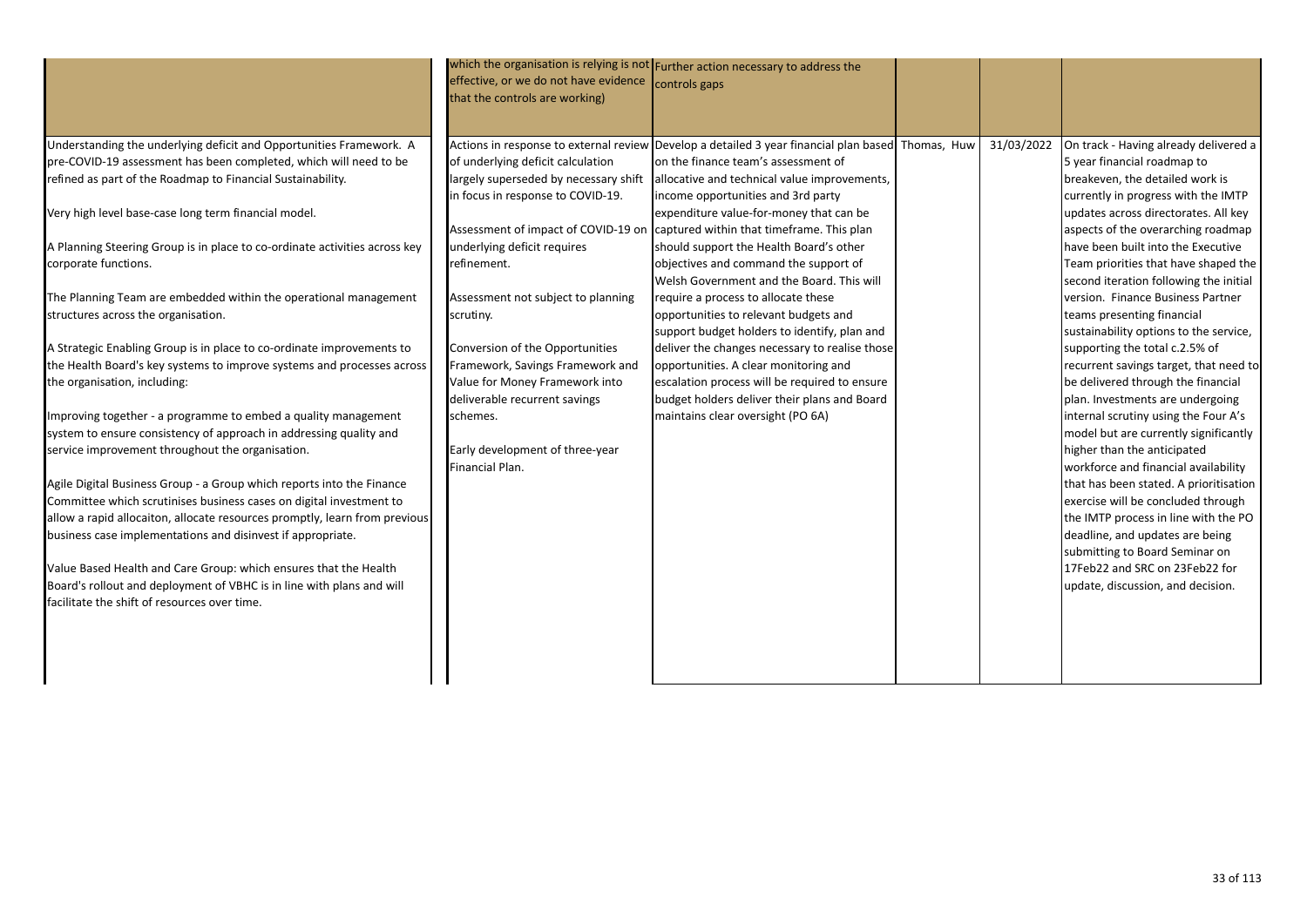|                                                                                                                                                                                                                                                                                                                                                                                                                                                                                                                                                                                                                                                                                                                                                                                                                                                                                                                                                                                                                                                                                                                                                                                                                                                                                                                                                           | effective, or we do not have evidence controls gaps<br>that the controls are working)                                                                                                                                                                                                                                                                                               | which the organisation is relying is not Further action necessary to address the                                                                                                                                                                                                                                                                                                                                                                                                                                                                                                                                                                                                                                                                                                                                                                                                                   |            |                                                                                                                                                                                                                                                                                                                                                                                                                                                                                                                                                                                                                                                                                                                                                                                                                                                                                                                                                                                                                                                     |
|-----------------------------------------------------------------------------------------------------------------------------------------------------------------------------------------------------------------------------------------------------------------------------------------------------------------------------------------------------------------------------------------------------------------------------------------------------------------------------------------------------------------------------------------------------------------------------------------------------------------------------------------------------------------------------------------------------------------------------------------------------------------------------------------------------------------------------------------------------------------------------------------------------------------------------------------------------------------------------------------------------------------------------------------------------------------------------------------------------------------------------------------------------------------------------------------------------------------------------------------------------------------------------------------------------------------------------------------------------------|-------------------------------------------------------------------------------------------------------------------------------------------------------------------------------------------------------------------------------------------------------------------------------------------------------------------------------------------------------------------------------------|----------------------------------------------------------------------------------------------------------------------------------------------------------------------------------------------------------------------------------------------------------------------------------------------------------------------------------------------------------------------------------------------------------------------------------------------------------------------------------------------------------------------------------------------------------------------------------------------------------------------------------------------------------------------------------------------------------------------------------------------------------------------------------------------------------------------------------------------------------------------------------------------------|------------|-----------------------------------------------------------------------------------------------------------------------------------------------------------------------------------------------------------------------------------------------------------------------------------------------------------------------------------------------------------------------------------------------------------------------------------------------------------------------------------------------------------------------------------------------------------------------------------------------------------------------------------------------------------------------------------------------------------------------------------------------------------------------------------------------------------------------------------------------------------------------------------------------------------------------------------------------------------------------------------------------------------------------------------------------------|
| Understanding the underlying deficit and Opportunities Framework. A<br>pre-COVID-19 assessment has been completed, which will need to be<br>refined as part of the Roadmap to Financial Sustainability.<br>Very high level base-case long term financial model.<br>A Planning Steering Group is in place to co-ordinate activities across key<br>corporate functions.<br>The Planning Team are embedded within the operational management<br>structures across the organisation.<br>A Strategic Enabling Group is in place to co-ordinate improvements to<br>the Health Board's key systems to improve systems and processes across<br>the organisation, including:<br>Improving together - a programme to embed a quality management<br>system to ensure consistency of approach in addressing quality and<br>service improvement throughout the organisation.<br>Agile Digital Business Group - a Group which reports into the Finance<br>Committee which scrutinises business cases on digital investment to<br>allow a rapid allocaiton, allocate resources promptly, learn from previous<br>business case implementations and disinvest if appropriate.<br>Value Based Health and Care Group: which ensures that the Health<br>Board's rollout and deployment of VBHC is in line with plans and will<br>facilitate the shift of resources over time. | of underlying deficit calculation<br>in focus in response to COVID-19.<br>underlying deficit requires<br>refinement.<br>Assessment not subject to planning<br>scrutiny.<br>Conversion of the Opportunities<br>Framework, Savings Framework and<br>Value for Money Framework into<br>deliverable recurrent savings<br>schemes.<br>Early development of three-year<br>Financial Plan. | Actions in response to external review Develop a detailed 3 year financial plan based Thomas, Huw<br>on the finance team's assessment of<br>largely superseded by necessary shift allocative and technical value improvements,<br>income opportunities and 3rd party<br>expenditure value-for-money that can be<br>Assessment of impact of COVID-19 on captured within that timeframe. This plan<br>should support the Health Board's other<br>objectives and command the support of<br>Welsh Government and the Board. This will<br>require a process to allocate these<br>opportunities to relevant budgets and<br>support budget holders to identify, plan and<br>deliver the changes necessary to realise those<br>opportunities. A clear monitoring and<br>escalation process will be required to ensure<br>budget holders deliver their plans and Board<br>maintains clear oversight (PO 6A) | 31/03/2022 | On track - Having already delivered a<br>5 year financial roadmap to<br>breakeven, the detailed work is<br>currently in progress with the IMTP<br>updates across directorates. All key<br>aspects of the overarching roadmap<br>have been built into the Executive<br>Team priorities that have shaped the<br>second iteration following the initial<br>version. Finance Business Partner<br>teams presenting financial<br>sustainability options to the service,<br>supporting the total c.2.5% of<br>recurrent savings target, that need to<br>be delivered through the financial<br>plan. Investments are undergoing<br>internal scrutiny using the Four A's<br>model but are currently significantly<br>higher than the anticipated<br>workforce and financial availability<br>that has been stated. A prioritisation<br>exercise will be concluded through<br>the IMTP process in line with the PO<br>deadline, and updates are being<br>submitting to Board Seminar on<br>17Feb22 and SRC on 23Feb22 for<br>update, discussion, and decision. |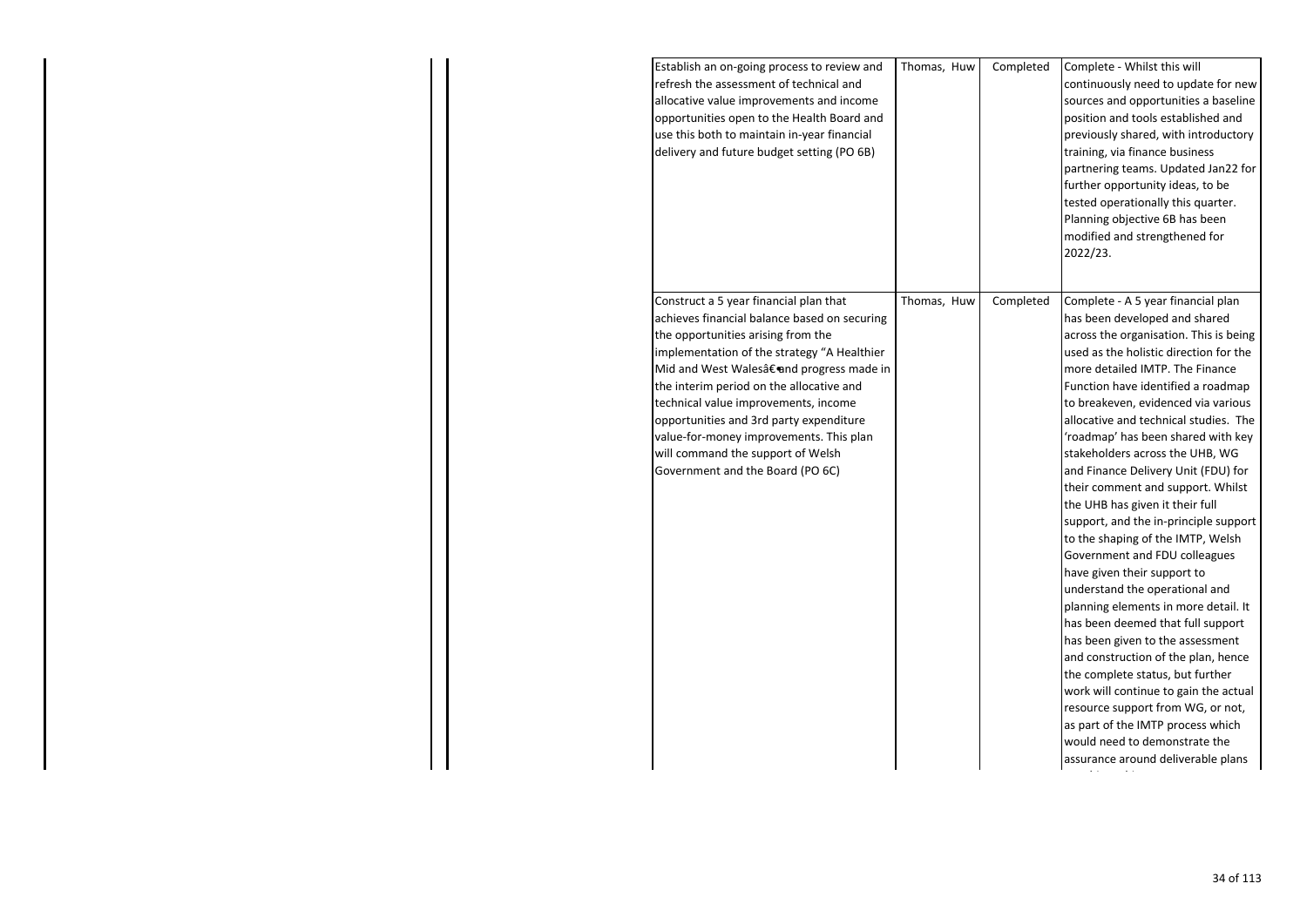| Establish an on-going process to review and<br>refresh the assessment of technical and<br>allocative value improvements and income<br>opportunities open to the Health Board and<br>use this both to maintain in-year financial<br>delivery and future budget setting (PO 6B)                                                                                                                                                                                             | Thomas, Huw | Completed | Complete - Whilst this will<br>continuously need to update for new<br>sources and opportunities a baseline<br>position and tools established and<br>previously shared, with introductory<br>training, via finance business<br>partnering teams. Updated Jan22 for<br>further opportunity ideas, to be<br>tested operationally this quarter.<br>Planning objective 6B has been<br>modified and strengthened for<br>2022/23.                                                                                                                                                                                                                                                                                                                                                                                                                                                                                                                                                                                                                                                     |
|---------------------------------------------------------------------------------------------------------------------------------------------------------------------------------------------------------------------------------------------------------------------------------------------------------------------------------------------------------------------------------------------------------------------------------------------------------------------------|-------------|-----------|--------------------------------------------------------------------------------------------------------------------------------------------------------------------------------------------------------------------------------------------------------------------------------------------------------------------------------------------------------------------------------------------------------------------------------------------------------------------------------------------------------------------------------------------------------------------------------------------------------------------------------------------------------------------------------------------------------------------------------------------------------------------------------------------------------------------------------------------------------------------------------------------------------------------------------------------------------------------------------------------------------------------------------------------------------------------------------|
| Construct a 5 year financial plan that<br>achieves financial balance based on securing<br>the opportunities arising from the<br>implementation of the strategy "A Healthier<br>Mid and West Wales†and progress made in<br>the interim period on the allocative and<br>technical value improvements, income<br>opportunities and 3rd party expenditure<br>value-for-money improvements. This plan<br>will command the support of Welsh<br>Government and the Board (PO 6C) | Thomas, Huw | Completed | Complete - A 5 year financial plan<br>has been developed and shared<br>across the organisation. This is being<br>used as the holistic direction for the<br>more detailed IMTP. The Finance<br>Function have identified a roadmap<br>to breakeven, evidenced via various<br>allocative and technical studies. The<br>'roadmap' has been shared with key<br>stakeholders across the UHB, WG<br>and Finance Delivery Unit (FDU) for<br>their comment and support. Whilst<br>the UHB has given it their full<br>support, and the in-principle support<br>to the shaping of the IMTP, Welsh<br>Government and FDU colleagues<br>have given their support to<br>understand the operational and<br>planning elements in more detail. It<br>has been deemed that full support<br>has been given to the assessment<br>and construction of the plan, hence<br>the complete status, but further<br>work will continue to gain the actual<br>resource support from WG, or not,<br>as part of the IMTP process which<br>would need to demonstrate the<br>assurance around deliverable plans |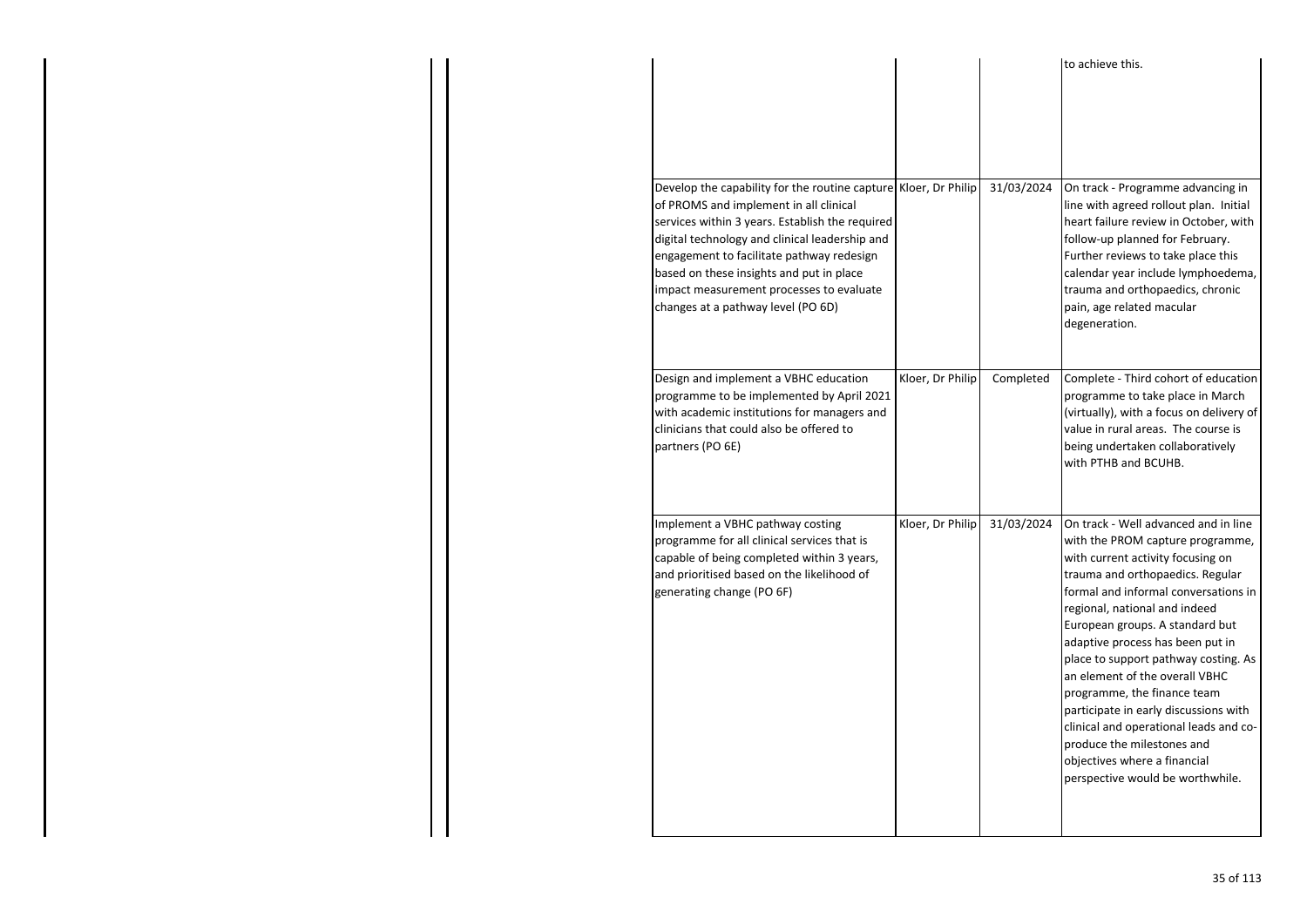|                                                                                                                                                                                                                                                                                                                                                                                           |                  |            | to achieve this.                                                                                                                                                                                                                                                                                                                                                                                                                                                                                                                                                                                |
|-------------------------------------------------------------------------------------------------------------------------------------------------------------------------------------------------------------------------------------------------------------------------------------------------------------------------------------------------------------------------------------------|------------------|------------|-------------------------------------------------------------------------------------------------------------------------------------------------------------------------------------------------------------------------------------------------------------------------------------------------------------------------------------------------------------------------------------------------------------------------------------------------------------------------------------------------------------------------------------------------------------------------------------------------|
| Develop the capability for the routine capture Kloer, Dr Philip<br>of PROMS and implement in all clinical<br>services within 3 years. Establish the required<br>digital technology and clinical leadership and<br>engagement to facilitate pathway redesign<br>based on these insights and put in place<br>impact measurement processes to evaluate<br>changes at a pathway level (PO 6D) |                  | 31/03/2024 | On track - Programme advancing in<br>line with agreed rollout plan. Initial<br>heart failure review in October, with<br>follow-up planned for February.<br>Further reviews to take place this<br>calendar year include lymphoedema,<br>trauma and orthopaedics, chronic<br>pain, age related macular<br>degeneration.                                                                                                                                                                                                                                                                           |
| Design and implement a VBHC education<br>programme to be implemented by April 2021<br>with academic institutions for managers and<br>clinicians that could also be offered to<br>partners (PO 6E)                                                                                                                                                                                         | Kloer, Dr Philip | Completed  | Complete - Third cohort of education<br>programme to take place in March<br>(virtually), with a focus on delivery of<br>value in rural areas. The course is<br>being undertaken collaboratively<br>with PTHB and BCUHB.                                                                                                                                                                                                                                                                                                                                                                         |
| Implement a VBHC pathway costing<br>programme for all clinical services that is<br>capable of being completed within 3 years,<br>and prioritised based on the likelihood of<br>generating change (PO 6F)                                                                                                                                                                                  | Kloer, Dr Philip | 31/03/2024 | On track - Well advanced and in line<br>with the PROM capture programme,<br>with current activity focusing on<br>trauma and orthopaedics. Regular<br>formal and informal conversations in<br>regional, national and indeed<br>European groups. A standard but<br>adaptive process has been put in<br>place to support pathway costing. As<br>an element of the overall VBHC<br>programme, the finance team<br>participate in early discussions with<br>clinical and operational leads and co-<br>produce the milestones and<br>objectives where a financial<br>perspective would be worthwhile. |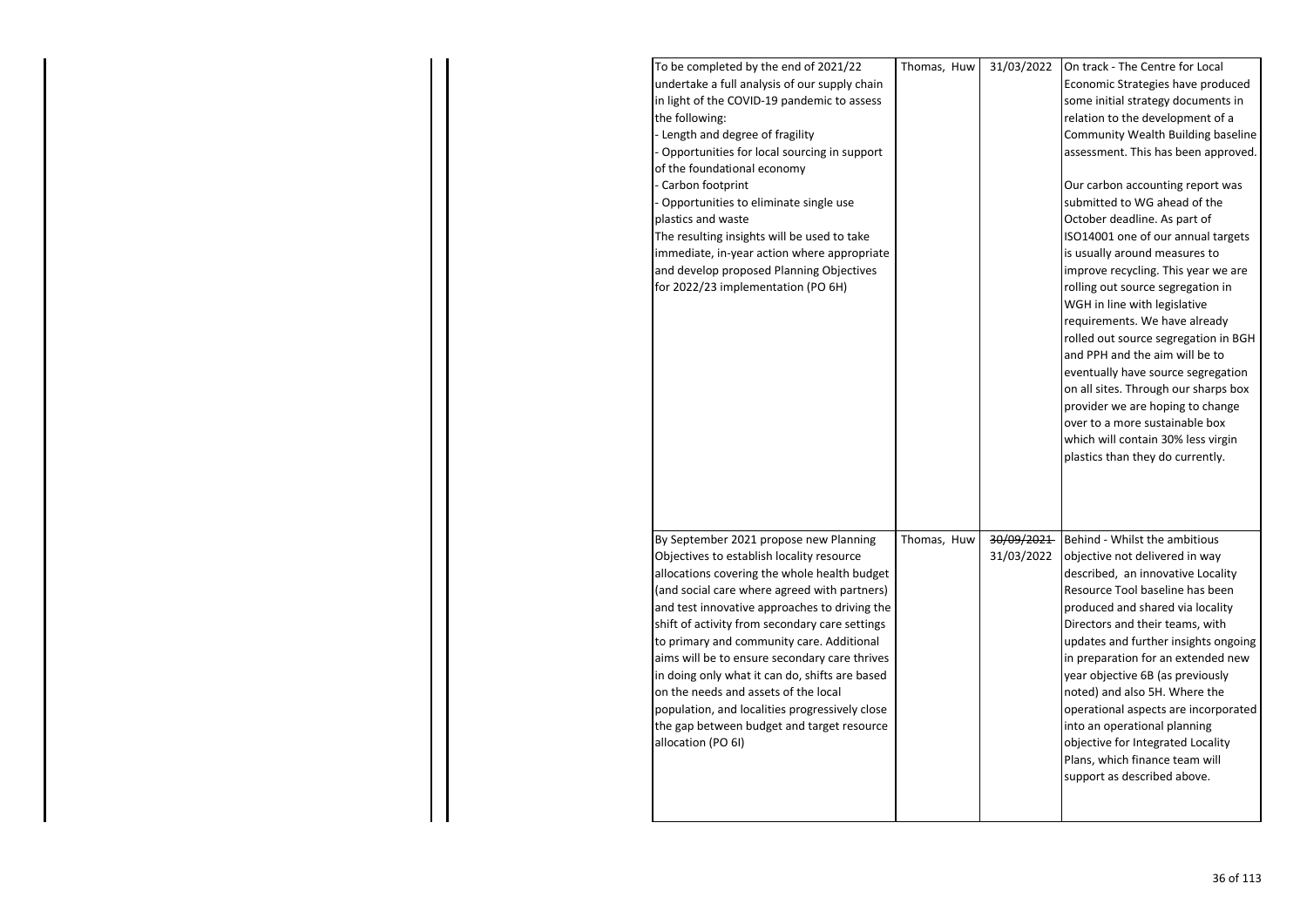| To be completed by the end of 2021/22          | Thomas, Huw | 31/03/2022 | On track - The Centre for Local      |
|------------------------------------------------|-------------|------------|--------------------------------------|
| undertake a full analysis of our supply chain  |             |            | Economic Strategies have produced    |
| in light of the COVID-19 pandemic to assess    |             |            | some initial strategy documents in   |
| the following:                                 |             |            | relation to the development of a     |
| - Length and degree of fragility               |             |            | Community Wealth Building baseline   |
| Opportunities for local sourcing in support    |             |            | assessment. This has been approved.  |
| of the foundational economy                    |             |            |                                      |
| Carbon footprint                               |             |            | Our carbon accounting report was     |
| - Opportunities to eliminate single use        |             |            | submitted to WG ahead of the         |
| plastics and waste                             |             |            | October deadline. As part of         |
| The resulting insights will be used to take    |             |            | ISO14001 one of our annual targets   |
| immediate, in-year action where appropriate    |             |            | is usually around measures to        |
| and develop proposed Planning Objectives       |             |            | improve recycling. This year we are  |
| for 2022/23 implementation (PO 6H)             |             |            | rolling out source segregation in    |
|                                                |             |            | WGH in line with legislative         |
|                                                |             |            | requirements. We have already        |
|                                                |             |            | rolled out source segregation in BGH |
|                                                |             |            | and PPH and the aim will be to       |
|                                                |             |            | eventually have source segregation   |
|                                                |             |            | on all sites. Through our sharps box |
|                                                |             |            | provider we are hoping to change     |
|                                                |             |            | over to a more sustainable box       |
|                                                |             |            | which will contain 30% less virgin   |
|                                                |             |            |                                      |
|                                                |             |            | plastics than they do currently.     |
|                                                |             |            |                                      |
|                                                |             |            |                                      |
|                                                |             |            |                                      |
| By September 2021 propose new Planning         | Thomas, Huw | 30/09/2021 | Behind - Whilst the ambitious        |
| Objectives to establish locality resource      |             | 31/03/2022 | objective not delivered in way       |
| allocations covering the whole health budget   |             |            | described, an innovative Locality    |
| (and social care where agreed with partners)   |             |            | Resource Tool baseline has been      |
| and test innovative approaches to driving the  |             |            | produced and shared via locality     |
| shift of activity from secondary care settings |             |            | Directors and their teams, with      |
| to primary and community care. Additional      |             |            | updates and further insights ongoing |
| aims will be to ensure secondary care thrives  |             |            | in preparation for an extended new   |
| in doing only what it can do, shifts are based |             |            | year objective 6B (as previously     |
| on the needs and assets of the local           |             |            | noted) and also 5H. Where the        |
| population, and localities progressively close |             |            | operational aspects are incorporated |
| the gap between budget and target resource     |             |            | into an operational planning         |
| allocation (PO 6I)                             |             |            | objective for Integrated Locality    |
|                                                |             |            | Plans, which finance team will       |
|                                                |             |            | support as described above.          |
|                                                |             |            |                                      |
|                                                |             |            |                                      |
|                                                |             |            |                                      |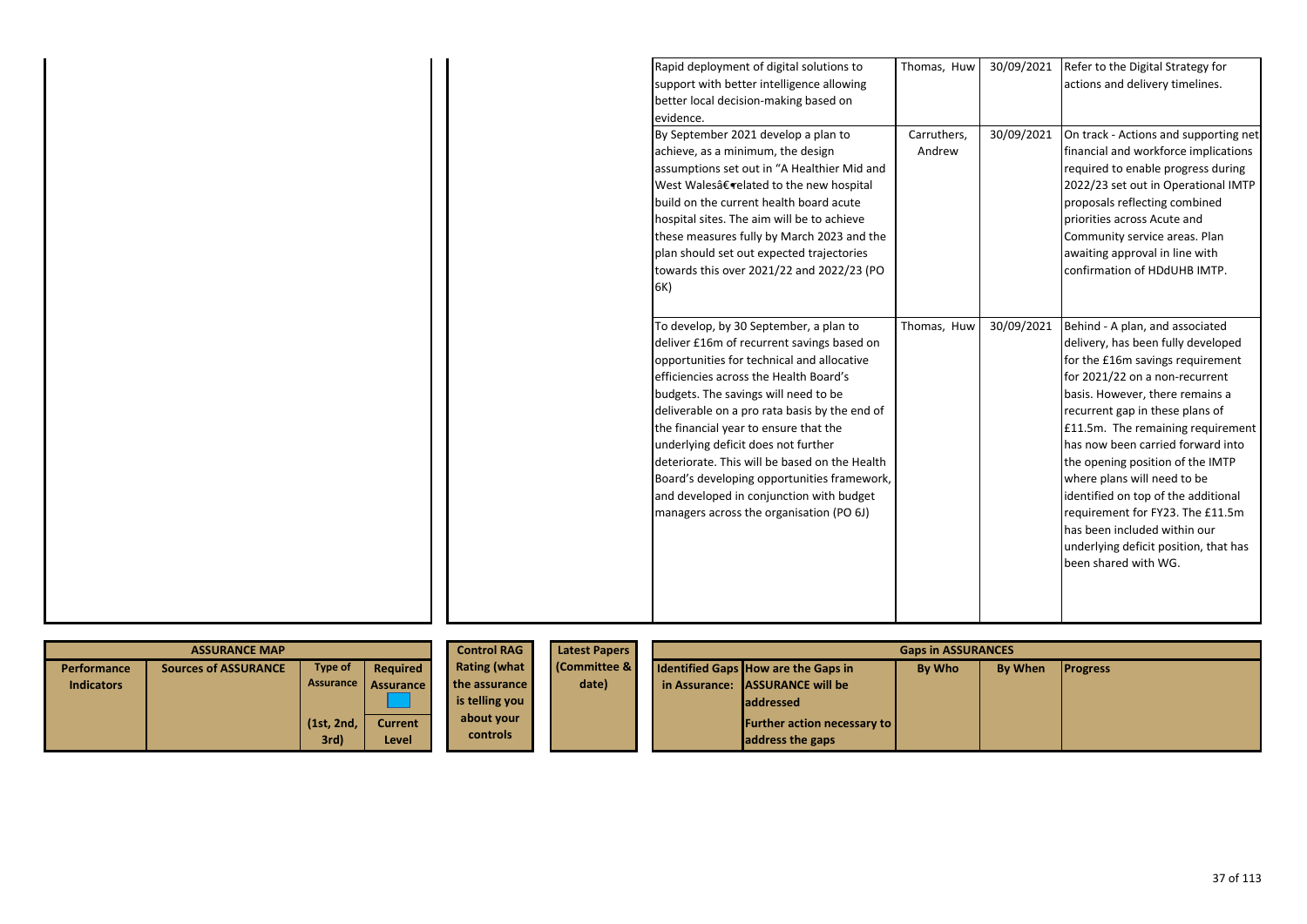| Rapid deployment of digital solutions to      | Thomas, Huw | 30/09/2021 | Refer to the Digital Strategy for     |
|-----------------------------------------------|-------------|------------|---------------------------------------|
|                                               |             |            |                                       |
| support with better intelligence allowing     |             |            | actions and delivery timelines.       |
| better local decision-making based on         |             |            |                                       |
| evidence.                                     |             |            |                                       |
| By September 2021 develop a plan to           | Carruthers, | 30/09/2021 | On track - Actions and supporting net |
| achieve, as a minimum, the design             | Andrew      |            | financial and workforce implications  |
| assumptions set out in "A Healthier Mid and   |             |            | required to enable progress during    |
| West Walesâ€related to the new hospital       |             |            | 2022/23 set out in Operational IMTP   |
| build on the current health board acute       |             |            | proposals reflecting combined         |
| hospital sites. The aim will be to achieve    |             |            | priorities across Acute and           |
| these measures fully by March 2023 and the    |             |            | Community service areas. Plan         |
| plan should set out expected trajectories     |             |            | awaiting approval in line with        |
| towards this over 2021/22 and 2022/23 (PO     |             |            | confirmation of HDdUHB IMTP.          |
| 6K)                                           |             |            |                                       |
|                                               |             |            |                                       |
| To develop, by 30 September, a plan to        | Thomas, Huw | 30/09/2021 | Behind - A plan, and associated       |
| deliver £16m of recurrent savings based on    |             |            | delivery, has been fully developed    |
| opportunities for technical and allocative    |             |            | for the £16m savings requirement      |
| efficiencies across the Health Board's        |             |            | for 2021/22 on a non-recurrent        |
| budgets. The savings will need to be          |             |            | basis. However, there remains a       |
| deliverable on a pro rata basis by the end of |             |            | recurrent gap in these plans of       |
| the financial year to ensure that the         |             |            | £11.5m. The remaining requirement     |
| underlying deficit does not further           |             |            | has now been carried forward into     |
| deteriorate. This will be based on the Health |             |            | the opening position of the IMTP      |
| Board's developing opportunities framework,   |             |            | where plans will need to be           |
| and developed in conjunction with budget      |             |            | identified on top of the additional   |
| managers across the organisation (PO 6J)      |             |            | requirement for FY23. The £11.5m      |
|                                               |             |            | has been included within our          |
|                                               |             |            | underlying deficit position, that has |
|                                               |             |            | been shared with WG.                  |
|                                               |             |            |                                       |
|                                               |             |            |                                       |
|                                               |             |            |                                       |
|                                               |             |            |                                       |

|                   | <b>ASSURANCE MAP</b>        |                    |                         | <b>Control RAG</b>            | <b>Latest Papers</b>   |  |                                                          | <b>Gaps in ASSURANCES</b> |         |                 |
|-------------------|-----------------------------|--------------------|-------------------------|-------------------------------|------------------------|--|----------------------------------------------------------|---------------------------|---------|-----------------|
| Performance       | <b>Sources of ASSURANCE</b> | Type of            | Required                | <b>Rating (what</b>           | <b>Committee &amp;</b> |  | <b>Identified Gaps How are the Gaps in</b>               | <b>By Who</b>             | By When | <b>Progress</b> |
| <b>Indicators</b> |                             |                    | Assurance Assurance     | the assurance                 | date)                  |  | in Assurance: ASSURANCE will be                          |                           |         |                 |
|                   |                             |                    |                         | is telling you                |                        |  | <b>laddressed</b>                                        |                           |         |                 |
|                   |                             | (1st, 2nd,<br>3rd) | <b>Current</b><br>Level | about your<br><b>controls</b> |                        |  | <b>Further action necessary to  </b><br>address the gaps |                           |         |                 |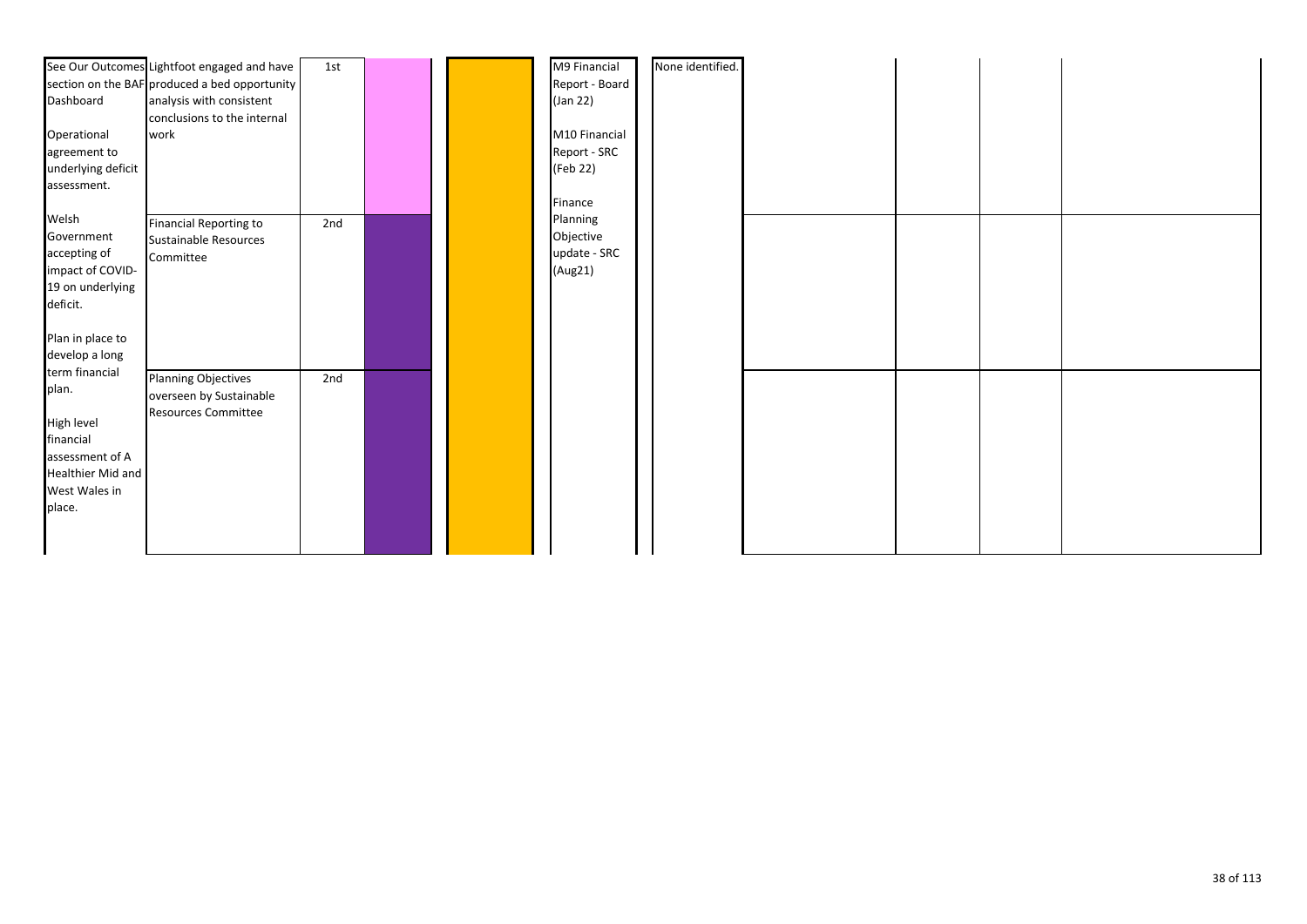|                         | See Our Outcomes Lightfoot engaged and have   | 1st |  | M9 Financial   | None identified. |  |  |  |
|-------------------------|-----------------------------------------------|-----|--|----------------|------------------|--|--|--|
|                         | section on the BAF produced a bed opportunity |     |  | Report - Board |                  |  |  |  |
| Dashboard               | analysis with consistent                      |     |  | (Jan 22)       |                  |  |  |  |
|                         | conclusions to the internal                   |     |  |                |                  |  |  |  |
| Operational             | work                                          |     |  | M10 Financial  |                  |  |  |  |
| agreement to            |                                               |     |  | Report - SRC   |                  |  |  |  |
| underlying deficit      |                                               |     |  | (Feb 22)       |                  |  |  |  |
| assessment.             |                                               |     |  |                |                  |  |  |  |
|                         |                                               |     |  | Finance        |                  |  |  |  |
| Welsh                   | <b>Financial Reporting to</b>                 | 2nd |  | Planning       |                  |  |  |  |
| Government              | Sustainable Resources                         |     |  | Objective      |                  |  |  |  |
| accepting of            | Committee                                     |     |  | update - SRC   |                  |  |  |  |
| impact of COVID-        |                                               |     |  | (Aug21)        |                  |  |  |  |
| 19 on underlying        |                                               |     |  |                |                  |  |  |  |
| deficit.                |                                               |     |  |                |                  |  |  |  |
|                         |                                               |     |  |                |                  |  |  |  |
| Plan in place to        |                                               |     |  |                |                  |  |  |  |
| develop a long          |                                               |     |  |                |                  |  |  |  |
| term financial<br>plan. | <b>Planning Objectives</b>                    | 2nd |  |                |                  |  |  |  |
|                         | overseen by Sustainable                       |     |  |                |                  |  |  |  |
| High level              | <b>Resources Committee</b>                    |     |  |                |                  |  |  |  |
| financial               |                                               |     |  |                |                  |  |  |  |
| assessment of A         |                                               |     |  |                |                  |  |  |  |
| Healthier Mid and       |                                               |     |  |                |                  |  |  |  |
| West Wales in           |                                               |     |  |                |                  |  |  |  |
| place.                  |                                               |     |  |                |                  |  |  |  |
|                         |                                               |     |  |                |                  |  |  |  |
|                         |                                               |     |  |                |                  |  |  |  |
|                         |                                               |     |  |                |                  |  |  |  |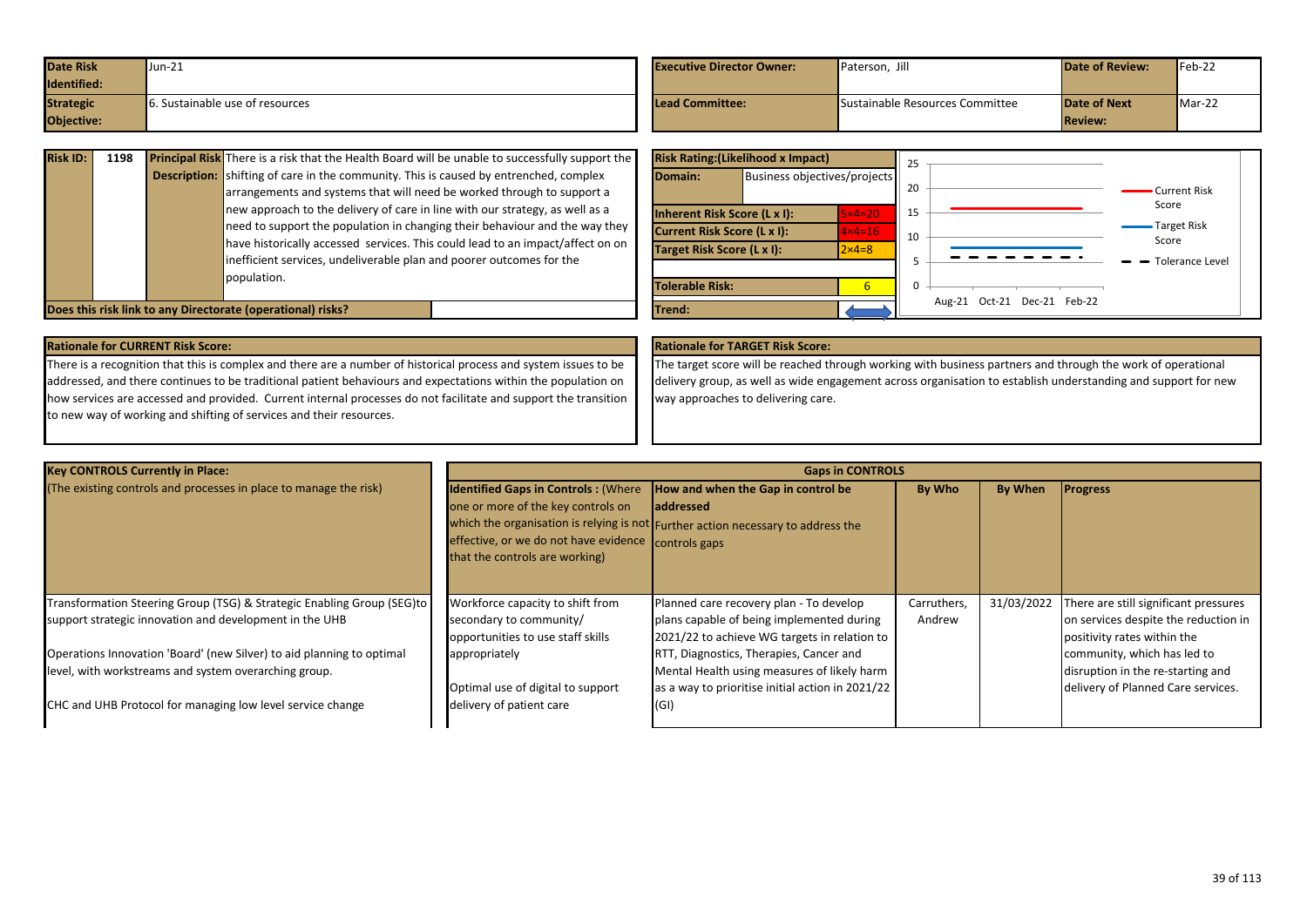| <b>Date Risk</b> | $Uun-21$                               | <b>Executive Director Owner:</b> | Paterson, Jih                   | <b>Date of Review:</b> | $Feb-22$ |
|------------------|----------------------------------------|----------------------------------|---------------------------------|------------------------|----------|
| Identified:      |                                        |                                  |                                 |                        |          |
| <b>Strategic</b> | <b>6.</b> Sustainable use of resources | Lead Committee:                  | Sustainable Resources Committee | <b>Date of Next</b>    | Mar-22   |
| Objective:       |                                        |                                  |                                 | <b>Review:</b>         |          |

| <b>Risk ID:</b> | 1198 | <b>Principal Risk</b> There is a risk that the Health Board will be unable to successfully support the |  |  |  |  |  |  |
|-----------------|------|--------------------------------------------------------------------------------------------------------|--|--|--|--|--|--|
|                 |      | <b>Description:</b> shifting of care in the community. This is caused by entrenched, complex           |  |  |  |  |  |  |
|                 |      | arrangements and systems that will need be worked through to support a                                 |  |  |  |  |  |  |
|                 |      | new approach to the delivery of care in line with our strategy, as well as a                           |  |  |  |  |  |  |
|                 |      | need to support the population in changing their behaviour and the way they                            |  |  |  |  |  |  |
|                 |      | have historically accessed services. This could lead to an impact/affect on on                         |  |  |  |  |  |  |
|                 |      | inefficient services, undeliverable plan and poorer outcomes for the                                   |  |  |  |  |  |  |
|                 |      | population.                                                                                            |  |  |  |  |  |  |
|                 |      |                                                                                                        |  |  |  |  |  |  |
|                 |      | Does this risk link to any Directorate (operational) risks?                                            |  |  |  |  |  |  |

|                             | <b>Risk Rating: (Likelihood x Impact)</b> |                   | 25 |                                |                             |
|-----------------------------|-------------------------------------------|-------------------|----|--------------------------------|-----------------------------|
| Domain:                     | Business objectives/projects              |                   | 20 |                                | Current Risk                |
|                             | Inherent Risk Score (L x I):              | $5\times4=20$     | 15 |                                | Score                       |
| Current Risk Score (L x I): |                                           | $4 \times 4 = 16$ | 10 |                                | <b>Target Risk</b><br>Score |
| Target Risk Score (L x I):  |                                           | $2 \times 4 = 8$  | 5  |                                | Tolerance Level             |
| <b>Tolerable Risk:</b>      |                                           | 6                 | 0  |                                |                             |
| Trend:                      |                                           |                   |    | Oct-21 Dec-21 Feb-22<br>Aug-21 |                             |

There is a recognition that this is complex and there are a number of historical process and system issues to be addressed, and there continues to be traditional patient behaviours and expectations within the population on how services are accessed and provided. Current internal processes do not facilitate and support the transition to new way of working and shifting of services and their resources.

The target score will be reached through working with business partners and through the work of operational delivery group, as well as wide engagement across organisation to establish understanding and support for new way approaches to delivering care.

| <b>Key CONTROLS Currently in Place:</b>                                                                                                                                                      |                                                                                                                                                                                                         | <b>Gaps in CONTROLS</b>                                                                                                                            |                       |            |                                                                                                              |  |  |
|----------------------------------------------------------------------------------------------------------------------------------------------------------------------------------------------|---------------------------------------------------------------------------------------------------------------------------------------------------------------------------------------------------------|----------------------------------------------------------------------------------------------------------------------------------------------------|-----------------------|------------|--------------------------------------------------------------------------------------------------------------|--|--|
| (The existing controls and processes in place to manage the risk)                                                                                                                            | Identified Gaps in Controls : (Where  How and when the Gap in control be<br>one or more of the key controls on<br>effective, or we do not have evidence controls gaps<br>that the controls are working) | <b>laddressed</b><br>which the organisation is relying is not Further action necessary to address the                                              | By Who                | By When    | <b>Progress</b>                                                                                              |  |  |
| Transformation Steering Group (TSG) & Strategic Enabling Group (SEG)to<br>support strategic innovation and development in the UHB                                                            | Workforce capacity to shift from<br>secondary to community/<br>opportunities to use staff skills                                                                                                        | Planned care recovery plan - To develop<br>plans capable of being implemented during<br>2021/22 to achieve WG targets in relation to               | Carruthers,<br>Andrew | 31/03/2022 | There are still significant pressures<br>on services despite the reduction in<br>positivity rates within the |  |  |
| Operations Innovation 'Board' (new Silver) to aid planning to optimal<br>level, with workstreams and system overarching group.<br>CHC and UHB Protocol for managing low level service change | appropriately<br>Optimal use of digital to support<br>delivery of patient care                                                                                                                          | RTT, Diagnostics, Therapies, Cancer and<br>Mental Health using measures of likely harm<br>as a way to prioritise initial action in 2021/22<br>(GI) |                       |            | community, which has led to<br>disruption in the re-starting and<br>delivery of Planned Care services.       |  |  |
|                                                                                                                                                                                              |                                                                                                                                                                                                         |                                                                                                                                                    |                       |            |                                                                                                              |  |  |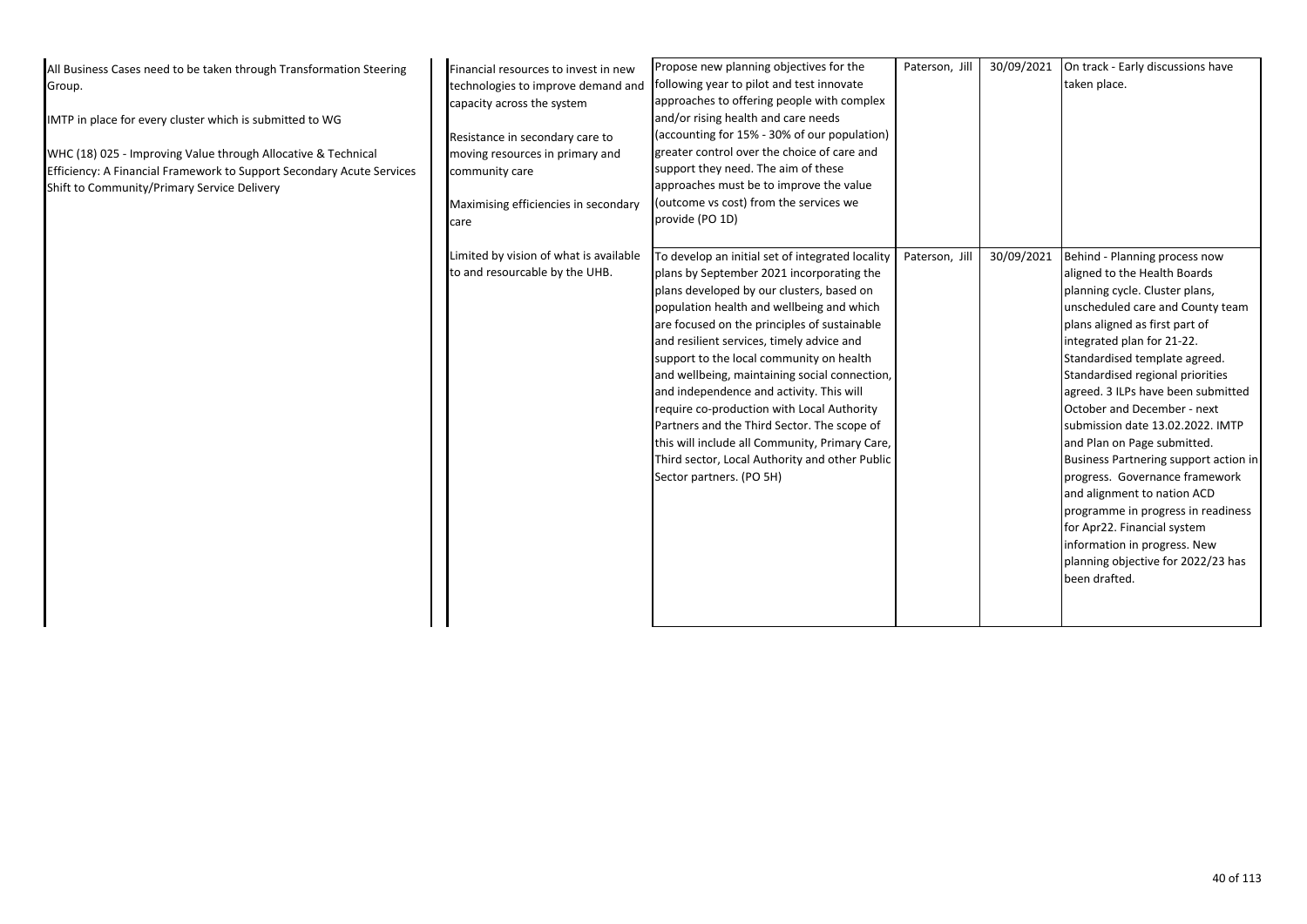| All Business Cases need to be taken through Transformation Steering<br>Group.<br>IMTP in place for every cluster which is submitted to WG<br>WHC (18) 025 - Improving Value through Allocative & Technical<br>Efficiency: A Financial Framework to Support Secondary Acute Services<br>Shift to Community/Primary Service Delivery | Financial resources to invest in new<br>technologies to improve demand and<br>capacity across the system<br>Resistance in secondary care to<br>moving resources in primary and<br>community care<br>Maximising efficiencies in secondary<br>care | Propose new planning objectives for the<br>following year to pilot and test innovate<br>approaches to offering people with complex<br>and/or rising health and care needs<br>(accounting for 15% - 30% of our population)<br>greater control over the choice of care and<br>support they need. The aim of these<br>approaches must be to improve the value<br>(outcome vs cost) from the services we<br>provide (PO 1D)                                                                                                                                                                                                                                    | Paterson, Jill | 30/09/2021 | On track - Early discussions have<br>taken place.                                                                                                                                                                                                                                                                                                                                                                                                                                                                                                                                                                                                                                      |
|------------------------------------------------------------------------------------------------------------------------------------------------------------------------------------------------------------------------------------------------------------------------------------------------------------------------------------|--------------------------------------------------------------------------------------------------------------------------------------------------------------------------------------------------------------------------------------------------|------------------------------------------------------------------------------------------------------------------------------------------------------------------------------------------------------------------------------------------------------------------------------------------------------------------------------------------------------------------------------------------------------------------------------------------------------------------------------------------------------------------------------------------------------------------------------------------------------------------------------------------------------------|----------------|------------|----------------------------------------------------------------------------------------------------------------------------------------------------------------------------------------------------------------------------------------------------------------------------------------------------------------------------------------------------------------------------------------------------------------------------------------------------------------------------------------------------------------------------------------------------------------------------------------------------------------------------------------------------------------------------------------|
|                                                                                                                                                                                                                                                                                                                                    | Limited by vision of what is available<br>to and resourcable by the UHB.                                                                                                                                                                         | To develop an initial set of integrated locality<br>plans by September 2021 incorporating the<br>plans developed by our clusters, based on<br>population health and wellbeing and which<br>are focused on the principles of sustainable<br>and resilient services, timely advice and<br>support to the local community on health<br>and wellbeing, maintaining social connection,<br>and independence and activity. This will<br>require co-production with Local Authority<br>Partners and the Third Sector. The scope of<br>this will include all Community, Primary Care,<br>Third sector, Local Authority and other Public<br>Sector partners. (PO 5H) | Paterson, Jill | 30/09/2021 | Behind - Planning process now<br>aligned to the Health Boards<br>planning cycle. Cluster plans,<br>unscheduled care and County team<br>plans aligned as first part of<br>integrated plan for 21-22.<br>Standardised template agreed.<br>Standardised regional priorities<br>agreed. 3 ILPs have been submitted<br>October and December - next<br>submission date 13.02.2022. IMTP<br>and Plan on Page submitted.<br>Business Partnering support action in<br>progress. Governance framework<br>and alignment to nation ACD<br>programme in progress in readiness<br>for Apr22. Financial system<br>information in progress. New<br>planning objective for 2022/23 has<br>been drafted. |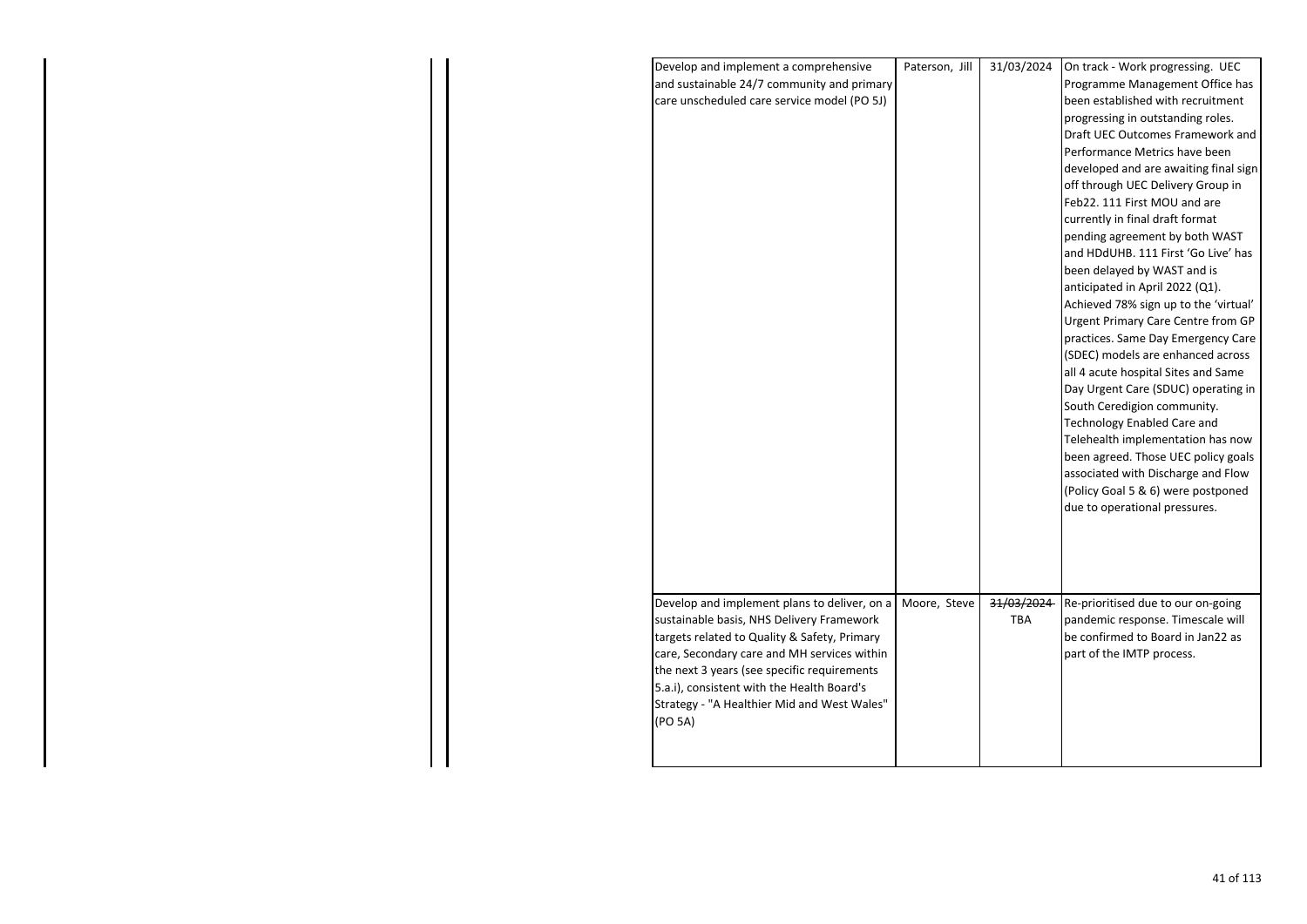| Develop and implement a comprehensive        | Paterson, Jill | 31/03/2024 | On track - Work progressing. UEC                                          |
|----------------------------------------------|----------------|------------|---------------------------------------------------------------------------|
| and sustainable 24/7 community and primary   |                |            | Programme Management Office has                                           |
| care unscheduled care service model (PO 5J)  |                |            | been established with recruitment                                         |
|                                              |                |            | progressing in outstanding roles.                                         |
|                                              |                |            | Draft UEC Outcomes Framework and                                          |
|                                              |                |            | Performance Metrics have been                                             |
|                                              |                |            | developed and are awaiting final sign                                     |
|                                              |                |            | off through UEC Delivery Group in                                         |
|                                              |                |            | Feb22. 111 First MOU and are                                              |
|                                              |                |            | currently in final draft format                                           |
|                                              |                |            | pending agreement by both WAST                                            |
|                                              |                |            | and HDdUHB. 111 First 'Go Live' has                                       |
|                                              |                |            | been delayed by WAST and is                                               |
|                                              |                |            | anticipated in April 2022 (Q1).                                           |
|                                              |                |            | Achieved 78% sign up to the 'virtual'                                     |
|                                              |                |            | Urgent Primary Care Centre from GP                                        |
|                                              |                |            | practices. Same Day Emergency Care                                        |
|                                              |                |            | (SDEC) models are enhanced across                                         |
|                                              |                |            | all 4 acute hospital Sites and Same                                       |
|                                              |                |            | Day Urgent Care (SDUC) operating in                                       |
|                                              |                |            | South Ceredigion community.<br><b>Technology Enabled Care and</b>         |
|                                              |                |            |                                                                           |
|                                              |                |            | Telehealth implementation has now                                         |
|                                              |                |            | been agreed. Those UEC policy goals<br>associated with Discharge and Flow |
|                                              |                |            | (Policy Goal 5 & 6) were postponed                                        |
|                                              |                |            | due to operational pressures.                                             |
|                                              |                |            |                                                                           |
|                                              |                |            |                                                                           |
|                                              |                |            |                                                                           |
|                                              |                |            |                                                                           |
|                                              |                |            |                                                                           |
| Develop and implement plans to deliver, on a | Moore, Steve   | 31/03/2024 | Re-prioritised due to our on-going                                        |
| sustainable basis, NHS Delivery Framework    |                | <b>TBA</b> | pandemic response. Timescale will                                         |
| targets related to Quality & Safety, Primary |                |            | be confirmed to Board in Jan22 as                                         |
| care, Secondary care and MH services within  |                |            | part of the IMTP process.                                                 |
| the next 3 years (see specific requirements  |                |            |                                                                           |
| 5.a.i), consistent with the Health Board's   |                |            |                                                                           |
| Strategy - "A Healthier Mid and West Wales"  |                |            |                                                                           |
| (PO 5A)                                      |                |            |                                                                           |
|                                              |                |            |                                                                           |
|                                              |                |            |                                                                           |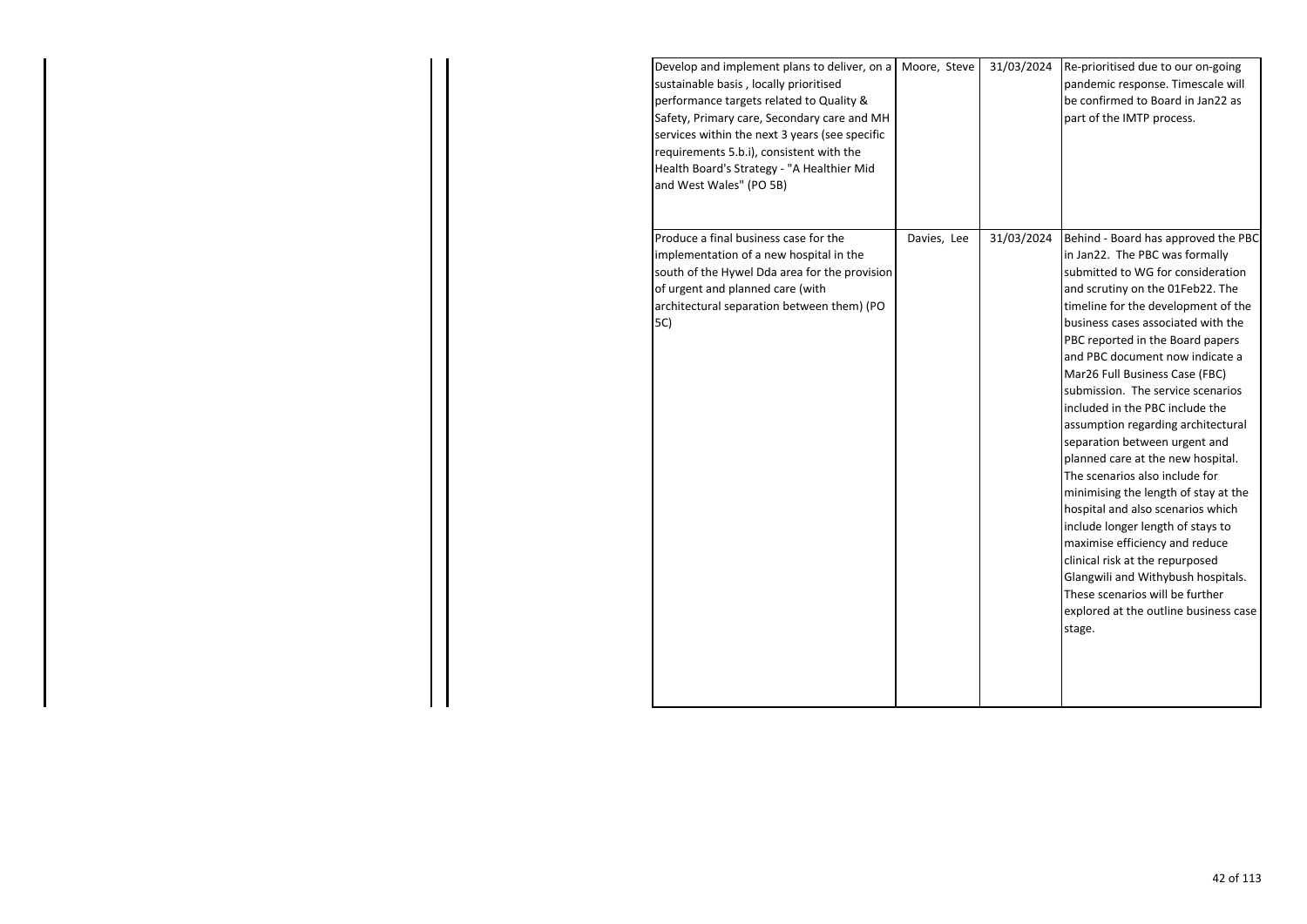| Develop and implement plans to deliver, on a   Moore, Steve<br>sustainable basis, locally prioritised<br>performance targets related to Quality &<br>Safety, Primary care, Secondary care and MH<br>services within the next 3 years (see specific<br>requirements 5.b.i), consistent with the<br>Health Board's Strategy - "A Healthier Mid<br>and West Wales" (PO 5B) |             | 31/03/2024 | Re-prioritised due to our on-going<br>pandemic response. Timescale will<br>be confirmed to Board in Jan22 as<br>part of the IMTP process.                                                                                                                                                                                                                                                                                                                                                                                                                                                                                                                                                                                                                                                                                                                                     |
|-------------------------------------------------------------------------------------------------------------------------------------------------------------------------------------------------------------------------------------------------------------------------------------------------------------------------------------------------------------------------|-------------|------------|-------------------------------------------------------------------------------------------------------------------------------------------------------------------------------------------------------------------------------------------------------------------------------------------------------------------------------------------------------------------------------------------------------------------------------------------------------------------------------------------------------------------------------------------------------------------------------------------------------------------------------------------------------------------------------------------------------------------------------------------------------------------------------------------------------------------------------------------------------------------------------|
| Produce a final business case for the<br>implementation of a new hospital in the<br>south of the Hywel Dda area for the provision<br>of urgent and planned care (with<br>architectural separation between them) (PO<br>5C)                                                                                                                                              | Davies, Lee | 31/03/2024 | Behind - Board has approved the PBC<br>in Jan22. The PBC was formally<br>submitted to WG for consideration<br>and scrutiny on the 01Feb22. The<br>timeline for the development of the<br>business cases associated with the<br>PBC reported in the Board papers<br>and PBC document now indicate a<br>Mar26 Full Business Case (FBC)<br>submission. The service scenarios<br>included in the PBC include the<br>assumption regarding architectural<br>separation between urgent and<br>planned care at the new hospital.<br>The scenarios also include for<br>minimising the length of stay at the<br>hospital and also scenarios which<br>include longer length of stays to<br>maximise efficiency and reduce<br>clinical risk at the repurposed<br>Glangwili and Withybush hospitals.<br>These scenarios will be further<br>explored at the outline business case<br>stage. |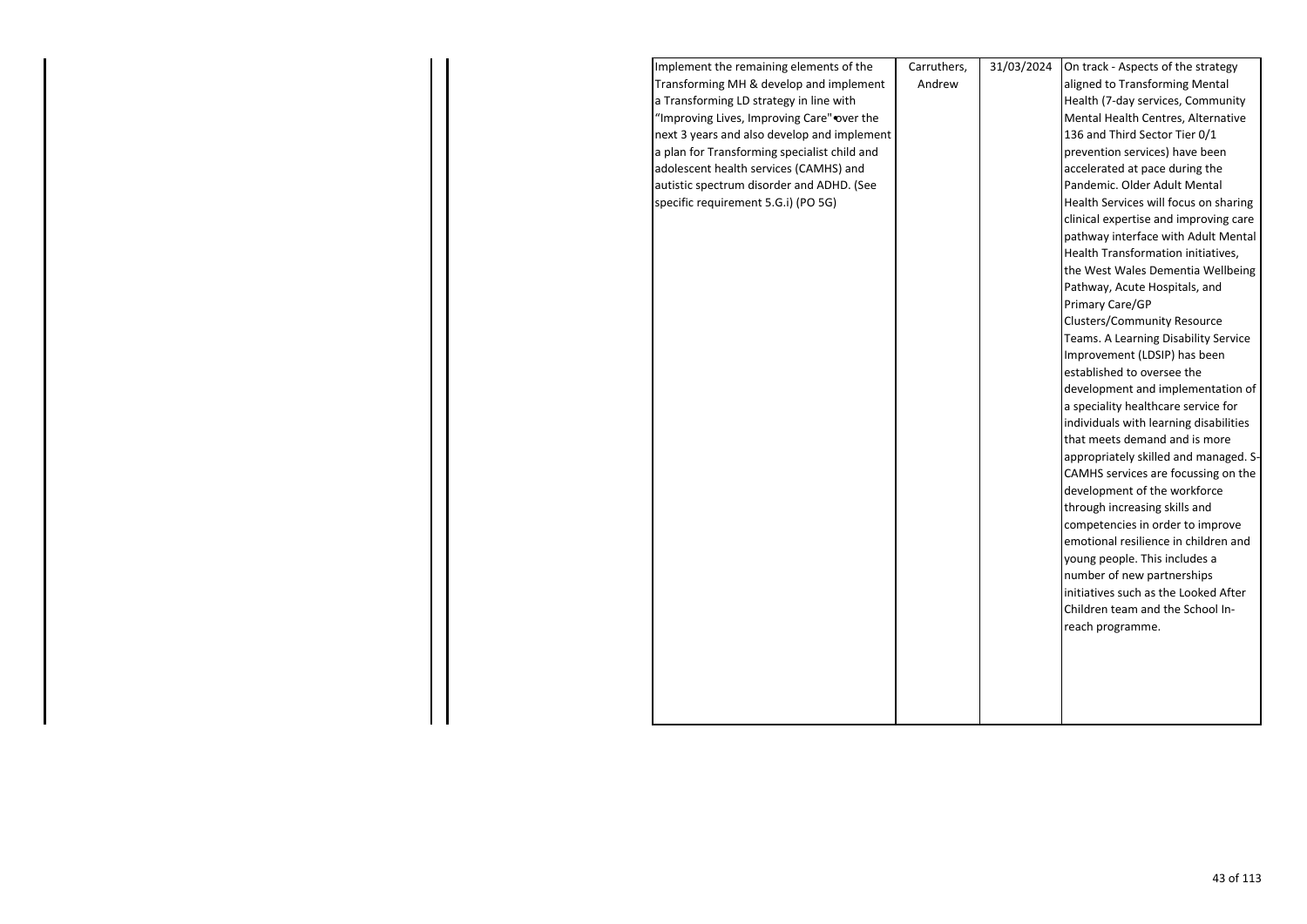| Implement the remaining elements of the      | Carruthers, | 31/03/2024 | On track - Aspects of the strategy     |
|----------------------------------------------|-------------|------------|----------------------------------------|
| Transforming MH & develop and implement      | Andrew      |            | aligned to Transforming Mental         |
| a Transforming LD strategy in line with      |             |            | Health (7-day services, Community      |
| "Improving Lives, Improving Care" over the   |             |            | Mental Health Centres, Alternative     |
| next 3 years and also develop and implement  |             |            | 136 and Third Sector Tier 0/1          |
| a plan for Transforming specialist child and |             |            | prevention services) have been         |
| adolescent health services (CAMHS) and       |             |            | accelerated at pace during the         |
| autistic spectrum disorder and ADHD. (See    |             |            | Pandemic. Older Adult Mental           |
| specific requirement 5.G.i) (PO 5G)          |             |            | Health Services will focus on sharing  |
|                                              |             |            | clinical expertise and improving care  |
|                                              |             |            | pathway interface with Adult Mental    |
|                                              |             |            | Health Transformation initiatives,     |
|                                              |             |            | the West Wales Dementia Wellbeing      |
|                                              |             |            | Pathway, Acute Hospitals, and          |
|                                              |             |            | Primary Care/GP                        |
|                                              |             |            | <b>Clusters/Community Resource</b>     |
|                                              |             |            | Teams. A Learning Disability Service   |
|                                              |             |            | Improvement (LDSIP) has been           |
|                                              |             |            | established to oversee the             |
|                                              |             |            | development and implementation of      |
|                                              |             |            | a speciality healthcare service for    |
|                                              |             |            | individuals with learning disabilities |
|                                              |             |            | that meets demand and is more          |
|                                              |             |            | appropriately skilled and managed. S-  |
|                                              |             |            | CAMHS services are focussing on the    |
|                                              |             |            | development of the workforce           |
|                                              |             |            | through increasing skills and          |
|                                              |             |            | competencies in order to improve       |
|                                              |             |            | emotional resilience in children and   |
|                                              |             |            | young people. This includes a          |
|                                              |             |            | number of new partnerships             |
|                                              |             |            | initiatives such as the Looked After   |
|                                              |             |            | Children team and the School In-       |
|                                              |             |            | reach programme.                       |
|                                              |             |            |                                        |
|                                              |             |            |                                        |
|                                              |             |            |                                        |
|                                              |             |            |                                        |
|                                              |             |            |                                        |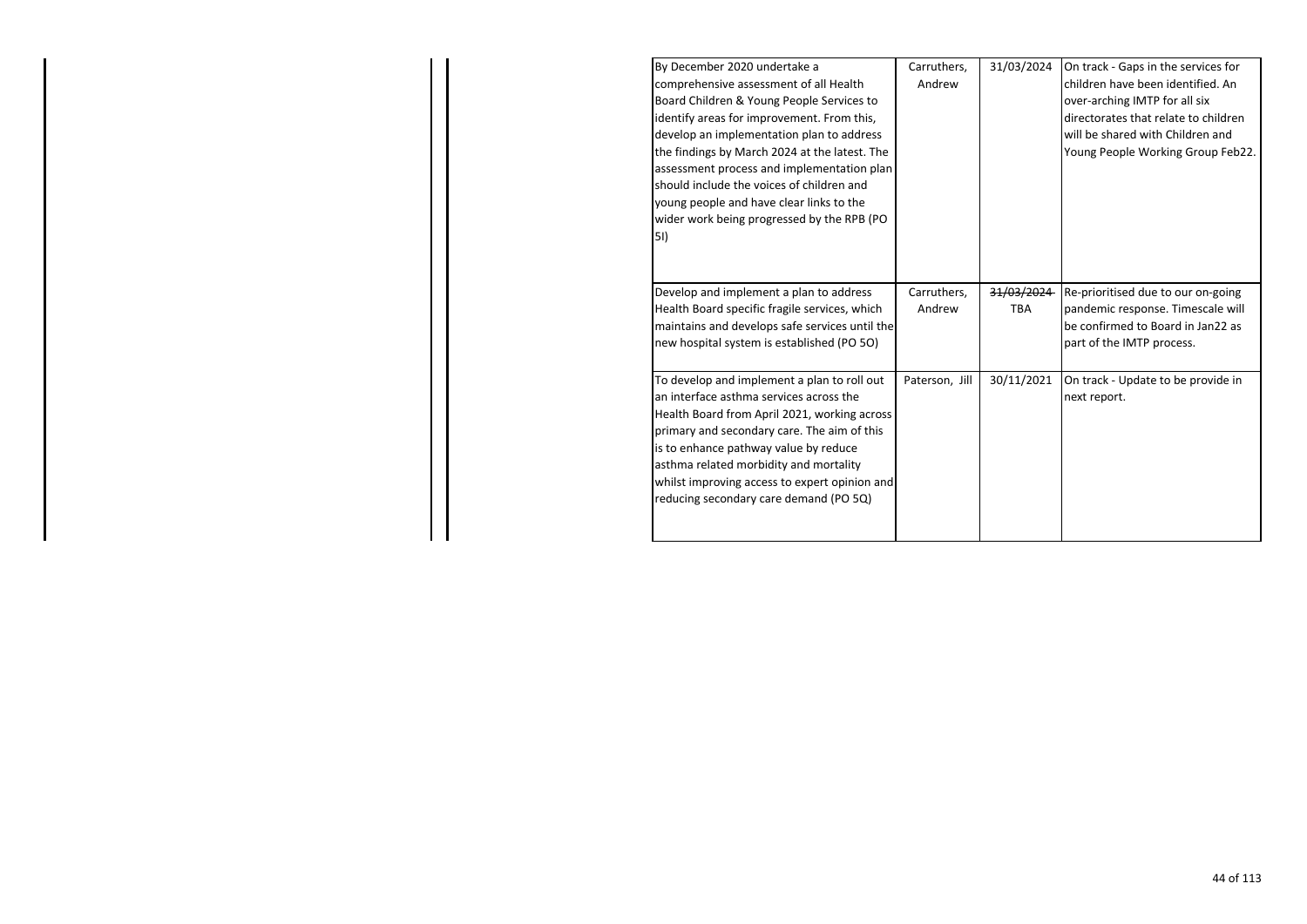| By December 2020 undertake a<br>comprehensive assessment of all Health<br>Board Children & Young People Services to<br>identify areas for improvement. From this,<br>develop an implementation plan to address<br>the findings by March 2024 at the latest. The<br>assessment process and implementation plan                                                       | Carruthers,<br>Andrew | 31/03/2024 | On track - Gaps in the services for<br>children have been identified. An<br>over-arching IMTP for all six<br>directorates that relate to children<br>will be shared with Children and<br>Young People Working Group Feb22. |
|---------------------------------------------------------------------------------------------------------------------------------------------------------------------------------------------------------------------------------------------------------------------------------------------------------------------------------------------------------------------|-----------------------|------------|----------------------------------------------------------------------------------------------------------------------------------------------------------------------------------------------------------------------------|
| should include the voices of children and<br>young people and have clear links to the<br>wider work being progressed by the RPB (PO<br>51)                                                                                                                                                                                                                          |                       |            |                                                                                                                                                                                                                            |
| Develop and implement a plan to address                                                                                                                                                                                                                                                                                                                             | Carruthers,           | 31/03/2024 | Re-prioritised due to our on-going                                                                                                                                                                                         |
| Health Board specific fragile services, which                                                                                                                                                                                                                                                                                                                       | Andrew                | <b>TBA</b> | pandemic response. Timescale will                                                                                                                                                                                          |
| maintains and develops safe services until the                                                                                                                                                                                                                                                                                                                      |                       |            | be confirmed to Board in Jan22 as                                                                                                                                                                                          |
| new hospital system is established (PO 5O)                                                                                                                                                                                                                                                                                                                          |                       |            | part of the IMTP process.                                                                                                                                                                                                  |
| To develop and implement a plan to roll out<br>an interface asthma services across the<br>Health Board from April 2021, working across<br>primary and secondary care. The aim of this<br>is to enhance pathway value by reduce<br>asthma related morbidity and mortality<br>whilst improving access to expert opinion and<br>reducing secondary care demand (PO 5Q) | Paterson, Jill        | 30/11/2021 | On track - Update to be provide in<br>next report.                                                                                                                                                                         |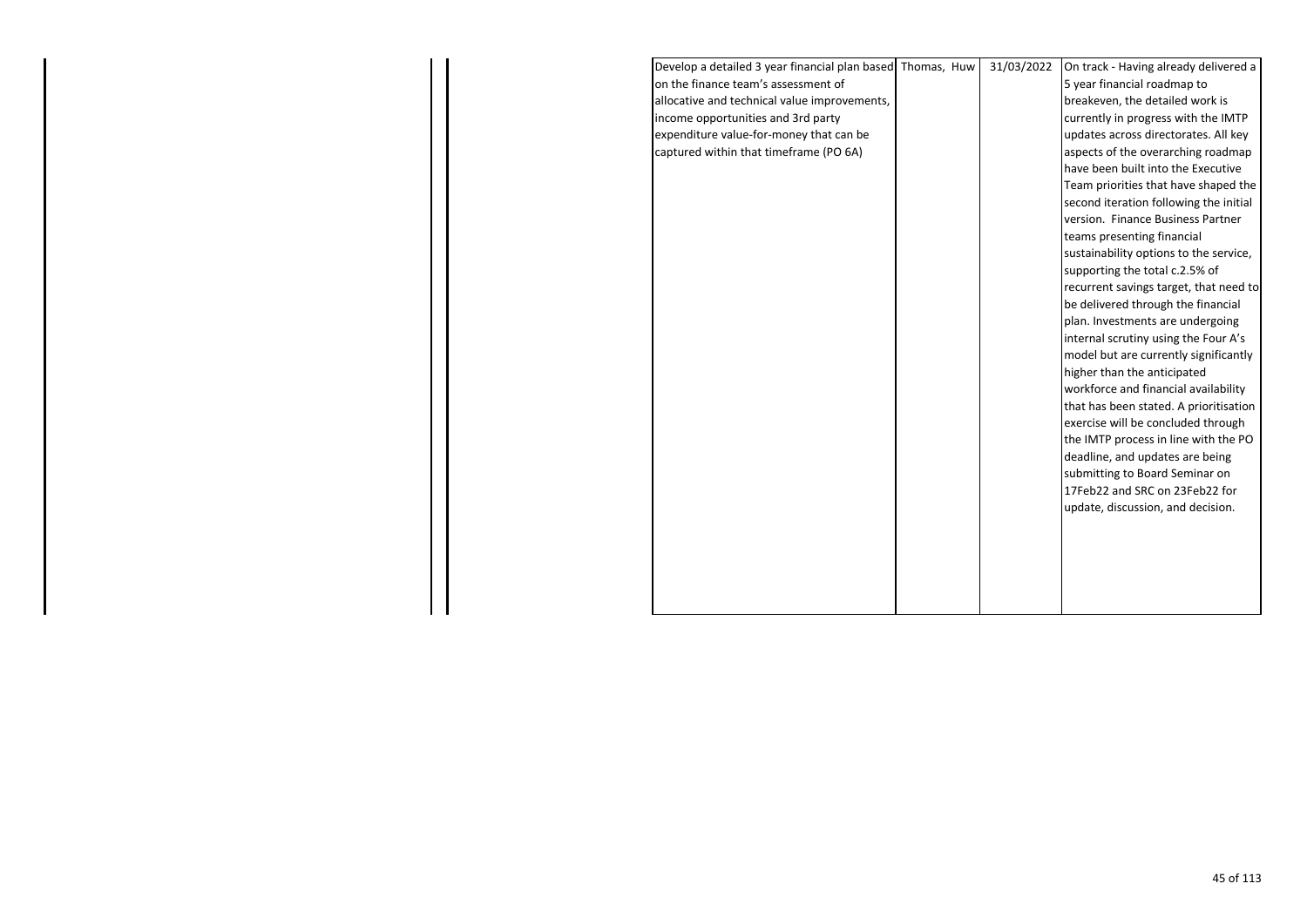| Develop a detailed 3 year financial plan based Thomas, Huw | 31/03/2022 | On track - Having already delivered a  |  |
|------------------------------------------------------------|------------|----------------------------------------|--|
| on the finance team's assessment of                        |            | 5 year financial roadmap to            |  |
| allocative and technical value improvements,               |            | breakeven, the detailed work is        |  |
| income opportunities and 3rd party                         |            | currently in progress with the IMTP    |  |
| expenditure value-for-money that can be                    |            | updates across directorates. All key   |  |
| captured within that timeframe (PO 6A)                     |            | aspects of the overarching roadmap     |  |
|                                                            |            | have been built into the Executive     |  |
|                                                            |            | Team priorities that have shaped the   |  |
|                                                            |            | second iteration following the initial |  |
|                                                            |            | version. Finance Business Partner      |  |
|                                                            |            | teams presenting financial             |  |
|                                                            |            | sustainability options to the service, |  |
|                                                            |            | supporting the total c.2.5% of         |  |
|                                                            |            | recurrent savings target, that need to |  |
|                                                            |            | be delivered through the financial     |  |
|                                                            |            | plan. Investments are undergoing       |  |
|                                                            |            | internal scrutiny using the Four A's   |  |
|                                                            |            | model but are currently significantly  |  |
|                                                            |            | higher than the anticipated            |  |
|                                                            |            | workforce and financial availability   |  |
|                                                            |            | that has been stated. A prioritisation |  |
|                                                            |            | exercise will be concluded through     |  |
|                                                            |            | the IMTP process in line with the PO   |  |
|                                                            |            | deadline, and updates are being        |  |
|                                                            |            | submitting to Board Seminar on         |  |
|                                                            |            | 17Feb22 and SRC on 23Feb22 for         |  |
|                                                            |            | update, discussion, and decision.      |  |
|                                                            |            |                                        |  |
|                                                            |            |                                        |  |
|                                                            |            |                                        |  |
|                                                            |            |                                        |  |
|                                                            |            |                                        |  |
|                                                            |            |                                        |  |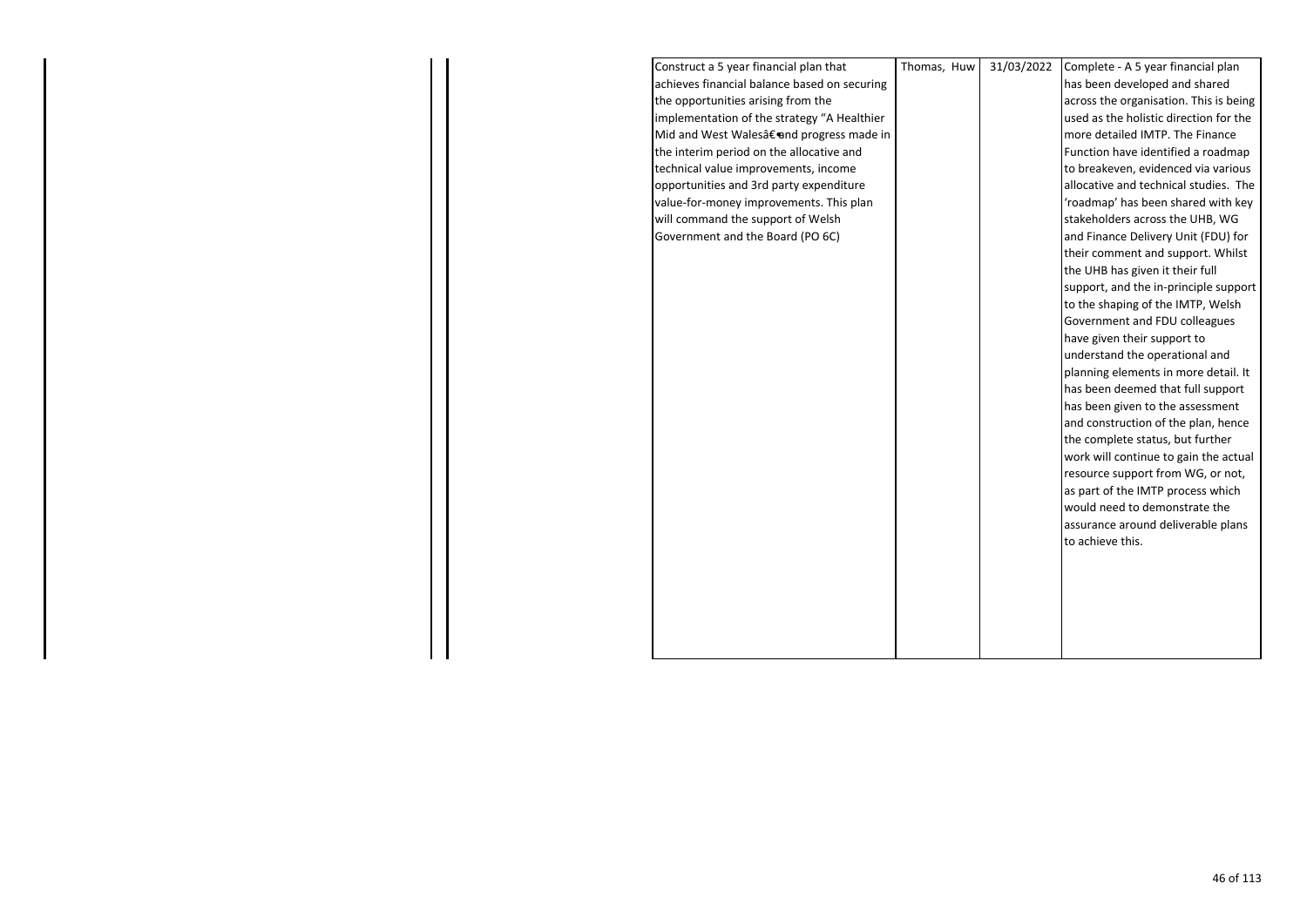| Construct a 5 year financial plan that       | Thomas, Huw | 31/03/2022 | Complete - A 5 year financial plan     |
|----------------------------------------------|-------------|------------|----------------------------------------|
| achieves financial balance based on securing |             |            | has been developed and shared          |
| the opportunities arising from the           |             |            | across the organisation. This is being |
| implementation of the strategy "A Healthier  |             |            | used as the holistic direction for the |
| Mid and West Wales†and progress made in      |             |            | more detailed IMTP. The Finance        |
| the interim period on the allocative and     |             |            | Function have identified a roadmap     |
| technical value improvements, income         |             |            | to breakeven, evidenced via various    |
| opportunities and 3rd party expenditure      |             |            | allocative and technical studies. The  |
| value-for-money improvements. This plan      |             |            | 'roadmap' has been shared with key     |
| will command the support of Welsh            |             |            | stakeholders across the UHB, WG        |
| Government and the Board (PO 6C)             |             |            | and Finance Delivery Unit (FDU) for    |
|                                              |             |            | their comment and support. Whilst      |
|                                              |             |            | the UHB has given it their full        |
|                                              |             |            | support, and the in-principle support  |
|                                              |             |            | to the shaping of the IMTP, Welsh      |
|                                              |             |            | Government and FDU colleagues          |
|                                              |             |            | have given their support to            |
|                                              |             |            | understand the operational and         |
|                                              |             |            | planning elements in more detail. It   |
|                                              |             |            | has been deemed that full support      |
|                                              |             |            | has been given to the assessment       |
|                                              |             |            | and construction of the plan, hence    |
|                                              |             |            | the complete status, but further       |
|                                              |             |            | work will continue to gain the actual  |
|                                              |             |            | resource support from WG, or not,      |
|                                              |             |            | as part of the IMTP process which      |
|                                              |             |            | would need to demonstrate the          |
|                                              |             |            | assurance around deliverable plans     |
|                                              |             |            | to achieve this.                       |
|                                              |             |            |                                        |
|                                              |             |            |                                        |
|                                              |             |            |                                        |
|                                              |             |            |                                        |
|                                              |             |            |                                        |
|                                              |             |            |                                        |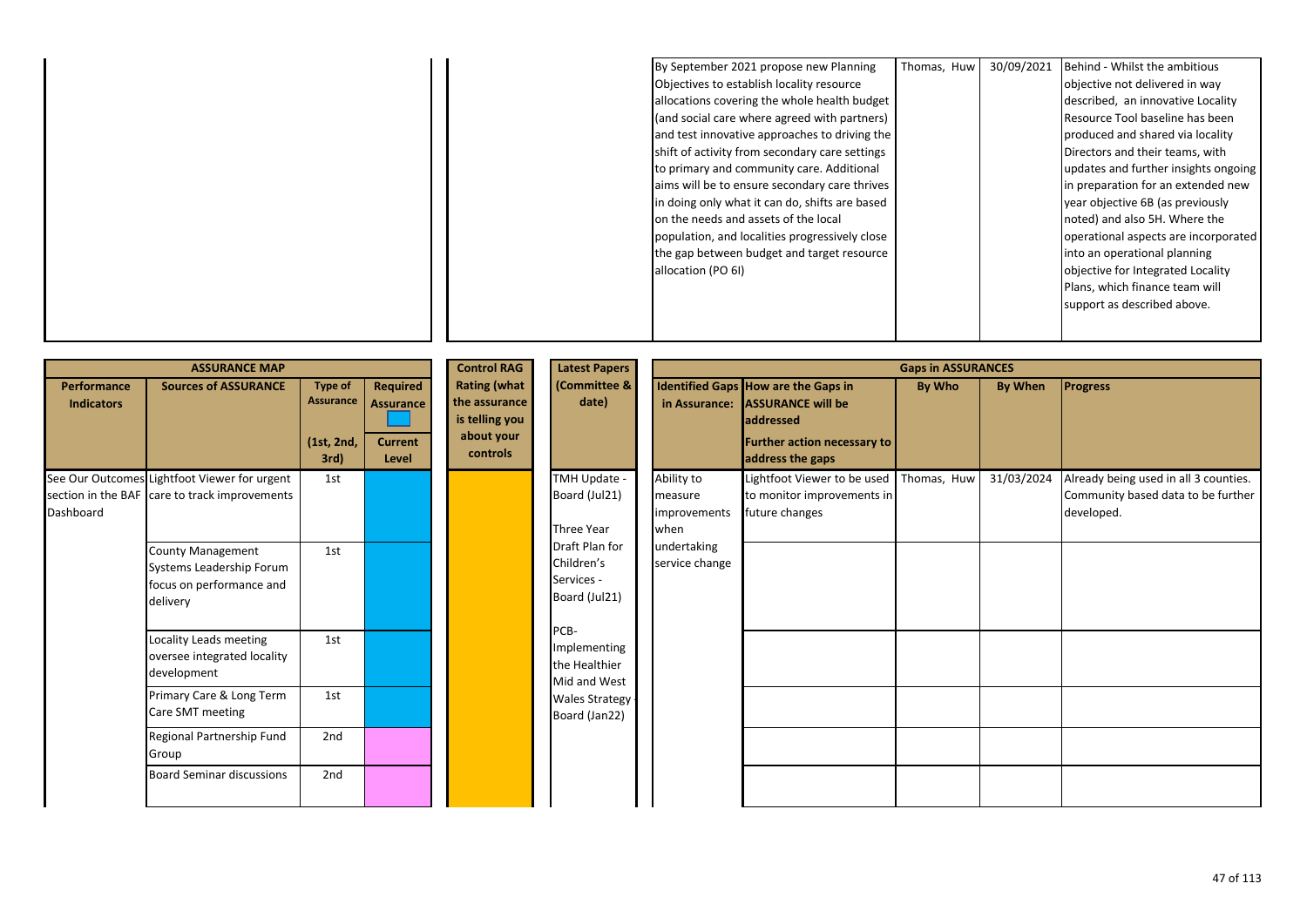|  | By September 2021 propose new Planning         | Thomas, Huw | 30/09/2021 | Behind - Whilst the ambitious        |
|--|------------------------------------------------|-------------|------------|--------------------------------------|
|  | Objectives to establish locality resource      |             |            | objective not delivered in way       |
|  | allocations covering the whole health budget   |             |            | described, an innovative Locality    |
|  | (and social care where agreed with partners)   |             |            | Resource Tool baseline has been      |
|  | and test innovative approaches to driving the  |             |            | produced and shared via locality     |
|  | shift of activity from secondary care settings |             |            | Directors and their teams, with      |
|  | to primary and community care. Additional      |             |            | updates and further insights ongoing |
|  | aims will be to ensure secondary care thrives  |             |            | in preparation for an extended new   |
|  | in doing only what it can do, shifts are based |             |            | year objective 6B (as previously     |
|  | on the needs and assets of the local           |             |            | noted) and also 5H. Where the        |
|  | population, and localities progressively close |             |            | operational aspects are incorporated |
|  | the gap between budget and target resource     |             |            | into an operational planning         |
|  | allocation (PO 6I)                             |             |            | objective for Integrated Locality    |
|  |                                                |             |            | Plans, which finance team will       |
|  |                                                |             |            | support as described above.          |
|  |                                                |             |            |                                      |
|  |                                                |             |            |                                      |

|                                  | <b>ASSURANCE MAP</b>                                                                          |                                                          |                                                  | <b>Control RAG</b>                                                               | <b>Latest Papers</b>                                        |                                               |                                                                                                                                               | <b>Gaps in ASSURANCES</b> |            |                                                                                           |
|----------------------------------|-----------------------------------------------------------------------------------------------|----------------------------------------------------------|--------------------------------------------------|----------------------------------------------------------------------------------|-------------------------------------------------------------|-----------------------------------------------|-----------------------------------------------------------------------------------------------------------------------------------------------|---------------------------|------------|-------------------------------------------------------------------------------------------|
| Performance<br><b>Indicators</b> | <b>Sources of ASSURANCE</b>                                                                   | <b>Type of</b><br><b>Assurance</b><br>(1st, 2nd,<br>3rd) | Required<br>Assurance<br><b>Current</b><br>Level | <b>Rating (what</b><br>the assurance<br>is telling you<br>about your<br>controls | (Committee &<br>date)                                       |                                               | Identified Gaps How are the Gaps in<br>in Assurance: ASSURANCE will be<br>addressed<br><b>Further action necessary to</b><br>address the gaps | By Who                    | By When    | <b>Progress</b>                                                                           |
| Dashboard                        | See Our Outcomes Lightfoot Viewer for urgent<br>section in the BAF care to track improvements | 1st                                                      |                                                  |                                                                                  | TMH Update -<br>Board (Jul21)<br><b>Three Year</b>          | Ability to<br>measure<br>improvements<br>when | Lightfoot Viewer to be used<br>to monitor improvements in<br>future changes                                                                   | Thomas, Huw               | 31/03/2024 | Already being used in all 3 counties.<br>Community based data to be further<br>developed. |
|                                  | <b>County Management</b><br>Systems Leadership Forum<br>focus on performance and<br>delivery  | 1st                                                      |                                                  |                                                                                  | Draft Plan for<br>Children's<br>Services -<br>Board (Jul21) | undertaking<br>service change                 |                                                                                                                                               |                           |            |                                                                                           |
|                                  | Locality Leads meeting<br>oversee integrated locality<br>development                          | 1st                                                      |                                                  |                                                                                  | PCB-<br>Implementing<br>the Healthier<br>Mid and West       |                                               |                                                                                                                                               |                           |            |                                                                                           |
|                                  | Primary Care & Long Term<br>Care SMT meeting                                                  | 1st                                                      |                                                  |                                                                                  | Wales Strategy -<br>Board (Jan22)                           |                                               |                                                                                                                                               |                           |            |                                                                                           |
|                                  | Regional Partnership Fund<br>Group                                                            | 2nd                                                      |                                                  |                                                                                  |                                                             |                                               |                                                                                                                                               |                           |            |                                                                                           |
|                                  | <b>Board Seminar discussions</b>                                                              | 2nd                                                      |                                                  |                                                                                  |                                                             |                                               |                                                                                                                                               |                           |            |                                                                                           |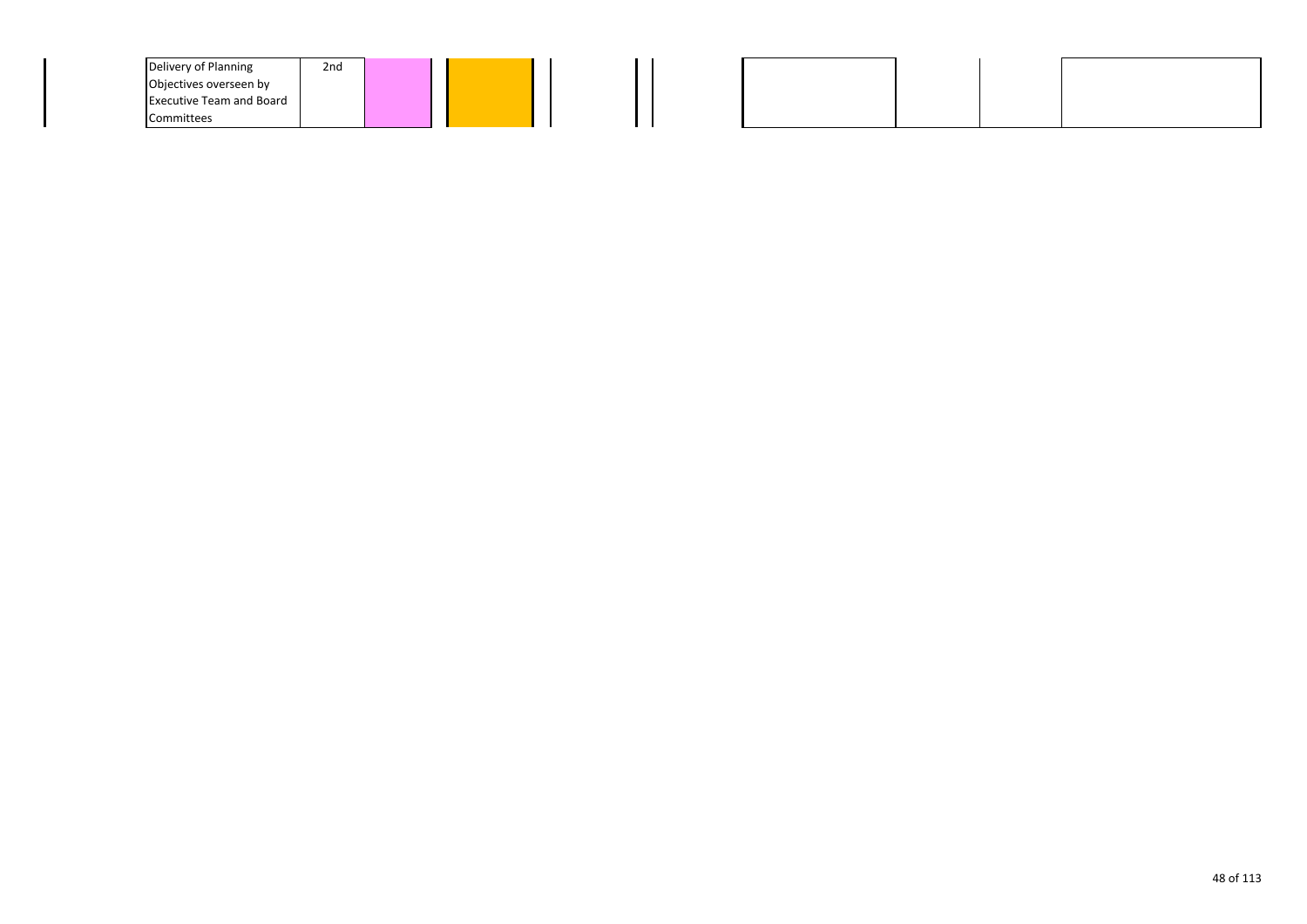| Delivery of Planning            | 2nd |  |  |  |  |
|---------------------------------|-----|--|--|--|--|
| Objectives overseen by          |     |  |  |  |  |
| <b>Executive Team and Board</b> |     |  |  |  |  |
| Committees                      |     |  |  |  |  |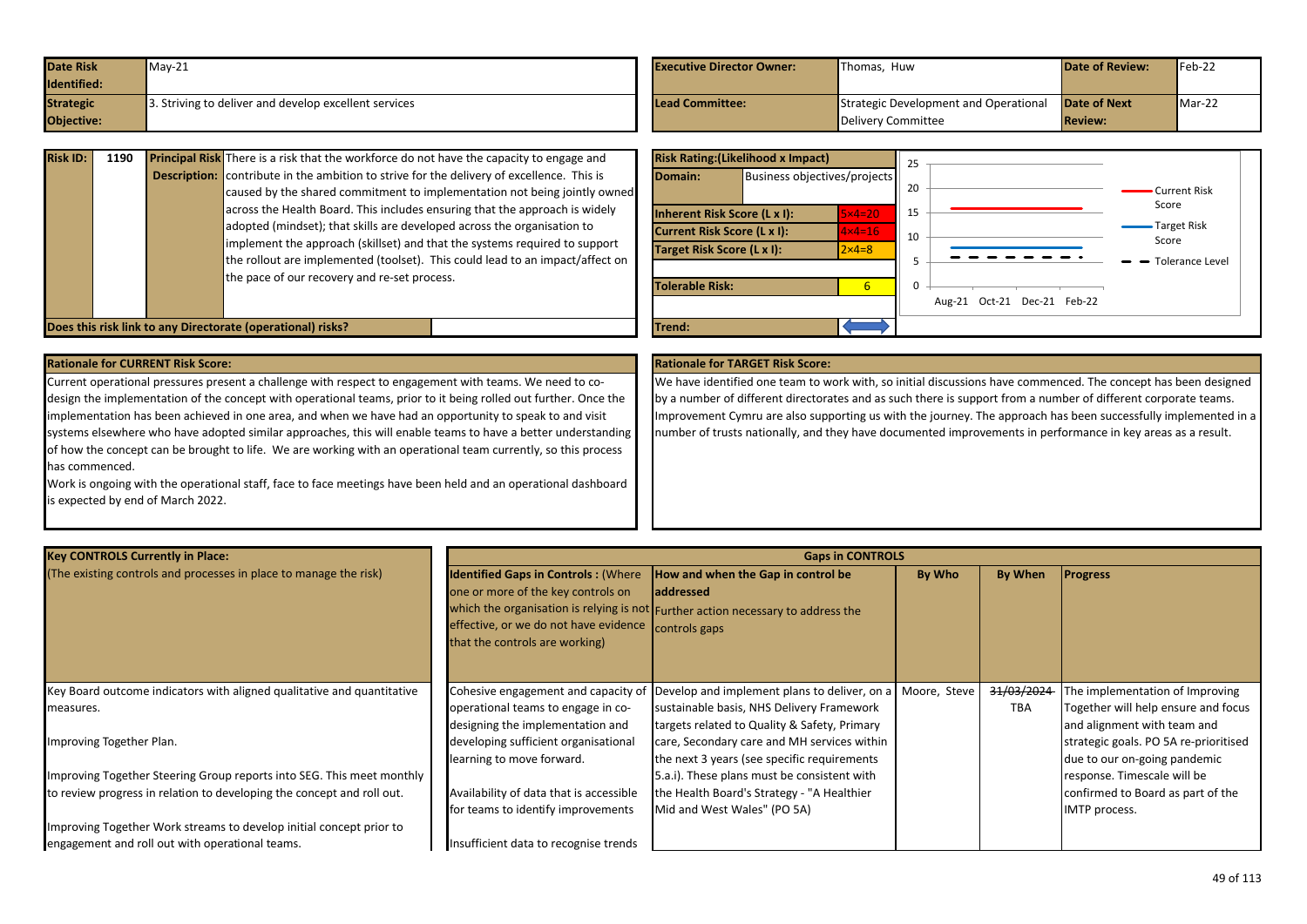| <b>Date Risk</b> | $May-21$                                             | <b>Executive Director Owner:</b> | <b>Thomas. Huw</b>                    | <b>Date of Review:</b> | Feb-22 |
|------------------|------------------------------------------------------|----------------------------------|---------------------------------------|------------------------|--------|
| Identified:      |                                                      |                                  |                                       |                        |        |
| <b>Strategic</b> | . Striving to deliver and develop excellent services | <b>Lead Committee:</b>           | Strategic Development and Operational | <b>Date of Next</b>    | Mar-22 |
| Objective:       |                                                      |                                  | Delivery Committee                    | <b>Review:</b>         |        |

| <b>Risk ID:</b> | 1190 | <b>Principal Risk</b> There is a risk that the workforce do not have the capacity to engage and  |  |
|-----------------|------|--------------------------------------------------------------------------------------------------|--|
|                 |      | <b>Description:</b> contribute in the ambition to strive for the delivery of excellence. This is |  |
|                 |      | caused by the shared commitment to implementation not being jointly owned                        |  |
|                 |      | across the Health Board. This includes ensuring that the approach is widely                      |  |
|                 |      | adopted (mindset); that skills are developed across the organisation to                          |  |
|                 |      | implement the approach (skillset) and that the systems required to support                       |  |
|                 |      | the rollout are implemented (toolset). This could lead to an impact/affect on                    |  |
|                 |      | the pace of our recovery and re-set process.                                                     |  |
|                 |      |                                                                                                  |  |

|                                                  | <b>Risk Rating: (Likelihood x Impact)</b> |                  | 25 |                             |                        |
|--------------------------------------------------|-------------------------------------------|------------------|----|-----------------------------|------------------------|
| Domain:                                          | Business objectives/projects              |                  | 20 |                             | Current Risk           |
|                                                  | Inherent Risk Score (L x I):              | $5\times 4=20$   | 15 |                             | Score                  |
| Current Risk Score (L x I):<br>$4 \times 4 = 16$ |                                           | 10               |    | <b>Target Risk</b><br>Score |                        |
| Target Risk Score (L x I):                       |                                           | $2 \times 4 = 8$ |    |                             |                        |
|                                                  |                                           |                  | 5  |                             | <b>Tolerance Level</b> |
| Tolerable Risk:                                  |                                           | $6\overline{6}$  | 0  |                             |                        |
|                                                  |                                           |                  |    | Aug-21 Oct-21 Dec-21 Feb-22 |                        |
| <b>Trend:</b>                                    |                                           |                  |    |                             |                        |

**Does this risk link to any Directorate (operational) risks?** 

Current operational pressures present a challenge with respect to engagement with teams. We need to codesign the implementation of the concept with operational teams, prior to it being rolled out further. Once the implementation has been achieved in one area, and when we have had an opportunity to speak to and visit systems elsewhere who have adopted similar approaches, this will enable teams to have a better understanding of how the concept can be brought to life. We are working with an operational team currently, so this process has commenced.

Work is ongoing with the operational staff, face to face meetings have been held and an operational dashboard is expected by end of March 2022.

We have identified one team to work with, so initial discussions have commenced. The concept has been designed by a number of different directorates and as such there is support from a number of different corporate teams. Improvement Cymru are also supporting us with the journey. The approach has been successfully implemented in a number of trusts nationally, and they have documented improvements in performance in key areas as a result.

| <b>Key CONTROLS Currently in Place:</b>                                |                                                                                                                                                             | <b>Gaps in CONTROLS</b>                                                                                                                                     |              |            |                                       |  |  |
|------------------------------------------------------------------------|-------------------------------------------------------------------------------------------------------------------------------------------------------------|-------------------------------------------------------------------------------------------------------------------------------------------------------------|--------------|------------|---------------------------------------|--|--|
| (The existing controls and processes in place to manage the risk)      | <b>Identified Gaps in Controls: (Where</b><br>one or more of the key controls on<br>effective, or we do not have evidence<br>that the controls are working) | How and when the Gap in control be<br><b>addressed</b><br>which the organisation is relying is not Further action necessary to address the<br>controls gaps | By Who       | By When    | <b>Progress</b>                       |  |  |
| Key Board outcome indicators with aligned qualitative and quantitative | Cohesive engagement and capacity of                                                                                                                         | Develop and implement plans to deliver, on a                                                                                                                | Moore, Steve | 31/03/2024 | The implementation of Improving       |  |  |
| measures.                                                              | operational teams to engage in co-                                                                                                                          | sustainable basis, NHS Delivery Framework                                                                                                                   |              | <b>TBA</b> | Together will help ensure and focus   |  |  |
|                                                                        | designing the implementation and                                                                                                                            | targets related to Quality & Safety, Primary                                                                                                                |              |            | and alignment with team and           |  |  |
| Improving Together Plan.                                               | developing sufficient organisational                                                                                                                        | care, Secondary care and MH services within                                                                                                                 |              |            | strategic goals. PO 5A re-prioritised |  |  |
|                                                                        | learning to move forward.                                                                                                                                   | the next 3 years (see specific requirements                                                                                                                 |              |            | due to our on-going pandemic          |  |  |
| Improving Together Steering Group reports into SEG. This meet monthly  |                                                                                                                                                             | 5.a.i). These plans must be consistent with                                                                                                                 |              |            | response. Timescale will be           |  |  |
| to review progress in relation to developing the concept and roll out. | Availability of data that is accessible                                                                                                                     | the Health Board's Strategy - "A Healthier                                                                                                                  |              |            | confirmed to Board as part of the     |  |  |
|                                                                        | for teams to identify improvements                                                                                                                          | Mid and West Wales" (PO 5A)                                                                                                                                 |              |            | IMTP process.                         |  |  |
| Improving Together Work streams to develop initial concept prior to    |                                                                                                                                                             |                                                                                                                                                             |              |            |                                       |  |  |
| engagement and roll out with operational teams.                        | Insufficient data to recognise trends                                                                                                                       |                                                                                                                                                             |              |            |                                       |  |  |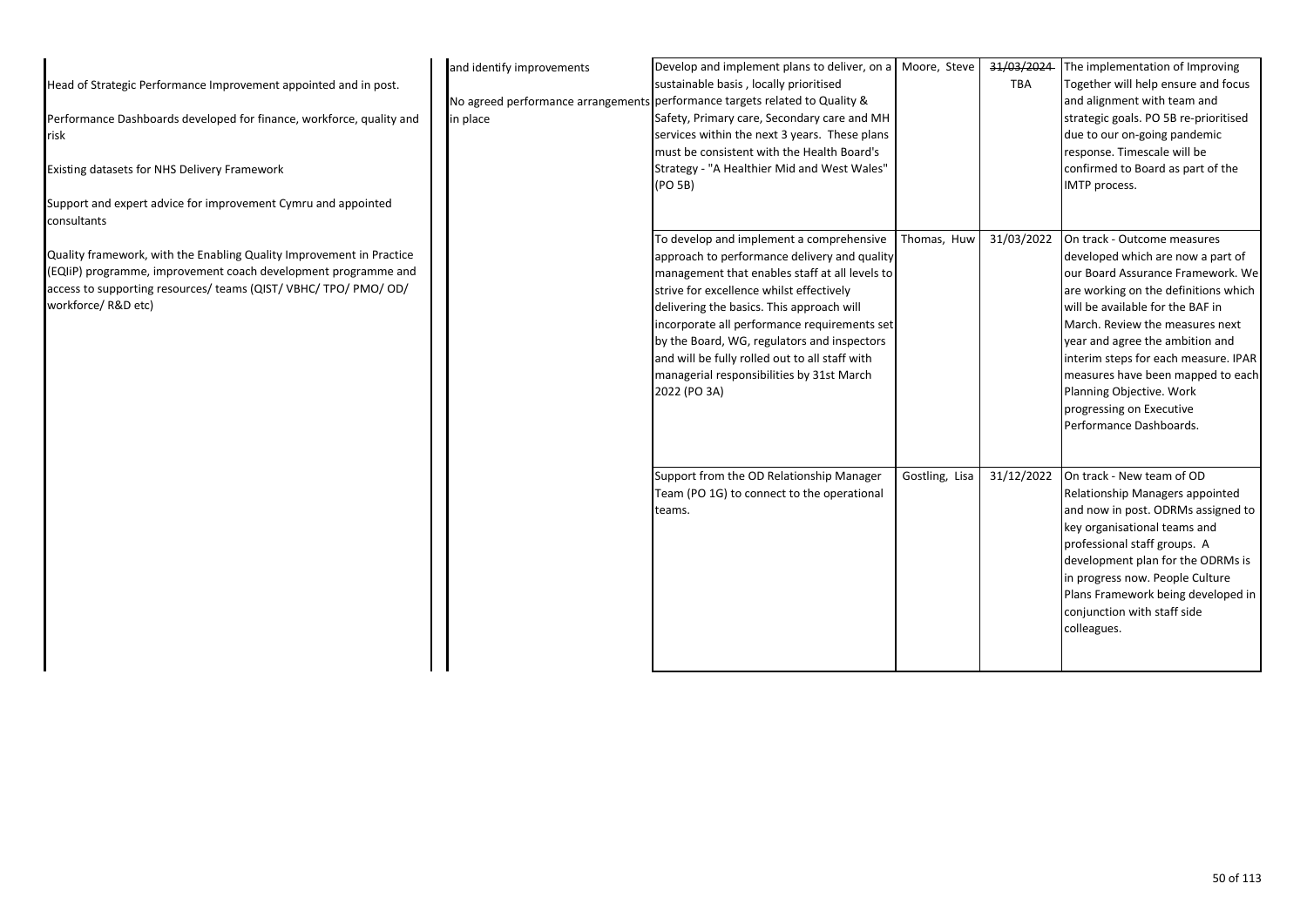|                                                                              | and identify improvements | Develop and implement plans to deliver, on a Moore, Steve                   |                | 31/03/2024 | The implementation of Improving       |
|------------------------------------------------------------------------------|---------------------------|-----------------------------------------------------------------------------|----------------|------------|---------------------------------------|
| Head of Strategic Performance Improvement appointed and in post.             |                           | sustainable basis, locally prioritised                                      |                | <b>TBA</b> | Together will help ensure and focus   |
|                                                                              |                           | No agreed performance arrangements performance targets related to Quality & |                |            | and alignment with team and           |
| Performance Dashboards developed for finance, workforce, quality and         | in place                  | Safety, Primary care, Secondary care and MH                                 |                |            | strategic goals. PO 5B re-prioritised |
| risk                                                                         |                           | services within the next 3 years. These plans                               |                |            | due to our on-going pandemic          |
|                                                                              |                           | must be consistent with the Health Board's                                  |                |            | response. Timescale will be           |
| Existing datasets for NHS Delivery Framework                                 |                           | Strategy - "A Healthier Mid and West Wales"                                 |                |            | confirmed to Board as part of the     |
|                                                                              |                           | (PO 5B)                                                                     |                |            | IMTP process.                         |
| Support and expert advice for improvement Cymru and appointed<br>consultants |                           |                                                                             |                |            |                                       |
|                                                                              |                           | To develop and implement a comprehensive                                    | Thomas, Huw    | 31/03/2022 | On track - Outcome measures           |
| Quality framework, with the Enabling Quality Improvement in Practice         |                           | approach to performance delivery and quality                                |                |            | developed which are now a part of     |
| (EQIIP) programme, improvement coach development programme and               |                           | management that enables staff at all levels to                              |                |            | our Board Assurance Framework. We     |
| access to supporting resources/ teams (QIST/ VBHC/ TPO/ PMO/ OD/             |                           | strive for excellence whilst effectively                                    |                |            | are working on the definitions which  |
| workforce/ R&D etc)                                                          |                           | delivering the basics. This approach will                                   |                |            | will be available for the BAF in      |
|                                                                              |                           | incorporate all performance requirements set                                |                |            | March. Review the measures next       |
|                                                                              |                           | by the Board, WG, regulators and inspectors                                 |                |            | year and agree the ambition and       |
|                                                                              |                           | and will be fully rolled out to all staff with                              |                |            | interim steps for each measure. IPAR  |
|                                                                              |                           | managerial responsibilities by 31st March                                   |                |            | measures have been mapped to each     |
|                                                                              |                           | 2022 (PO 3A)                                                                |                |            | Planning Objective. Work              |
|                                                                              |                           |                                                                             |                |            | progressing on Executive              |
|                                                                              |                           |                                                                             |                |            | Performance Dashboards.               |
|                                                                              |                           |                                                                             |                |            |                                       |
|                                                                              |                           | Support from the OD Relationship Manager                                    | Gostling, Lisa | 31/12/2022 | On track - New team of OD             |
|                                                                              |                           | Team (PO 1G) to connect to the operational                                  |                |            | Relationship Managers appointed       |
|                                                                              |                           | teams.                                                                      |                |            | and now in post. ODRMs assigned to    |
|                                                                              |                           |                                                                             |                |            | key organisational teams and          |
|                                                                              |                           |                                                                             |                |            | professional staff groups. A          |
|                                                                              |                           |                                                                             |                |            | development plan for the ODRMs is     |
|                                                                              |                           |                                                                             |                |            | in progress now. People Culture       |
|                                                                              |                           |                                                                             |                |            | Plans Framework being developed in    |
|                                                                              |                           |                                                                             |                |            | conjunction with staff side           |
|                                                                              |                           |                                                                             |                |            | colleagues.                           |
|                                                                              |                           |                                                                             |                |            |                                       |
|                                                                              |                           |                                                                             |                |            |                                       |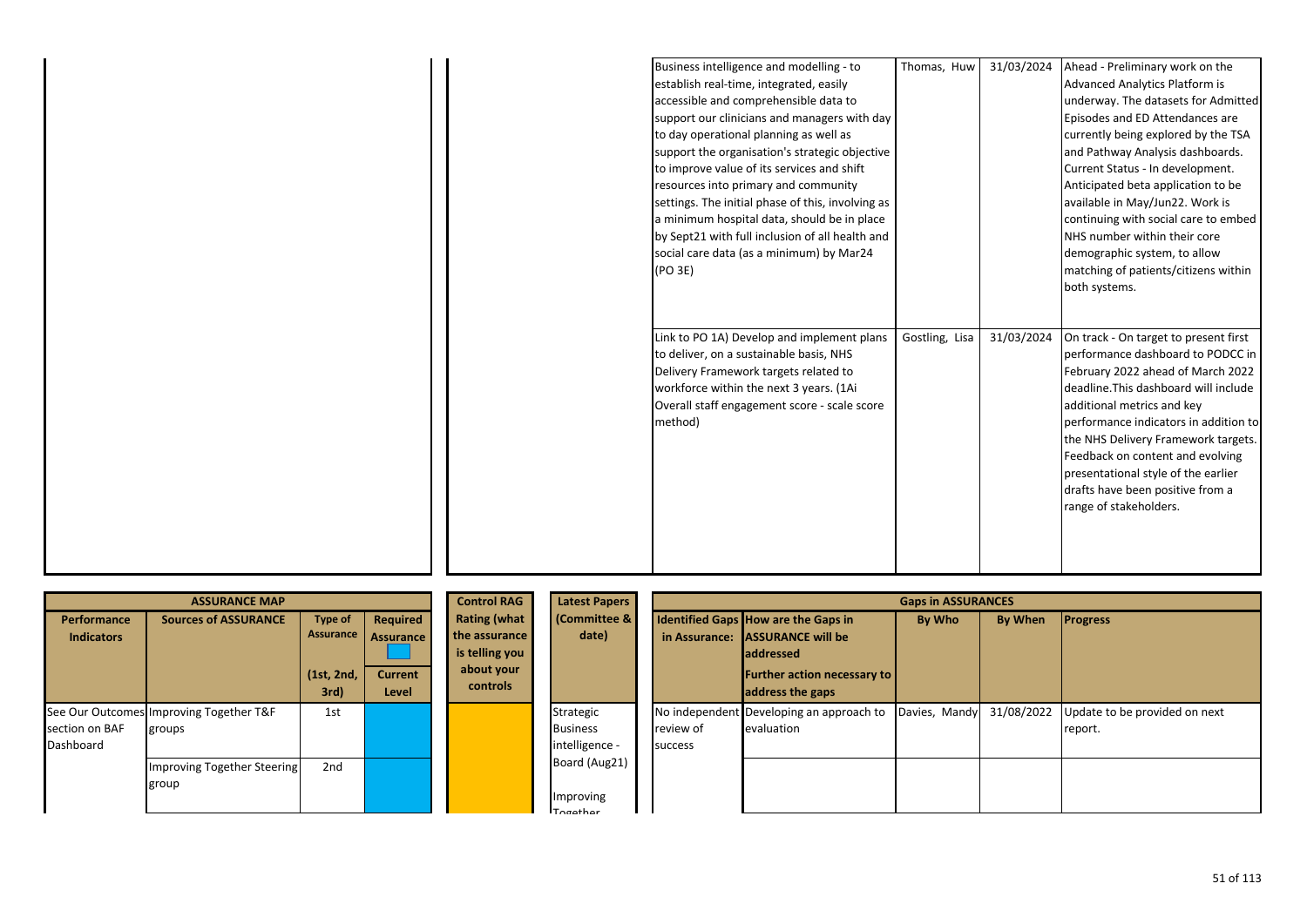| Business intelligence and modelling - to          | Thomas, Huw    | 31/03/2024 | Ahead - Preliminary work on the       |
|---------------------------------------------------|----------------|------------|---------------------------------------|
| establish real-time, integrated, easily           |                |            | Advanced Analytics Platform is        |
| accessible and comprehensible data to             |                |            | underway. The datasets for Admitted   |
| support our clinicians and managers with day      |                |            | Episodes and ED Attendances are       |
| to day operational planning as well as            |                |            | currently being explored by the TSA   |
| support the organisation's strategic objective    |                |            | and Pathway Analysis dashboards.      |
| to improve value of its services and shift        |                |            | Current Status - In development.      |
| resources into primary and community              |                |            | Anticipated beta application to be    |
| settings. The initial phase of this, involving as |                |            | available in May/Jun22. Work is       |
| a minimum hospital data, should be in place       |                |            | continuing with social care to embed  |
| by Sept21 with full inclusion of all health and   |                |            | NHS number within their core          |
| social care data (as a minimum) by Mar24          |                |            | demographic system, to allow          |
| (PO 3E)                                           |                |            | matching of patients/citizens within  |
|                                                   |                |            | both systems.                         |
|                                                   |                |            |                                       |
|                                                   |                |            |                                       |
| Link to PO 1A) Develop and implement plans        | Gostling, Lisa | 31/03/2024 | On track - On target to present first |
| to deliver, on a sustainable basis, NHS           |                |            | performance dashboard to PODCC in     |
| Delivery Framework targets related to             |                |            | February 2022 ahead of March 2022     |
| workforce within the next 3 years. (1Ai           |                |            | deadline. This dashboard will include |
| Overall staff engagement score - scale score      |                |            | additional metrics and key            |
| method)                                           |                |            | performance indicators in addition to |
|                                                   |                |            | the NHS Delivery Framework targets.   |
|                                                   |                |            | Feedback on content and evolving      |
|                                                   |                |            | presentational style of the earlier   |
|                                                   |                |            | drafts have been positive from a      |
|                                                   |                |            | range of stakeholders.                |
|                                                   |                |            |                                       |
|                                                   |                |            |                                       |
|                                                   |                |            |                                       |
|                                                   |                |            |                                       |

|                                  | <b>ASSURANCE MAP</b>                              |                                           |                                                | <b>Control RAG</b>                                                               | <b>Latest Papers</b>                           |                      |                                                                                                                            | <b>Gaps in ASSURANCES</b> |                |                                          |
|----------------------------------|---------------------------------------------------|-------------------------------------------|------------------------------------------------|----------------------------------------------------------------------------------|------------------------------------------------|----------------------|----------------------------------------------------------------------------------------------------------------------------|---------------------------|----------------|------------------------------------------|
| Performance<br><b>Indicators</b> | <b>Sources of ASSURANCE</b>                       | <b>Type of</b><br>Assurance<br>(1st, 2nd, | Required<br><b>Assurance</b><br><b>Current</b> | <b>Rating (what</b><br>the assurance<br>is telling you<br>about your<br>controls | (Committee &<br>date)                          |                      | Identified Gaps How are the Gaps in<br>in Assurance: ASSURANCE will be<br>laddressed<br><b>Further action necessary to</b> | By Who                    | <b>By When</b> | <b>Progress</b>                          |
| section on BAF<br>Dashboard      | See Our Outcomes Improving Together T&F<br>groups | 3rd)<br>1st                               | Level                                          |                                                                                  | Strategic<br><b>Business</b><br>intelligence - | review of<br>success | address the gaps<br>No independent Developing an approach to<br>evaluation                                                 | Davies, Mandy             | 31/08/2022     | Update to be provided on next<br>report. |
|                                  | Improving Together Steering<br>group              | 2 <sub>nd</sub>                           |                                                |                                                                                  | Board (Aug21)<br>Improving<br>$Trag$           |                      |                                                                                                                            |                           |                |                                          |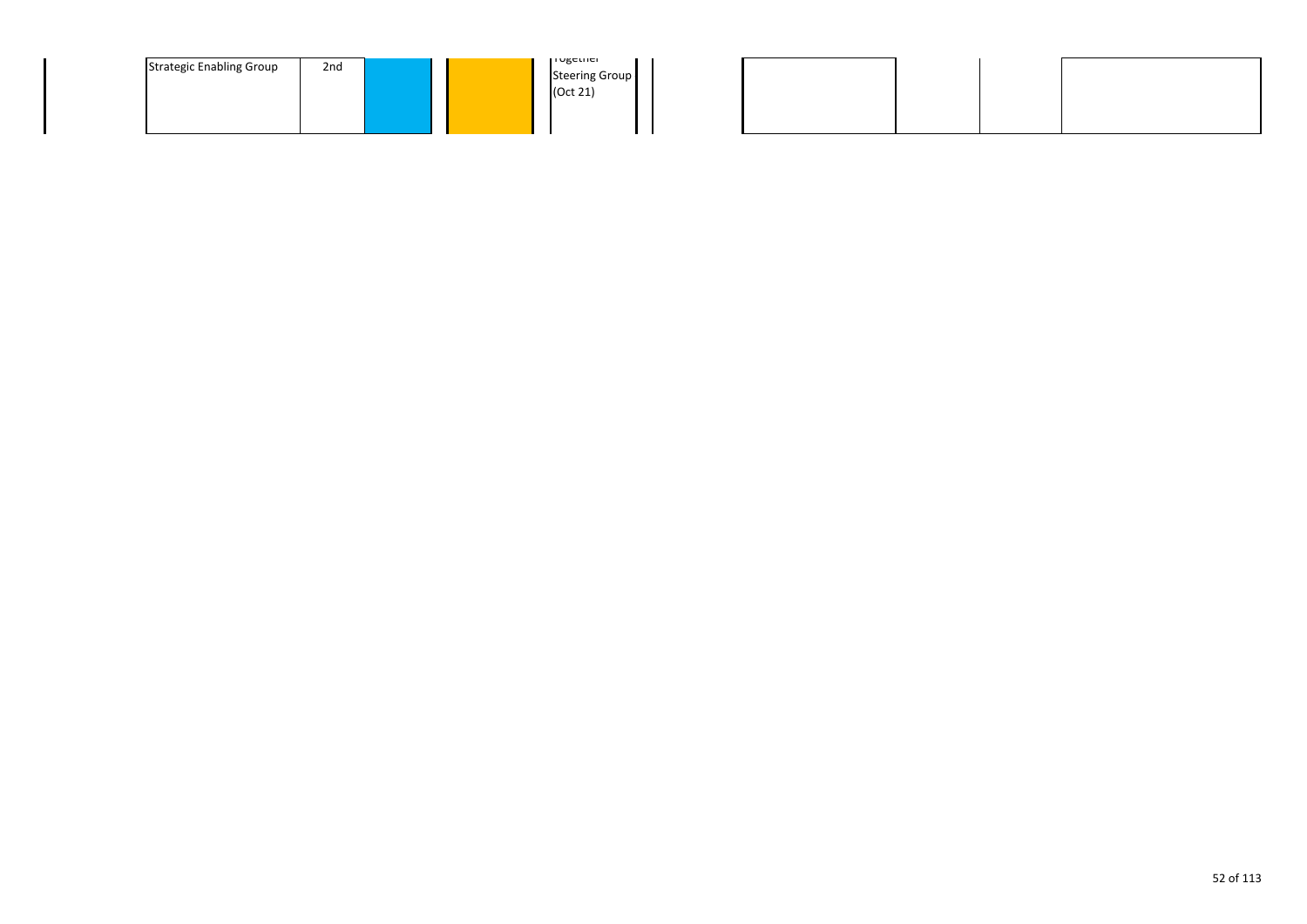| <b>Strategic Enabling Group</b> | 2 <sub>nd</sub> |  |  | TURCUICI<br><b>Steering Group</b><br>(Oct 21) |
|---------------------------------|-----------------|--|--|-----------------------------------------------|
|---------------------------------|-----------------|--|--|-----------------------------------------------|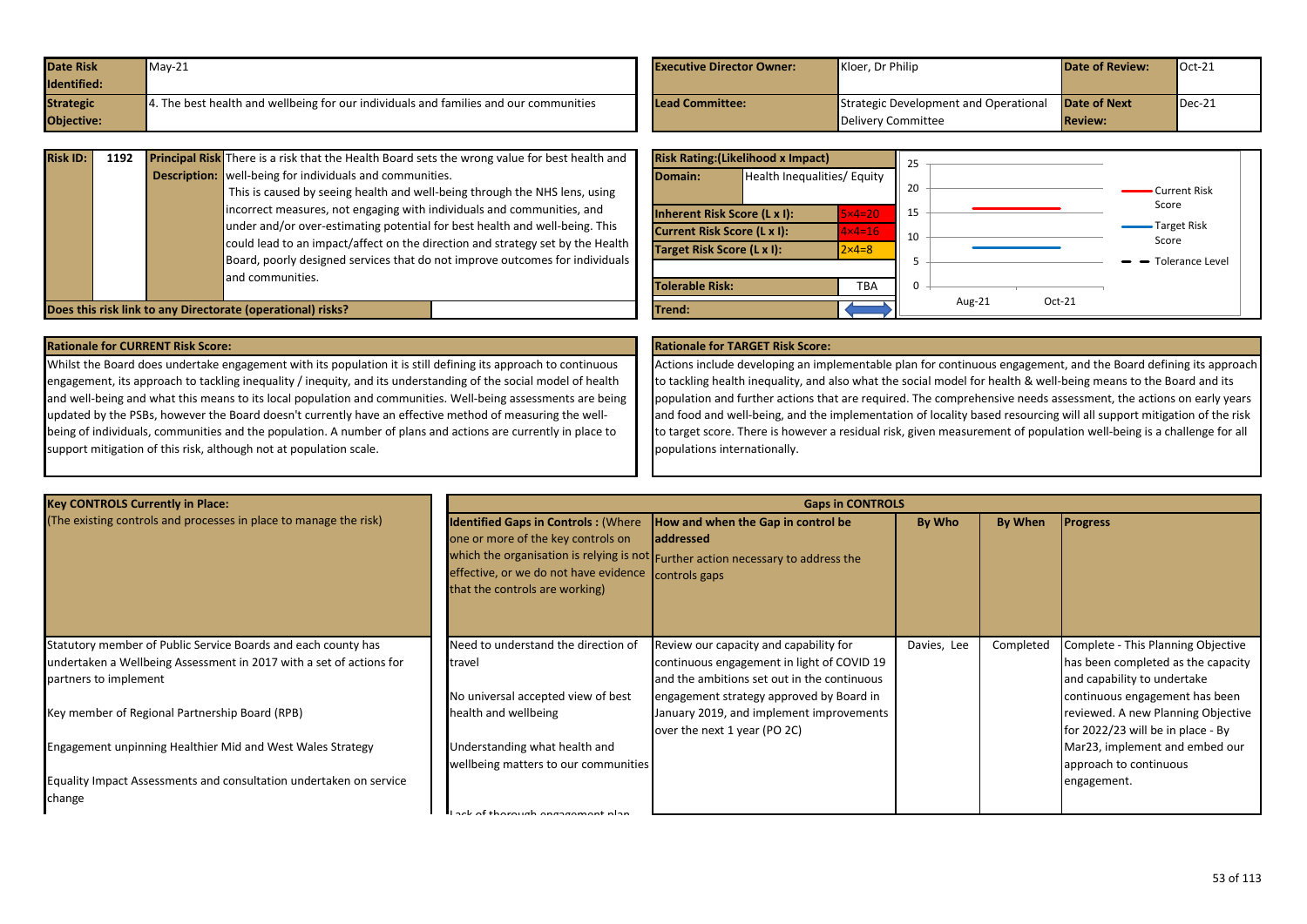| <b>Date Risk</b> | $May-21$                                                                                             | <b>Executive Director Owner:</b> | Kloer. Dr Philip                             | <b>Date of Review:</b> | $Oct-21$              |
|------------------|------------------------------------------------------------------------------------------------------|----------------------------------|----------------------------------------------|------------------------|-----------------------|
| Identified:      |                                                                                                      |                                  |                                              |                        |                       |
| <b>Strategic</b> | $\blacksquare$ 4. The best health and wellbeing for our individuals and families and our communities | <b>Lead Committee:</b>           | <b>Strategic Development and Operational</b> | Date of Next           | $\blacksquare$ Dec-21 |
| Objective:       |                                                                                                      |                                  | Delivery Committee                           | <b>Review:</b>         |                       |

| <b>Risk ID:</b> | 1192 | <b>Principal Risk</b> There is a risk that the Health Board sets the wrong value for best health and<br><b>Description:</b> well-being for individuals and communities.<br>This is caused by seeing health and well-being through the NHS lens, using<br>incorrect measures, not engaging with individuals and communities, and<br>under and/or over-estimating potential for best health and well-being. This<br>could lead to an impact/affect on the direction and strategy set by the Health |
|-----------------|------|--------------------------------------------------------------------------------------------------------------------------------------------------------------------------------------------------------------------------------------------------------------------------------------------------------------------------------------------------------------------------------------------------------------------------------------------------------------------------------------------------|
|                 |      | Board, poorly designed services that do not improve outcomes for individuals<br>and communities.<br>Does this risk link to any Directorate (operational) risks?                                                                                                                                                                                                                                                                                                                                  |

|                                          | <b>Risk Rating: (Likelihood x Impact)</b> |                   | 25 |           |          |                        |
|------------------------------------------|-------------------------------------------|-------------------|----|-----------|----------|------------------------|
| Domain:                                  | Health Inequalities/ Equity               |                   | 20 |           |          | • Current Risk         |
| Inherent Risk Score (L x I):<br>$5x4=20$ |                                           | 15                |    |           | Score    |                        |
|                                          | Current Risk Score (L x I):               | $4 \times 4 = 16$ | 10 |           |          | • Target Risk<br>Score |
| Target Risk Score (L x I):               |                                           | $2 \times 4 = 8$  |    |           |          |                        |
|                                          |                                           |                   | 5  |           |          | - Tolerance Level      |
| <b>Tolerable Risk:</b>                   |                                           | <b>TBA</b>        | 0  |           |          |                        |
| Trend:                                   |                                           |                   |    | Aug- $21$ | $Oct-21$ |                        |

Whilst the Board does undertake engagement with its population it is still defining its approach to continuous engagement, its approach to tackling inequality / inequity, and its understanding of the social model of health and well-being and what this means to its local population and communities. Well-being assessments are being updated by the PSBs, however the Board doesn't currently have an effective method of measuring the wellbeing of individuals, communities and the population. A number of plans and actions are currently in place to support mitigation of this risk, although not at population scale.

Actions include developing an implementable plan for continuous engagement, and the Board defining its approach to tackling health inequality, and also what the social model for health & well-being means to the Board and its population and further actions that are required. The comprehensive needs assessment, the actions on early years and food and well-being, and the implementation of locality based resourcing will all support mitigation of the risk to target score. There is however a residual risk, given measurement of population well-being is a challenge for all populations internationally.

| <b>Key CONTROLS Currently in Place:</b>                             | <b>Gaps in CONTROLS</b>                                                                                                                                                   |                                                                                                                                      |             |           |                                    |
|---------------------------------------------------------------------|---------------------------------------------------------------------------------------------------------------------------------------------------------------------------|--------------------------------------------------------------------------------------------------------------------------------------|-------------|-----------|------------------------------------|
| (The existing controls and processes in place to manage the risk)   | <b>Identified Gaps in Controls: (Where</b><br>one or more of the key controls on<br>effective, or we do not have evidence controls gaps<br>that the controls are working) | How and when the Gap in control be<br>laddressed<br>which the organisation is relying is not Further action necessary to address the | By Who      | By When   | <b>Progress</b>                    |
| Statutory member of Public Service Boards and each county has       | Need to understand the direction of                                                                                                                                       | Review our capacity and capability for                                                                                               | Davies, Lee | Completed | Complete - This Planning Objective |
| undertaken a Wellbeing Assessment in 2017 with a set of actions for | travel                                                                                                                                                                    | continuous engagement in light of COVID 19                                                                                           |             |           | has been completed as the capacity |
| partners to implement                                               |                                                                                                                                                                           | and the ambitions set out in the continuous                                                                                          |             |           | and capability to undertake        |
|                                                                     | No universal accepted view of best                                                                                                                                        | engagement strategy approved by Board in                                                                                             |             |           | continuous engagement has been     |
| Key member of Regional Partnership Board (RPB)                      | health and wellbeing                                                                                                                                                      | January 2019, and implement improvements                                                                                             |             |           | reviewed. A new Planning Objective |
|                                                                     |                                                                                                                                                                           | over the next 1 year (PO 2C)                                                                                                         |             |           | for 2022/23 will be in place - By  |
| Engagement unpinning Healthier Mid and West Wales Strategy          | Understanding what health and                                                                                                                                             |                                                                                                                                      |             |           | Mar23, implement and embed our     |
|                                                                     | wellbeing matters to our communities                                                                                                                                      |                                                                                                                                      |             |           | approach to continuous             |
| Equality Impact Assessments and consultation undertaken on service  |                                                                                                                                                                           |                                                                                                                                      |             |           | engagement.                        |
| change                                                              |                                                                                                                                                                           |                                                                                                                                      |             |           |                                    |
|                                                                     | ack of thorough angagoment plan                                                                                                                                           |                                                                                                                                      |             |           |                                    |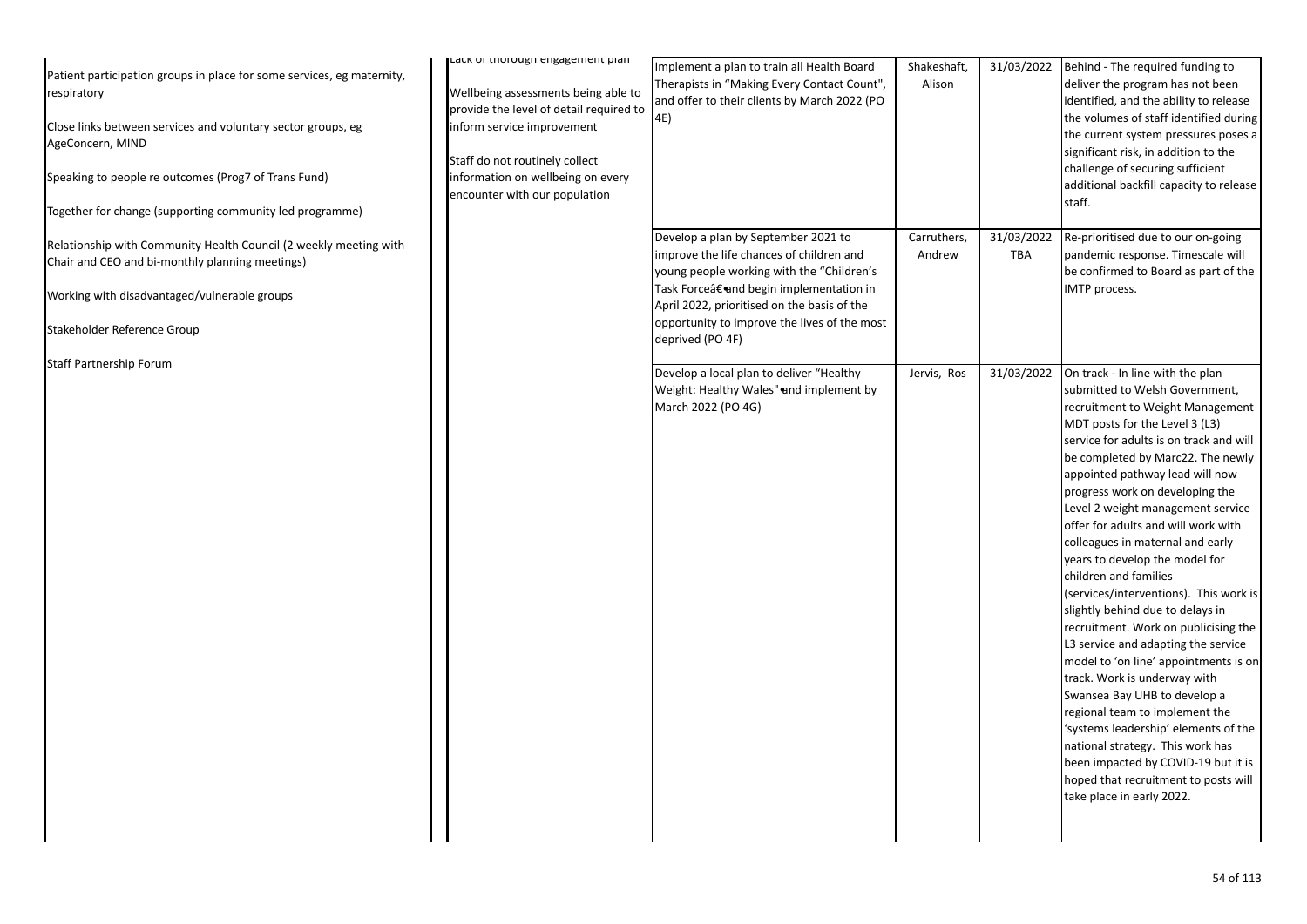| Patient participation groups in place for some services, eg maternity,<br>respiratory<br>Close links between services and voluntary sector groups, eg<br>AgeConcern, MIND<br>Speaking to people re outcomes (Prog7 of Trans Fund)<br>Together for change (supporting community led programme)<br>Relationship with Community Health Council (2 weekly meeting with<br>Chair and CEO and bi-monthly planning meetings)<br>Working with disadvantaged/vulnerable groups<br>Stakeholder Reference Group | Laux or thorough engagement plan<br>Wellbeing assessments being able to<br>provide the level of detail required to<br>inform service improvement<br>Staff do not routinely collect<br>information on wellbeing on every<br>encounter with our population | Implement a plan to train all Health Board<br>Therapists in "Making Every Contact Count",<br>and offer to their clients by March 2022 (PO<br>4E)<br>Develop a plan by September 2021 to<br>improve the life chances of children and<br>young people working with the "Children's<br>Task Force†and begin implementation in<br>April 2022, prioritised on the basis of the<br>opportunity to improve the lives of the most<br>deprived (PO 4F) | Shakeshaft,<br>Alison<br>Carruthers,<br>Andrew | 31/03/2022<br>31/03/2022<br>TBA | Behind - The required funding to<br>deliver the program has not been<br>identified, and the ability to release<br>the volumes of staff identified during<br>the current system pressures poses a<br>significant risk, in addition to the<br>challenge of securing sufficient<br>additional backfill capacity to release<br>staff.<br>Re-prioritised due to our on-going<br>pandemic response. Timescale will<br>be confirmed to Board as part of the<br>IMTP process.                                                                                                                                                                                                                                                                                                                                                                                                                                                                                                     |
|------------------------------------------------------------------------------------------------------------------------------------------------------------------------------------------------------------------------------------------------------------------------------------------------------------------------------------------------------------------------------------------------------------------------------------------------------------------------------------------------------|----------------------------------------------------------------------------------------------------------------------------------------------------------------------------------------------------------------------------------------------------------|-----------------------------------------------------------------------------------------------------------------------------------------------------------------------------------------------------------------------------------------------------------------------------------------------------------------------------------------------------------------------------------------------------------------------------------------------|------------------------------------------------|---------------------------------|---------------------------------------------------------------------------------------------------------------------------------------------------------------------------------------------------------------------------------------------------------------------------------------------------------------------------------------------------------------------------------------------------------------------------------------------------------------------------------------------------------------------------------------------------------------------------------------------------------------------------------------------------------------------------------------------------------------------------------------------------------------------------------------------------------------------------------------------------------------------------------------------------------------------------------------------------------------------------|
| Staff Partnership Forum                                                                                                                                                                                                                                                                                                                                                                                                                                                                              |                                                                                                                                                                                                                                                          | Develop a local plan to deliver "Healthy<br>Weight: Healthy Wales" and implement by<br>March 2022 (PO 4G)                                                                                                                                                                                                                                                                                                                                     | Jervis, Ros                                    | 31/03/2022                      | On track - In line with the plan<br>submitted to Welsh Government,<br>recruitment to Weight Management<br>MDT posts for the Level 3 (L3)<br>service for adults is on track and will<br>be completed by Marc22. The newly<br>appointed pathway lead will now<br>progress work on developing the<br>Level 2 weight management service<br>offer for adults and will work with<br>colleagues in maternal and early<br>years to develop the model for<br>children and families<br>(services/interventions). This work is<br>slightly behind due to delays in<br>recruitment. Work on publicising the<br>L3 service and adapting the service<br>model to 'on line' appointments is on<br>track. Work is underway with<br>Swansea Bay UHB to develop a<br>regional team to implement the<br>'systems leadership' elements of the<br>national strategy. This work has<br>been impacted by COVID-19 but it is<br>hoped that recruitment to posts will<br>take place in early 2022. |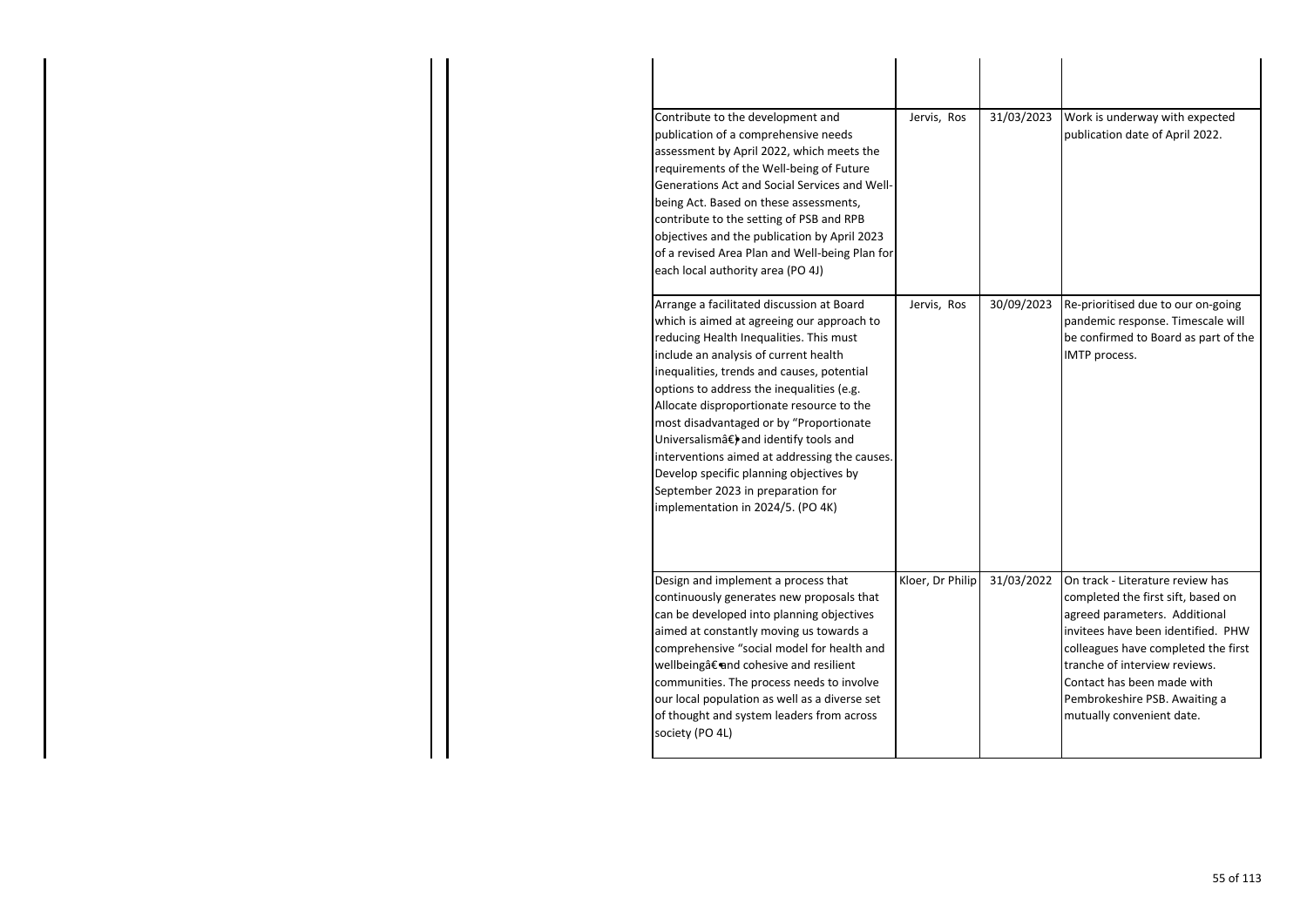| Contribute to the development and<br>publication of a comprehensive needs<br>assessment by April 2022, which meets the<br>requirements of the Well-being of Future<br>Generations Act and Social Services and Well-<br>being Act. Based on these assessments,<br>contribute to the setting of PSB and RPB<br>objectives and the publication by April 2023<br>of a revised Area Plan and Well-being Plan for<br>each local authority area (PO 4J)                                                                                                                               | Jervis, Ros      | 31/03/2023 | Work is underway with expected<br>publication date of April 2022.                                                                                                                                                                                                                                                 |
|--------------------------------------------------------------------------------------------------------------------------------------------------------------------------------------------------------------------------------------------------------------------------------------------------------------------------------------------------------------------------------------------------------------------------------------------------------------------------------------------------------------------------------------------------------------------------------|------------------|------------|-------------------------------------------------------------------------------------------------------------------------------------------------------------------------------------------------------------------------------------------------------------------------------------------------------------------|
| Arrange a facilitated discussion at Board<br>which is aimed at agreeing our approach to<br>reducing Health Inequalities. This must<br>include an analysis of current health<br>inequalities, trends and causes, potential<br>options to address the inequalities (e.g.<br>Allocate disproportionate resource to the<br>most disadvantaged or by "Proportionate<br>Universalismâ€) and identify tools and<br>interventions aimed at addressing the causes.<br>Develop specific planning objectives by<br>September 2023 in preparation for<br>implementation in 2024/5. (PO 4K) | Jervis, Ros      | 30/09/2023 | Re-prioritised due to our on-going<br>pandemic response. Timescale will<br>be confirmed to Board as part of the<br>IMTP process.                                                                                                                                                                                  |
| Design and implement a process that<br>continuously generates new proposals that<br>can be developed into planning objectives<br>aimed at constantly moving us towards a<br>comprehensive "social model for health and<br>wellbeing†and cohesive and resilient<br>communities. The process needs to involve<br>our local population as well as a diverse set<br>of thought and system leaders from across<br>society (PO 4L)                                                                                                                                                   | Kloer, Dr Philip | 31/03/2022 | On track - Literature review has<br>completed the first sift, based on<br>agreed parameters. Additional<br>invitees have been identified. PHW<br>colleagues have completed the first<br>tranche of interview reviews.<br>Contact has been made with<br>Pembrokeshire PSB. Awaiting a<br>mutually convenient date. |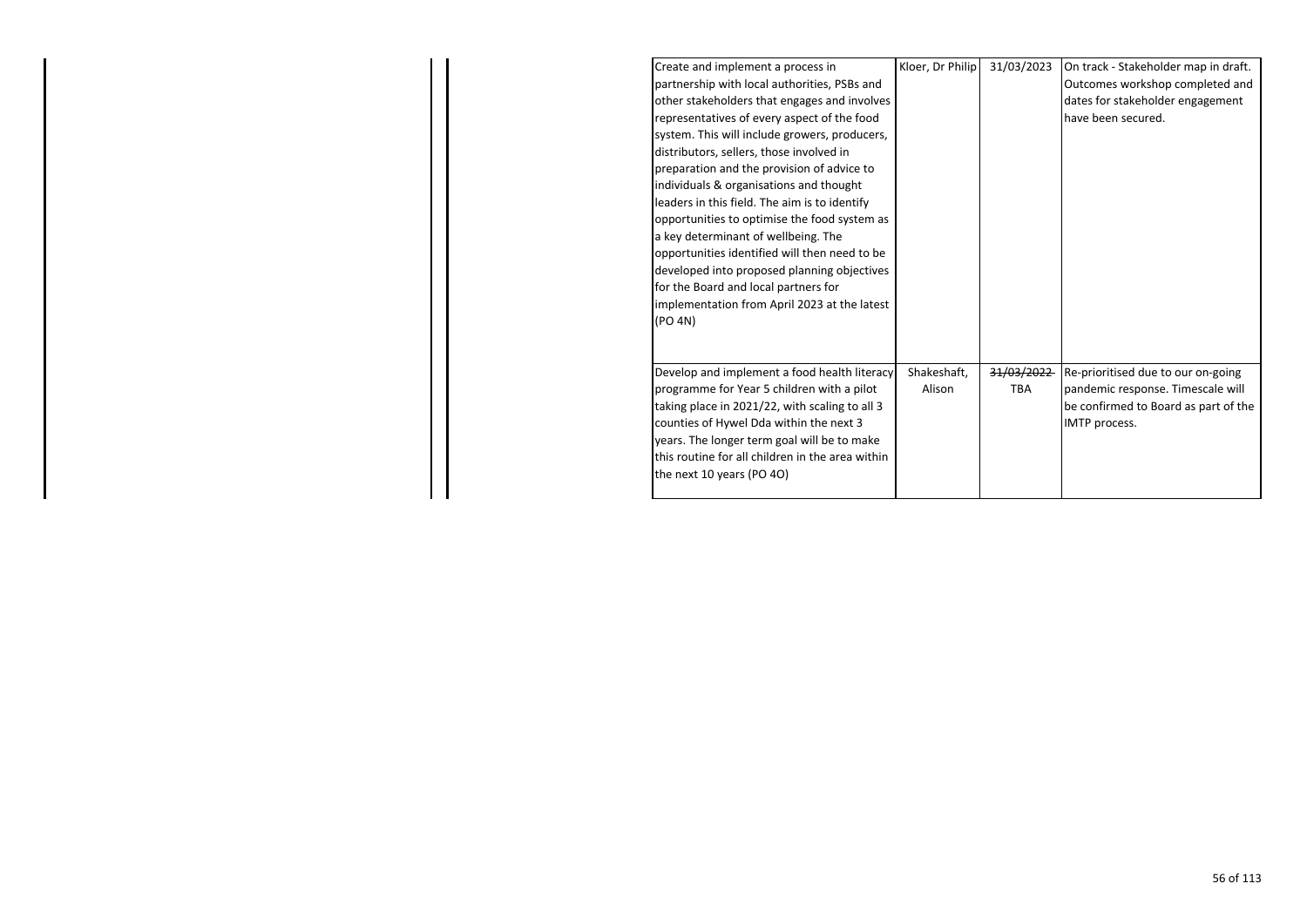| Create and implement a process in                | Kloer, Dr Philip | 31/03/2023 | On track - Stakeholder map in draft. |
|--------------------------------------------------|------------------|------------|--------------------------------------|
| partnership with local authorities, PSBs and     |                  |            | Outcomes workshop completed and      |
| other stakeholders that engages and involves     |                  |            | dates for stakeholder engagement     |
| representatives of every aspect of the food      |                  |            | have been secured.                   |
| system. This will include growers, producers,    |                  |            |                                      |
| distributors, sellers, those involved in         |                  |            |                                      |
| preparation and the provision of advice to       |                  |            |                                      |
| individuals & organisations and thought          |                  |            |                                      |
| leaders in this field. The aim is to identify    |                  |            |                                      |
| opportunities to optimise the food system as     |                  |            |                                      |
| a key determinant of wellbeing. The              |                  |            |                                      |
| opportunities identified will then need to be    |                  |            |                                      |
| developed into proposed planning objectives      |                  |            |                                      |
| for the Board and local partners for             |                  |            |                                      |
| implementation from April 2023 at the latest     |                  |            |                                      |
| (PO 4N)                                          |                  |            |                                      |
|                                                  |                  |            |                                      |
|                                                  |                  |            |                                      |
| Develop and implement a food health literacy     | Shakeshaft,      | 31/03/2022 | Re-prioritised due to our on-going   |
| programme for Year 5 children with a pilot       | Alison           | TBA        | pandemic response. Timescale will    |
| taking place in 2021/22, with scaling to all 3   |                  |            | be confirmed to Board as part of the |
| counties of Hywel Dda within the next 3          |                  |            | IMTP process.                        |
| years. The longer term goal will be to make      |                  |            |                                      |
| this routine for all children in the area within |                  |            |                                      |
| the next 10 years (PO 4O)                        |                  |            |                                      |
|                                                  |                  |            |                                      |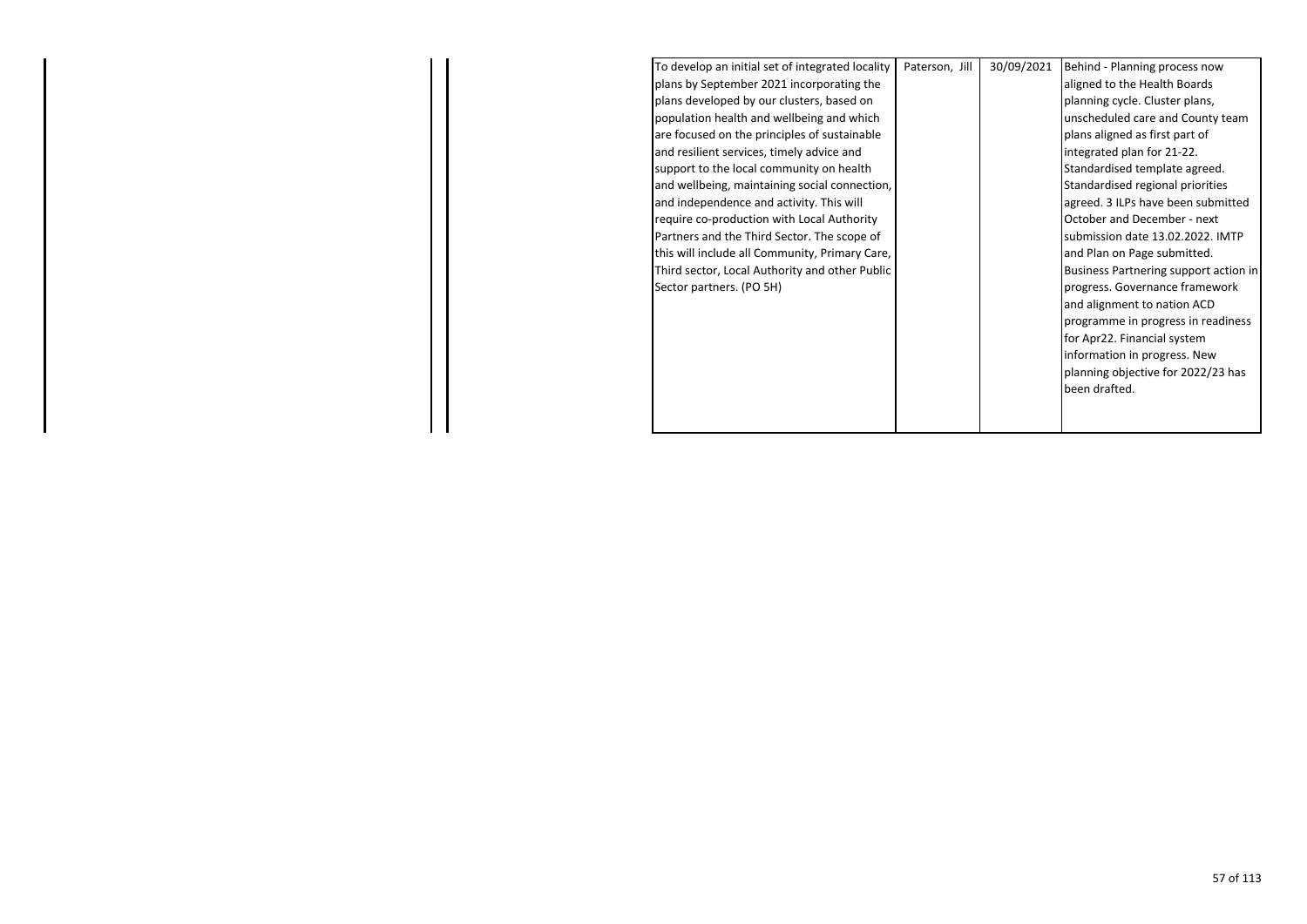| To develop an initial set of integrated locality<br>plans by September 2021 incorporating the<br>plans developed by our clusters, based on | Paterson, Jill | 30/09/2021 | Behind - Planning process now<br>aligned to the Health Boards |
|--------------------------------------------------------------------------------------------------------------------------------------------|----------------|------------|---------------------------------------------------------------|
|                                                                                                                                            |                |            |                                                               |
|                                                                                                                                            |                |            |                                                               |
|                                                                                                                                            |                |            | planning cycle. Cluster plans,                                |
| population health and wellbeing and which                                                                                                  |                |            | unscheduled care and County team                              |
| are focused on the principles of sustainable                                                                                               |                |            | plans aligned as first part of                                |
| and resilient services, timely advice and                                                                                                  |                |            | integrated plan for 21-22.                                    |
| support to the local community on health                                                                                                   |                |            | Standardised template agreed.                                 |
| and wellbeing, maintaining social connection,                                                                                              |                |            | Standardised regional priorities                              |
| and independence and activity. This will                                                                                                   |                |            | agreed. 3 ILPs have been submitted                            |
| require co-production with Local Authority                                                                                                 |                |            | October and December - next                                   |
| Partners and the Third Sector. The scope of                                                                                                |                |            | submission date 13.02.2022. IMTP                              |
| this will include all Community, Primary Care,                                                                                             |                |            | and Plan on Page submitted.                                   |
| Third sector, Local Authority and other Public                                                                                             |                |            | Business Partnering support action in                         |
| Sector partners. (PO 5H)                                                                                                                   |                |            | progress. Governance framework                                |
|                                                                                                                                            |                |            | and alignment to nation ACD                                   |
|                                                                                                                                            |                |            | programme in progress in readiness                            |
|                                                                                                                                            |                |            | for Apr22. Financial system                                   |
|                                                                                                                                            |                |            | information in progress. New                                  |
|                                                                                                                                            |                |            | planning objective for 2022/23 has                            |
|                                                                                                                                            |                |            | been drafted.                                                 |
|                                                                                                                                            |                |            |                                                               |
|                                                                                                                                            |                |            |                                                               |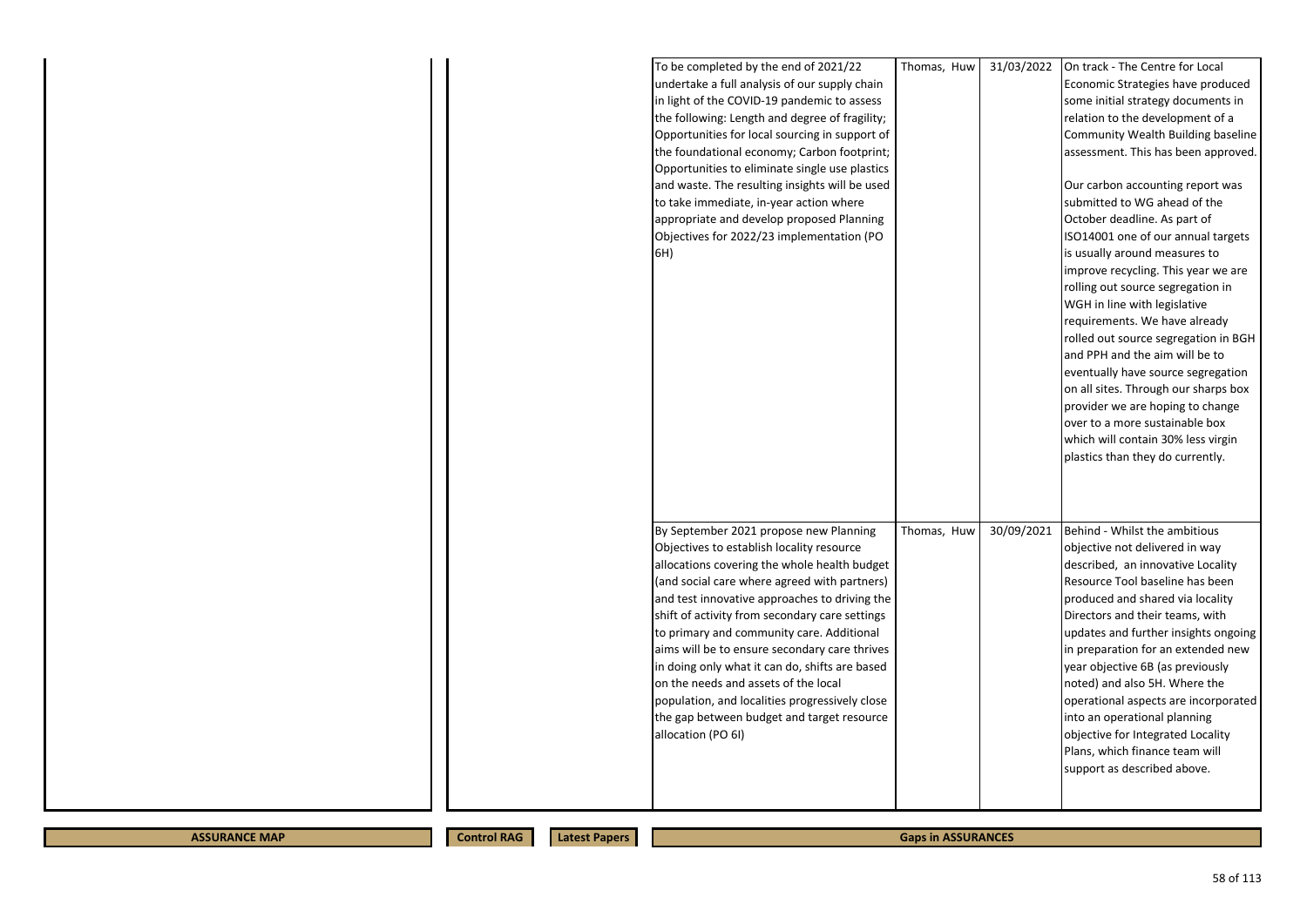| To be completed by the end of 2021/22<br>undertake a full analysis of our supply chain<br>in light of the COVID-19 pandemic to assess<br>the following: Length and degree of fragility;<br>Opportunities for local sourcing in support of<br>the foundational economy; Carbon footprint;<br>Opportunities to eliminate single use plastics<br>and waste. The resulting insights will be used<br>to take immediate, in-year action where<br>appropriate and develop proposed Planning<br>Objectives for 2022/23 implementation (PO<br>6H)                                                             | Thomas, Huw | 31/03/2022 | On track - The Centre for Local<br>Economic Strategies have produced<br>some initial strategy documents in<br>relation to the development of a<br>Community Wealth Building baseline<br>assessment. This has been approved.<br>Our carbon accounting report was<br>submitted to WG ahead of the<br>October deadline. As part of<br>ISO14001 one of our annual targets<br>is usually around measures to<br>improve recycling. This year we are<br>rolling out source segregation in<br>WGH in line with legislative<br>requirements. We have already<br>rolled out source segregation in BGH<br>and PPH and the aim will be to<br>eventually have source segregation<br>on all sites. Through our sharps box<br>provider we are hoping to change<br>over to a more sustainable box<br>which will contain 30% less virgin<br>plastics than they do currently. |
|------------------------------------------------------------------------------------------------------------------------------------------------------------------------------------------------------------------------------------------------------------------------------------------------------------------------------------------------------------------------------------------------------------------------------------------------------------------------------------------------------------------------------------------------------------------------------------------------------|-------------|------------|-------------------------------------------------------------------------------------------------------------------------------------------------------------------------------------------------------------------------------------------------------------------------------------------------------------------------------------------------------------------------------------------------------------------------------------------------------------------------------------------------------------------------------------------------------------------------------------------------------------------------------------------------------------------------------------------------------------------------------------------------------------------------------------------------------------------------------------------------------------|
| By September 2021 propose new Planning<br>Objectives to establish locality resource<br>allocations covering the whole health budget<br>(and social care where agreed with partners)<br>and test innovative approaches to driving the<br>shift of activity from secondary care settings<br>to primary and community care. Additional<br>aims will be to ensure secondary care thrives<br>in doing only what it can do, shifts are based<br>on the needs and assets of the local<br>population, and localities progressively close<br>the gap between budget and target resource<br>allocation (PO 6I) | Thomas, Huw | 30/09/2021 | Behind - Whilst the ambitious<br>objective not delivered in way<br>described, an innovative Locality<br>Resource Tool baseline has been<br>produced and shared via locality<br>Directors and their teams, with<br>updates and further insights ongoing<br>in preparation for an extended new<br>year objective 6B (as previously<br>noted) and also 5H. Where the<br>operational aspects are incorporated<br>into an operational planning<br>objective for Integrated Locality<br>Plans, which finance team will<br>support as described above.                                                                                                                                                                                                                                                                                                             |

**ASSURANCE MAP Control RAG** 

**Latest Papers** 

**Gaps in ASSURANCES**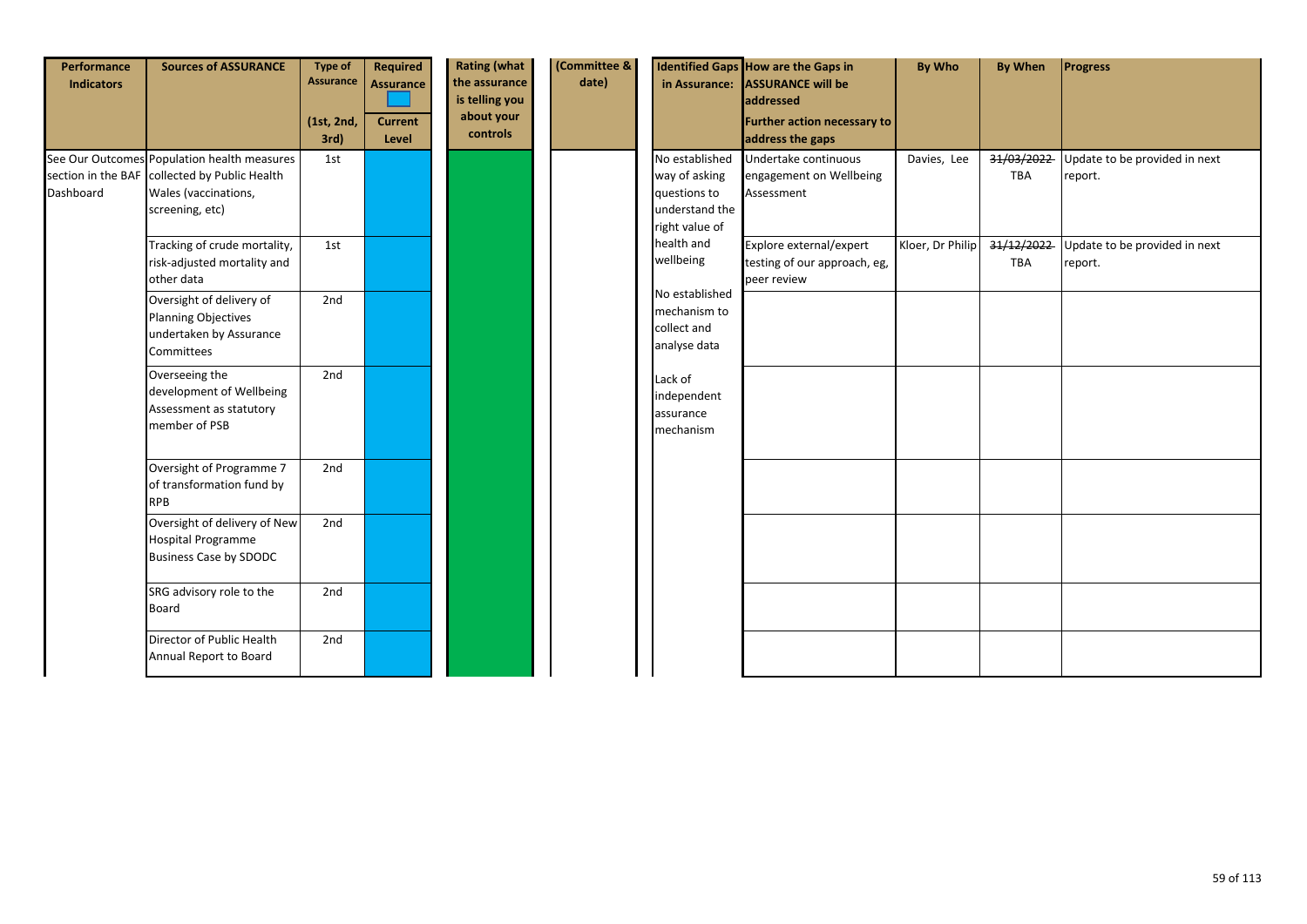| Performance<br><b>Indicators</b> | <b>Sources of ASSURANCE</b>                                                                                                             | <b>Type of</b><br><b>Assurance</b> | <b>Required</b><br><b>Assurance</b> | <b>Rating (what</b><br>the assurance<br>is telling you | (Committee &<br>date) |                                                                                     | Identified Gaps How are the Gaps in<br>in Assurance: ASSURANCE will be | <b>By Who</b>    | <b>By When</b>           | Progress                                 |
|----------------------------------|-----------------------------------------------------------------------------------------------------------------------------------------|------------------------------------|-------------------------------------|--------------------------------------------------------|-----------------------|-------------------------------------------------------------------------------------|------------------------------------------------------------------------|------------------|--------------------------|------------------------------------------|
|                                  |                                                                                                                                         | (1st, 2nd,<br>$3rd$ )              | <b>Current</b><br>Level             | about your<br>controls                                 |                       |                                                                                     | addressed<br>Further action necessary to<br>address the gaps           |                  |                          |                                          |
| Dashboard                        | See Our Outcomes Population health measures<br>section in the BAF collected by Public Health<br>Wales (vaccinations,<br>screening, etc) | 1st                                |                                     |                                                        |                       | No established<br>way of asking<br>questions to<br>understand the<br>right value of | Undertake continuous<br>engagement on Wellbeing<br>Assessment          | Davies, Lee      | 31/03/2022<br><b>TBA</b> | Update to be provided in next<br>report. |
|                                  | Tracking of crude mortality,<br>risk-adjusted mortality and<br>other data                                                               | 1st                                |                                     |                                                        |                       | health and<br>wellbeing                                                             | Explore external/expert<br>testing of our approach, eg,<br>peer review | Kloer, Dr Philip | 31/12/2022<br>TBA        | Update to be provided in next<br>report. |
|                                  | Oversight of delivery of<br><b>Planning Objectives</b><br>undertaken by Assurance<br>Committees                                         | 2nd                                |                                     |                                                        |                       | No established<br>mechanism to<br>collect and<br>analyse data                       |                                                                        |                  |                          |                                          |
|                                  | Overseeing the<br>development of Wellbeing<br>Assessment as statutory<br>member of PSB                                                  | 2nd                                |                                     |                                                        |                       | Lack of<br>independent<br>assurance<br>mechanism                                    |                                                                        |                  |                          |                                          |
|                                  | Oversight of Programme 7<br>of transformation fund by<br><b>RPB</b>                                                                     | 2nd                                |                                     |                                                        |                       |                                                                                     |                                                                        |                  |                          |                                          |
|                                  | Oversight of delivery of New<br>Hospital Programme<br><b>Business Case by SDODC</b>                                                     | 2nd                                |                                     |                                                        |                       |                                                                                     |                                                                        |                  |                          |                                          |
|                                  | SRG advisory role to the<br><b>Board</b>                                                                                                | 2nd                                |                                     |                                                        |                       |                                                                                     |                                                                        |                  |                          |                                          |
|                                  | Director of Public Health<br>Annual Report to Board                                                                                     | 2nd                                |                                     |                                                        |                       |                                                                                     |                                                                        |                  |                          |                                          |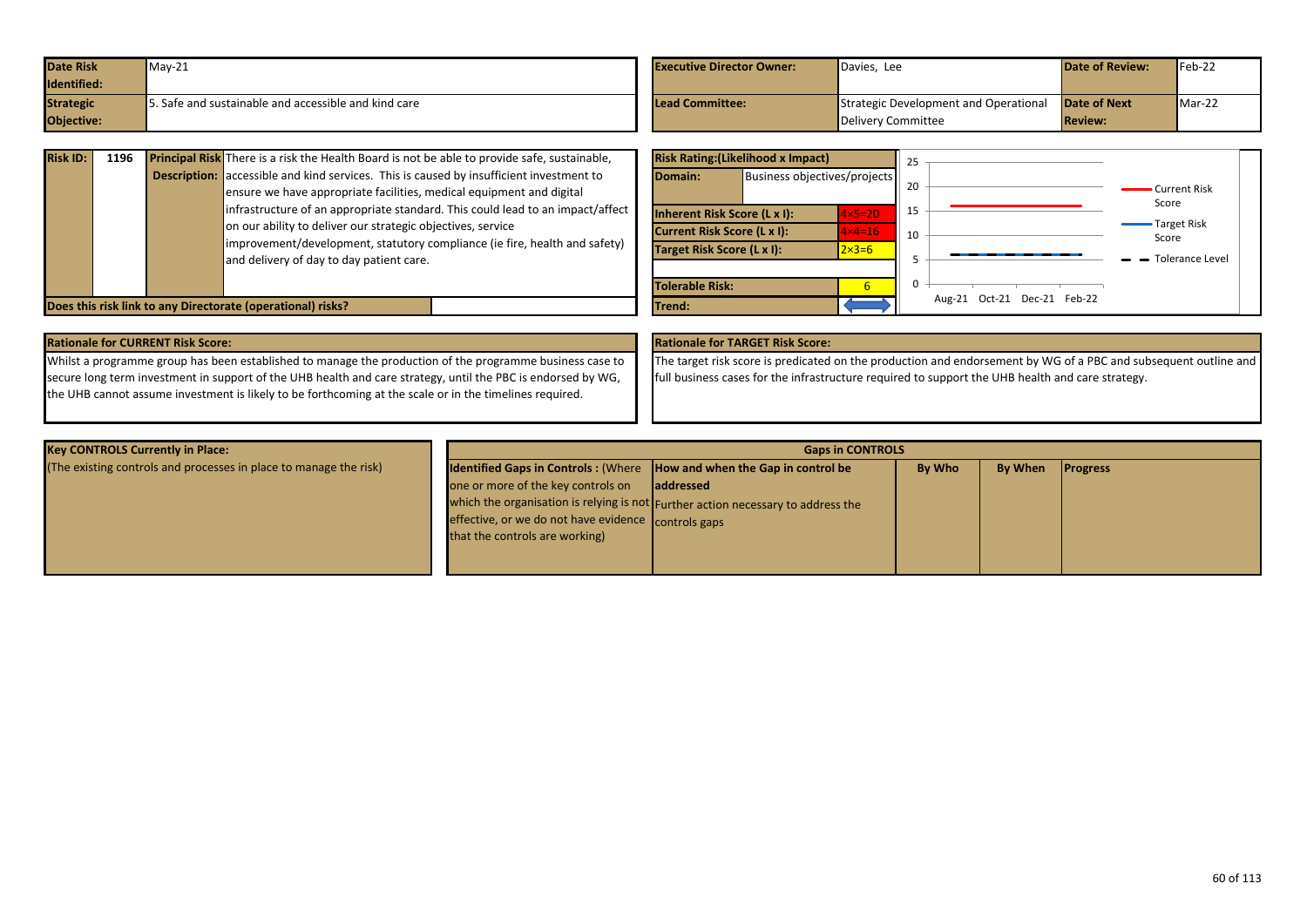| <b>Date Risk</b> | $May-21$                                          | <b>Executive Director Owner:</b> | Davies, Lee                           | <b>Date of Review:</b> | $Feb-22$ |
|------------------|---------------------------------------------------|----------------------------------|---------------------------------------|------------------------|----------|
| Identified:      |                                                   |                                  |                                       |                        |          |
| <b>Strategic</b> | Safe and sustainable and accessible and kind care | <b>Lead Committee:</b>           | Strategic Development and Operational | <b>Date of Next</b>    | $Mar-22$ |
| Objective:       |                                                   |                                  | Delivery Committee                    | <b>Review:</b>         |          |

| <b>Risk ID:</b> | 1196                                                        |  |                                                                                                                                                                        | <b>Risk Rating: (Likelihood x Impact)</b><br><b>Principal Risk</b> There is a risk the Health Board is not be able to provide safe, sustainable, |                                                           |                                     |                                   |    |  |  |  |
|-----------------|-------------------------------------------------------------|--|------------------------------------------------------------------------------------------------------------------------------------------------------------------------|--------------------------------------------------------------------------------------------------------------------------------------------------|-----------------------------------------------------------|-------------------------------------|-----------------------------------|----|--|--|--|
|                 |                                                             |  | <b>Description:</b> accessible and kind services. This is caused by insufficient investment to<br>ensure we have appropriate facilities, medical equipment and digital |                                                                                                                                                  | Domain:                                                   | <b>Business objectives/projects</b> |                                   | 20 |  |  |  |
|                 |                                                             |  | infrastructure of an appropriate standard. This could lead to an impact/affect<br>on our ability to deliver our strategic objectives, service                          |                                                                                                                                                  | Inherent Risk Score (L x I):                              |                                     | $4x5=20$                          | 15 |  |  |  |
|                 |                                                             |  | improvement/development, statutory compliance (ie fire, health and safety)<br>and delivery of day to day patient care.                                                 |                                                                                                                                                  | Current Risk Score (L x I):<br>Target Risk Score (L x I): |                                     | $4 \times 4 = 16$<br>$2\times3=6$ | 10 |  |  |  |
|                 |                                                             |  |                                                                                                                                                                        | Tolerable Risk:                                                                                                                                  |                                                           |                                     |                                   |    |  |  |  |
|                 | Does this risk link to any Directorate (operational) risks? |  |                                                                                                                                                                        |                                                                                                                                                  | Trend:                                                    |                                     |                                   |    |  |  |  |

|                                    | <b>Risk Rating: (Likelihood x Impact)</b> |                  | 25                                |
|------------------------------------|-------------------------------------------|------------------|-----------------------------------|
| Domain:                            | Business objectives/projects              |                  | 20<br>Current Risk<br>Score       |
| Inherent Risk Score (L x I):       |                                           | $4\times 5=20$   | 15                                |
| <b>Current Risk Score (L x I):</b> |                                           | $4x4=16$         | <b>Target Risk</b><br>10<br>Score |
| Target Risk Score (L x I):         |                                           | $2 \times 3 = 6$ | <b>Tolerance Level</b><br>5       |
| <b>Tolerable Risk:</b>             |                                           | 6                | 0                                 |
| Trend:                             |                                           |                  | Oct-21 Dec-21 Feb-22<br>Aug-21    |

| <b>Rationale for CURRENT Risk Score:</b>                                                                     | <b>Rationale for TARGET Risk Score:</b> |
|--------------------------------------------------------------------------------------------------------------|-----------------------------------------|
| Whilst a programme group has been established to manage the production of the programme business case to     | The target risk score is predicated     |
| secure long term investment in support of the UHB health and care strategy, until the PBC is endorsed by WG, | full business cases for the infrastr    |
| the UHB cannot assume investment is likely to be forthcoming at the scale or in the timelines required.      |                                         |

dicated on the production and endorsement by WG of a PBC and subsequent outline and nfrastructure required to support the UHB health and care strategy.

| <b>Key CONTROLS Currently in Place:</b>                           | <b>Gaps in CONTROLS</b>                                                                                                     |                                                                                                |               |                |                 |  |  |
|-------------------------------------------------------------------|-----------------------------------------------------------------------------------------------------------------------------|------------------------------------------------------------------------------------------------|---------------|----------------|-----------------|--|--|
| (The existing controls and processes in place to manage the risk) | Identified Gaps in Controls: (Where  How and when the Gap in control be                                                     |                                                                                                | <b>By Who</b> | <b>By When</b> | <b>Progress</b> |  |  |
|                                                                   | one or more of the key controls on<br>effective, or we do not have evidence controls gaps<br>that the controls are working) | laddressed<br>which the organisation is relying is not Further action necessary to address the |               |                |                 |  |  |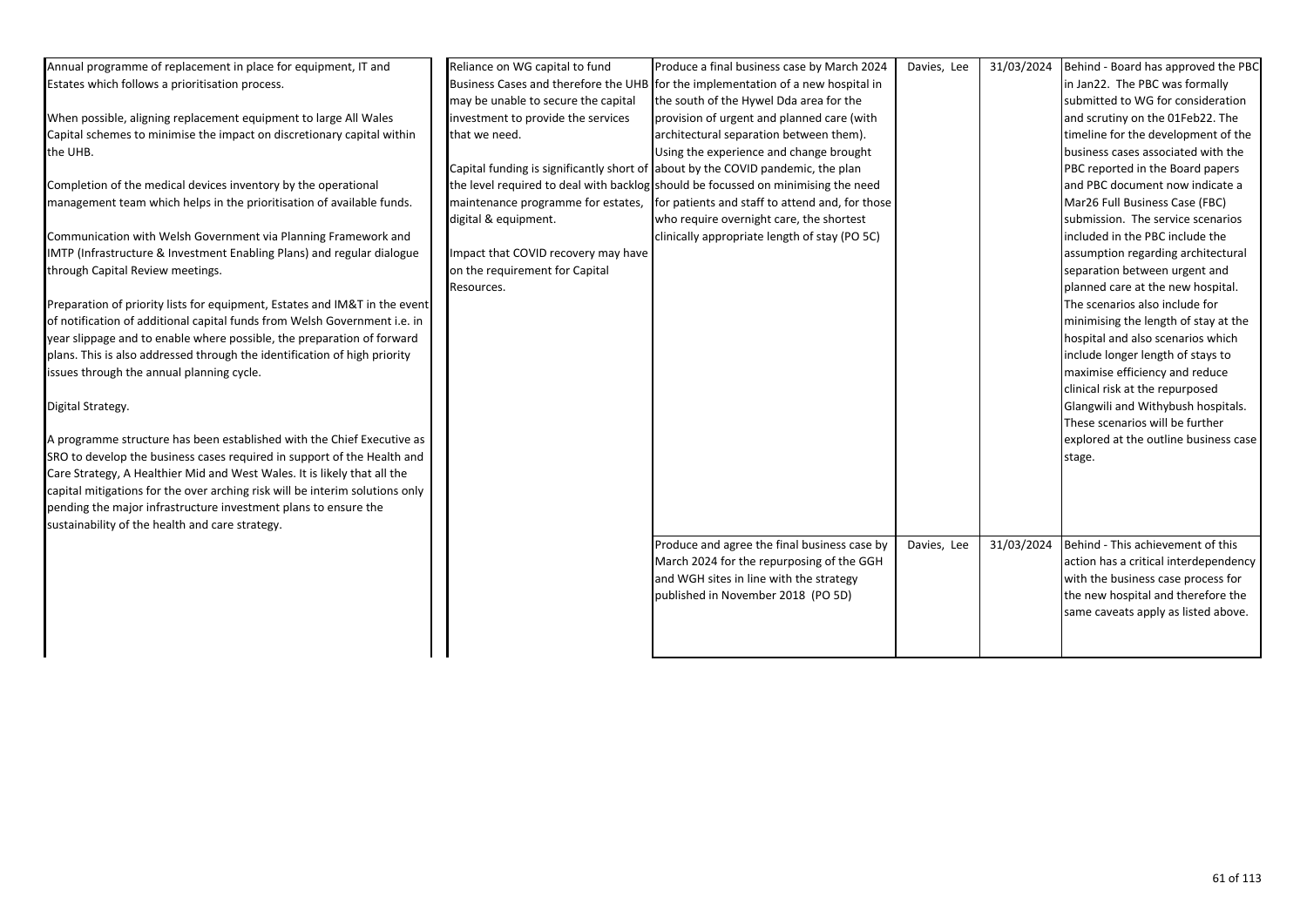| Annual programme of replacement in place for equipment, IT and               | Reliance on WG capital to fund      | Produce a final business case by March 2024                                       | Davies, Lee | 31/03/2024 | Behind - Board has approved the PBC   |
|------------------------------------------------------------------------------|-------------------------------------|-----------------------------------------------------------------------------------|-------------|------------|---------------------------------------|
| Estates which follows a prioritisation process.                              |                                     | Business Cases and therefore the UHB for the implementation of a new hospital in  |             |            | in Jan22. The PBC was formally        |
|                                                                              | may be unable to secure the capital | the south of the Hywel Dda area for the                                           |             |            | submitted to WG for consideration     |
| When possible, aligning replacement equipment to large All Wales             | investment to provide the services  | provision of urgent and planned care (with                                        |             |            | and scrutiny on the 01Feb22. The      |
| Capital schemes to minimise the impact on discretionary capital within       | that we need.                       | architectural separation between them).                                           |             |            | timeline for the development of the   |
| the UHB.                                                                     |                                     | Using the experience and change brought                                           |             |            | business cases associated with the    |
|                                                                              |                                     | Capital funding is significantly short of about by the COVID pandemic, the plan   |             |            | PBC reported in the Board papers      |
| Completion of the medical devices inventory by the operational               |                                     | the level required to deal with backlog should be focussed on minimising the need |             |            | and PBC document now indicate a       |
| management team which helps in the prioritisation of available funds.        | maintenance programme for estates,  | for patients and staff to attend and, for those                                   |             |            | Mar26 Full Business Case (FBC)        |
|                                                                              | digital & equipment.                | who require overnight care, the shortest                                          |             |            | submission. The service scenarios     |
| Communication with Welsh Government via Planning Framework and               |                                     | clinically appropriate length of stay (PO 5C)                                     |             |            | included in the PBC include the       |
| IMTP (Infrastructure & Investment Enabling Plans) and regular dialogue       | Impact that COVID recovery may have |                                                                                   |             |            | assumption regarding architectural    |
| through Capital Review meetings.                                             | on the requirement for Capital      |                                                                                   |             |            | separation between urgent and         |
|                                                                              | Resources.                          |                                                                                   |             |            | planned care at the new hospital.     |
| Preparation of priority lists for equipment, Estates and IM&T in the event   |                                     |                                                                                   |             |            | The scenarios also include for        |
| of notification of additional capital funds from Welsh Government i.e. in    |                                     |                                                                                   |             |            | minimising the length of stay at the  |
| year slippage and to enable where possible, the preparation of forward       |                                     |                                                                                   |             |            | hospital and also scenarios which     |
| plans. This is also addressed through the identification of high priority    |                                     |                                                                                   |             |            | include longer length of stays to     |
| issues through the annual planning cycle.                                    |                                     |                                                                                   |             |            | maximise efficiency and reduce        |
|                                                                              |                                     |                                                                                   |             |            | clinical risk at the repurposed       |
| Digital Strategy.                                                            |                                     |                                                                                   |             |            | Glangwili and Withybush hospitals.    |
|                                                                              |                                     |                                                                                   |             |            | These scenarios will be further       |
| A programme structure has been established with the Chief Executive as       |                                     |                                                                                   |             |            | explored at the outline business case |
| SRO to develop the business cases required in support of the Health and      |                                     |                                                                                   |             |            | stage.                                |
| Care Strategy, A Healthier Mid and West Wales. It is likely that all the     |                                     |                                                                                   |             |            |                                       |
| capital mitigations for the over arching risk will be interim solutions only |                                     |                                                                                   |             |            |                                       |
| pending the major infrastructure investment plans to ensure the              |                                     |                                                                                   |             |            |                                       |
| sustainability of the health and care strategy.                              |                                     |                                                                                   |             |            |                                       |
|                                                                              |                                     | Produce and agree the final business case by                                      | Davies, Lee | 31/03/2024 | Behind - This achievement of this     |
|                                                                              |                                     | March 2024 for the repurposing of the GGH                                         |             |            | action has a critical interdependency |
|                                                                              |                                     | and WGH sites in line with the strategy                                           |             |            | with the business case process for    |
|                                                                              |                                     | published in November 2018 (PO 5D)                                                |             |            | the new hospital and therefore the    |
|                                                                              |                                     |                                                                                   |             |            | same caveats apply as listed above.   |
|                                                                              |                                     |                                                                                   |             |            |                                       |
|                                                                              |                                     |                                                                                   |             |            |                                       |
|                                                                              |                                     |                                                                                   |             |            |                                       |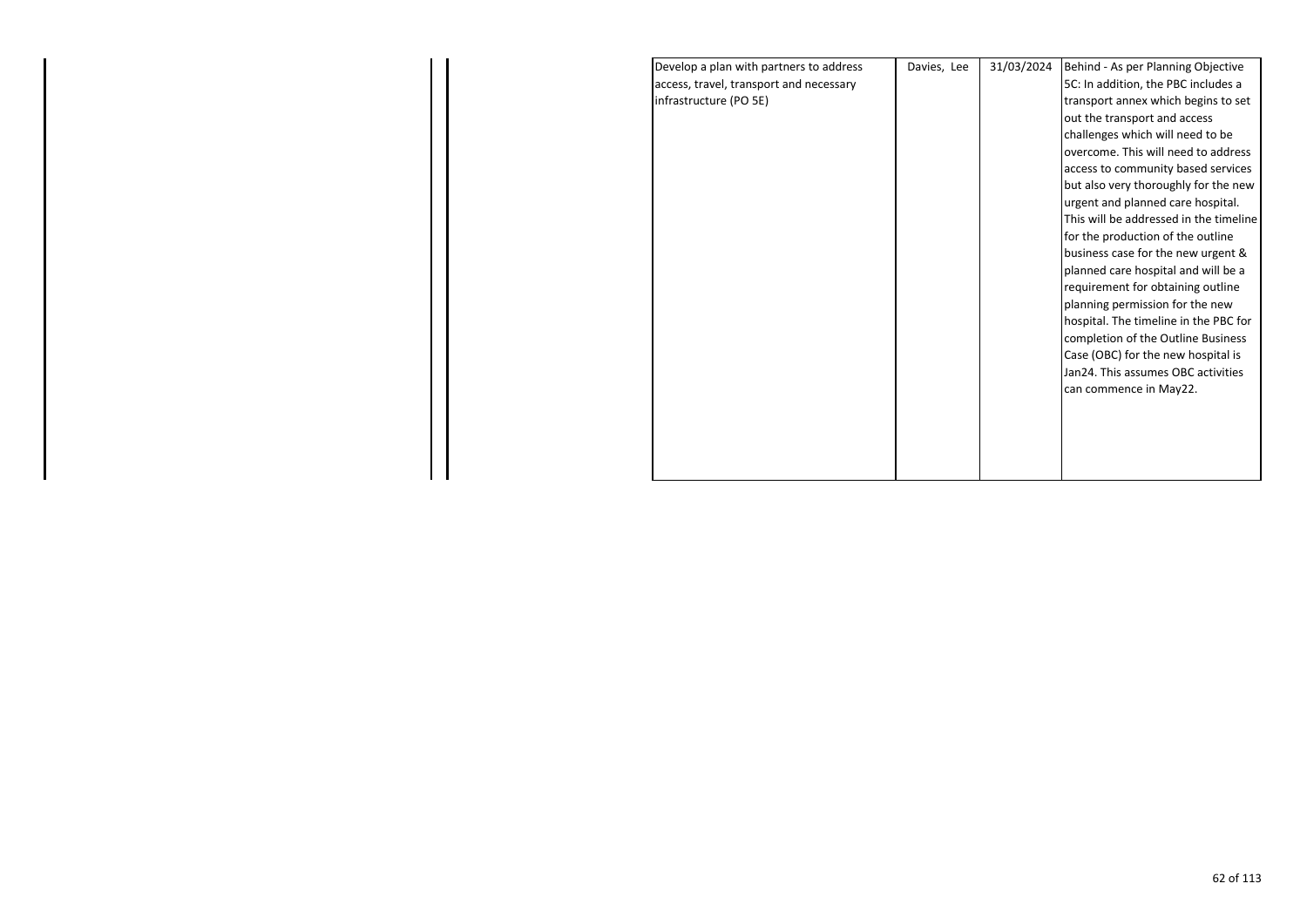| Develop a plan with partners to address | Davies, Lee | 31/03/2024 | Behind - As per Planning Objective     |
|-----------------------------------------|-------------|------------|----------------------------------------|
| access, travel, transport and necessary |             |            | 5C: In addition, the PBC includes a    |
| infrastructure (PO 5E)                  |             |            | transport annex which begins to set    |
|                                         |             |            | out the transport and access           |
|                                         |             |            | challenges which will need to be       |
|                                         |             |            | overcome. This will need to address    |
|                                         |             |            | access to community based services     |
|                                         |             |            | but also very thoroughly for the new   |
|                                         |             |            | urgent and planned care hospital.      |
|                                         |             |            | This will be addressed in the timeline |
|                                         |             |            | for the production of the outline      |
|                                         |             |            | business case for the new urgent &     |
|                                         |             |            | planned care hospital and will be a    |
|                                         |             |            | requirement for obtaining outline      |
|                                         |             |            | planning permission for the new        |
|                                         |             |            | hospital. The timeline in the PBC for  |
|                                         |             |            | completion of the Outline Business     |
|                                         |             |            | Case (OBC) for the new hospital is     |
|                                         |             |            | Jan24. This assumes OBC activities     |
|                                         |             |            | can commence in May22.                 |
|                                         |             |            |                                        |
|                                         |             |            |                                        |
|                                         |             |            |                                        |
|                                         |             |            |                                        |
|                                         |             |            |                                        |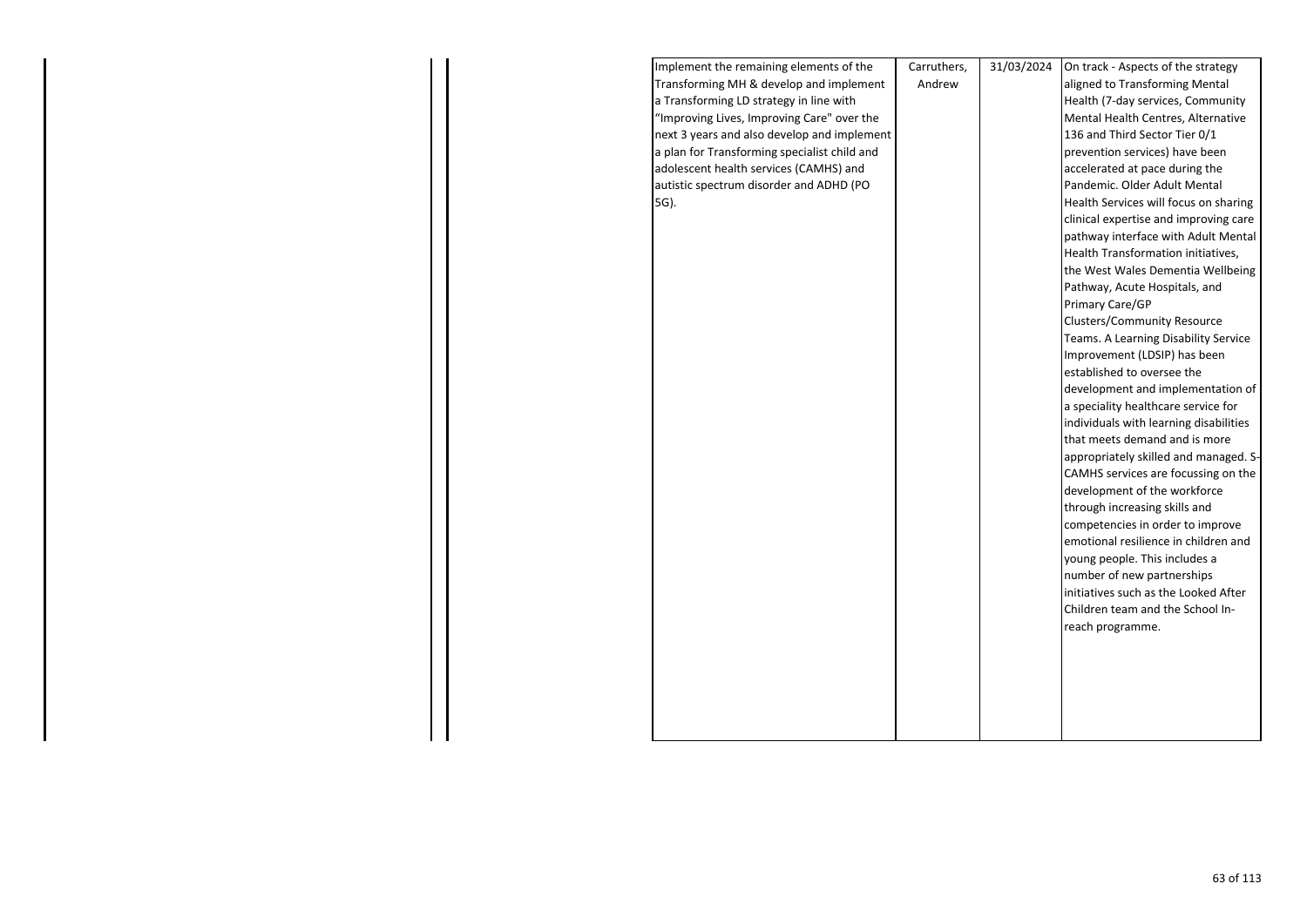| Implement the remaining elements of the      | Carruthers, | 31/03/2024 | On track - Aspects of the strategy     |
|----------------------------------------------|-------------|------------|----------------------------------------|
| Transforming MH & develop and implement      | Andrew      |            | aligned to Transforming Mental         |
| a Transforming LD strategy in line with      |             |            | Health (7-day services, Community      |
| "Improving Lives, Improving Care" over the   |             |            | Mental Health Centres, Alternative     |
| next 3 years and also develop and implement  |             |            | 136 and Third Sector Tier 0/1          |
| a plan for Transforming specialist child and |             |            | prevention services) have been         |
| adolescent health services (CAMHS) and       |             |            | accelerated at pace during the         |
| autistic spectrum disorder and ADHD (PO      |             |            | Pandemic. Older Adult Mental           |
| 5G).                                         |             |            | Health Services will focus on sharing  |
|                                              |             |            | clinical expertise and improving care  |
|                                              |             |            | pathway interface with Adult Mental    |
|                                              |             |            | Health Transformation initiatives,     |
|                                              |             |            | the West Wales Dementia Wellbeing      |
|                                              |             |            | Pathway, Acute Hospitals, and          |
|                                              |             |            | Primary Care/GP                        |
|                                              |             |            | <b>Clusters/Community Resource</b>     |
|                                              |             |            | Teams. A Learning Disability Service   |
|                                              |             |            | Improvement (LDSIP) has been           |
|                                              |             |            | established to oversee the             |
|                                              |             |            | development and implementation of      |
|                                              |             |            | a speciality healthcare service for    |
|                                              |             |            | individuals with learning disabilities |
|                                              |             |            | that meets demand and is more          |
|                                              |             |            | appropriately skilled and managed. S-  |
|                                              |             |            | CAMHS services are focussing on the    |
|                                              |             |            | development of the workforce           |
|                                              |             |            | through increasing skills and          |
|                                              |             |            | competencies in order to improve       |
|                                              |             |            | emotional resilience in children and   |
|                                              |             |            | young people. This includes a          |
|                                              |             |            | number of new partnerships             |
|                                              |             |            | initiatives such as the Looked After   |
|                                              |             |            | Children team and the School In-       |
|                                              |             |            | reach programme.                       |
|                                              |             |            |                                        |
|                                              |             |            |                                        |
|                                              |             |            |                                        |
|                                              |             |            |                                        |
|                                              |             |            |                                        |
|                                              |             |            |                                        |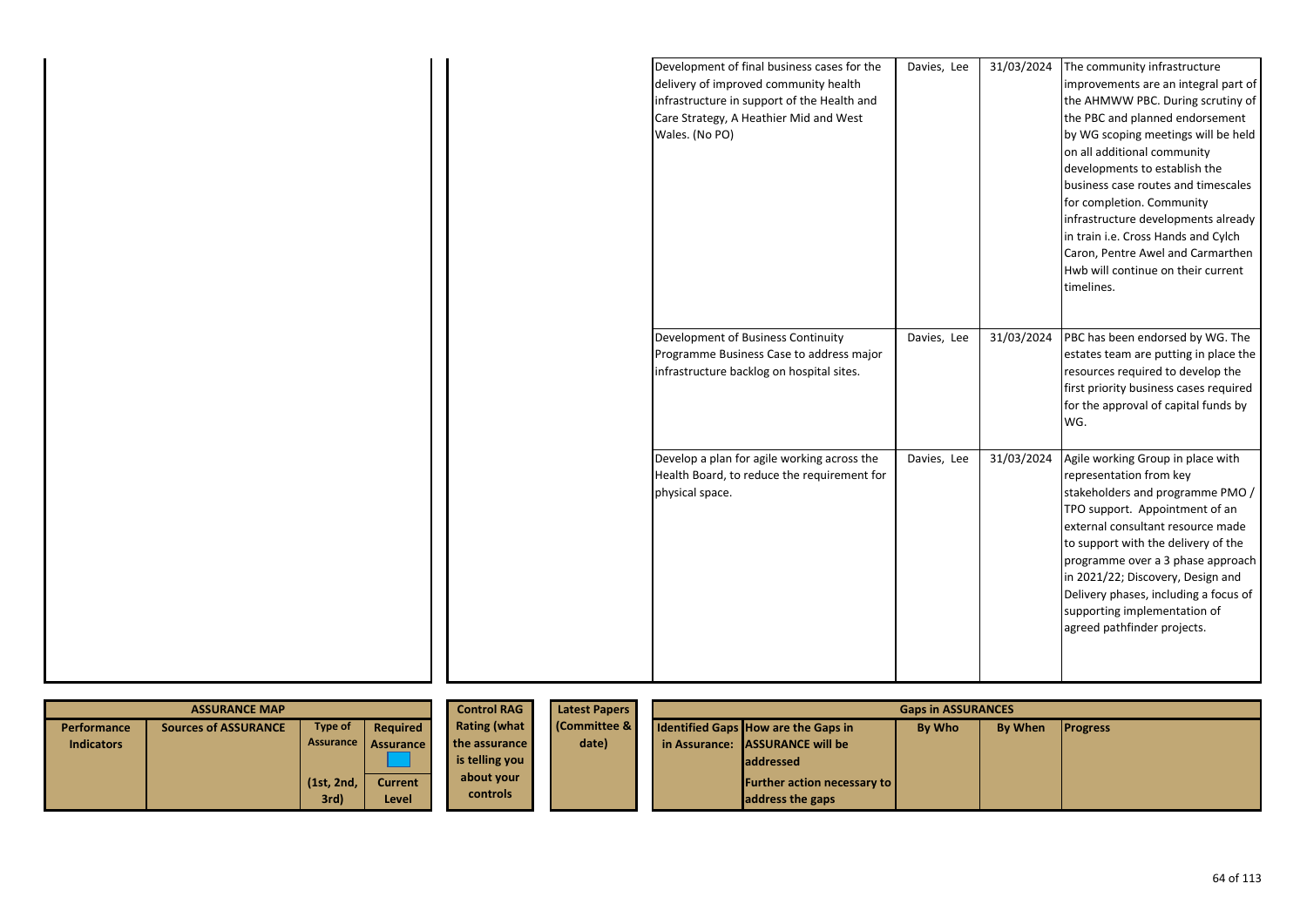|  | Development of final business cases for the<br>delivery of improved community health<br>infrastructure in support of the Health and<br>Care Strategy, A Heathier Mid and West<br>Wales. (No PO) | Davies, Lee | 31/03/2024 | The community infrastructure<br>improvements are an integral part of<br>the AHMWW PBC. During scrutiny of<br>the PBC and planned endorsement<br>by WG scoping meetings will be held<br>on all additional community<br>developments to establish the<br>business case routes and timescales<br>for completion. Community<br>infrastructure developments already<br>in train i.e. Cross Hands and Cylch<br>Caron, Pentre Awel and Carmarthen<br>Hwb will continue on their current<br>timelines. |
|--|-------------------------------------------------------------------------------------------------------------------------------------------------------------------------------------------------|-------------|------------|------------------------------------------------------------------------------------------------------------------------------------------------------------------------------------------------------------------------------------------------------------------------------------------------------------------------------------------------------------------------------------------------------------------------------------------------------------------------------------------------|
|  | Development of Business Continuity<br>Programme Business Case to address major<br>infrastructure backlog on hospital sites.                                                                     | Davies, Lee | 31/03/2024 | PBC has been endorsed by WG. The<br>estates team are putting in place the<br>resources required to develop the<br>first priority business cases required<br>for the approval of capital funds by<br>WG.                                                                                                                                                                                                                                                                                        |
|  | Develop a plan for agile working across the<br>Health Board, to reduce the requirement for<br>physical space.                                                                                   | Davies, Lee | 31/03/2024 | Agile working Group in place with<br>representation from key<br>stakeholders and programme PMO /<br>TPO support. Appointment of an<br>external consultant resource made<br>to support with the delivery of the<br>programme over a 3 phase approach<br>in 2021/22; Discovery, Design and<br>Delivery phases, including a focus of<br>supporting implementation of<br>agreed pathfinder projects.                                                                                               |

| <b>ASSURANCE MAP</b> |                      |                      |                         | <b>Control RAG</b>            | <b>Latest Papers</b><br><b>Gaps in ASSURANCES</b> |  |                                                        |        |                |                 |
|----------------------|----------------------|----------------------|-------------------------|-------------------------------|---------------------------------------------------|--|--------------------------------------------------------|--------|----------------|-----------------|
| Performance          | Sources of ASSURANCE | Type of              | Required                | <b>Rating (what</b>           | <b>Committee &amp;</b>                            |  | <b>Identified Gaps How are the Gaps in</b>             | By Who | <b>By When</b> | <b>Progress</b> |
| <b>Indicators</b>    |                      |                      | Assurance Assurance     | the assurance                 | date)                                             |  | in Assurance: ASSURANCE will be                        |        |                |                 |
|                      |                      |                      |                         | is telling you                |                                                   |  | <b>laddressed</b>                                      |        |                |                 |
|                      |                      | (1st, 2nd, )<br>3rd) | <b>Current</b><br>Level | about your<br><b>controls</b> |                                                   |  | <b>Further action necessary to</b><br>address the gaps |        |                |                 |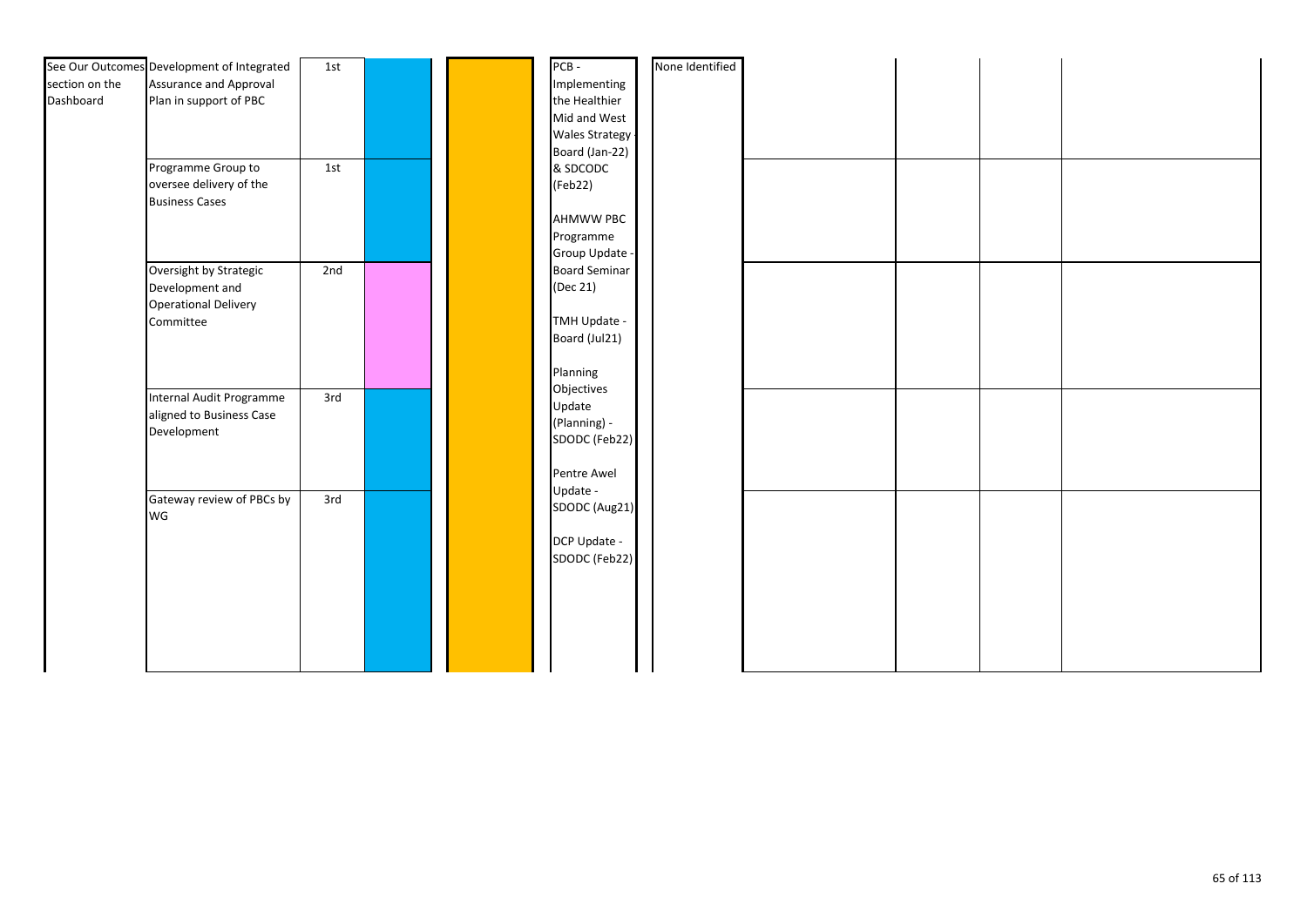|                | See Our Outcomes Development of Integrated | 1st |  | PCB-                  | None Identified |  |  |
|----------------|--------------------------------------------|-----|--|-----------------------|-----------------|--|--|
| section on the | <b>Assurance and Approval</b>              |     |  | Implementing          |                 |  |  |
| Dashboard      | Plan in support of PBC                     |     |  | the Healthier         |                 |  |  |
|                |                                            |     |  | Mid and West          |                 |  |  |
|                |                                            |     |  | <b>Wales Strategy</b> |                 |  |  |
|                |                                            |     |  | Board (Jan-22)        |                 |  |  |
|                | Programme Group to                         | 1st |  | & SDCODC              |                 |  |  |
|                | oversee delivery of the                    |     |  | (Feb22)               |                 |  |  |
|                | <b>Business Cases</b>                      |     |  |                       |                 |  |  |
|                |                                            |     |  | <b>AHMWW PBC</b>      |                 |  |  |
|                |                                            |     |  | Programme             |                 |  |  |
|                |                                            |     |  | Group Update -        |                 |  |  |
|                | Oversight by Strategic                     | 2nd |  | <b>Board Seminar</b>  |                 |  |  |
|                | Development and                            |     |  | (Dec 21)              |                 |  |  |
|                | <b>Operational Delivery</b>                |     |  |                       |                 |  |  |
|                | Committee                                  |     |  | TMH Update -          |                 |  |  |
|                |                                            |     |  | Board (Jul21)         |                 |  |  |
|                |                                            |     |  | Planning              |                 |  |  |
|                |                                            |     |  | Objectives            |                 |  |  |
|                | Internal Audit Programme                   | 3rd |  | Update                |                 |  |  |
|                | aligned to Business Case                   |     |  | (Planning) -          |                 |  |  |
|                | Development                                |     |  | SDODC (Feb22)         |                 |  |  |
|                |                                            |     |  |                       |                 |  |  |
|                |                                            |     |  | Pentre Awel           |                 |  |  |
|                |                                            |     |  | Update -              |                 |  |  |
|                | Gateway review of PBCs by                  | 3rd |  | SDODC (Aug21)         |                 |  |  |
|                | WG                                         |     |  |                       |                 |  |  |
|                |                                            |     |  | DCP Update -          |                 |  |  |
|                |                                            |     |  | SDODC (Feb22)         |                 |  |  |
|                |                                            |     |  |                       |                 |  |  |
|                |                                            |     |  |                       |                 |  |  |
|                |                                            |     |  |                       |                 |  |  |
|                |                                            |     |  |                       |                 |  |  |
|                |                                            |     |  |                       |                 |  |  |
|                |                                            |     |  |                       |                 |  |  |
|                |                                            |     |  |                       |                 |  |  |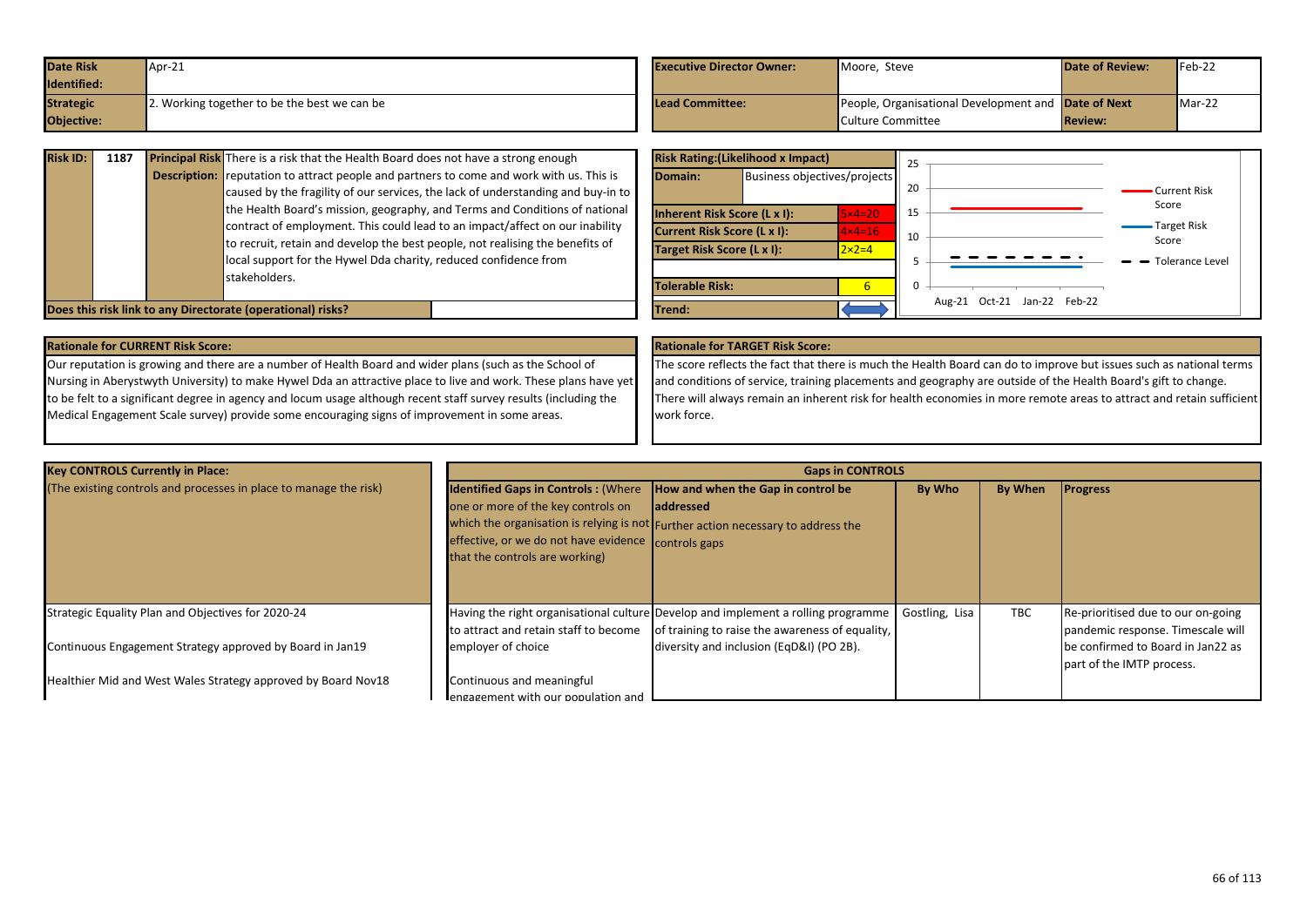| <b>Date Risk</b> | Apr-21                                       | <b>Executive Director Owner:</b> | Moore. Steve                                        | <b>Date of Review:</b> | Feb-22 |
|------------------|----------------------------------------------|----------------------------------|-----------------------------------------------------|------------------------|--------|
| Identified:      |                                              |                                  |                                                     |                        |        |
| <b>Strategic</b> | 2. Working together to be the best we can be | <b>Lead Committee:</b>           | People, Organisational Development and Date of Next |                        | Mar-22 |
| Objective:       |                                              |                                  | Culture Committee                                   | <b>Review:</b>         |        |

| <b>Risk ID:</b> | 1187 | <b>Principal Risk</b> There is a risk that the Health Board does not have a strong enough<br><b>Description:</b> reputation to attract people and partners to come and work with us. This is<br>caused by the fragility of our services, the lack of understanding and buy-in to<br>the Health Board's mission, geography, and Terms and Conditions of national<br>contract of employment. This could lead to an impact/affect on our inability<br>to recruit, retain and develop the best people, not realising the benefits of<br>local support for the Hywel Dda charity, reduced confidence from<br>stakeholders. |
|-----------------|------|-----------------------------------------------------------------------------------------------------------------------------------------------------------------------------------------------------------------------------------------------------------------------------------------------------------------------------------------------------------------------------------------------------------------------------------------------------------------------------------------------------------------------------------------------------------------------------------------------------------------------|
|                 |      | Does this risk link to any Directorate (operational) risks?                                                                                                                                                                                                                                                                                                                                                                                                                                                                                                                                                           |

| <b>Risk Rating: (Likelihood x Impact)</b> |                                     |                   |          |        |                      |                             |
|-------------------------------------------|-------------------------------------|-------------------|----------|--------|----------------------|-----------------------------|
| Domain:                                   | Business objectives/projects        |                   | 20       |        |                      | • Current Risk              |
|                                           | <b>Inherent Risk Score (L x I):</b> | $5\times 4=20$    | 15       |        |                      | Score                       |
|                                           | <b>Current Risk Score (L x I):</b>  | $4 \times 4 = 16$ | 10       |        |                      | <b>Target Risk</b><br>Score |
| Target Risk Score (L x I):                |                                     | $2 \times 2 = 4$  |          |        |                      | Tolerance Level<br>-        |
|                                           |                                     |                   |          |        |                      |                             |
| <b>Tolerable Risk:</b>                    |                                     | 6                 | $\Omega$ |        |                      |                             |
| Trend:                                    |                                     |                   |          | Aug-21 | Oct-21 Jan-22 Feb-22 |                             |

Our reputation is growing and there are a number of Health Board and wider plans (such as the School of Nursing in Aberystwyth University) to make Hywel Dda an attractive place to live and work. These plans have yet to be felt to a significant degree in agency and locum usage although recent staff survey results (including the Medical Engagement Scale survey) provide some encouraging signs of improvement in some areas.

The score reflects the fact that there is much the Health Board can do to improve but issues such as national terms and conditions of service, training placements and geography are outside of the Health Board's gift to change. There will always remain an inherent risk for health economies in more remote areas to attract and retain sufficient work force.

| <b>Key CONTROLS Currently in Place:</b>                           |                                                                                                                                                                                                              | <b>Gaps in CONTROLS</b>                                                                                                              |                |         |                                                                         |
|-------------------------------------------------------------------|--------------------------------------------------------------------------------------------------------------------------------------------------------------------------------------------------------------|--------------------------------------------------------------------------------------------------------------------------------------|----------------|---------|-------------------------------------------------------------------------|
| (The existing controls and processes in place to manage the risk) | <b>Identified Gaps in Controls: (Where How and when the Gap in control be</b><br>one or more of the key controls on<br>effective, or we do not have evidence controls gaps<br>that the controls are working) | <b>addressed</b><br>which the organisation is relying is not Further action necessary to address the                                 | By Who         | By When | <b>Progress</b>                                                         |
| Strategic Equality Plan and Objectives for 2020-24                | to attract and retain staff to become                                                                                                                                                                        | Having the right organisational culture Develop and implement a rolling programme<br>of training to raise the awareness of equality, | Gostling, Lisa | TBC     | Re-prioritised due to our on-going<br>pandemic response. Timescale will |
| Continuous Engagement Strategy approved by Board in Jan19         | employer of choice                                                                                                                                                                                           | diversity and inclusion (EqD&I) (PO 2B).                                                                                             |                |         | be confirmed to Board in Jan22 as<br>part of the IMTP process.          |
| Healthier Mid and West Wales Strategy approved by Board Nov18     | Continuous and meaningful<br>engagement with our population and                                                                                                                                              |                                                                                                                                      |                |         |                                                                         |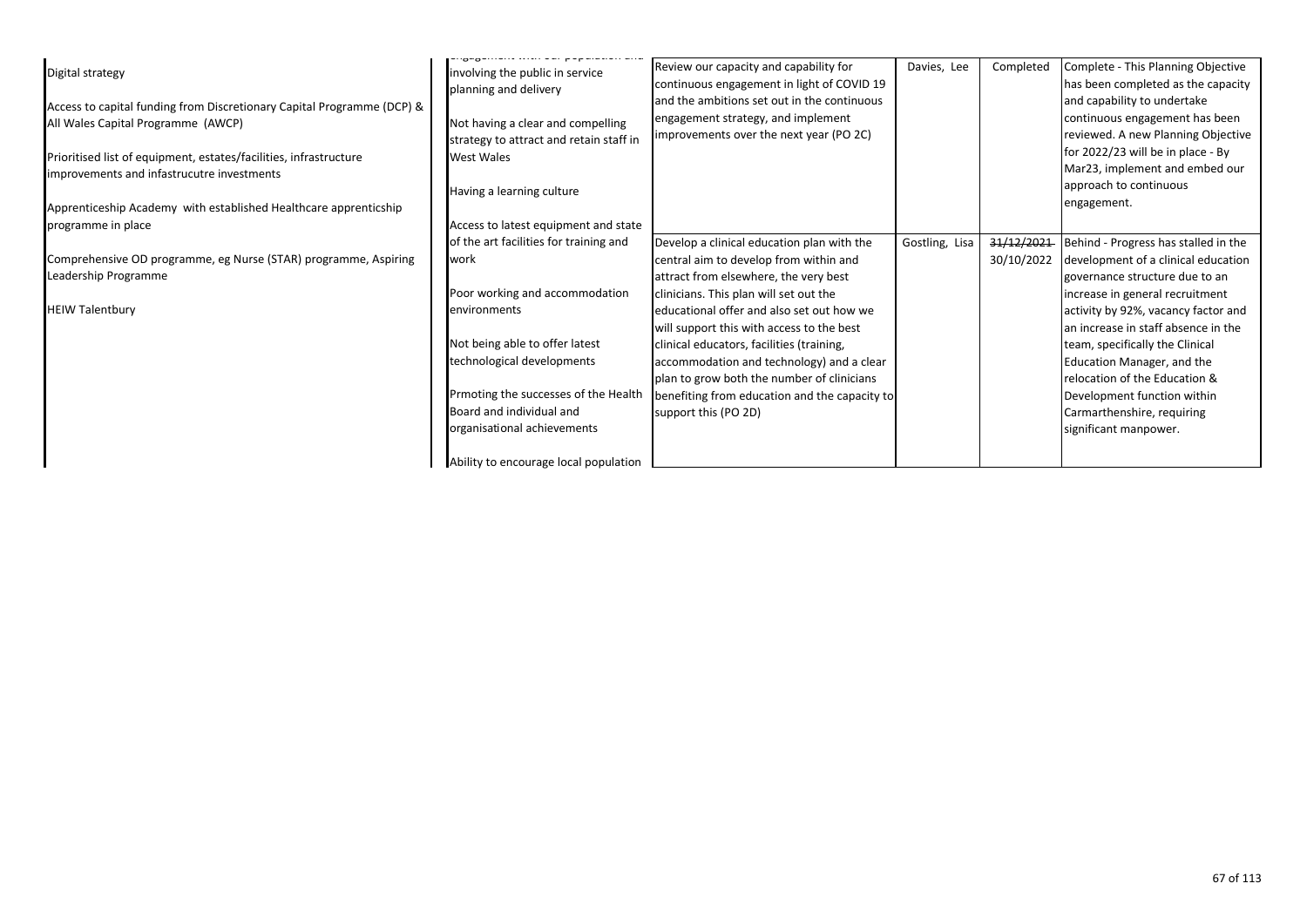| Digital strategy<br>Access to capital funding from Discretionary Capital Programme (DCP) &<br>All Wales Capital Programme (AWCP)<br>Prioritised list of equipment, estates/facilities, infrastructure<br>improvements and infastrucutre investments<br>Apprenticeship Academy with established Healthcare apprenticship<br>programme in place | involving the public in service<br>planning and delivery<br>Not having a clear and compelling<br>strategy to attract and retain staff in<br><b>West Wales</b><br>Having a learning culture<br>Access to latest equipment and state | Review our capacity and capability for<br>continuous engagement in light of COVID 19<br>and the ambitions set out in the continuous<br>engagement strategy, and implement<br>improvements over the next year (PO 2C) | Davies, Lee    | Completed  | Complete - This Planning Objective<br>has been completed as the capacity<br>and capability to undertake<br>continuous engagement has been<br>reviewed. A new Planning Objective<br>for 2022/23 will be in place - By<br>Mar23, implement and embed our<br>approach to continuous<br>engagement. |
|-----------------------------------------------------------------------------------------------------------------------------------------------------------------------------------------------------------------------------------------------------------------------------------------------------------------------------------------------|------------------------------------------------------------------------------------------------------------------------------------------------------------------------------------------------------------------------------------|----------------------------------------------------------------------------------------------------------------------------------------------------------------------------------------------------------------------|----------------|------------|-------------------------------------------------------------------------------------------------------------------------------------------------------------------------------------------------------------------------------------------------------------------------------------------------|
|                                                                                                                                                                                                                                                                                                                                               | of the art facilities for training and                                                                                                                                                                                             | Develop a clinical education plan with the                                                                                                                                                                           | Gostling, Lisa | 31/12/2021 | Behind - Progress has stalled in the                                                                                                                                                                                                                                                            |
| Comprehensive OD programme, eg Nurse (STAR) programme, Aspiring<br>Leadership Programme                                                                                                                                                                                                                                                       | work                                                                                                                                                                                                                               | central aim to develop from within and<br>attract from elsewhere, the very best                                                                                                                                      |                | 30/10/2022 | development of a clinical education<br>governance structure due to an                                                                                                                                                                                                                           |
|                                                                                                                                                                                                                                                                                                                                               | Poor working and accommodation                                                                                                                                                                                                     | clinicians. This plan will set out the                                                                                                                                                                               |                |            | increase in general recruitment                                                                                                                                                                                                                                                                 |
| <b>HEIW Talentbury</b>                                                                                                                                                                                                                                                                                                                        | environments                                                                                                                                                                                                                       | educational offer and also set out how we<br>will support this with access to the best                                                                                                                               |                |            | activity by 92%, vacancy factor and<br>an increase in staff absence in the                                                                                                                                                                                                                      |
|                                                                                                                                                                                                                                                                                                                                               | Not being able to offer latest                                                                                                                                                                                                     | clinical educators, facilities (training,                                                                                                                                                                            |                |            | team, specifically the Clinical                                                                                                                                                                                                                                                                 |
|                                                                                                                                                                                                                                                                                                                                               | technological developments                                                                                                                                                                                                         | accommodation and technology) and a clear<br>plan to grow both the number of clinicians                                                                                                                              |                |            | Education Manager, and the<br>relocation of the Education &                                                                                                                                                                                                                                     |
|                                                                                                                                                                                                                                                                                                                                               | Prmoting the successes of the Health                                                                                                                                                                                               | benefiting from education and the capacity to                                                                                                                                                                        |                |            | Development function within                                                                                                                                                                                                                                                                     |
|                                                                                                                                                                                                                                                                                                                                               | Board and individual and                                                                                                                                                                                                           | support this (PO 2D)                                                                                                                                                                                                 |                |            | Carmarthenshire, requiring                                                                                                                                                                                                                                                                      |
|                                                                                                                                                                                                                                                                                                                                               | organisational achievements                                                                                                                                                                                                        |                                                                                                                                                                                                                      |                |            | significant manpower.                                                                                                                                                                                                                                                                           |
|                                                                                                                                                                                                                                                                                                                                               | Ability to encourage local population                                                                                                                                                                                              |                                                                                                                                                                                                                      |                |            |                                                                                                                                                                                                                                                                                                 |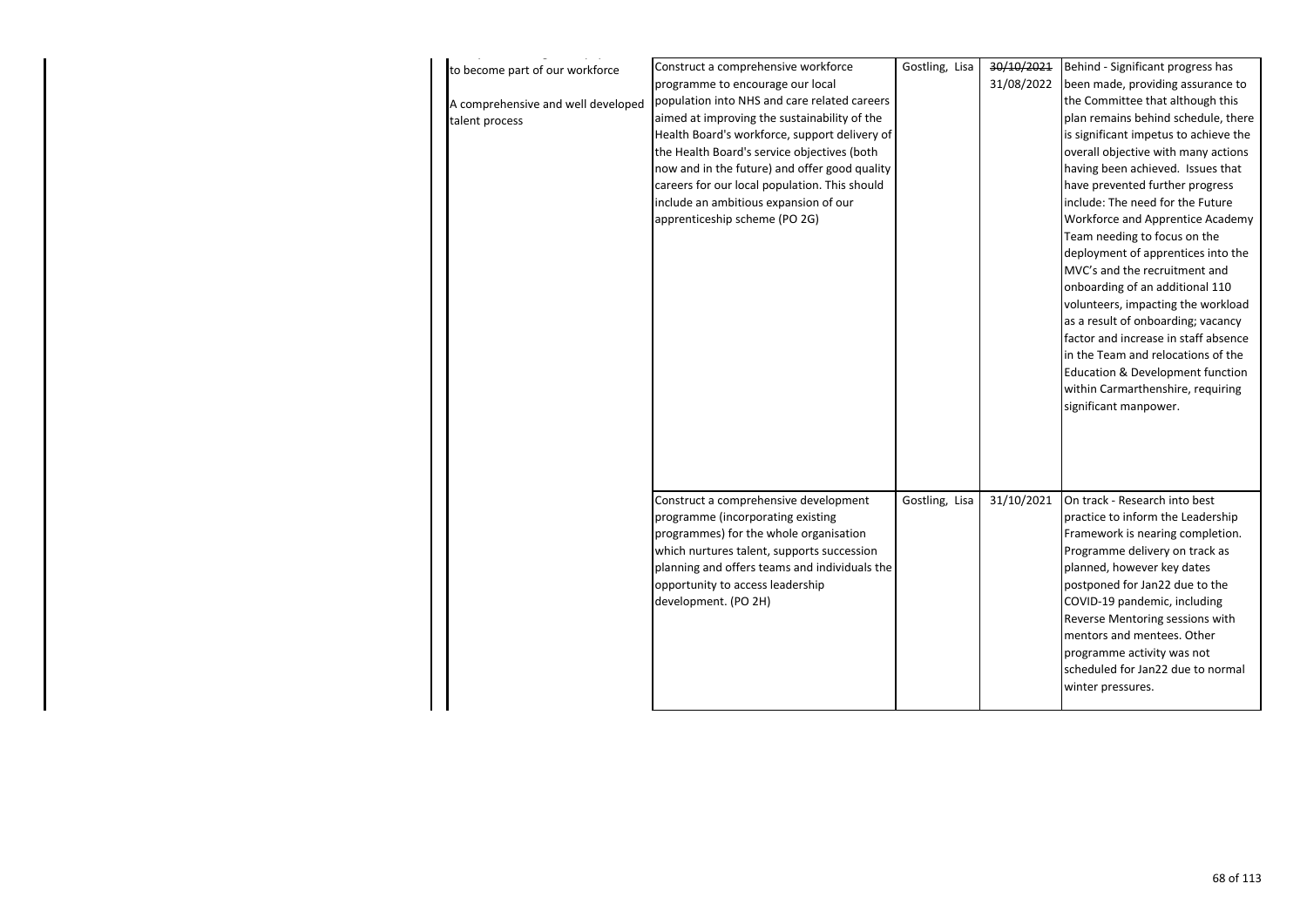| to become part of our workforce    | Construct a comprehensive workforce           | Gostling, Lisa | 30/10/2021 | Behind - Significant progress has     |
|------------------------------------|-----------------------------------------------|----------------|------------|---------------------------------------|
|                                    | programme to encourage our local              |                | 31/08/2022 | been made, providing assurance to     |
| A comprehensive and well developed | population into NHS and care related careers  |                |            | the Committee that although this      |
| talent process                     | aimed at improving the sustainability of the  |                |            | plan remains behind schedule, there   |
|                                    | Health Board's workforce, support delivery of |                |            | is significant impetus to achieve the |
|                                    | the Health Board's service objectives (both   |                |            | overall objective with many actions   |
|                                    | now and in the future) and offer good quality |                |            | having been achieved. Issues that     |
|                                    | careers for our local population. This should |                |            | have prevented further progress       |
|                                    | include an ambitious expansion of our         |                |            | include: The need for the Future      |
|                                    | apprenticeship scheme (PO 2G)                 |                |            | Workforce and Apprentice Academy      |
|                                    |                                               |                |            | Team needing to focus on the          |
|                                    |                                               |                |            | deployment of apprentices into the    |
|                                    |                                               |                |            | MVC's and the recruitment and         |
|                                    |                                               |                |            | onboarding of an additional 110       |
|                                    |                                               |                |            | volunteers, impacting the workload    |
|                                    |                                               |                |            | as a result of onboarding; vacancy    |
|                                    |                                               |                |            | factor and increase in staff absence  |
|                                    |                                               |                |            | in the Team and relocations of the    |
|                                    |                                               |                |            | Education & Development function      |
|                                    |                                               |                |            | within Carmarthenshire, requiring     |
|                                    |                                               |                |            | significant manpower.                 |
|                                    |                                               |                |            |                                       |
|                                    |                                               |                |            |                                       |
|                                    |                                               |                |            |                                       |
|                                    |                                               |                |            |                                       |
|                                    | Construct a comprehensive development         | Gostling, Lisa | 31/10/2021 | On track - Research into best         |
|                                    | programme (incorporating existing             |                |            | practice to inform the Leadership     |
|                                    | programmes) for the whole organisation        |                |            | Framework is nearing completion.      |
|                                    | which nurtures talent, supports succession    |                |            | Programme delivery on track as        |
|                                    | planning and offers teams and individuals the |                |            | planned, however key dates            |
|                                    | opportunity to access leadership              |                |            | postponed for Jan22 due to the        |
|                                    | development. (PO 2H)                          |                |            | COVID-19 pandemic, including          |
|                                    |                                               |                |            | Reverse Mentoring sessions with       |
|                                    |                                               |                |            | mentors and mentees. Other            |
|                                    |                                               |                |            | programme activity was not            |
|                                    |                                               |                |            | scheduled for Jan22 due to normal     |
|                                    |                                               |                |            | winter pressures.                     |
|                                    |                                               |                |            |                                       |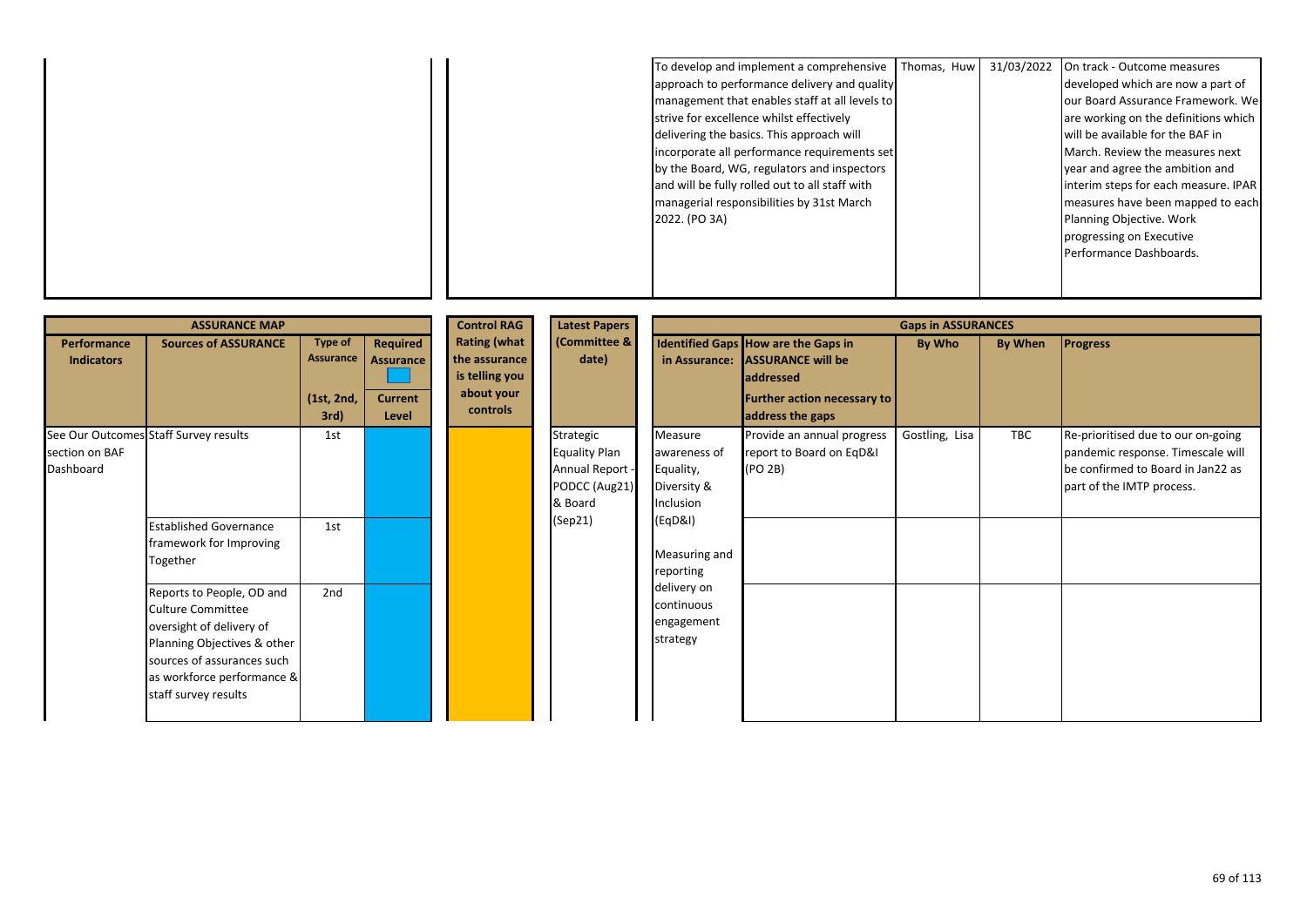|  | To develop and implement a comprehensive       | Thomas, Huw | 31/03/2022 | On track - Outcome measures           |
|--|------------------------------------------------|-------------|------------|---------------------------------------|
|  | approach to performance delivery and quality   |             |            | developed which are now a part of     |
|  | management that enables staff at all levels to |             |            | our Board Assurance Framework. We     |
|  | strive for excellence whilst effectively       |             |            | are working on the definitions which  |
|  | delivering the basics. This approach will      |             |            | will be available for the BAF in      |
|  | incorporate all performance requirements set   |             |            | March. Review the measures next       |
|  | by the Board, WG, regulators and inspectors    |             |            | year and agree the ambition and       |
|  | and will be fully rolled out to all staff with |             |            | linterim steps for each measure. IPAR |
|  | managerial responsibilities by 31st March      |             |            | measures have been mapped to each     |
|  | 2022. (PO 3A)                                  |             |            | Planning Objective. Work              |
|  |                                                |             |            | progressing on Executive              |
|  |                                                |             |            | Performance Dashboards.               |
|  |                                                |             |            |                                       |
|  |                                                |             |            |                                       |

|                                  | <b>ASSURANCE MAP</b>                                                                                                                                                                          |                                                   |                                                         | <b>Control RAG</b>                                                               | <b>Latest Papers</b>                                                             |                                                                  |                                                                                                                                               | <b>Gaps in ASSURANCES</b> |            |                                                                                                                                           |
|----------------------------------|-----------------------------------------------------------------------------------------------------------------------------------------------------------------------------------------------|---------------------------------------------------|---------------------------------------------------------|----------------------------------------------------------------------------------|----------------------------------------------------------------------------------|------------------------------------------------------------------|-----------------------------------------------------------------------------------------------------------------------------------------------|---------------------------|------------|-------------------------------------------------------------------------------------------------------------------------------------------|
| Performance<br><b>Indicators</b> | <b>Sources of ASSURANCE</b>                                                                                                                                                                   | Type of<br><b>Assurance</b><br>(1st, 2nd,<br>3rd) | Required<br><b>Assurance</b><br><b>Current</b><br>Level | <b>Rating (what</b><br>the assurance<br>is telling you<br>about your<br>controls | (Committee &<br>date)                                                            | in Assurance:                                                    | Identified Gaps How are the Gaps in<br><b>ASSURANCE will be</b><br><b>addressed</b><br><b>Further action necessary to</b><br>address the gaps | By Who                    | By When    | <b>Progress</b>                                                                                                                           |
| section on BAF<br>Dashboard      | See Our Outcomes Staff Survey results                                                                                                                                                         | 1st                                               |                                                         |                                                                                  | Strategic<br><b>Equality Plan</b><br>Annual Report -<br>PODCC (Aug21)<br>& Board | Measure<br>awareness of<br>Equality,<br>Diversity &<br>Inclusion | Provide an annual progress<br>report to Board on EqD&I<br>(PO 2B)                                                                             | Gostling, Lisa            | <b>TBC</b> | Re-prioritised due to our on-going<br>pandemic response. Timescale will<br>be confirmed to Board in Jan22 as<br>part of the IMTP process. |
|                                  | <b>Established Governance</b><br>framework for Improving<br>Together                                                                                                                          | 1st                                               |                                                         |                                                                                  | (Sep21)                                                                          | (EqD&l)<br>Measuring and<br>reporting                            |                                                                                                                                               |                           |            |                                                                                                                                           |
|                                  | Reports to People, OD and<br>Culture Committee<br>oversight of delivery of<br>Planning Objectives & other<br>sources of assurances such<br>as workforce performance &<br>staff survey results | 2nd                                               |                                                         |                                                                                  |                                                                                  | delivery on<br>continuous<br>engagement<br>strategy              |                                                                                                                                               |                           |            |                                                                                                                                           |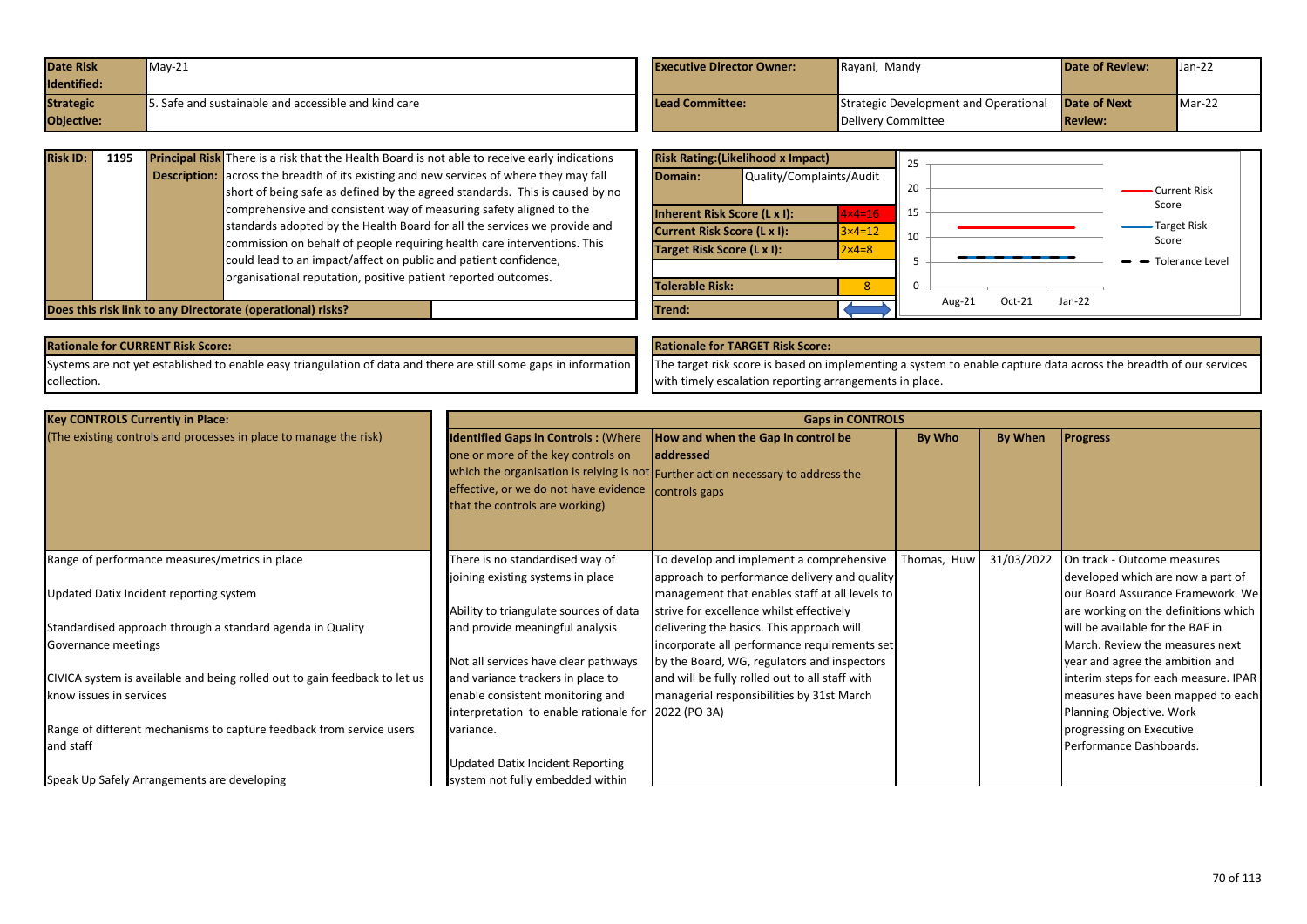| <b>Date Risk</b> | $Mav-21$                                            | <b>Executive Director Owner:</b> | Rayani, Mandy                         | <b>Date of Review:</b> | $Jan-22$ |
|------------------|-----------------------------------------------------|----------------------------------|---------------------------------------|------------------------|----------|
| Identified:      |                                                     |                                  |                                       |                        |          |
| <b>Strategic</b> | . Safe and sustainable and accessible and kind care | Lead Committee:                  | Strategic Development and Operational | <b>Date of Next</b>    | $Mar-22$ |
| Objective:       |                                                     |                                  | Delivery Committee                    | <b>Review:</b>         |          |

| <b>Risk ID:</b> | 1195 | <b>Principal Risk</b> There is a risk that the Health Board is not able to receive early indications |
|-----------------|------|------------------------------------------------------------------------------------------------------|
|                 |      | <b>Description:</b> across the breadth of its existing and new services of where they may fall       |
|                 |      | short of being safe as defined by the agreed standards. This is caused by no                         |
|                 |      | comprehensive and consistent way of measuring safety aligned to the                                  |
|                 |      | standards adopted by the Health Board for all the services we provide and                            |
|                 |      | commission on behalf of people requiring health care interventions. This                             |
|                 |      | could lead to an impact/affect on public and patient confidence,                                     |
|                 |      | organisational reputation, positive patient reported outcomes.                                       |
|                 |      |                                                                                                      |

|                            | <b>Risk Rating: (Likelihood x Impact)</b> |                   | 25       |           |          |          |                        |
|----------------------------|-------------------------------------------|-------------------|----------|-----------|----------|----------|------------------------|
| Domain:                    | Quality/Complaints/Audit                  |                   | 20       |           |          |          | Current Risk           |
|                            | <b>Inherent Risk Score (L x I):</b>       | $4 \times 4 = 16$ | 15       |           |          |          | Score                  |
|                            | Current Risk Score (L x I):               | $3\times 4=12$    | 10       |           |          |          | <b>Target Risk</b>     |
| Target Risk Score (L x I): |                                           | $2 \times 4 = 8$  |          |           |          |          | Score                  |
|                            |                                           |                   | 5        |           |          |          | <b>Tolerance Level</b> |
| <b>Tolerable Risk:</b>     |                                           | ጸ                 | $\Omega$ |           |          |          |                        |
| Trend:                     |                                           |                   |          | Aug- $21$ | $Oct-21$ | $Jan-22$ |                        |

**Does this risk link to any Directorate (operational) risks?** 

Systems are not yet established to enable easy triangulation of data and there are still some gaps in information collection.

## **Rationale for CURRENT Risk Score: Rationale for TARGET Risk Score:**

The target risk score is based on implementing a system to enable capture data across the breadth of our services with timely escalation reporting arrangements in place.

| <b>Key CONTROLS Currently in Place:</b>                                    | <b>Gaps in CONTROLS</b>                             |                                                                                  |             |            |                                      |  |  |  |
|----------------------------------------------------------------------------|-----------------------------------------------------|----------------------------------------------------------------------------------|-------------|------------|--------------------------------------|--|--|--|
| (The existing controls and processes in place to manage the risk)          | <b>Identified Gaps in Controls: (Where</b>          | How and when the Gap in control be                                               | By Who      | By When    | <b>Progress</b>                      |  |  |  |
|                                                                            | one or more of the key controls on                  | laddressed                                                                       |             |            |                                      |  |  |  |
|                                                                            |                                                     | which the organisation is relying is not Further action necessary to address the |             |            |                                      |  |  |  |
|                                                                            | effective, or we do not have evidence controls gaps |                                                                                  |             |            |                                      |  |  |  |
|                                                                            | that the controls are working)                      |                                                                                  |             |            |                                      |  |  |  |
|                                                                            |                                                     |                                                                                  |             |            |                                      |  |  |  |
|                                                                            |                                                     |                                                                                  |             |            |                                      |  |  |  |
| Range of performance measures/metrics in place                             | There is no standardised way of                     | To develop and implement a comprehensive                                         | Thomas, Huw | 31/03/2022 | On track - Outcome measures          |  |  |  |
|                                                                            | joining existing systems in place                   | approach to performance delivery and quality                                     |             |            | developed which are now a part of    |  |  |  |
| Updated Datix Incident reporting system                                    |                                                     | management that enables staff at all levels to                                   |             |            | our Board Assurance Framework. We    |  |  |  |
|                                                                            | Ability to triangulate sources of data              | strive for excellence whilst effectively                                         |             |            | are working on the definitions which |  |  |  |
| Standardised approach through a standard agenda in Quality                 | and provide meaningful analysis                     | delivering the basics. This approach will                                        |             |            | will be available for the BAF in     |  |  |  |
| Governance meetings                                                        |                                                     | incorporate all performance requirements set                                     |             |            | March. Review the measures next      |  |  |  |
|                                                                            | Not all services have clear pathways                | by the Board, WG, regulators and inspectors                                      |             |            | year and agree the ambition and      |  |  |  |
| CIVICA system is available and being rolled out to gain feedback to let us | and variance trackers in place to                   | and will be fully rolled out to all staff with                                   |             |            | interim steps for each measure. IPAR |  |  |  |
| know issues in services                                                    | enable consistent monitoring and                    | managerial responsibilities by 31st March                                        |             |            | measures have been mapped to each    |  |  |  |
|                                                                            | interpretation to enable rationale for 2022 (PO 3A) |                                                                                  |             |            | Planning Objective. Work             |  |  |  |
| Range of different mechanisms to capture feedback from service users       | variance.                                           |                                                                                  |             |            | progressing on Executive             |  |  |  |
| and staff                                                                  |                                                     |                                                                                  |             |            | Performance Dashboards.              |  |  |  |
|                                                                            | <b>Updated Datix Incident Reporting</b>             |                                                                                  |             |            |                                      |  |  |  |
| Speak Up Safely Arrangements are developing                                | system not fully embedded within                    |                                                                                  |             |            |                                      |  |  |  |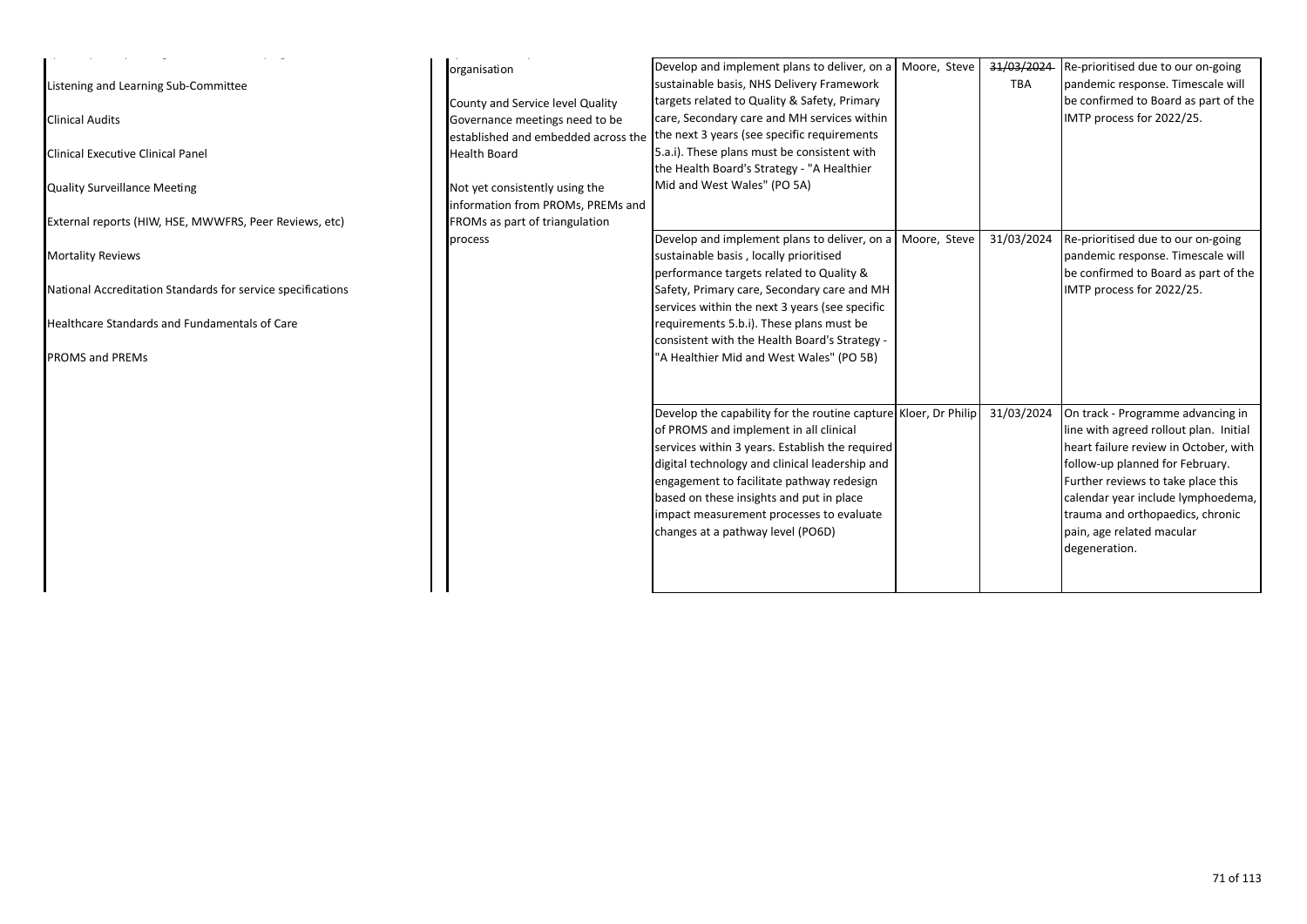| Listening and Learning Sub-Committee<br><b>Clinical Audits</b><br>Clinical Executive Clinical Panel<br><b>Quality Surveillance Meeting</b> | organisation<br>County and Service level Quality<br>Governance meetings need to be<br><b>Health Board</b><br>Not yet consistently using the | Develop and implement plans to deliver, on a<br>sustainable basis, NHS Delivery Framework<br>targets related to Quality & Safety, Primary<br>care, Secondary care and MH services within<br>established and embedded across the the next 3 years (see specific requirements<br>5.a.i). These plans must be consistent with<br>the Health Board's Strategy - "A Healthier<br>Mid and West Wales" (PO 5A) | Moore, Steve | 31/03/2024<br>TBA | Re-prioritised due to our on-going<br>pandemic response. Timescale will<br>be confirmed to Board as part of the<br>IMTP process for 2022/25. |
|--------------------------------------------------------------------------------------------------------------------------------------------|---------------------------------------------------------------------------------------------------------------------------------------------|---------------------------------------------------------------------------------------------------------------------------------------------------------------------------------------------------------------------------------------------------------------------------------------------------------------------------------------------------------------------------------------------------------|--------------|-------------------|----------------------------------------------------------------------------------------------------------------------------------------------|
| External reports (HIW, HSE, MWWFRS, Peer Reviews, etc)                                                                                     | information from PROMs, PREMs and<br>FROMs as part of triangulation                                                                         |                                                                                                                                                                                                                                                                                                                                                                                                         |              |                   |                                                                                                                                              |
| <b>Mortality Reviews</b>                                                                                                                   | process                                                                                                                                     | Develop and implement plans to deliver, on a<br>sustainable basis, locally prioritised<br>performance targets related to Quality &                                                                                                                                                                                                                                                                      | Moore, Steve | 31/03/2024        | Re-prioritised due to our on-going<br>pandemic response. Timescale will<br>be confirmed to Board as part of the                              |
| National Accreditation Standards for service specifications                                                                                |                                                                                                                                             | Safety, Primary care, Secondary care and MH<br>services within the next 3 years (see specific                                                                                                                                                                                                                                                                                                           |              |                   | IMTP process for 2022/25.                                                                                                                    |
| Healthcare Standards and Fundamentals of Care                                                                                              |                                                                                                                                             | requirements 5.b.i). These plans must be<br>consistent with the Health Board's Strategy -                                                                                                                                                                                                                                                                                                               |              |                   |                                                                                                                                              |
| <b>PROMS and PREMs</b>                                                                                                                     |                                                                                                                                             | "A Healthier Mid and West Wales" (PO 5B)                                                                                                                                                                                                                                                                                                                                                                |              |                   |                                                                                                                                              |
|                                                                                                                                            |                                                                                                                                             | Develop the capability for the routine capture Kloer, Dr Philip                                                                                                                                                                                                                                                                                                                                         |              | 31/03/2024        | On track - Programme advancing in                                                                                                            |
|                                                                                                                                            |                                                                                                                                             | of PROMS and implement in all clinical                                                                                                                                                                                                                                                                                                                                                                  |              |                   | line with agreed rollout plan. Initial                                                                                                       |
|                                                                                                                                            |                                                                                                                                             | services within 3 years. Establish the required                                                                                                                                                                                                                                                                                                                                                         |              |                   | heart failure review in October, with                                                                                                        |
|                                                                                                                                            |                                                                                                                                             | digital technology and clinical leadership and                                                                                                                                                                                                                                                                                                                                                          |              |                   | follow-up planned for February.                                                                                                              |
|                                                                                                                                            |                                                                                                                                             | engagement to facilitate pathway redesign                                                                                                                                                                                                                                                                                                                                                               |              |                   | Further reviews to take place this                                                                                                           |
|                                                                                                                                            |                                                                                                                                             | based on these insights and put in place<br>impact measurement processes to evaluate                                                                                                                                                                                                                                                                                                                    |              |                   | calendar year include lymphoedema,<br>trauma and orthopaedics, chronic                                                                       |
|                                                                                                                                            |                                                                                                                                             | changes at a pathway level (PO6D)                                                                                                                                                                                                                                                                                                                                                                       |              |                   | pain, age related macular                                                                                                                    |
|                                                                                                                                            |                                                                                                                                             |                                                                                                                                                                                                                                                                                                                                                                                                         |              |                   | degeneration.                                                                                                                                |
|                                                                                                                                            |                                                                                                                                             |                                                                                                                                                                                                                                                                                                                                                                                                         |              |                   |                                                                                                                                              |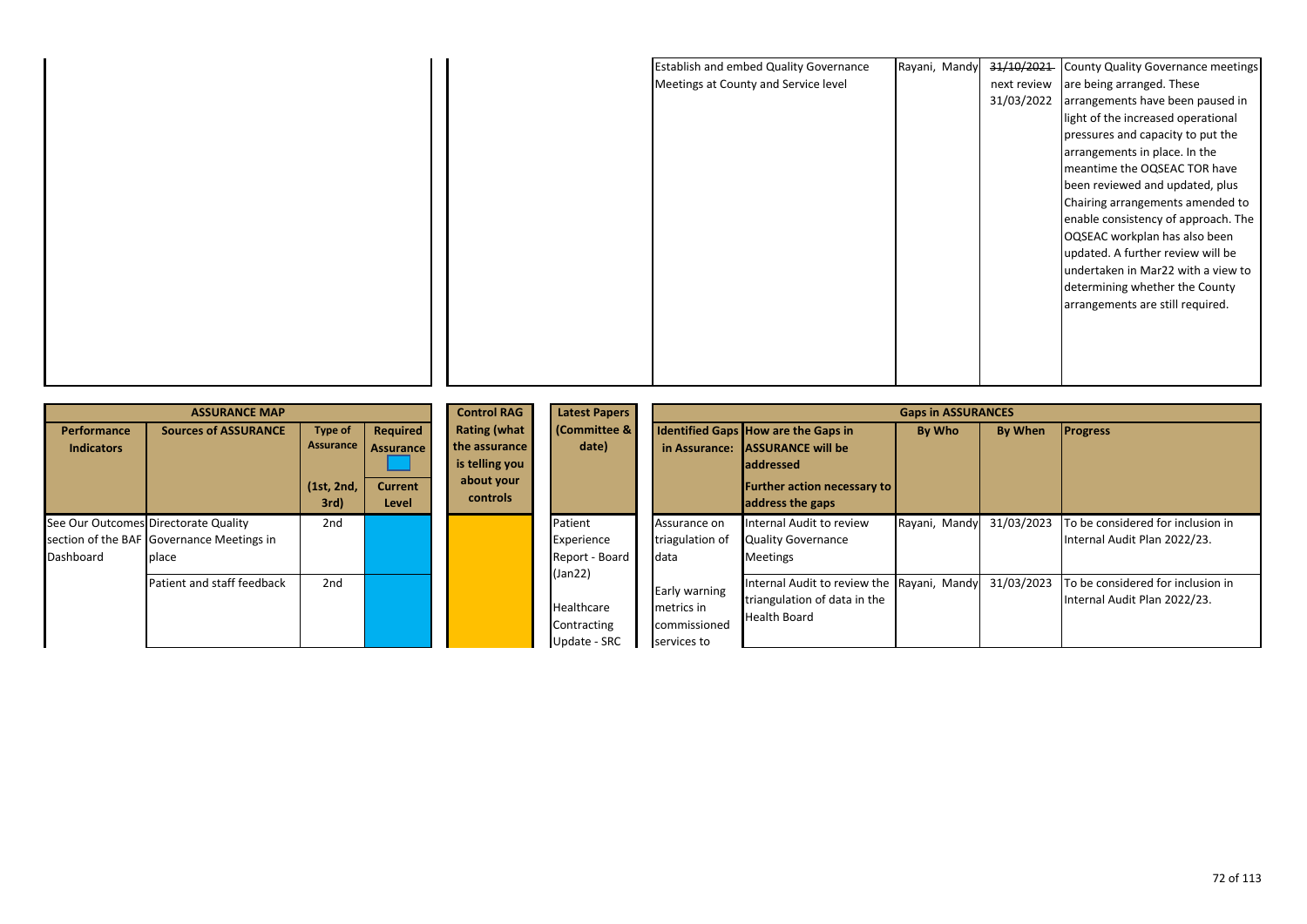|  | <b>Establish and embed Quality Governance</b> | Rayani, Mandy | 31/10/2021  | County Quality Governance meetings  |
|--|-----------------------------------------------|---------------|-------------|-------------------------------------|
|  | Meetings at County and Service level          |               | next review | are being arranged. These           |
|  |                                               |               | 31/03/2022  | arrangements have been paused in    |
|  |                                               |               |             | light of the increased operational  |
|  |                                               |               |             | pressures and capacity to put the   |
|  |                                               |               |             | arrangements in place. In the       |
|  |                                               |               |             | meantime the OQSEAC TOR have        |
|  |                                               |               |             | been reviewed and updated, plus     |
|  |                                               |               |             | Chairing arrangements amended to    |
|  |                                               |               |             | enable consistency of approach. The |
|  |                                               |               |             | OQSEAC workplan has also been       |
|  |                                               |               |             | updated. A further review will be   |
|  |                                               |               |             | undertaken in Mar22 with a view to  |
|  |                                               |               |             | determining whether the County      |
|  |                                               |               |             | arrangements are still required.    |
|  |                                               |               |             |                                     |
|  |                                               |               |             |                                     |
|  |                                               |               |             |                                     |
|  |                                               |               |             |                                     |

|                                                   | <b>ASSURANCE MAP</b>                               |                                                   | <b>Control RAG</b>                                      | <b>Latest Papers</b>                                                             | <b>Gaps in ASSURANCES</b>                                                                              |                                                                   |                                                                                                                                                  |               |            |                                                                   |
|---------------------------------------------------|----------------------------------------------------|---------------------------------------------------|---------------------------------------------------------|----------------------------------------------------------------------------------|--------------------------------------------------------------------------------------------------------|-------------------------------------------------------------------|--------------------------------------------------------------------------------------------------------------------------------------------------|---------------|------------|-------------------------------------------------------------------|
| <b>Performance</b><br><b>Indicators</b>           | <b>Sources of ASSURANCE</b>                        | <b>Type of</b><br>Assurance<br>(1st, 2nd,<br>3rd) | Required<br><b>Assurance</b><br><b>Current</b><br>Level | <b>Rating (what</b><br>the assurance<br>is telling you<br>about your<br>controls | (Committee &<br>date)                                                                                  | in Assurance:                                                     | Identified Gaps How are the Gaps in<br><b>ASSURANCE will be</b><br><b>laddressed</b><br><b>Further action necessary to  </b><br>address the gaps | By Who        | By When    | <b>Progress</b>                                                   |
| See Our Outcomes Directorate Quality<br>Dashboard | section of the BAF Governance Meetings in<br>place | 2 <sub>nd</sub>                                   |                                                         |                                                                                  | Patient<br>Experience<br>Report - Board<br>(Jan22)<br><b>Healthcare</b><br>Contracting<br>Update - SRC | Assurance on<br>triagulation of<br>Idata                          | Internal Audit to review<br><b>Quality Governance</b><br><b>Meetings</b>                                                                         | Rayani, Mandy | 31/03/2023 | To be considered for inclusion in<br>Internal Audit Plan 2022/23. |
|                                                   | Patient and staff feedback                         | 2nd                                               |                                                         |                                                                                  |                                                                                                        | <b>Early warning</b><br>metrics in<br>commissioned<br>services to | Internal Audit to review the Rayani, Mandy<br>triangulation of data in the<br><b>Health Board</b>                                                |               | 31/03/2023 | To be considered for inclusion in<br>Internal Audit Plan 2022/23. |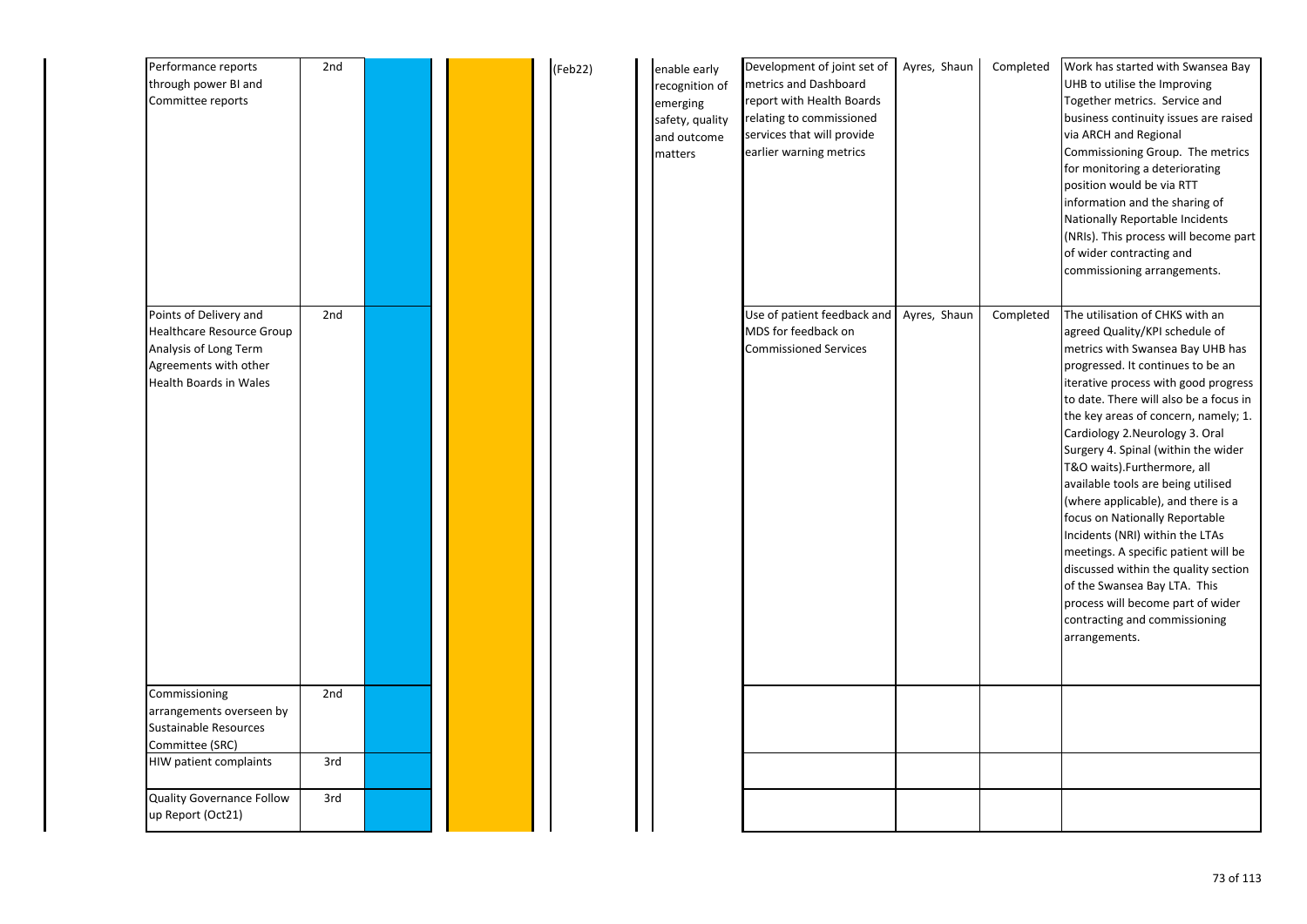| Performance reports<br>through power BI and<br>Committee reports                                                                | 2nd |  | (Feb22) | enable early<br>recognition of<br>emerging<br>safety, quality<br>and outcome<br>matters | Development of joint set of<br>metrics and Dashboard<br>report with Health Boards<br>relating to commissioned<br>services that will provide<br>earlier warning metrics | Ayres, Shaun | Completed | Work has started with Swansea Bay<br>UHB to utilise the Improving<br>Together metrics. Service and<br>business continuity issues are raised<br>via ARCH and Regional<br>Commissioning Group. The metrics<br>for monitoring a deteriorating<br>position would be via RTT<br>information and the sharing of<br>Nationally Reportable Incidents<br>(NRIs). This process will become part<br>of wider contracting and<br>commissioning arrangements.                                                                                                                                                                                                                                                                                     |
|---------------------------------------------------------------------------------------------------------------------------------|-----|--|---------|-----------------------------------------------------------------------------------------|------------------------------------------------------------------------------------------------------------------------------------------------------------------------|--------------|-----------|--------------------------------------------------------------------------------------------------------------------------------------------------------------------------------------------------------------------------------------------------------------------------------------------------------------------------------------------------------------------------------------------------------------------------------------------------------------------------------------------------------------------------------------------------------------------------------------------------------------------------------------------------------------------------------------------------------------------------------------|
| Points of Delivery and<br>Healthcare Resource Group<br>Analysis of Long Term<br>Agreements with other<br>Health Boards in Wales | 2nd |  |         |                                                                                         | Use of patient feedback and<br>MDS for feedback on<br><b>Commissioned Services</b>                                                                                     | Ayres, Shaun | Completed | The utilisation of CHKS with an<br>agreed Quality/KPI schedule of<br>metrics with Swansea Bay UHB has<br>progressed. It continues to be an<br>iterative process with good progress<br>to date. There will also be a focus in<br>the key areas of concern, namely; 1.<br>Cardiology 2.Neurology 3. Oral<br>Surgery 4. Spinal (within the wider<br>T&O waits).Furthermore, all<br>available tools are being utilised<br>(where applicable), and there is a<br>focus on Nationally Reportable<br>Incidents (NRI) within the LTAs<br>meetings. A specific patient will be<br>discussed within the quality section<br>of the Swansea Bay LTA. This<br>process will become part of wider<br>contracting and commissioning<br>arrangements. |
| Commissioning<br>arrangements overseen by<br><b>Sustainable Resources</b><br>Committee (SRC)                                    | 2nd |  |         |                                                                                         |                                                                                                                                                                        |              |           |                                                                                                                                                                                                                                                                                                                                                                                                                                                                                                                                                                                                                                                                                                                                      |
| HIW patient complaints                                                                                                          | 3rd |  |         |                                                                                         |                                                                                                                                                                        |              |           |                                                                                                                                                                                                                                                                                                                                                                                                                                                                                                                                                                                                                                                                                                                                      |
| <b>Quality Governance Follow</b><br>up Report (Oct21)                                                                           | 3rd |  |         |                                                                                         |                                                                                                                                                                        |              |           |                                                                                                                                                                                                                                                                                                                                                                                                                                                                                                                                                                                                                                                                                                                                      |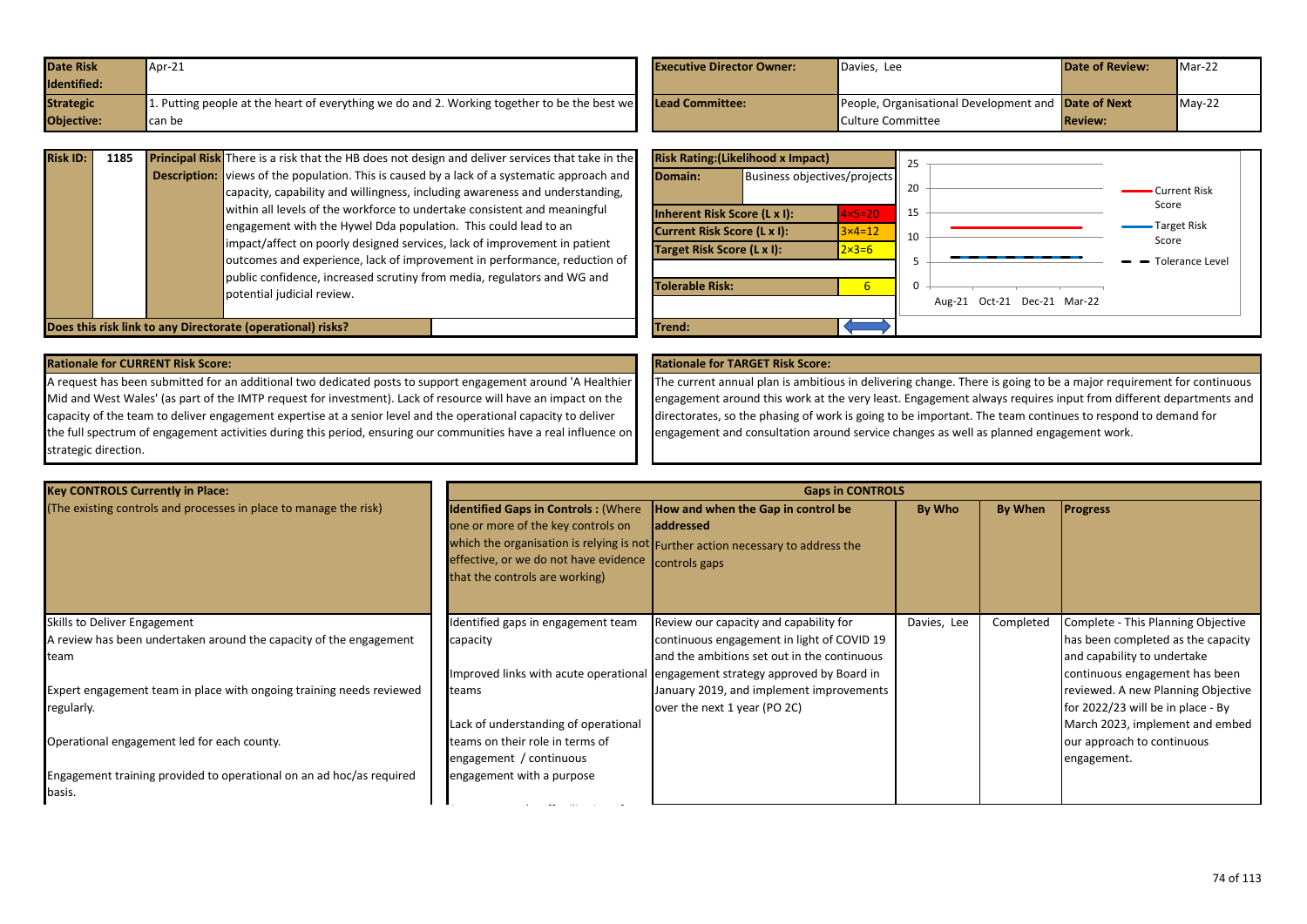| <b>Date Risk</b> | Apr-21                                                                                                              | <b>Executive Director Owner:</b> | Davies, Lee                                         | <b>Date of Review:</b> | $Mar-22$ |
|------------------|---------------------------------------------------------------------------------------------------------------------|----------------------------------|-----------------------------------------------------|------------------------|----------|
| Identified:      |                                                                                                                     |                                  |                                                     |                        |          |
| <b>Strategic</b> | 1. Putting people at the heart of everything we do and 2. Working together to be the best we <b>Lead Committee:</b> |                                  | People, Organisational Development and Date of Next |                        | $Mav-22$ |
| Objective:       | can be                                                                                                              |                                  | Culture Committee                                   | <b>Review:</b>         |          |

| <b>Risk ID:</b> | 1185 | <b>Principal Risk</b> There is a risk that the HB does not design and deliver services that take in the | <b>Risk Rating: (Likelihood x Impact)</b> |                              |                  | -25 |            |
|-----------------|------|---------------------------------------------------------------------------------------------------------|-------------------------------------------|------------------------------|------------------|-----|------------|
|                 |      | <b>Description:</b> views of the population. This is caused by a lack of a systematic approach and      | Domain:                                   | Business objectives/projects |                  |     |            |
|                 |      | capacity, capability and willingness, including awareness and understanding,                            |                                           |                              |                  | 20  |            |
|                 |      | within all levels of the workforce to undertake consistent and meaningful                               | Inherent Risk Score (L x I):              |                              | $4\times5=20$    | 15  |            |
|                 |      | engagement with the Hywel Dda population. This could lead to an                                         | Current Risk Score (L x I):               |                              | $3\times 4=12$   | 10  |            |
|                 |      | impact/affect on poorly designed services, lack of improvement in patient                               | Target Risk Score (L x I):                |                              | $2 \times 3 = 6$ |     |            |
|                 |      | outcomes and experience, lack of improvement in performance, reduction of                               |                                           |                              |                  |     |            |
|                 |      | public confidence, increased scrutiny from media, regulators and WG and                                 | <b>Tolerable Risk:</b>                    |                              |                  |     |            |
|                 |      | potential judicial review.                                                                              |                                           |                              |                  |     | Aug-21 Oct |
|                 |      |                                                                                                         |                                           |                              |                  |     |            |
|                 |      | Does this risk link to any Directorate (operational) risks?                                             | Trend:                                    |                              |                  |     |            |



A request has been submitted for an additional two dedicated posts to support engagement around 'A Healthier Mid and West Wales' (as part of the IMTP request for investment). Lack of resource will have an impact on the capacity of the team to deliver engagement expertise at a senior level and the operational capacity to deliver the full spectrum of engagement activities during this period, ensuring our communities have a real influence on strategic direction. **Rationale for CURRENT Risk Score: Rationale for TARGET Risk Score:**

The current annual plan is ambitious in delivering change. There is going to be a major requirement for continuous engagement around this work at the very least. Engagement always requires input from different departments and directorates, so the phasing of work is going to be important. The team continues to respond to demand for engagement and consultation around service changes as well as planned engagement work.

| <b>Key CONTROLS Currently in Place:</b>                              |                                                                                                                                                                           | <b>Gaps in CONTROLS</b>                                                                                                              |             |           |                                    |
|----------------------------------------------------------------------|---------------------------------------------------------------------------------------------------------------------------------------------------------------------------|--------------------------------------------------------------------------------------------------------------------------------------|-------------|-----------|------------------------------------|
| (The existing controls and processes in place to manage the risk)    | <b>Identified Gaps in Controls: (Where</b><br>one or more of the key controls on<br>effective, or we do not have evidence controls gaps<br>that the controls are working) | How and when the Gap in control be<br>laddressed<br>which the organisation is relying is not Further action necessary to address the | By Who      | By When   | <b>Progress</b>                    |
| Skills to Deliver Engagement                                         | Identified gaps in engagement team                                                                                                                                        | Review our capacity and capability for                                                                                               | Davies, Lee | Completed | Complete - This Planning Objective |
| A review has been undertaken around the capacity of the engagement   | capacity                                                                                                                                                                  | continuous engagement in light of COVID 19                                                                                           |             |           | has been completed as the capacity |
| <b>Iteam</b>                                                         |                                                                                                                                                                           | and the ambitions set out in the continuous                                                                                          |             |           | and capability to undertake        |
|                                                                      |                                                                                                                                                                           | Improved links with acute operational engagement strategy approved by Board in                                                       |             |           | continuous engagement has been     |
| Expert engagement team in place with ongoing training needs reviewed | teams                                                                                                                                                                     | January 2019, and implement improvements                                                                                             |             |           | reviewed. A new Planning Objective |
| regularly.                                                           |                                                                                                                                                                           | over the next 1 year (PO 2C)                                                                                                         |             |           | for 2022/23 will be in place - By  |
|                                                                      | Lack of understanding of operational                                                                                                                                      |                                                                                                                                      |             |           | March 2023, implement and embed    |
| Operational engagement led for each county.                          | teams on their role in terms of                                                                                                                                           |                                                                                                                                      |             |           | our approach to continuous         |
|                                                                      | engagement / continuous                                                                                                                                                   |                                                                                                                                      |             |           | engagement.                        |
| Engagement training provided to operational on an ad hoc/as required | engagement with a purpose                                                                                                                                                 |                                                                                                                                      |             |           |                                    |
| basis.                                                               |                                                                                                                                                                           |                                                                                                                                      |             |           |                                    |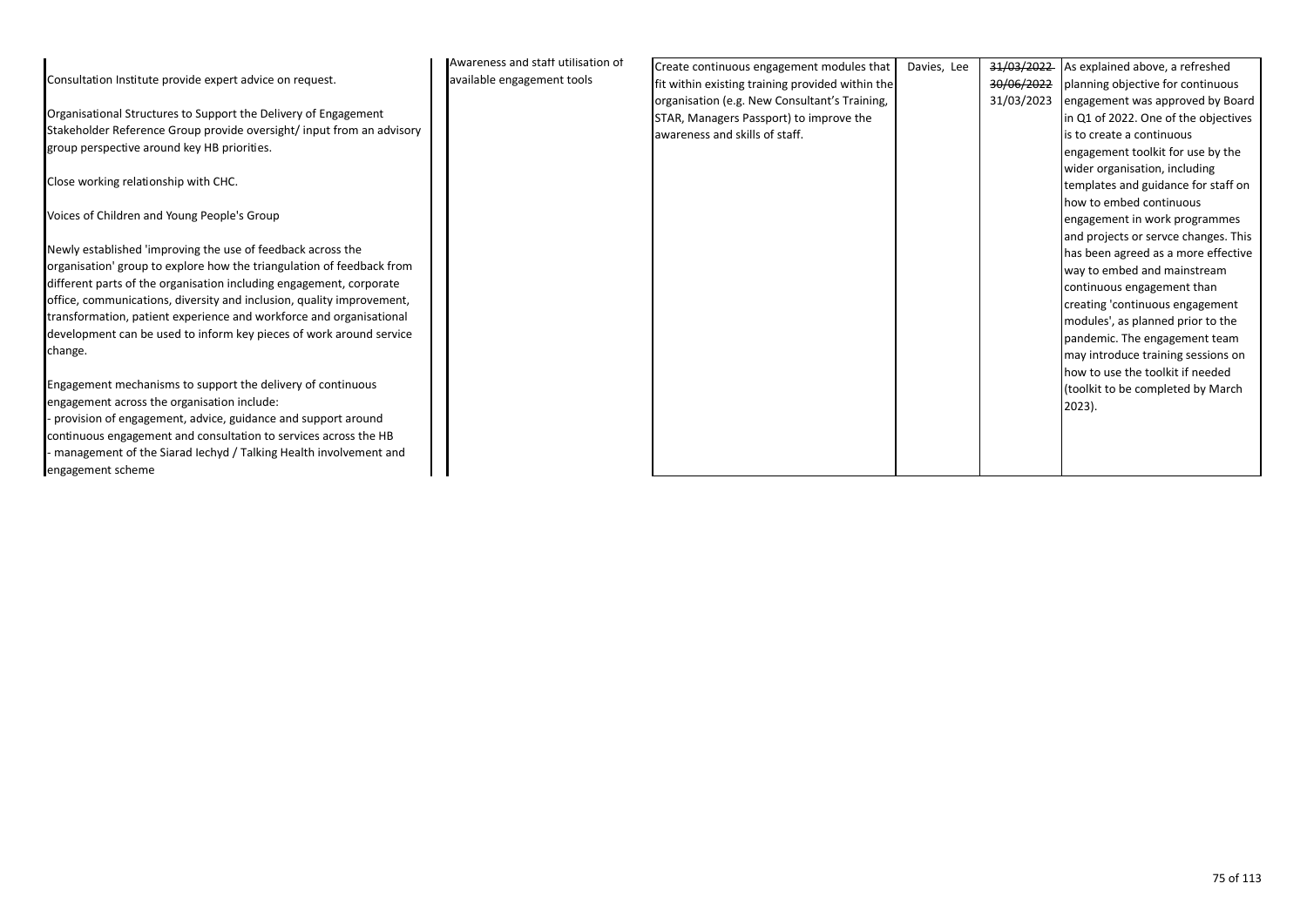|                                                                       | Awareness and staff utilisation of | Create continuous engagement modules that        | Davies, Lee | 31/03/2022 | As explained above, a refreshed      |
|-----------------------------------------------------------------------|------------------------------------|--------------------------------------------------|-------------|------------|--------------------------------------|
| Consultation Institute provide expert advice on request.              | available engagement tools         | fit within existing training provided within the |             | 30/06/2022 | planning objective for continuous    |
|                                                                       |                                    | organisation (e.g. New Consultant's Training,    |             | 31/03/2023 | engagement was approved by Board     |
| Organisational Structures to Support the Delivery of Engagement       |                                    | STAR, Managers Passport) to improve the          |             |            | in Q1 of 2022. One of the objectives |
| Stakeholder Reference Group provide oversight/input from an advisory  |                                    | awareness and skills of staff.                   |             |            | is to create a continuous            |
| group perspective around key HB priorities.                           |                                    |                                                  |             |            | engagement toolkit for use by the    |
|                                                                       |                                    |                                                  |             |            | wider organisation, including        |
| Close working relationship with CHC.                                  |                                    |                                                  |             |            | templates and guidance for staff on  |
|                                                                       |                                    |                                                  |             |            | how to embed continuous              |
| Voices of Children and Young People's Group                           |                                    |                                                  |             |            | engagement in work programmes        |
|                                                                       |                                    |                                                  |             |            | and projects or servce changes. This |
| Newly established 'improving the use of feedback across the           |                                    |                                                  |             |            | has been agreed as a more effective  |
| organisation' group to explore how the triangulation of feedback from |                                    |                                                  |             |            | way to embed and mainstream          |
| different parts of the organisation including engagement, corporate   |                                    |                                                  |             |            | continuous engagement than           |
| office, communications, diversity and inclusion, quality improvement, |                                    |                                                  |             |            | creating 'continuous engagement      |
| transformation, patient experience and workforce and organisational   |                                    |                                                  |             |            | modules', as planned prior to the    |
| development can be used to inform key pieces of work around service   |                                    |                                                  |             |            | pandemic. The engagement team        |
| change.                                                               |                                    |                                                  |             |            | may introduce training sessions on   |
|                                                                       |                                    |                                                  |             |            | how to use the toolkit if needed     |
| Engagement mechanisms to support the delivery of continuous           |                                    |                                                  |             |            | (toolkit to be completed by March    |
| engagement across the organisation include:                           |                                    |                                                  |             |            | $2023$ ).                            |
| - provision of engagement, advice, guidance and support around        |                                    |                                                  |             |            |                                      |
| continuous engagement and consultation to services across the HB      |                                    |                                                  |             |            |                                      |
| - management of the Siarad lechyd / Talking Health involvement and    |                                    |                                                  |             |            |                                      |
| engagement scheme                                                     |                                    |                                                  |             |            |                                      |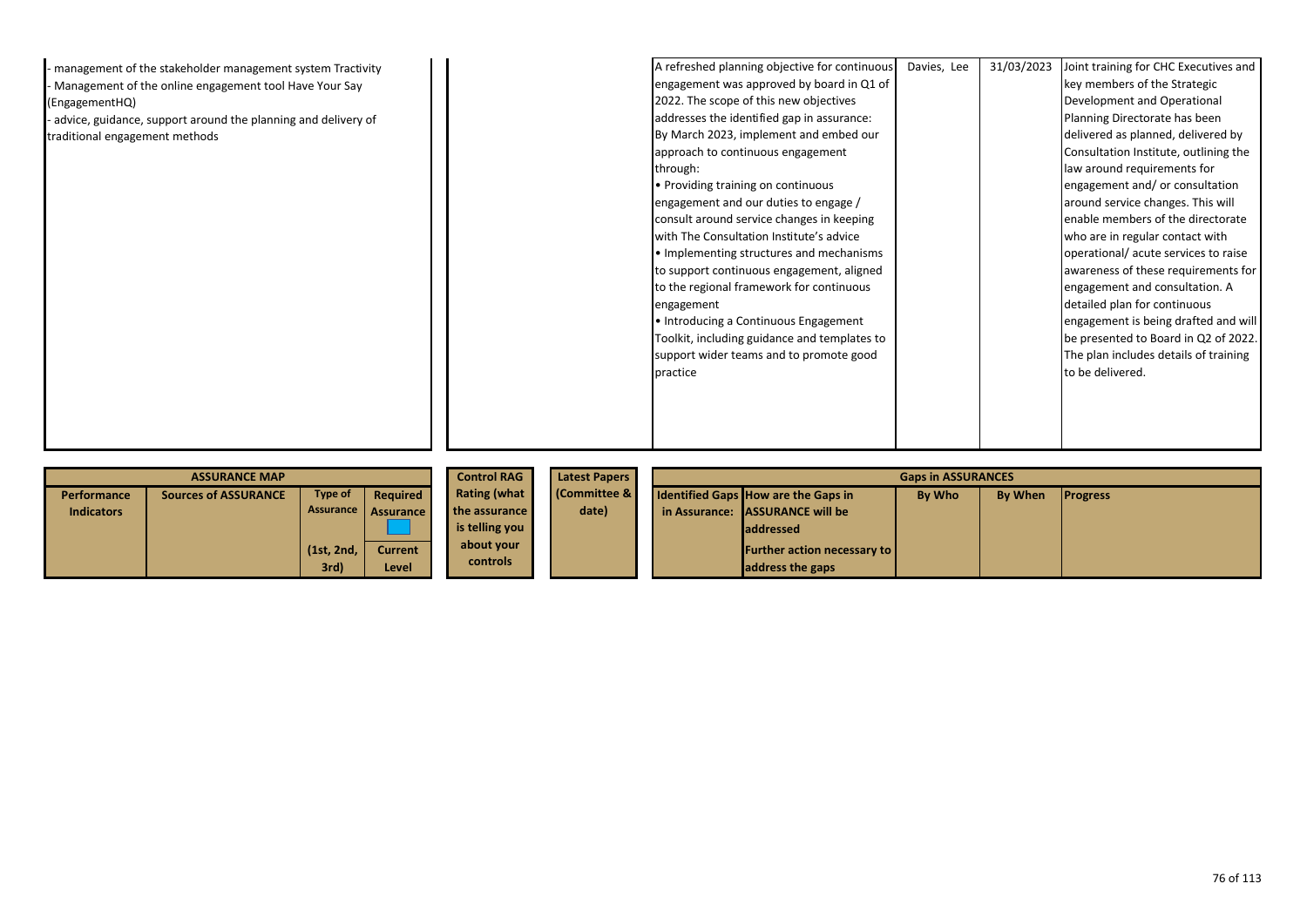| - management of the stakeholder management system Tractivity    |            | A refreshed planning objective for continuous | Davies, Lee | 31/03/2023 | Joint training for CHC Executives and |
|-----------------------------------------------------------------|------------|-----------------------------------------------|-------------|------------|---------------------------------------|
| - Management of the online engagement tool Have Your Say        |            | engagement was approved by board in Q1 of     |             |            | key members of the Strategic          |
| (EngagementHQ)                                                  |            | 2022. The scope of this new objectives        |             |            | Development and Operational           |
| - advice, guidance, support around the planning and delivery of |            | addresses the identified gap in assurance:    |             |            | Planning Directorate has been         |
| traditional engagement methods                                  |            | By March 2023, implement and embed our        |             |            | delivered as planned, delivered by    |
|                                                                 |            | approach to continuous engagement             |             |            | Consultation Institute, outlining the |
|                                                                 | through:   |                                               |             |            | law around requirements for           |
|                                                                 |            | • Providing training on continuous            |             |            | engagement and/ or consultation       |
|                                                                 |            | engagement and our duties to engage /         |             |            | around service changes. This will     |
|                                                                 |            | consult around service changes in keeping     |             |            | enable members of the directorate     |
|                                                                 |            | with The Consultation Institute's advice      |             |            | who are in regular contact with       |
|                                                                 |            | • Implementing structures and mechanisms      |             |            | operational/ acute services to raise  |
|                                                                 |            | to support continuous engagement, aligned     |             |            | awareness of these requirements for   |
|                                                                 |            | to the regional framework for continuous      |             |            | engagement and consultation. A        |
|                                                                 | engagement |                                               |             |            | detailed plan for continuous          |
|                                                                 |            | • Introducing a Continuous Engagement         |             |            | engagement is being drafted and will  |
|                                                                 |            | Toolkit, including guidance and templates to  |             |            | be presented to Board in Q2 of 2022.  |
|                                                                 |            | support wider teams and to promote good       |             |            | The plan includes details of training |
|                                                                 | practice   |                                               |             |            | to be delivered.                      |
|                                                                 |            |                                               |             |            |                                       |
|                                                                 |            |                                               |             |            |                                       |
|                                                                 |            |                                               |             |            |                                       |
|                                                                 |            |                                               |             |            |                                       |

|                   | <b>ASSURANCE MAP</b>        |            | <b>Control RAG</b>  | <b>Latest Papers</b> | <b>Gaps in ASSURANCES</b> |  |                                            |        |                |                 |
|-------------------|-----------------------------|------------|---------------------|----------------------|---------------------------|--|--------------------------------------------|--------|----------------|-----------------|
| Performance       | <b>Sources of ASSURANCE</b> | Type of    | Required            | <b>Rating (what</b>  | <b>Committee &amp;</b>    |  | <b>Identified Gaps How are the Gaps in</b> | By Who | <b>By When</b> | <b>Progress</b> |
| <b>Indicators</b> |                             |            | Assurance Assurance | the assurance        | date)                     |  | in Assurance: LASSURANCE will be           |        |                |                 |
|                   |                             |            |                     | is telling you       |                           |  | <b>laddressed</b>                          |        |                |                 |
|                   |                             | (1st, 2nd, | <b>Current</b>      | about your           |                           |  | <b>Further action necessary to  </b>       |        |                |                 |
|                   |                             | 3rd)       | Level /             | controls             |                           |  | address the gaps                           |        |                |                 |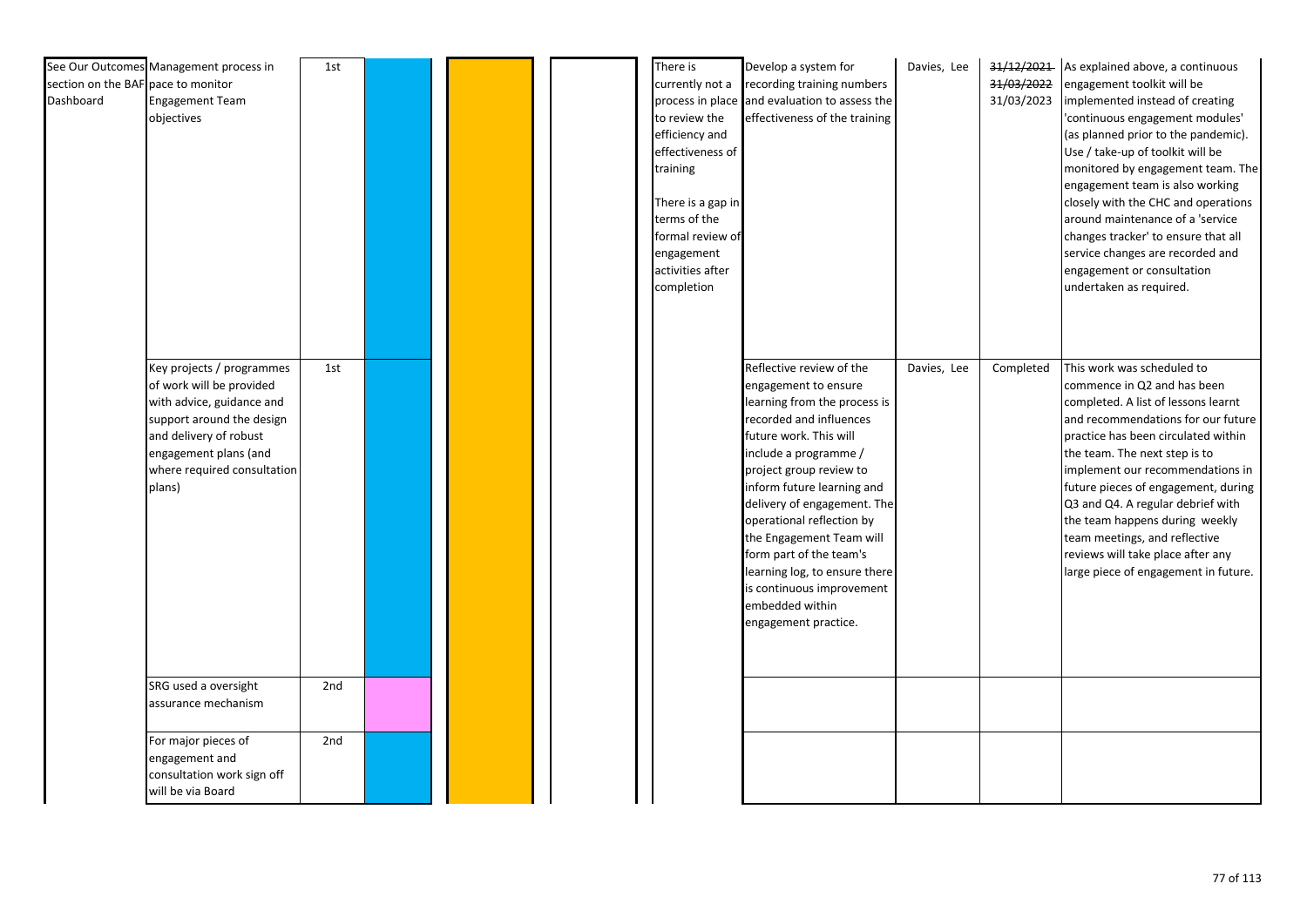| section on the BAF pace to monitor<br>Dashboard | See Our Outcomes Management process in<br><b>Engagement Team</b><br>objectives                                                                                                                              | 1st |  | There is<br>currently not a<br>to review the<br>efficiency and<br>effectiveness of<br>training<br>There is a gap in<br>terms of the<br>formal review of<br>engagement<br>activities after<br>completion | Develop a system for<br>recording training numbers<br>process in place and evaluation to assess the<br>effectiveness of the training                                                                                                                                                                                                                                                                                                                | Davies, Lee | 31/03/2022<br>31/03/2023 | 31/12/2021 As explained above, a continuous<br>engagement toolkit will be<br>implemented instead of creating<br>'continuous engagement modules'<br>(as planned prior to the pandemic).<br>Use / take-up of toolkit will be<br>monitored by engagement team. The<br>engagement team is also working<br>closely with the CHC and operations<br>around maintenance of a 'service<br>changes tracker' to ensure that all<br>service changes are recorded and<br>engagement or consultation<br>undertaken as required. |
|-------------------------------------------------|-------------------------------------------------------------------------------------------------------------------------------------------------------------------------------------------------------------|-----|--|---------------------------------------------------------------------------------------------------------------------------------------------------------------------------------------------------------|-----------------------------------------------------------------------------------------------------------------------------------------------------------------------------------------------------------------------------------------------------------------------------------------------------------------------------------------------------------------------------------------------------------------------------------------------------|-------------|--------------------------|-------------------------------------------------------------------------------------------------------------------------------------------------------------------------------------------------------------------------------------------------------------------------------------------------------------------------------------------------------------------------------------------------------------------------------------------------------------------------------------------------------------------|
|                                                 | Key projects / programmes<br>of work will be provided<br>with advice, guidance and<br>support around the design<br>and delivery of robust<br>engagement plans (and<br>where required consultation<br>plans) | 1st |  |                                                                                                                                                                                                         | Reflective review of the<br>engagement to ensure<br>learning from the process is<br>recorded and influences<br>future work. This will<br>include a programme /<br>project group review to<br>inform future learning and<br>delivery of engagement. The<br>operational reflection by<br>the Engagement Team will<br>form part of the team's<br>learning log, to ensure there<br>is continuous improvement<br>embedded within<br>engagement practice. | Davies, Lee | Completed                | This work was scheduled to<br>commence in Q2 and has been<br>completed. A list of lessons learnt<br>and recommendations for our future<br>practice has been circulated within<br>the team. The next step is to<br>implement our recommendations in<br>future pieces of engagement, during<br>Q3 and Q4. A regular debrief with<br>the team happens during weekly<br>team meetings, and reflective<br>reviews will take place after any<br>large piece of engagement in future.                                    |
|                                                 | SRG used a oversight<br>assurance mechanism                                                                                                                                                                 | 2nd |  |                                                                                                                                                                                                         |                                                                                                                                                                                                                                                                                                                                                                                                                                                     |             |                          |                                                                                                                                                                                                                                                                                                                                                                                                                                                                                                                   |
|                                                 | For major pieces of<br>engagement and<br>consultation work sign off<br>will be via Board                                                                                                                    | 2nd |  |                                                                                                                                                                                                         |                                                                                                                                                                                                                                                                                                                                                                                                                                                     |             |                          |                                                                                                                                                                                                                                                                                                                                                                                                                                                                                                                   |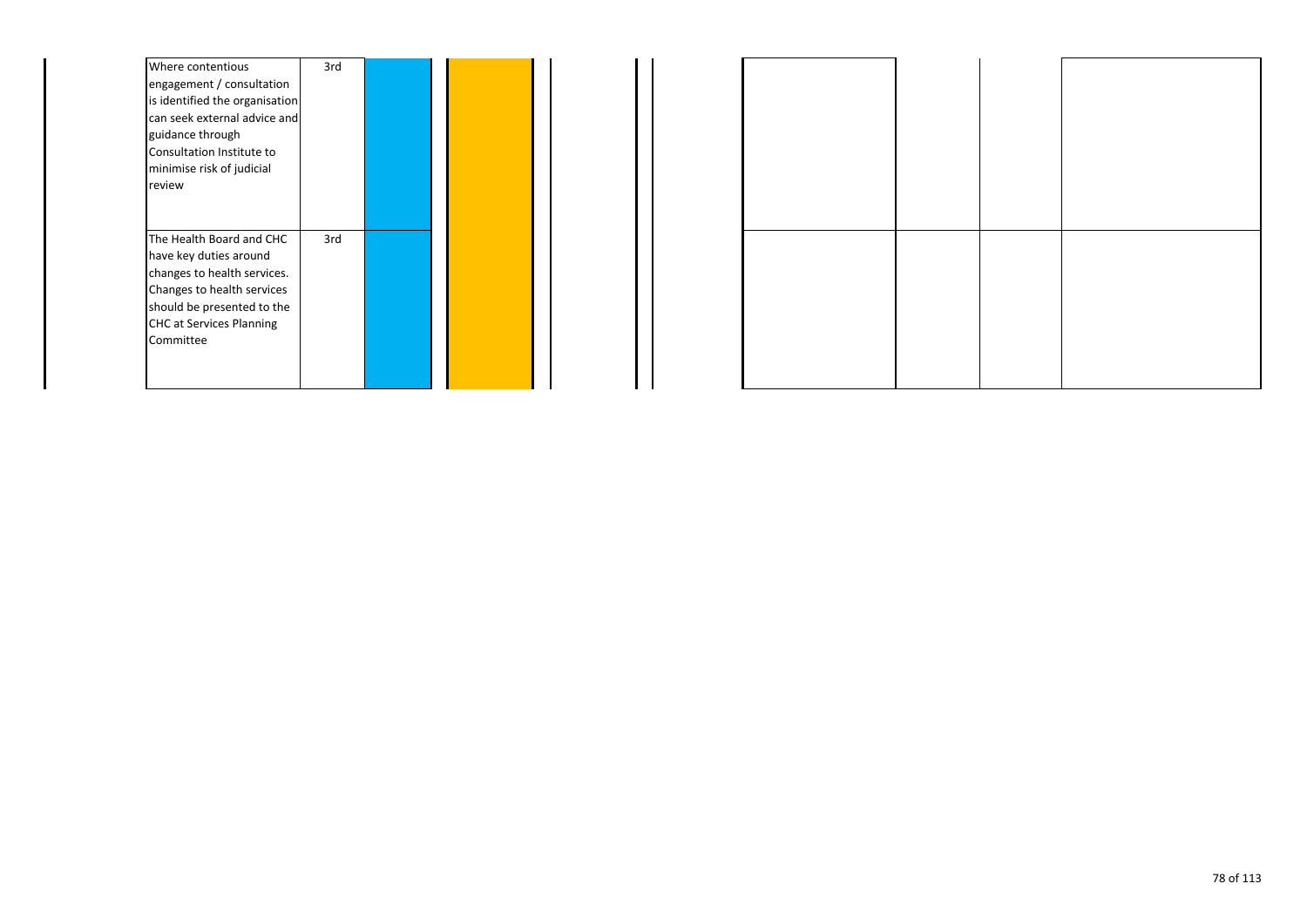| Where contentious               | 3rd |  |  |
|---------------------------------|-----|--|--|
| engagement / consultation       |     |  |  |
| is identified the organisation  |     |  |  |
| can seek external advice and    |     |  |  |
| guidance through                |     |  |  |
| Consultation Institute to       |     |  |  |
| minimise risk of judicial       |     |  |  |
| review                          |     |  |  |
|                                 |     |  |  |
|                                 |     |  |  |
| The Health Board and CHC        | 3rd |  |  |
| have key duties around          |     |  |  |
| changes to health services.     |     |  |  |
| Changes to health services      |     |  |  |
| should be presented to the      |     |  |  |
| <b>CHC at Services Planning</b> |     |  |  |
| Committee                       |     |  |  |
|                                 |     |  |  |
|                                 |     |  |  |
|                                 |     |  |  |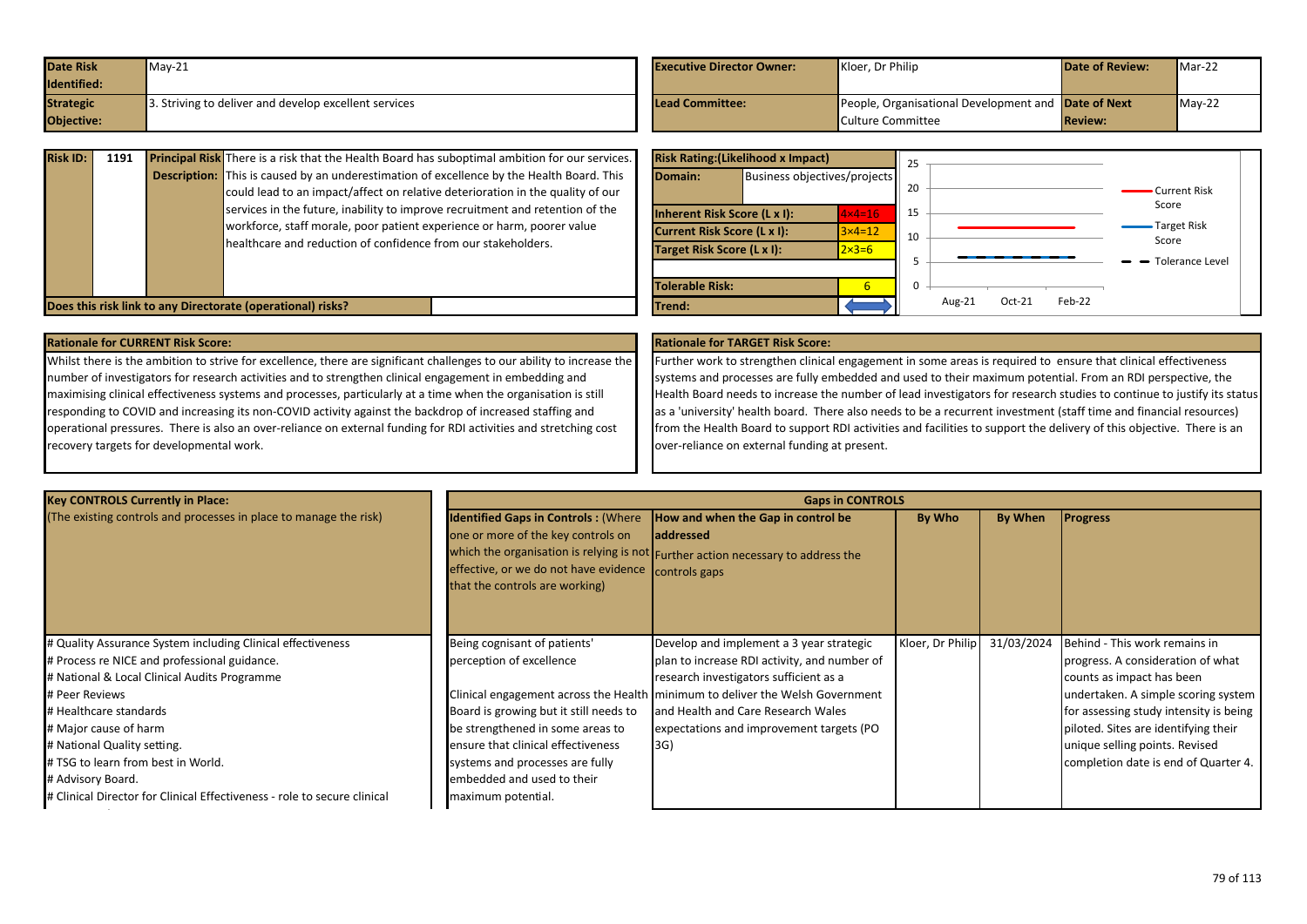| <b>Date Risk</b> | $May-21$                                             | <b>Executive Director Owner:</b> | Kloer, Dr Philip                                           | <b>Date of Review:</b> | Mar-22   |
|------------------|------------------------------------------------------|----------------------------------|------------------------------------------------------------|------------------------|----------|
| Identified:      |                                                      |                                  |                                                            |                        |          |
| <b>Strategic</b> | . Striving to deliver and develop excellent services | <b>Lead Committee:</b>           | People, Organisational Development and <b>Date of Next</b> |                        | $May-22$ |
| Objective:       |                                                      |                                  | Culture Committee                                          | <b>Review:</b>         |          |

| <b>Risk ID:</b> | 1191 | <b>Principal Risk</b> There is a risk that the Health Board has suboptimal ambition for our services.<br><b>Description:</b> This is caused by an underestimation of excellence by the Health Board. This<br>could lead to an impact/affect on relative deterioration in the quality of our | <b>Ris</b><br>lDo   |
|-----------------|------|---------------------------------------------------------------------------------------------------------------------------------------------------------------------------------------------------------------------------------------------------------------------------------------------|---------------------|
|                 |      | services in the future, inability to improve recruitment and retention of the<br>workforce, staff morale, poor patient experience or harm, poorer value<br>healthcare and reduction of confidence from our stakeholders.                                                                    | linh<br>lcu<br>lTar |
|                 |      | Does this risk link to any Directorate (operational) risks?                                                                                                                                                                                                                                 | lTol<br><b>Tre</b>  |

|                            | <b>Risk Rating: (Likelihood x Impact)</b> |                              | 25 |                                   |                             |
|----------------------------|-------------------------------------------|------------------------------|----|-----------------------------------|-----------------------------|
| Domain:                    |                                           | Business objectives/projects |    |                                   | Current Risk                |
|                            | <b>Inherent Risk Score (L x I):</b>       | $4x4=16$                     | 15 |                                   | Score                       |
|                            | Current Risk Score (L x I):               | $3 \times 4 = 12$            | 10 |                                   | <b>Target Risk</b><br>Score |
| Target Risk Score (L x I): |                                           | $2 \times 3 = 6$             |    |                                   |                             |
|                            |                                           |                              |    |                                   | - Tolerance Level           |
| <b>Tolerable Risk:</b>     |                                           | 6                            | 0  |                                   |                             |
| Trend:                     |                                           |                              |    | $Feb-22$<br>Aug- $21$<br>$Oct-21$ |                             |

### **Rationale for CURRENT Risk Score: Rationale for TARGET Risk Score:**

Whilst there is the ambition to strive for excellence, there are significant challenges to our ability to increase the number of investigators for research activities and to strengthen clinical engagement in embedding and maximising clinical effectiveness systems and processes, particularly at a time when the organisation is still responding to COVID and increasing its non-COVID activity against the backdrop of increased staffing and operational pressures. There is also an over-reliance on external funding for RDI activities and stretching cost recovery targets for developmental work.

Further work to strengthen clinical engagement in some areas is required to ensure that clinical effectiveness systems and processes are fully embedded and used to their maximum potential. From an RDI perspective, the Health Board needs to increase the number of lead investigators for research studies to continue to justify its status as a 'university' health board. There also needs to be a recurrent investment (staff time and financial resources) from the Health Board to support RDI activities and facilities to support the delivery of this objective. There is an over-reliance on external funding at present.

| <b>Key CONTROLS Currently in Place:</b>                                                                                                                                                                                                                                                                                                                                                                |                                                                                                                                                                                                                                                                     | <b>Gaps in CONTROLS</b>                                                                                                                                                                                                                                                                                        |                  |            |                                                                                                                                                                                                                                                                                                    |
|--------------------------------------------------------------------------------------------------------------------------------------------------------------------------------------------------------------------------------------------------------------------------------------------------------------------------------------------------------------------------------------------------------|---------------------------------------------------------------------------------------------------------------------------------------------------------------------------------------------------------------------------------------------------------------------|----------------------------------------------------------------------------------------------------------------------------------------------------------------------------------------------------------------------------------------------------------------------------------------------------------------|------------------|------------|----------------------------------------------------------------------------------------------------------------------------------------------------------------------------------------------------------------------------------------------------------------------------------------------------|
| (The existing controls and processes in place to manage the risk)                                                                                                                                                                                                                                                                                                                                      | <b>Identified Gaps in Controls: (Where</b><br>one or more of the key controls on<br>effective, or we do not have evidence controls gaps<br>that the controls are working)                                                                                           | How and when the Gap in control be<br>laddressed<br>which the organisation is relying is not Further action necessary to address the                                                                                                                                                                           | By Who           | By When    | <b>Progress</b>                                                                                                                                                                                                                                                                                    |
| # Quality Assurance System including Clinical effectiveness<br># Process re NICE and professional guidance.<br># National & Local Clinical Audits Programme<br># Peer Reviews<br># Healthcare standards<br># Major cause of harm<br># National Quality setting.<br># TSG to learn from best in World.<br># Advisory Board.<br># Clinical Director for Clinical Effectiveness - role to secure clinical | Being cognisant of patients'<br>perception of excellence<br>Board is growing but it still needs to<br>be strengthened in some areas to<br>ensure that clinical effectiveness<br>systems and processes are fully<br>embedded and used to their<br>maximum potential. | Develop and implement a 3 year strategic<br>plan to increase RDI activity, and number of<br>research investigators sufficient as a<br>Clinical engagement across the Health   minimum to deliver the Welsh Government<br>and Health and Care Research Wales<br>expectations and improvement targets (PO<br>3G) | Kloer, Dr Philip | 31/03/2024 | Behind - This work remains in<br>progress. A consideration of what<br>counts as impact has been<br>undertaken. A simple scoring system<br>for assessing study intensity is being<br>piloted. Sites are identifying their<br>unique selling points. Revised<br>completion date is end of Quarter 4. |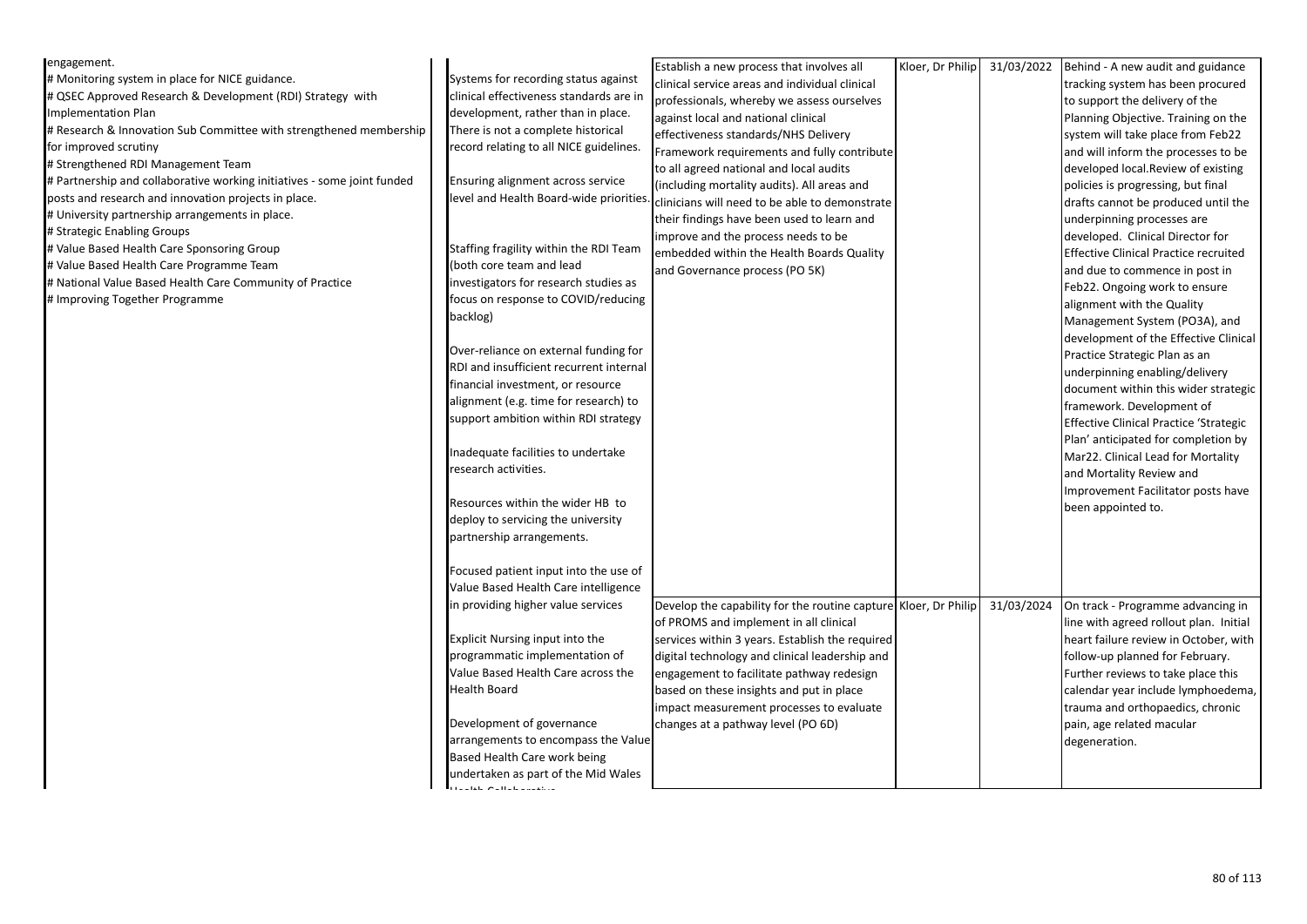| engagement.                                                             |                                         | Establish a new process that involves all                       | Kloer, Dr Philip | 31/03/2022 | Behind - A new audit and guidance             |
|-------------------------------------------------------------------------|-----------------------------------------|-----------------------------------------------------------------|------------------|------------|-----------------------------------------------|
| # Monitoring system in place for NICE guidance.                         | Systems for recording status against    | clinical service areas and individual clinical                  |                  |            | tracking system has been procured             |
| # QSEC Approved Research & Development (RDI) Strategy with              | clinical effectiveness standards are in |                                                                 |                  |            |                                               |
| <b>Implementation Plan</b>                                              | development, rather than in place.      | professionals, whereby we assess ourselves                      |                  |            | to support the delivery of the                |
| # Research & Innovation Sub Committee with strengthened membership      | There is not a complete historical      | against local and national clinical                             |                  |            | Planning Objective. Training on the           |
| for improved scrutiny                                                   | record relating to all NICE guidelines. | effectiveness standards/NHS Delivery                            |                  |            | system will take place from Feb22             |
| # Strengthened RDI Management Team                                      |                                         | Framework requirements and fully contribute                     |                  |            | and will inform the processes to be           |
| # Partnership and collaborative working initiatives - some joint funded | Ensuring alignment across service       | to all agreed national and local audits                         |                  |            | developed local.Review of existing            |
| posts and research and innovation projects in place.                    | level and Health Board-wide priorities. | (including mortality audits). All areas and                     |                  |            | policies is progressing, but final            |
| # University partnership arrangements in place.                         |                                         | clinicians will need to be able to demonstrate                  |                  |            | drafts cannot be produced until the           |
| # Strategic Enabling Groups                                             |                                         | their findings have been used to learn and                      |                  |            | underpinning processes are                    |
| # Value Based Health Care Sponsoring Group                              | Staffing fragility within the RDI Team  | improve and the process needs to be                             |                  |            | developed. Clinical Director for              |
|                                                                         | (both core team and lead                | embedded within the Health Boards Quality                       |                  |            | <b>Effective Clinical Practice recruited</b>  |
| # Value Based Health Care Programme Team                                |                                         | and Governance process (PO 5K)                                  |                  |            | and due to commence in post in                |
| # National Value Based Health Care Community of Practice                | investigators for research studies as   |                                                                 |                  |            | Feb22. Ongoing work to ensure                 |
| # Improving Together Programme                                          | focus on response to COVID/reducing     |                                                                 |                  |            | alignment with the Quality                    |
|                                                                         | backlog)                                |                                                                 |                  |            | Management System (PO3A), and                 |
|                                                                         |                                         |                                                                 |                  |            | development of the Effective Clinical         |
|                                                                         | Over-reliance on external funding for   |                                                                 |                  |            | Practice Strategic Plan as an                 |
|                                                                         | RDI and insufficient recurrent internal |                                                                 |                  |            | underpinning enabling/delivery                |
|                                                                         | financial investment, or resource       |                                                                 |                  |            | document within this wider strategic          |
|                                                                         | alignment (e.g. time for research) to   |                                                                 |                  |            | framework. Development of                     |
|                                                                         | support ambition within RDI strategy    |                                                                 |                  |            | <b>Effective Clinical Practice 'Strategic</b> |
|                                                                         |                                         |                                                                 |                  |            | Plan' anticipated for completion by           |
|                                                                         | Inadequate facilities to undertake      |                                                                 |                  |            | Mar22. Clinical Lead for Mortality            |
|                                                                         | research activities.                    |                                                                 |                  |            | and Mortality Review and                      |
|                                                                         |                                         |                                                                 |                  |            | Improvement Facilitator posts have            |
|                                                                         | Resources within the wider HB to        |                                                                 |                  |            | been appointed to.                            |
|                                                                         | deploy to servicing the university      |                                                                 |                  |            |                                               |
|                                                                         | partnership arrangements.               |                                                                 |                  |            |                                               |
|                                                                         |                                         |                                                                 |                  |            |                                               |
|                                                                         | Focused patient input into the use of   |                                                                 |                  |            |                                               |
|                                                                         | Value Based Health Care intelligence    |                                                                 |                  |            |                                               |
|                                                                         | in providing higher value services      | Develop the capability for the routine capture Kloer, Dr Philip |                  | 31/03/2024 | On track - Programme advancing in             |
|                                                                         |                                         | of PROMS and implement in all clinical                          |                  |            | line with agreed rollout plan. Initial        |
|                                                                         | Explicit Nursing input into the         | services within 3 years. Establish the required                 |                  |            | heart failure review in October, with         |
|                                                                         | programmatic implementation of          | digital technology and clinical leadership and                  |                  |            | follow-up planned for February.               |
|                                                                         | Value Based Health Care across the      | engagement to facilitate pathway redesign                       |                  |            | Further reviews to take place this            |
|                                                                         | Health Board                            | based on these insights and put in place                        |                  |            | calendar year include lymphoedema,            |
|                                                                         |                                         | impact measurement processes to evaluate                        |                  |            | trauma and orthopaedics, chronic              |
|                                                                         | Development of governance               | changes at a pathway level (PO 6D)                              |                  |            | pain, age related macular                     |
|                                                                         | arrangements to encompass the Value     |                                                                 |                  |            | degeneration.                                 |
|                                                                         | Based Health Care work being            |                                                                 |                  |            |                                               |
|                                                                         | undertaken as part of the Mid Wales     |                                                                 |                  |            |                                               |
|                                                                         | <b>Literature Calledonance</b>          |                                                                 |                  |            |                                               |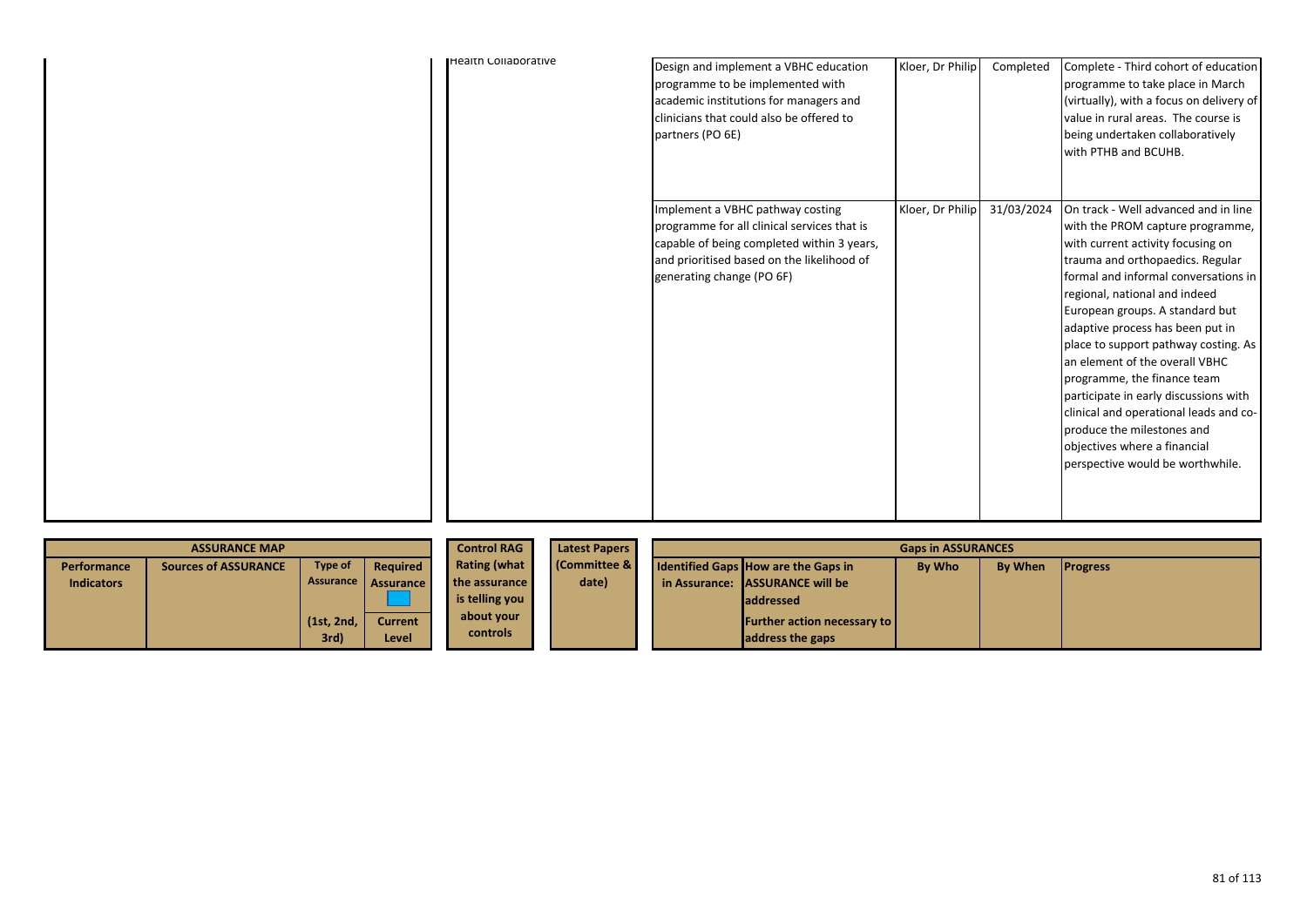| <b>Health Collaborative</b> | Design and implement a VBHC education<br>programme to be implemented with<br>academic institutions for managers and<br>clinicians that could also be offered to<br>partners (PO 6E)                      | Kloer, Dr Philip | Completed  | Complete - Third cohort of education<br>programme to take place in March<br>(virtually), with a focus on delivery of<br>value in rural areas. The course is<br>being undertaken collaboratively<br>with PTHB and BCUHB.                                                                                                                                                                                                                                                                                                                                                                         |
|-----------------------------|----------------------------------------------------------------------------------------------------------------------------------------------------------------------------------------------------------|------------------|------------|-------------------------------------------------------------------------------------------------------------------------------------------------------------------------------------------------------------------------------------------------------------------------------------------------------------------------------------------------------------------------------------------------------------------------------------------------------------------------------------------------------------------------------------------------------------------------------------------------|
|                             | Implement a VBHC pathway costing<br>programme for all clinical services that is<br>capable of being completed within 3 years,<br>and prioritised based on the likelihood of<br>generating change (PO 6F) | Kloer, Dr Philip | 31/03/2024 | On track - Well advanced and in line<br>with the PROM capture programme,<br>with current activity focusing on<br>trauma and orthopaedics. Regular<br>formal and informal conversations in<br>regional, national and indeed<br>European groups. A standard but<br>adaptive process has been put in<br>place to support pathway costing. As<br>an element of the overall VBHC<br>programme, the finance team<br>participate in early discussions with<br>clinical and operational leads and co-<br>produce the milestones and<br>objectives where a financial<br>perspective would be worthwhile. |

|                   | <b>ASSURANCE MAP</b>        |                    | <b>Control RAG</b>      | <b>Latest Papers</b>          | <b>Gaps in ASSURANCES</b> |  |                                                          |               |                |                 |
|-------------------|-----------------------------|--------------------|-------------------------|-------------------------------|---------------------------|--|----------------------------------------------------------|---------------|----------------|-----------------|
| Performance       | <b>Sources of ASSURANCE</b> | Type of            | Required                | <b>Rating (what</b>           | (Committee &              |  | <b>Identified Gaps How are the Gaps in</b>               | <b>By Who</b> | <b>By When</b> | <b>Progress</b> |
| <b>Indicators</b> |                             | Assurance          | <b>Assurance</b>        | the assurance                 | date)                     |  | in Assurance: ASSURANCE will be                          |               |                |                 |
|                   |                             |                    |                         | is telling you                |                           |  | <b>laddressed</b>                                        |               |                |                 |
|                   |                             | (1st, 2nd,<br>3rd) | <b>Current</b><br>Level | about your<br><b>controls</b> |                           |  | <b>Further action necessary to  </b><br>address the gaps |               |                |                 |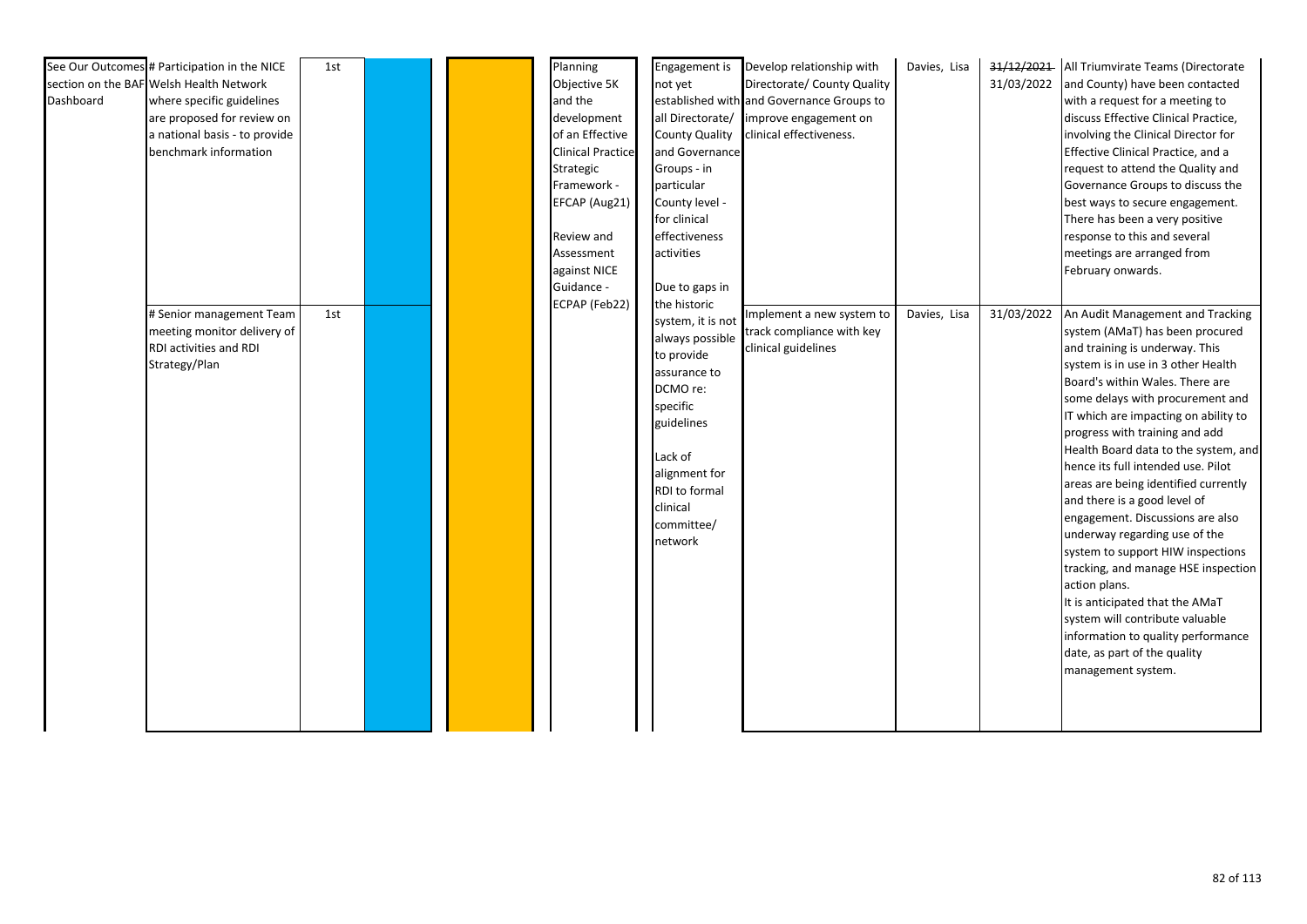|           | See Our Outcomes # Participation in the NICE | 1st |  |  | Planning                 |                       | Engagement is Develop relationship with   | Davies, Lisa |            | 31/12/2021 All Triumvirate Teams (Directorate |
|-----------|----------------------------------------------|-----|--|--|--------------------------|-----------------------|-------------------------------------------|--------------|------------|-----------------------------------------------|
|           | section on the BAF Welsh Health Network      |     |  |  | Objective 5K             | not yet               | Directorate/ County Quality               |              | 31/03/2022 | and County) have been contacted               |
| Dashboard | where specific guidelines                    |     |  |  | and the                  |                       | established with and Governance Groups to |              |            | with a request for a meeting to               |
|           | are proposed for review on                   |     |  |  | development              | all Directorate/      | improve engagement on                     |              |            | discuss Effective Clinical Practice,          |
|           | a national basis - to provide                |     |  |  | of an Effective          | <b>County Quality</b> | clinical effectiveness.                   |              |            | involving the Clinical Director for           |
|           | benchmark information                        |     |  |  | <b>Clinical Practice</b> | and Governance        |                                           |              |            | Effective Clinical Practice, and a            |
|           |                                              |     |  |  | Strategic                | Groups - in           |                                           |              |            | request to attend the Quality and             |
|           |                                              |     |  |  | Framework -              | particular            |                                           |              |            | Governance Groups to discuss the              |
|           |                                              |     |  |  | EFCAP (Aug21)            | County level -        |                                           |              |            | best ways to secure engagement.               |
|           |                                              |     |  |  |                          | for clinical          |                                           |              |            | There has been a very positive                |
|           |                                              |     |  |  | Review and               | effectiveness         |                                           |              |            | response to this and several                  |
|           |                                              |     |  |  | Assessment               | activities            |                                           |              |            | meetings are arranged from                    |
|           |                                              |     |  |  | against NICE             |                       |                                           |              |            | February onwards.                             |
|           |                                              |     |  |  | Guidance -               | Due to gaps in        |                                           |              |            |                                               |
|           |                                              |     |  |  | ECPAP (Feb22)            | the historic          |                                           |              |            |                                               |
|           | # Senior management Team                     | 1st |  |  |                          | system, it is not     | Implement a new system to                 | Davies, Lisa | 31/03/2022 | An Audit Management and Tracking              |
|           | meeting monitor delivery of                  |     |  |  |                          | always possible       | track compliance with key                 |              |            | system (AMaT) has been procured               |
|           | RDI activities and RDI                       |     |  |  |                          | to provide            | clinical guidelines                       |              |            | and training is underway. This                |
|           | Strategy/Plan                                |     |  |  |                          | assurance to          |                                           |              |            | system is in use in 3 other Health            |
|           |                                              |     |  |  |                          | DCMO re:              |                                           |              |            | Board's within Wales. There are               |
|           |                                              |     |  |  |                          | specific              |                                           |              |            | some delays with procurement and              |
|           |                                              |     |  |  |                          | guidelines            |                                           |              |            | IT which are impacting on ability to          |
|           |                                              |     |  |  |                          |                       |                                           |              |            | progress with training and add                |
|           |                                              |     |  |  |                          | Lack of               |                                           |              |            | Health Board data to the system, and          |
|           |                                              |     |  |  |                          | alignment for         |                                           |              |            | hence its full intended use. Pilot            |
|           |                                              |     |  |  |                          | RDI to formal         |                                           |              |            | areas are being identified currently          |
|           |                                              |     |  |  |                          | clinical              |                                           |              |            | and there is a good level of                  |
|           |                                              |     |  |  |                          | committee/            |                                           |              |            | engagement. Discussions are also              |
|           |                                              |     |  |  |                          | network               |                                           |              |            | underway regarding use of the                 |
|           |                                              |     |  |  |                          |                       |                                           |              |            | system to support HIW inspections             |
|           |                                              |     |  |  |                          |                       |                                           |              |            | tracking, and manage HSE inspection           |
|           |                                              |     |  |  |                          |                       |                                           |              |            | action plans.                                 |
|           |                                              |     |  |  |                          |                       |                                           |              |            | It is anticipated that the AMaT               |
|           |                                              |     |  |  |                          |                       |                                           |              |            | system will contribute valuable               |
|           |                                              |     |  |  |                          |                       |                                           |              |            | information to quality performance            |
|           |                                              |     |  |  |                          |                       |                                           |              |            | date, as part of the quality                  |
|           |                                              |     |  |  |                          |                       |                                           |              |            | management system.                            |
|           |                                              |     |  |  |                          |                       |                                           |              |            |                                               |
|           |                                              |     |  |  |                          |                       |                                           |              |            |                                               |
|           |                                              |     |  |  |                          |                       |                                           |              |            |                                               |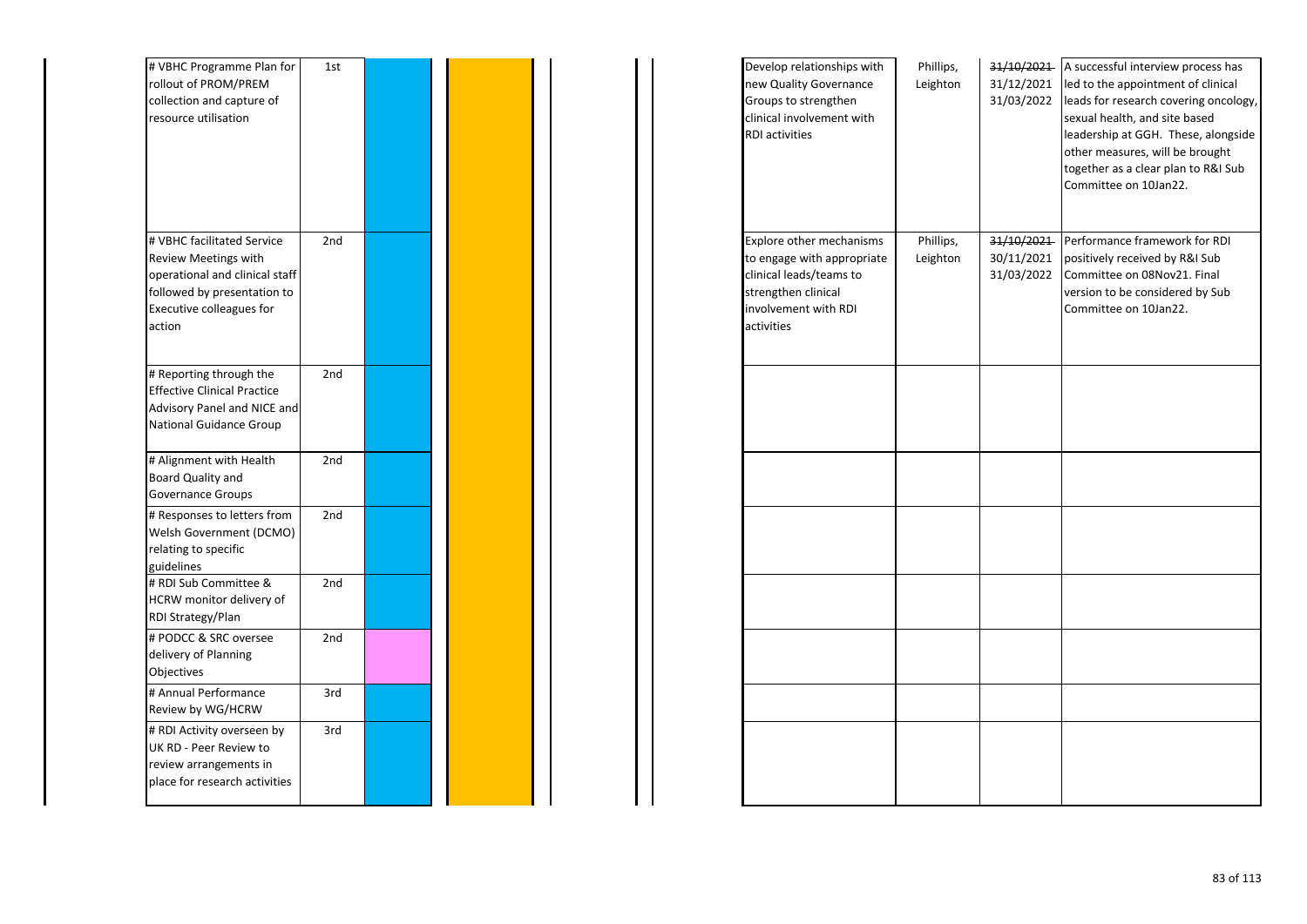| # VBHC Programme Plan for<br>rollout of PROM/PREM<br>collection and capture of<br>resource utilisation                                                    | 1st |  |  | Develop relationships with<br>new Quality Governance<br>Groups to strengthen<br>clinical involvement with<br><b>RDI</b> activities                    | Phillips,<br>Leighton | 31/12/2021<br>31/03/2022               | 31/10/2021 A successful interview process has<br>led to the appointment of clinical<br>leads for research covering oncology,<br>sexual health, and site based<br>leadership at GGH. These, alongside<br>other measures, will be brought<br>together as a clear plan to R&I Sub<br>Committee on 10Jan22. |
|-----------------------------------------------------------------------------------------------------------------------------------------------------------|-----|--|--|-------------------------------------------------------------------------------------------------------------------------------------------------------|-----------------------|----------------------------------------|---------------------------------------------------------------------------------------------------------------------------------------------------------------------------------------------------------------------------------------------------------------------------------------------------------|
| # VBHC facilitated Service<br>Review Meetings with<br>operational and clinical staff<br>followed by presentation to<br>Executive colleagues for<br>action | 2nd |  |  | <b>Explore other mechanisms</b><br>to engage with appropriate<br>clinical leads/teams to<br>strengthen clinical<br>involvement with RDI<br>activities | Phillips,<br>Leighton | 31/10/2021<br>30/11/2021<br>31/03/2022 | Performance framework for RDI<br>positively received by R&I Sub<br>Committee on 08Nov21. Final<br>version to be considered by Sub<br>Committee on 10Jan22.                                                                                                                                              |
| # Reporting through the<br><b>Effective Clinical Practice</b><br>Advisory Panel and NICE and<br>National Guidance Group                                   | 2nd |  |  |                                                                                                                                                       |                       |                                        |                                                                                                                                                                                                                                                                                                         |
| # Alignment with Health<br>Board Quality and<br>Governance Groups                                                                                         | 2nd |  |  |                                                                                                                                                       |                       |                                        |                                                                                                                                                                                                                                                                                                         |
| # Responses to letters from<br>Welsh Government (DCMO)<br>relating to specific<br>guidelines                                                              | 2nd |  |  |                                                                                                                                                       |                       |                                        |                                                                                                                                                                                                                                                                                                         |
| # RDI Sub Committee &<br>HCRW monitor delivery of<br>RDI Strategy/Plan                                                                                    | 2nd |  |  |                                                                                                                                                       |                       |                                        |                                                                                                                                                                                                                                                                                                         |
| # PODCC & SRC oversee<br>delivery of Planning<br>Objectives                                                                                               | 2nd |  |  |                                                                                                                                                       |                       |                                        |                                                                                                                                                                                                                                                                                                         |
| # Annual Performance<br>Review by WG/HCRW                                                                                                                 | 3rd |  |  |                                                                                                                                                       |                       |                                        |                                                                                                                                                                                                                                                                                                         |
| # RDI Activity overseen by<br>UK RD - Peer Review to<br>review arrangements in<br>place for research activities                                           | 3rd |  |  |                                                                                                                                                       |                       |                                        |                                                                                                                                                                                                                                                                                                         |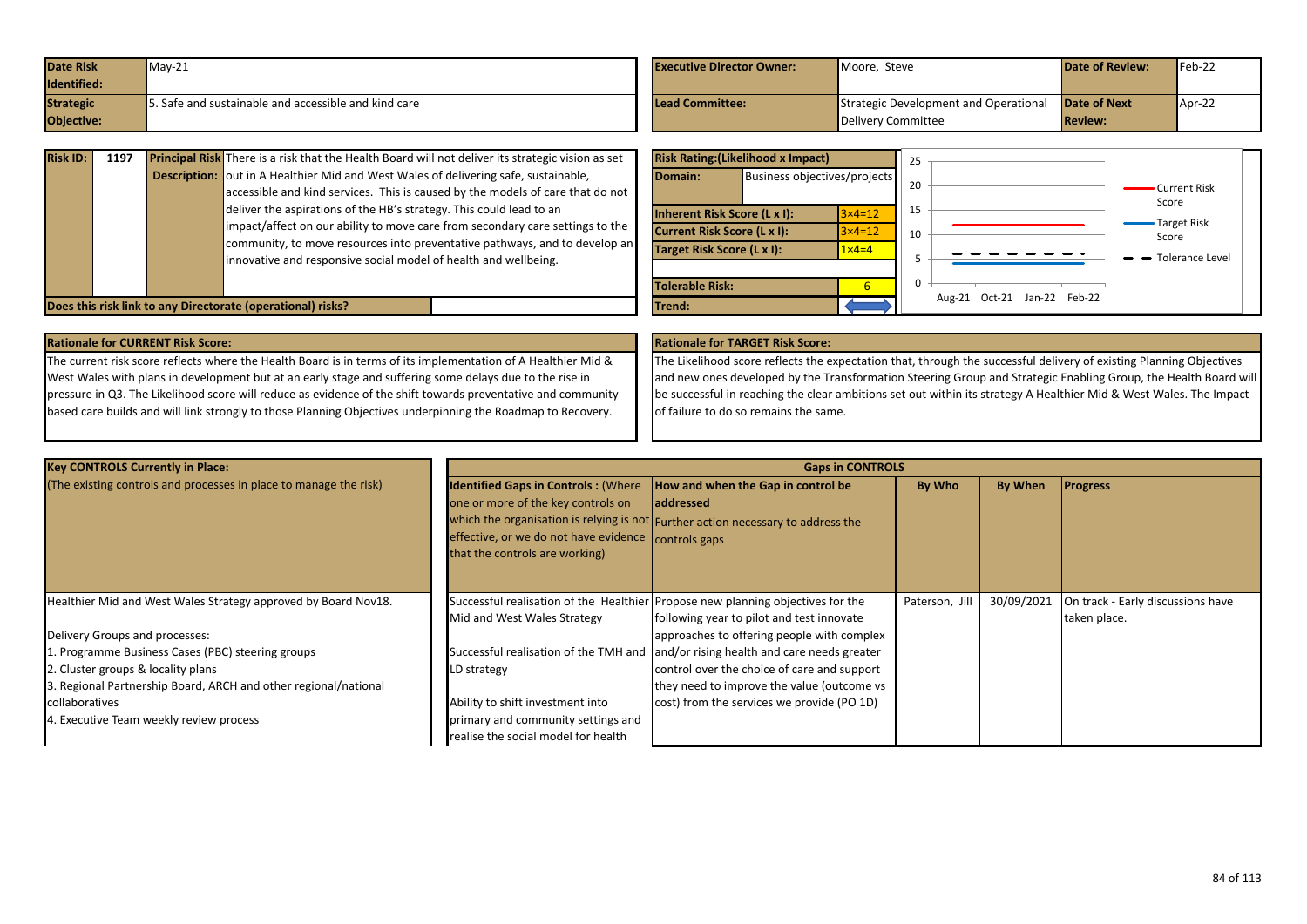| <b>Date Risk</b> | $May-21$                                            | <b>Executive Director Owner:</b> | Moore, Steve                          | <b>Date of Review:</b> | $Feb-22$ |
|------------------|-----------------------------------------------------|----------------------------------|---------------------------------------|------------------------|----------|
| Identified:      |                                                     |                                  |                                       |                        |          |
| <b>Strategic</b> | . Safe and sustainable and accessible and kind care | <b>Lead Committee:</b>           | Strategic Development and Operational | <b>Date of Next</b>    | Apr-22   |
| Objective:       |                                                     |                                  | Delivery Committee                    | <b>Review:</b>         |          |

| <b>Risk ID:</b> | 1197 | <b>Principal Risk</b> There is a risk that the Health Board will not deliver its strategic vision as set<br><b>Description:</b> out in A Healthier Mid and West Wales of delivering safe, sustainable,<br>accessible and kind services. This is caused by the models of care that do not              |
|-----------------|------|-------------------------------------------------------------------------------------------------------------------------------------------------------------------------------------------------------------------------------------------------------------------------------------------------------|
|                 |      | deliver the aspirations of the HB's strategy. This could lead to an<br>impact/affect on our ability to move care from secondary care settings to the<br>community, to move resources into preventative pathways, and to develop an<br>innovative and responsive social model of health and wellbeing. |
|                 |      | Does this risk link to any Directorate (operational) risks?                                                                                                                                                                                                                                           |

|                              | <b>Risk Rating: (Likelihood x Impact)</b> |                              | 25 |                                |                       |
|------------------------------|-------------------------------------------|------------------------------|----|--------------------------------|-----------------------|
| Domain:                      |                                           | Business objectives/projects |    |                                | Current Risk<br>Score |
| Inherent Risk Score (L x I): |                                           | $3\times 4=12$               | 15 |                                |                       |
| Current Risk Score (L x I):  |                                           | $3 \times 4 = 12$            | 10 |                                | Target Risk<br>Score  |
| Target Risk Score (L x I):   |                                           | $1 \times 4 = 4$             |    |                                | - Tolerance Level     |
| <b>Tolerable Risk:</b>       |                                           | 6                            | 0  |                                |                       |
| Trend:                       |                                           |                              |    | Oct-21 Jan-22 Feb-22<br>Aug-21 |                       |

The current risk score reflects where the Health Board is in terms of its implementation of A Healthier Mid & West Wales with plans in development but at an early stage and suffering some delays due to the rise in pressure in Q3. The Likelihood score will reduce as evidence of the shift towards preventative and community based care builds and will link strongly to those Planning Objectives underpinning the Roadmap to Recovery.

## **Rationale for CURRENT Risk Score: Rationale for TARGET Risk Score:**

The Likelihood score reflects the expectation that, through the successful delivery of existing Planning Objectives and new ones developed by the Transformation Steering Group and Strategic Enabling Group, the Health Board will be successful in reaching the clear ambitions set out within its strategy A Healthier Mid & West Wales. The Impact of failure to do so remains the same.

| <b>Key CONTROLS Currently in Place:</b>                                                               |                                                                                                                                                                           | <b>Gaps in CONTROLS</b>                                                                                                                                                    |               |            |                                                   |
|-------------------------------------------------------------------------------------------------------|---------------------------------------------------------------------------------------------------------------------------------------------------------------------------|----------------------------------------------------------------------------------------------------------------------------------------------------------------------------|---------------|------------|---------------------------------------------------|
| (The existing controls and processes in place to manage the risk)                                     | <b>Identified Gaps in Controls: (Where</b><br>one or more of the key controls on<br>effective, or we do not have evidence controls gaps<br>that the controls are working) | How and when the Gap in control be<br>laddressed<br>which the organisation is relying is not Further action necessary to address the                                       | By Who        | By When    | <b>Progress</b>                                   |
| Healthier Mid and West Wales Strategy approved by Board Nov18.<br>Delivery Groups and processes:      | Mid and West Wales Strategy                                                                                                                                               | Successful realisation of the Healthier Propose new planning objectives for the<br>following year to pilot and test innovate<br>approaches to offering people with complex | Paterson, Jil | 30/09/2021 | On track - Early discussions have<br>taken place. |
| 1. Programme Business Cases (PBC) steering groups                                                     |                                                                                                                                                                           | Successful realisation of the TMH and and/or rising health and care needs greater                                                                                          |               |            |                                                   |
| 2. Cluster groups & locality plans<br>3. Regional Partnership Board, ARCH and other regional/national | LD strategy                                                                                                                                                               | control over the choice of care and support<br>they need to improve the value (outcome vs                                                                                  |               |            |                                                   |
| collaboratives<br>4. Executive Team weekly review process                                             | Ability to shift investment into<br>primary and community settings and<br>realise the social model for health                                                             | cost) from the services we provide (PO 1D)                                                                                                                                 |               |            |                                                   |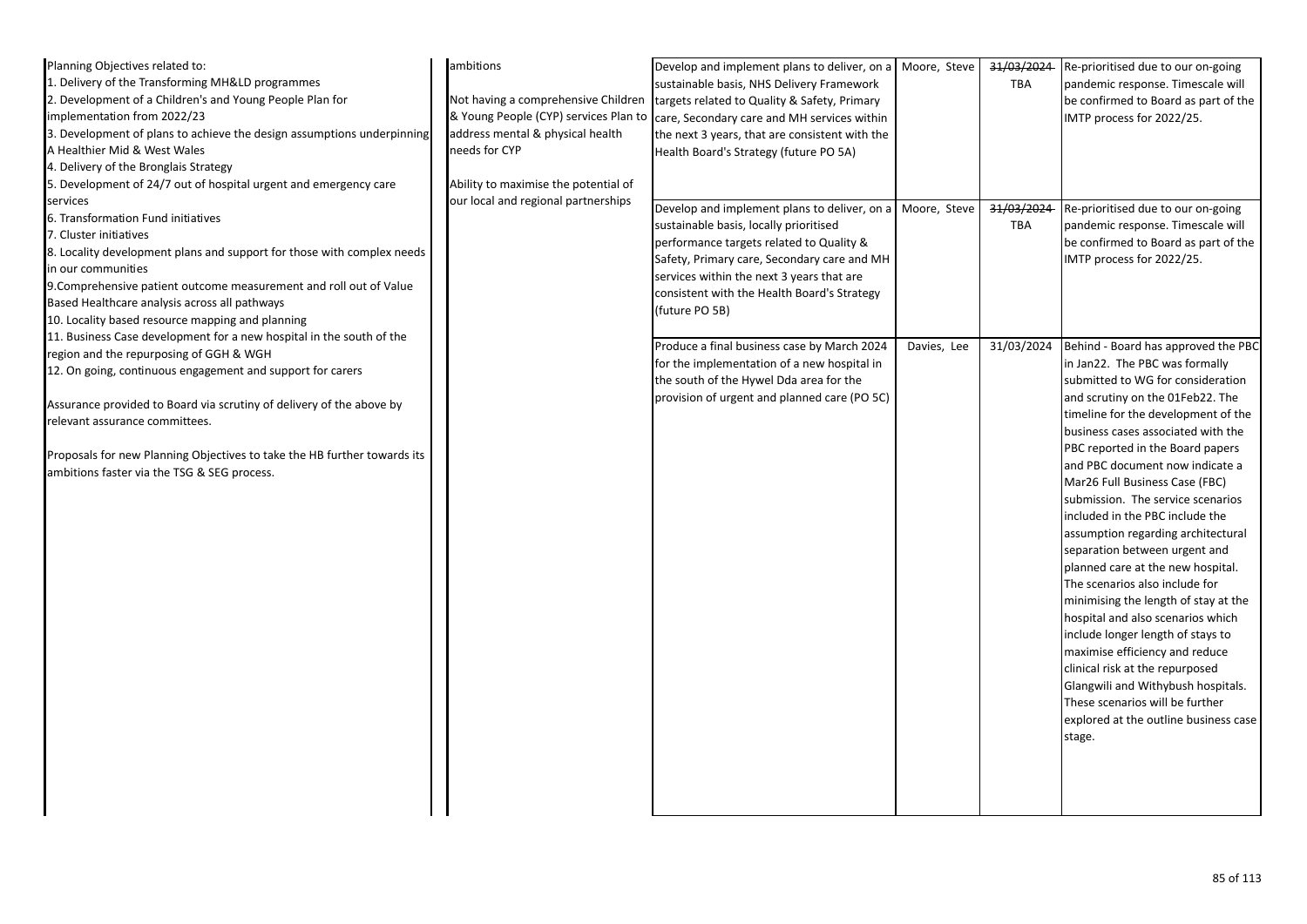| Planning Objectives related to:                                          | ambitions                            | Develop and implement plans to deliver, on a Moore, Steve                         |             | 31/03/2024 | Re-prioritised due to our on-going    |
|--------------------------------------------------------------------------|--------------------------------------|-----------------------------------------------------------------------------------|-------------|------------|---------------------------------------|
| 1. Delivery of the Transforming MH&LD programmes                         |                                      | sustainable basis, NHS Delivery Framework                                         |             | TBA        | pandemic response. Timescale will     |
| 2. Development of a Children's and Young People Plan for                 | Not having a comprehensive Children  | targets related to Quality & Safety, Primary                                      |             |            | be confirmed to Board as part of the  |
| implementation from 2022/23                                              |                                      | & Young People (CYP) services Plan to care, Secondary care and MH services within |             |            | IMTP process for 2022/25.             |
| 3. Development of plans to achieve the design assumptions underpinning   | address mental & physical health     | the next 3 years, that are consistent with the                                    |             |            |                                       |
| A Healthier Mid & West Wales                                             | needs for CYP                        | Health Board's Strategy (future PO 5A)                                            |             |            |                                       |
| 4. Delivery of the Bronglais Strategy                                    |                                      |                                                                                   |             |            |                                       |
| 5. Development of 24/7 out of hospital urgent and emergency care         | Ability to maximise the potential of |                                                                                   |             |            |                                       |
| services                                                                 | our local and regional partnerships  | Develop and implement plans to deliver, on a Moore, Steve                         |             | 31/03/2024 | Re-prioritised due to our on-going    |
| 6. Transformation Fund initiatives                                       |                                      | sustainable basis, locally prioritised                                            |             | TBA        | pandemic response. Timescale will     |
| 7. Cluster initiatives                                                   |                                      |                                                                                   |             |            | be confirmed to Board as part of the  |
| 8. Locality development plans and support for those with complex needs   |                                      | performance targets related to Quality &                                          |             |            | IMTP process for 2022/25.             |
| in our communities                                                       |                                      | Safety, Primary care, Secondary care and MH                                       |             |            |                                       |
| 9. Comprehensive patient outcome measurement and roll out of Value       |                                      | services within the next 3 years that are                                         |             |            |                                       |
| Based Healthcare analysis across all pathways                            |                                      | consistent with the Health Board's Strategy                                       |             |            |                                       |
| 10. Locality based resource mapping and planning                         |                                      | (future PO 5B)                                                                    |             |            |                                       |
| 11. Business Case development for a new hospital in the south of the     |                                      |                                                                                   |             |            |                                       |
| region and the repurposing of GGH & WGH                                  |                                      | Produce a final business case by March 2024                                       | Davies, Lee | 31/03/2024 | Behind - Board has approved the PBC   |
| 12. On going, continuous engagement and support for carers               |                                      | for the implementation of a new hospital in                                       |             |            | in Jan22. The PBC was formally        |
|                                                                          |                                      | the south of the Hywel Dda area for the                                           |             |            | submitted to WG for consideration     |
| Assurance provided to Board via scrutiny of delivery of the above by     |                                      | provision of urgent and planned care (PO 5C)                                      |             |            | and scrutiny on the 01Feb22. The      |
| relevant assurance committees.                                           |                                      |                                                                                   |             |            | timeline for the development of the   |
|                                                                          |                                      |                                                                                   |             |            | business cases associated with the    |
| Proposals for new Planning Objectives to take the HB further towards its |                                      |                                                                                   |             |            | PBC reported in the Board papers      |
| ambitions faster via the TSG & SEG process.                              |                                      |                                                                                   |             |            | and PBC document now indicate a       |
|                                                                          |                                      |                                                                                   |             |            | Mar26 Full Business Case (FBC)        |
|                                                                          |                                      |                                                                                   |             |            | submission. The service scenarios     |
|                                                                          |                                      |                                                                                   |             |            | included in the PBC include the       |
|                                                                          |                                      |                                                                                   |             |            | assumption regarding architectural    |
|                                                                          |                                      |                                                                                   |             |            | separation between urgent and         |
|                                                                          |                                      |                                                                                   |             |            | planned care at the new hospital.     |
|                                                                          |                                      |                                                                                   |             |            | The scenarios also include for        |
|                                                                          |                                      |                                                                                   |             |            | minimising the length of stay at the  |
|                                                                          |                                      |                                                                                   |             |            | hospital and also scenarios which     |
|                                                                          |                                      |                                                                                   |             |            | include longer length of stays to     |
|                                                                          |                                      |                                                                                   |             |            | maximise efficiency and reduce        |
|                                                                          |                                      |                                                                                   |             |            | clinical risk at the repurposed       |
|                                                                          |                                      |                                                                                   |             |            | Glangwili and Withybush hospitals.    |
|                                                                          |                                      |                                                                                   |             |            | These scenarios will be further       |
|                                                                          |                                      |                                                                                   |             |            | explored at the outline business case |
|                                                                          |                                      |                                                                                   |             |            | stage.                                |
|                                                                          |                                      |                                                                                   |             |            |                                       |
|                                                                          |                                      |                                                                                   |             |            |                                       |
|                                                                          |                                      |                                                                                   |             |            |                                       |
|                                                                          |                                      |                                                                                   |             |            |                                       |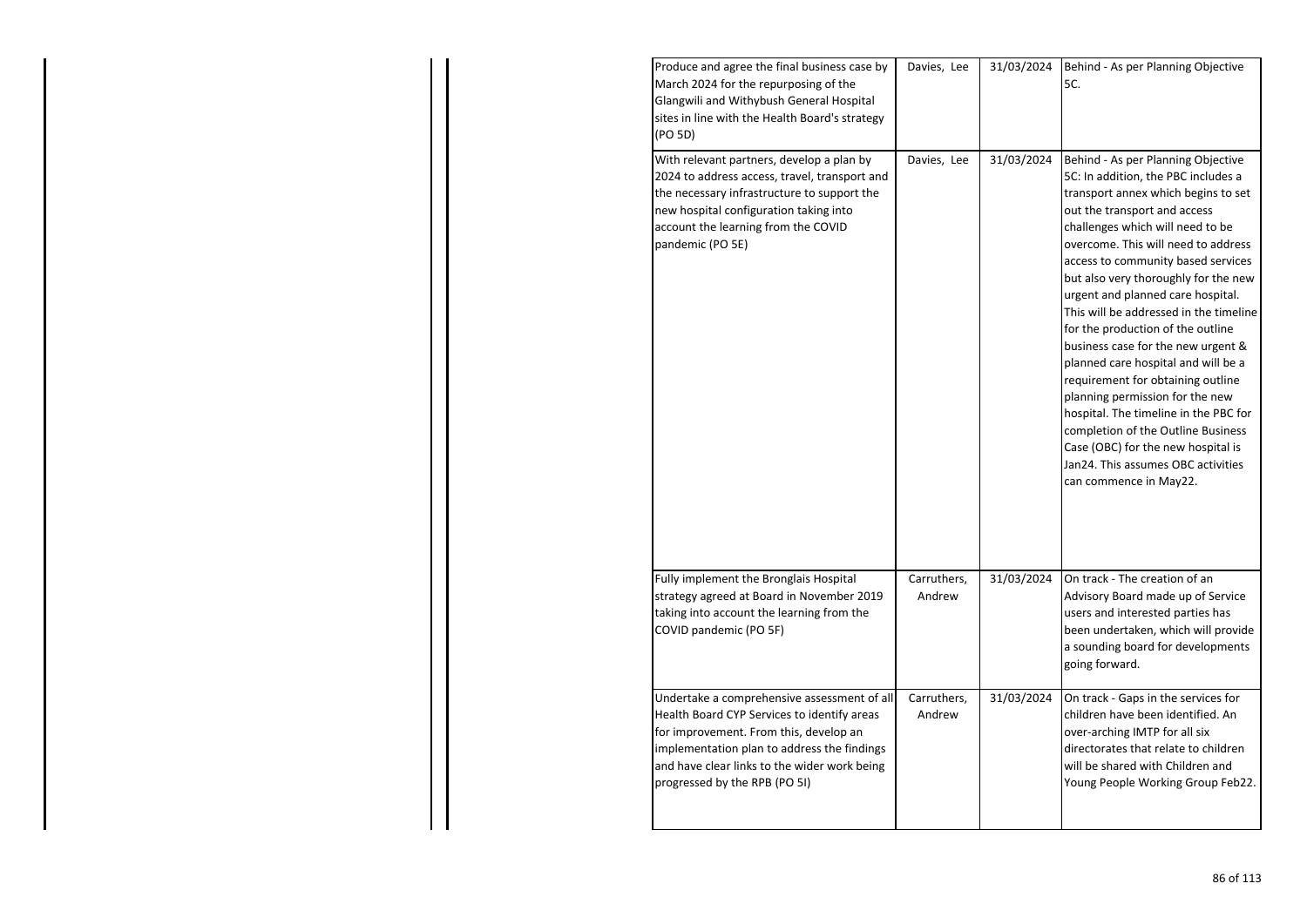| Produce and agree the final business case by<br>March 2024 for the repurposing of the<br>Glangwili and Withybush General Hospital<br>sites in line with the Health Board's strategy<br>(PO 5D)                                                                       | Davies, Lee           | 31/03/2024 | Behind - As per Planning Objective<br>5C.                                                                                                                                                                                                                                                                                                                                                                                                                                                                                                                                                                                                                                                                                                                               |
|----------------------------------------------------------------------------------------------------------------------------------------------------------------------------------------------------------------------------------------------------------------------|-----------------------|------------|-------------------------------------------------------------------------------------------------------------------------------------------------------------------------------------------------------------------------------------------------------------------------------------------------------------------------------------------------------------------------------------------------------------------------------------------------------------------------------------------------------------------------------------------------------------------------------------------------------------------------------------------------------------------------------------------------------------------------------------------------------------------------|
| With relevant partners, develop a plan by<br>2024 to address access, travel, transport and<br>the necessary infrastructure to support the<br>new hospital configuration taking into<br>account the learning from the COVID<br>pandemic (PO 5E)                       | Davies, Lee           | 31/03/2024 | Behind - As per Planning Objective<br>5C: In addition, the PBC includes a<br>transport annex which begins to set<br>out the transport and access<br>challenges which will need to be<br>overcome. This will need to address<br>access to community based services<br>but also very thoroughly for the new<br>urgent and planned care hospital.<br>This will be addressed in the timeline<br>for the production of the outline<br>business case for the new urgent &<br>planned care hospital and will be a<br>requirement for obtaining outline<br>planning permission for the new<br>hospital. The timeline in the PBC for<br>completion of the Outline Business<br>Case (OBC) for the new hospital is<br>Jan24. This assumes OBC activities<br>can commence in May22. |
| Fully implement the Bronglais Hospital<br>strategy agreed at Board in November 2019<br>taking into account the learning from the<br>COVID pandemic (PO 5F)                                                                                                           | Carruthers,<br>Andrew | 31/03/2024 | On track - The creation of an<br>Advisory Board made up of Service<br>users and interested parties has<br>been undertaken, which will provide<br>a sounding board for developments<br>going forward.                                                                                                                                                                                                                                                                                                                                                                                                                                                                                                                                                                    |
| Undertake a comprehensive assessment of all<br>Health Board CYP Services to identify areas<br>for improvement. From this, develop an<br>implementation plan to address the findings<br>and have clear links to the wider work being<br>progressed by the RPB (PO 5I) | Carruthers,<br>Andrew | 31/03/2024 | On track - Gaps in the services for<br>children have been identified. An<br>over-arching IMTP for all six<br>directorates that relate to children<br>will be shared with Children and<br>Young People Working Group Feb22.                                                                                                                                                                                                                                                                                                                                                                                                                                                                                                                                              |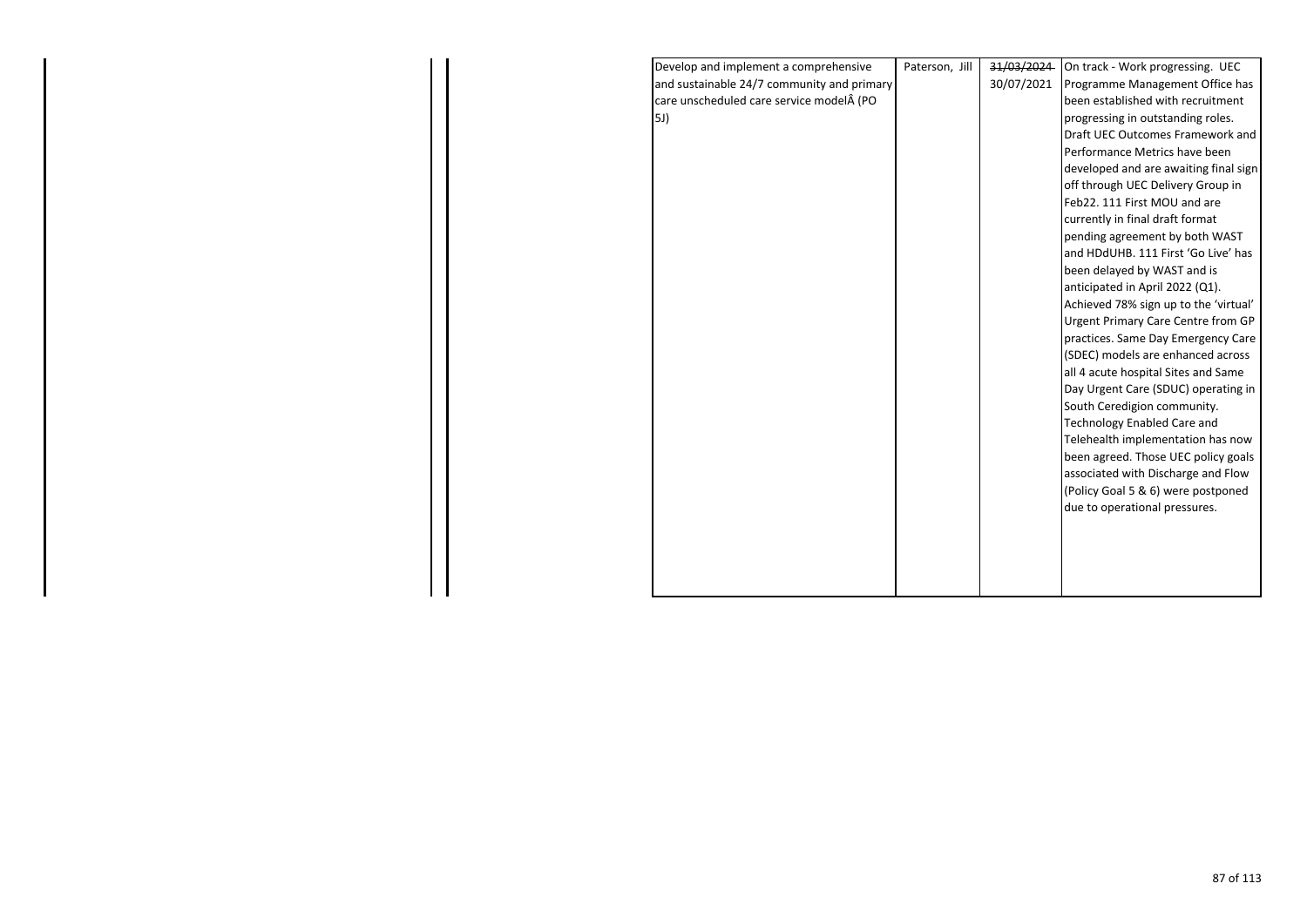| Develop and implement a comprehensive      | Paterson, Jill | 31/03/2024 | On track - Work progressing. UEC          |
|--------------------------------------------|----------------|------------|-------------------------------------------|
| and sustainable 24/7 community and primary |                | 30/07/2021 | Programme Management Office has           |
| care unscheduled care service model (PO    |                |            | been established with recruitment         |
| 5J)                                        |                |            | progressing in outstanding roles.         |
|                                            |                |            | Draft UEC Outcomes Framework and          |
|                                            |                |            | Performance Metrics have been             |
|                                            |                |            | developed and are awaiting final sign     |
|                                            |                |            | off through UEC Delivery Group in         |
|                                            |                |            | Feb22. 111 First MOU and are              |
|                                            |                |            | currently in final draft format           |
|                                            |                |            | pending agreement by both WAST            |
|                                            |                |            | and HDdUHB. 111 First 'Go Live' has       |
|                                            |                |            | been delayed by WAST and is               |
|                                            |                |            | anticipated in April 2022 (Q1).           |
|                                            |                |            | Achieved 78% sign up to the 'virtual'     |
|                                            |                |            | <b>Urgent Primary Care Centre from GP</b> |
|                                            |                |            | practices. Same Day Emergency Care        |
|                                            |                |            | (SDEC) models are enhanced across         |
|                                            |                |            | all 4 acute hospital Sites and Same       |
|                                            |                |            | Day Urgent Care (SDUC) operating in       |
|                                            |                |            | South Ceredigion community.               |
|                                            |                |            | <b>Technology Enabled Care and</b>        |
|                                            |                |            | Telehealth implementation has now         |
|                                            |                |            | been agreed. Those UEC policy goals       |
|                                            |                |            | associated with Discharge and Flow        |
|                                            |                |            | (Policy Goal 5 & 6) were postponed        |
|                                            |                |            | due to operational pressures.             |
|                                            |                |            |                                           |
|                                            |                |            |                                           |
|                                            |                |            |                                           |
|                                            |                |            |                                           |
|                                            |                |            |                                           |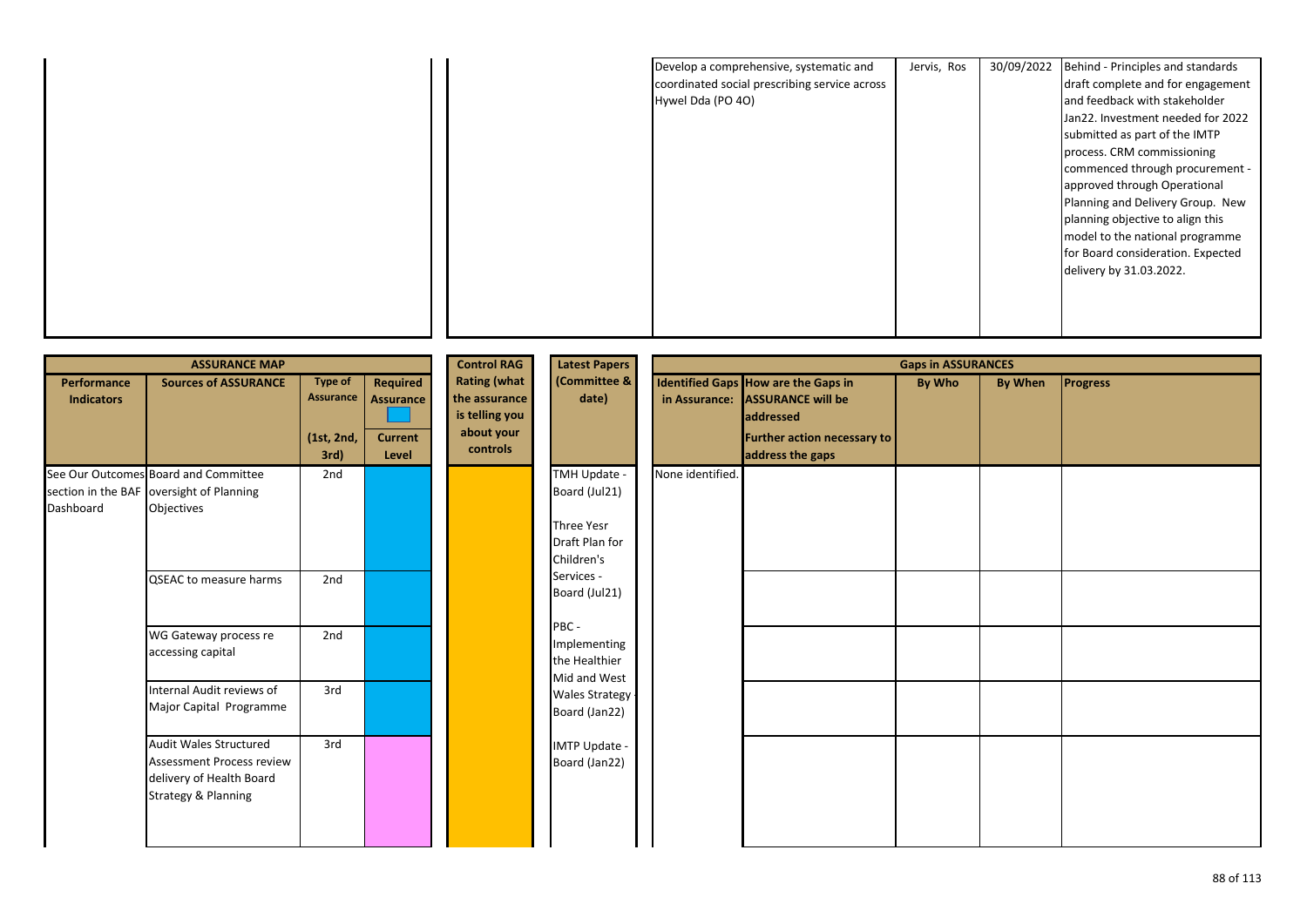|                   | Develop a comprehensive, systematic and       | Jervis, Ros | 30/09/2022 | Behind - Principles and standards |
|-------------------|-----------------------------------------------|-------------|------------|-----------------------------------|
|                   | coordinated social prescribing service across |             |            | draft complete and for engagement |
| Hywel Dda (PO 4O) |                                               |             |            | and feedback with stakeholder     |
|                   |                                               |             |            | Jan22. Investment needed for 2022 |
|                   |                                               |             |            | submitted as part of the IMTP     |
|                   |                                               |             |            | process. CRM commissioning        |
|                   |                                               |             |            | commenced through procurement -   |
|                   |                                               |             |            | approved through Operational      |
|                   |                                               |             |            | Planning and Delivery Group. New  |
|                   |                                               |             |            | planning objective to align this  |
|                   |                                               |             |            | model to the national programme   |
|                   |                                               |             |            | for Board consideration. Expected |
|                   |                                               |             |            | delivery by 31.03.2022.           |
|                   |                                               |             |            |                                   |
|                   |                                               |             |            |                                   |
|                   |                                               |             |            |                                   |
|                   |                                               |             |            |                                   |

|                                         | <b>ASSURANCE MAP</b>                                                                                          |                                                   |                                                         | <b>Control RAG</b>                                                               | <b>Latest Papers</b>                                                        | <b>Gaps in ASSURANCES</b> |                                                                                                                                               |        |         |                 |
|-----------------------------------------|---------------------------------------------------------------------------------------------------------------|---------------------------------------------------|---------------------------------------------------------|----------------------------------------------------------------------------------|-----------------------------------------------------------------------------|---------------------------|-----------------------------------------------------------------------------------------------------------------------------------------------|--------|---------|-----------------|
| <b>Performance</b><br><b>Indicators</b> | <b>Sources of ASSURANCE</b>                                                                                   | <b>Type of</b><br>Assurance<br>(1st, 2nd,<br>3rd) | Required<br><b>Assurance</b><br><b>Current</b><br>Level | <b>Rating (what</b><br>the assurance<br>is telling you<br>about your<br>controls | (Committee &<br>date)                                                       |                           | Identified Gaps How are the Gaps in<br>in Assurance: ASSURANCE will be<br><b>addressed</b><br>Further action necessary to<br>address the gaps | By Who | By When | <b>Progress</b> |
| Dashboard                               | See Our Outcomes Board and Committee<br>section in the BAF oversight of Planning<br>Objectives                | 2nd                                               |                                                         |                                                                                  | TMH Update -<br>Board (Jul21)<br>Three Yesr<br>Draft Plan for<br>Children's | None identified.          |                                                                                                                                               |        |         |                 |
|                                         | <b>QSEAC to measure harms</b>                                                                                 | 2nd                                               |                                                         |                                                                                  | Services -<br>Board (Jul21)                                                 |                           |                                                                                                                                               |        |         |                 |
|                                         | WG Gateway process re<br>accessing capital                                                                    | 2nd                                               |                                                         |                                                                                  | PBC -<br>Implementing<br>the Healthier<br>Mid and West                      |                           |                                                                                                                                               |        |         |                 |
|                                         | Internal Audit reviews of<br>Major Capital Programme                                                          | 3rd                                               |                                                         |                                                                                  | Wales Strategy<br>Board (Jan22)                                             |                           |                                                                                                                                               |        |         |                 |
|                                         | Audit Wales Structured<br><b>Assessment Process review</b><br>delivery of Health Board<br>Strategy & Planning | 3rd                                               |                                                         |                                                                                  | IMTP Update -<br>Board (Jan22)                                              |                           |                                                                                                                                               |        |         |                 |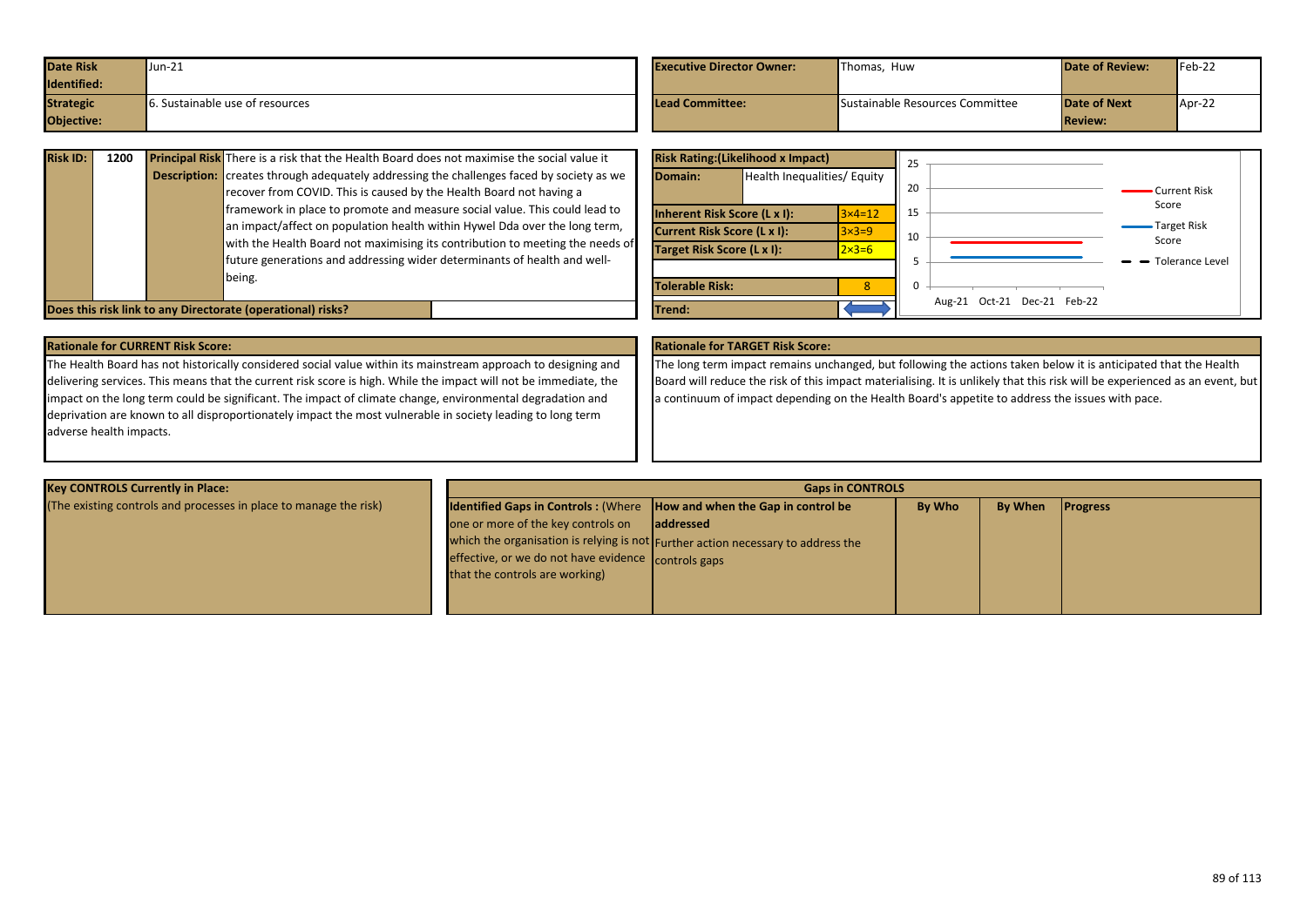| <b>Date Risk</b><br>Identified:       | Jun-21                          | <b>Executive Director Owner:</b> | Thomas. Huw                     | <b>Date of Review:</b>                | $Feb-22$ |
|---------------------------------------|---------------------------------|----------------------------------|---------------------------------|---------------------------------------|----------|
| <b>Strategic</b><br><b>Objective:</b> | 6. Sustainable use of resources | Lead Committee:                  | Sustainable Resources Committee | <b>Date of Next</b><br><b>Review:</b> | Apr-22   |

| <b>Risk ID:</b> | 1200 | <b>Principal Risk</b> There is a risk that the Health Board does not maximise the social value it<br><b>Description:</b> creates through adequately addressing the challenges faced by society as we<br>recover from COVID. This is caused by the Health Board not having a<br>framework in place to promote and measure social value. This could lead to |
|-----------------|------|-----------------------------------------------------------------------------------------------------------------------------------------------------------------------------------------------------------------------------------------------------------------------------------------------------------------------------------------------------------|
|                 |      | an impact/affect on population health within Hywel Dda over the long term,<br>with the Health Board not maximising its contribution to meeting the needs of<br>future generations and addressing wider determinants of health and well-<br>being.                                                                                                         |
|                 |      | Does this risk link to any Directorate (operational) risks?                                                                                                                                                                                                                                                                                               |

|                                     | <b>Risk Rating: (Likelihood x Impact)</b> |                  | 25 |                                |                      |
|-------------------------------------|-------------------------------------------|------------------|----|--------------------------------|----------------------|
| Domain:                             | Health Inequalities/ Equity               |                  | 20 |                                | Current Risk         |
| <b>Inherent Risk Score (L x I):</b> |                                           | $3\times 4=12$   | 15 |                                | Score                |
| Current Risk Score (L x I):         |                                           | $3\times3=9$     | 10 |                                | Target Risk<br>Score |
| Target Risk Score (L x I):          |                                           | $2 \times 3 = 6$ |    |                                |                      |
|                                     |                                           |                  |    |                                | Tolerance Level      |
| <b>Tolerable Risk:</b>              |                                           | 8                | 0  |                                |                      |
| Trend:                              |                                           |                  |    | Oct-21 Dec-21 Feb-22<br>Aug-21 |                      |

# **Rationale for CURRENT Risk Score: Rationale for TARGET Risk Score:**

The Health Board has not historically considered social value within its mainstream approach to designing and delivering services. This means that the current risk score is high. While the impact will not be immediate, the impact on the long term could be significant. The impact of climate change, environmental degradation and deprivation are known to all disproportionately impact the most vulnerable in society leading to long term adverse health impacts.

The long term impact remains unchanged, but following the actions taken below it is anticipated that the Health Board will reduce the risk of this impact materialising. It is unlikely that this risk will be experienced as an event, but a continuum of impact depending on the Health Board's appetite to address the issues with pace.

| <b>Key CONTROLS Currently in Place:</b>                           | <b>Gaps in CONTROLS</b>                                                              |                                                                                  |        |         |                 |  |  |
|-------------------------------------------------------------------|--------------------------------------------------------------------------------------|----------------------------------------------------------------------------------|--------|---------|-----------------|--|--|
| (The existing controls and processes in place to manage the risk) | <b>Identified Gaps in Controls:</b> (Where <b>How and when the Gap in control be</b> |                                                                                  | By Who | By When | <b>Progress</b> |  |  |
|                                                                   | one or more of the key controls on                                                   | laddressed                                                                       |        |         |                 |  |  |
|                                                                   |                                                                                      | which the organisation is relying is not Further action necessary to address the |        |         |                 |  |  |
|                                                                   | effective, or we do not have evidence controls gaps                                  |                                                                                  |        |         |                 |  |  |
|                                                                   | that the controls are working)                                                       |                                                                                  |        |         |                 |  |  |
|                                                                   |                                                                                      |                                                                                  |        |         |                 |  |  |
|                                                                   |                                                                                      |                                                                                  |        |         |                 |  |  |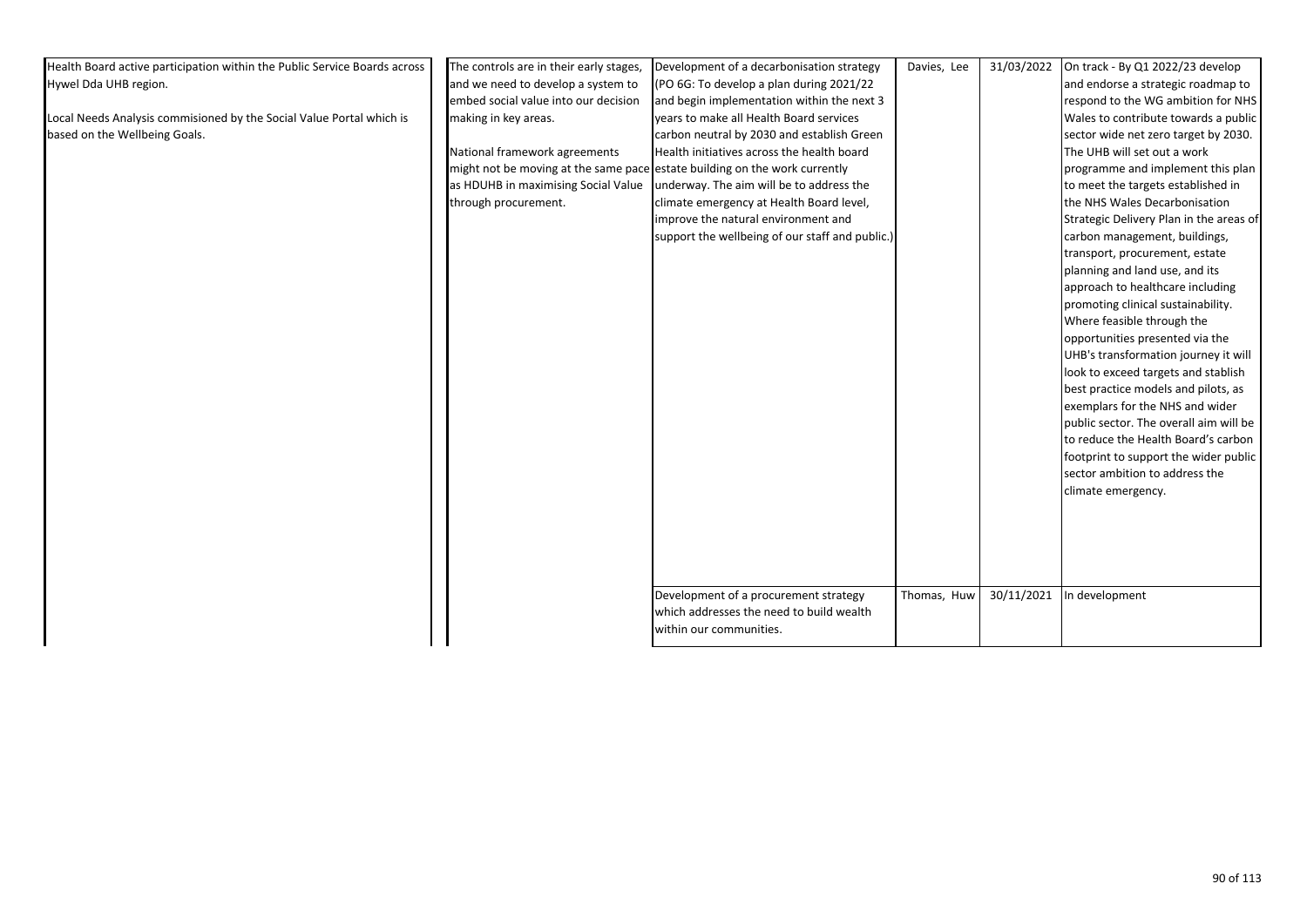| Health Board active participation within the Public Service Boards across | The controls are in their early stages,                                    | Development of a decarbonisation strategy       | Davies, Lee | 31/03/2022 | On track - By Q1 2022/23 develop        |
|---------------------------------------------------------------------------|----------------------------------------------------------------------------|-------------------------------------------------|-------------|------------|-----------------------------------------|
| Hywel Dda UHB region.                                                     | and we need to develop a system to                                         | (PO 6G: To develop a plan during 2021/22        |             |            | and endorse a strategic roadmap to      |
|                                                                           | embed social value into our decision                                       | and begin implementation within the next 3      |             |            | respond to the WG ambition for NHS      |
| Local Needs Analysis commisioned by the Social Value Portal which is      | making in key areas.                                                       | years to make all Health Board services         |             |            | Wales to contribute towards a public    |
| based on the Wellbeing Goals.                                             |                                                                            | carbon neutral by 2030 and establish Green      |             |            | sector wide net zero target by 2030.    |
|                                                                           | National framework agreements                                              | Health initiatives across the health board      |             |            | The UHB will set out a work             |
|                                                                           | might not be moving at the same pace estate building on the work currently |                                                 |             |            | programme and implement this plan       |
|                                                                           | as HDUHB in maximising Social Value                                        | underway. The aim will be to address the        |             |            | to meet the targets established in      |
|                                                                           | through procurement.                                                       | climate emergency at Health Board level,        |             |            | the NHS Wales Decarbonisation           |
|                                                                           |                                                                            | improve the natural environment and             |             |            | Strategic Delivery Plan in the areas of |
|                                                                           |                                                                            | support the wellbeing of our staff and public.) |             |            | carbon management, buildings,           |
|                                                                           |                                                                            |                                                 |             |            | transport, procurement, estate          |
|                                                                           |                                                                            |                                                 |             |            | planning and land use, and its          |
|                                                                           |                                                                            |                                                 |             |            | approach to healthcare including        |
|                                                                           |                                                                            |                                                 |             |            | promoting clinical sustainability.      |
|                                                                           |                                                                            |                                                 |             |            | Where feasible through the              |
|                                                                           |                                                                            |                                                 |             |            | opportunities presented via the         |
|                                                                           |                                                                            |                                                 |             |            | UHB's transformation journey it will    |
|                                                                           |                                                                            |                                                 |             |            | look to exceed targets and stablish     |
|                                                                           |                                                                            |                                                 |             |            | best practice models and pilots, as     |
|                                                                           |                                                                            |                                                 |             |            | exemplars for the NHS and wider         |
|                                                                           |                                                                            |                                                 |             |            | public sector. The overall aim will be  |
|                                                                           |                                                                            |                                                 |             |            | to reduce the Health Board's carbon     |
|                                                                           |                                                                            |                                                 |             |            | footprint to support the wider public   |
|                                                                           |                                                                            |                                                 |             |            | sector ambition to address the          |
|                                                                           |                                                                            |                                                 |             |            | climate emergency.                      |
|                                                                           |                                                                            |                                                 |             |            |                                         |
|                                                                           |                                                                            |                                                 |             |            |                                         |
|                                                                           |                                                                            |                                                 |             |            |                                         |
|                                                                           |                                                                            |                                                 |             |            |                                         |
|                                                                           |                                                                            |                                                 |             |            |                                         |
|                                                                           |                                                                            | Development of a procurement strategy           | Thomas, Huw | 30/11/2021 | In development                          |
|                                                                           |                                                                            | which addresses the need to build wealth        |             |            |                                         |
|                                                                           |                                                                            | within our communities.                         |             |            |                                         |
|                                                                           |                                                                            |                                                 |             |            |                                         |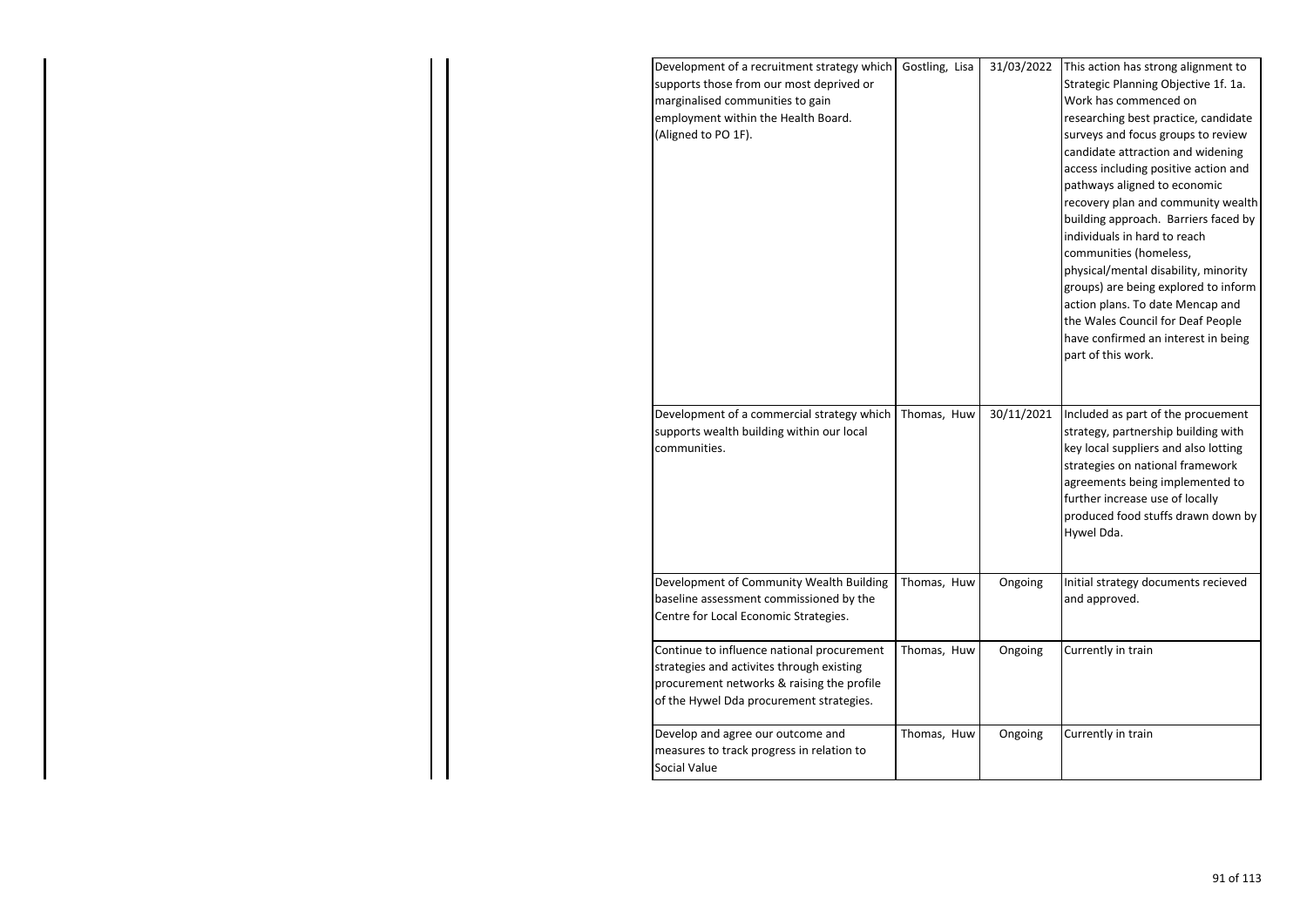| Development of a recruitment strategy which<br>supports those from our most deprived or<br>marginalised communities to gain<br>employment within the Health Board.<br>(Aligned to PO 1F).                                  | Gostling, Lisa             | 31/03/2022            | This action has strong alignment to<br>Strategic Planning Objective 1f. 1a.<br>Work has commenced on<br>researching best practice, candidate<br>surveys and focus groups to review<br>candidate attraction and widening<br>access including positive action and<br>pathways aligned to economic<br>recovery plan and community wealth<br>building approach. Barriers faced by<br>individuals in hard to reach<br>communities (homeless,<br>physical/mental disability, minority<br>groups) are being explored to inform<br>action plans. To date Mencap and<br>the Wales Council for Deaf People<br>have confirmed an interest in being<br>part of this work. |
|----------------------------------------------------------------------------------------------------------------------------------------------------------------------------------------------------------------------------|----------------------------|-----------------------|---------------------------------------------------------------------------------------------------------------------------------------------------------------------------------------------------------------------------------------------------------------------------------------------------------------------------------------------------------------------------------------------------------------------------------------------------------------------------------------------------------------------------------------------------------------------------------------------------------------------------------------------------------------|
| Development of a commercial strategy which<br>supports wealth building within our local<br>communities.<br>Development of Community Wealth Building<br>baseline assessment commissioned by the                             | Thomas, Huw<br>Thomas, Huw | 30/11/2021<br>Ongoing | Included as part of the procuement<br>strategy, partnership building with<br>key local suppliers and also lotting<br>strategies on national framework<br>agreements being implemented to<br>further increase use of locally<br>produced food stuffs drawn down by<br>Hywel Dda.<br>Initial strategy documents recieved<br>and approved.                                                                                                                                                                                                                                                                                                                       |
| Centre for Local Economic Strategies.<br>Continue to influence national procurement<br>strategies and activites through existing<br>procurement networks & raising the profile<br>of the Hywel Dda procurement strategies. | Thomas, Huw                | Ongoing               | Currently in train                                                                                                                                                                                                                                                                                                                                                                                                                                                                                                                                                                                                                                            |
| Develop and agree our outcome and<br>measures to track progress in relation to<br>Social Value                                                                                                                             | Thomas, Huw                | Ongoing               | Currently in train                                                                                                                                                                                                                                                                                                                                                                                                                                                                                                                                                                                                                                            |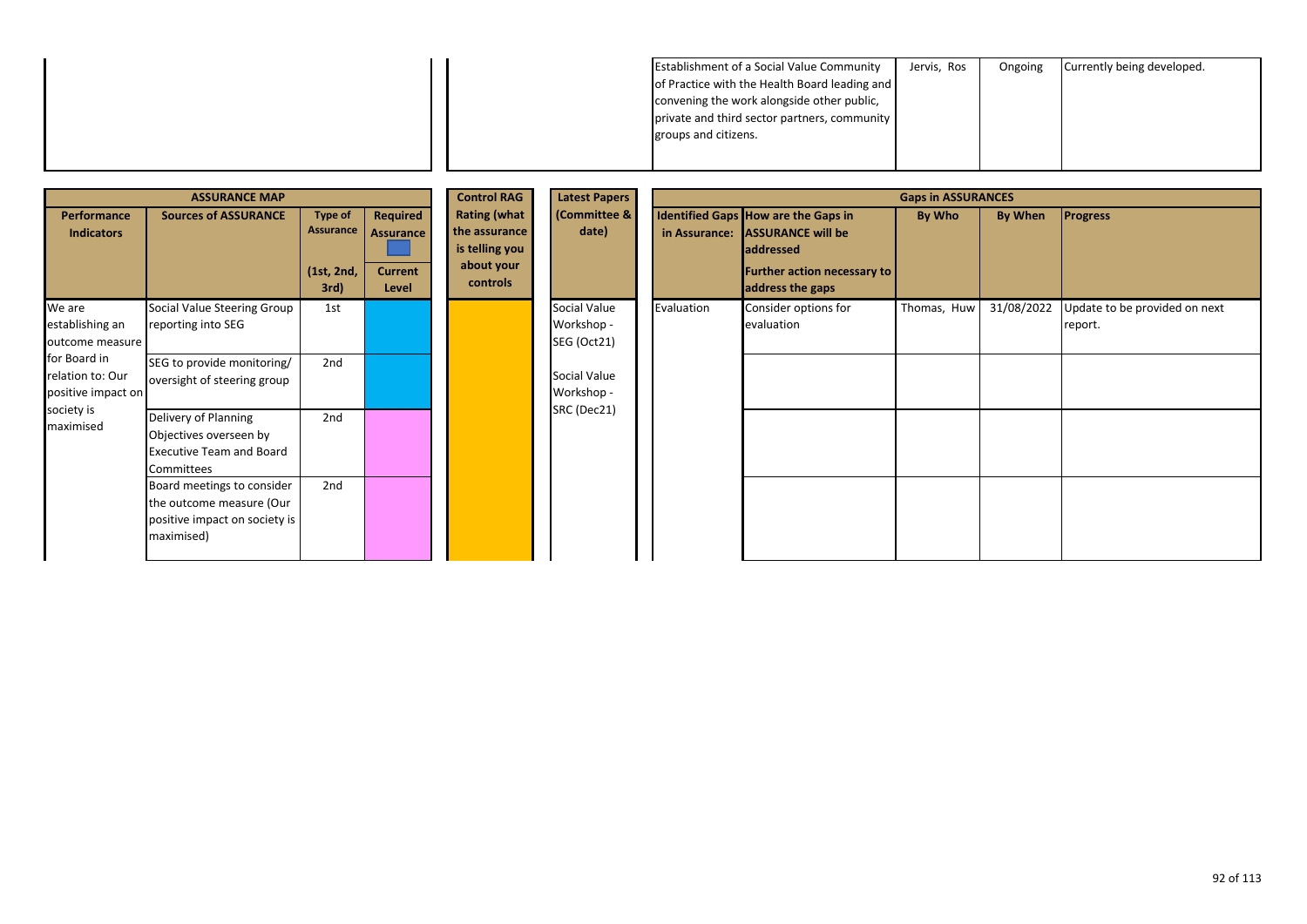| <b>Establishment of a Social Value Community</b> | Jervis, Ros | Ongoing | Currently being developed. |
|--------------------------------------------------|-------------|---------|----------------------------|
| of Practice with the Health Board leading and    |             |         |                            |
| convening the work alongside other public,       |             |         |                            |
| private and third sector partners, community     |             |         |                            |
| groups and citizens.                             |             |         |                            |
|                                                  |             |         |                            |

|                                                                                                                                                                                                                                                                     | <b>ASSURANCE MAP</b>                                                                                  |               | <b>Control RAG</b>                                                                                                                     | <b>Latest Papers</b>                      |            |                                    | <b>Gaps in ASSURANCES</b> |            |                                          |
|---------------------------------------------------------------------------------------------------------------------------------------------------------------------------------------------------------------------------------------------------------------------|-------------------------------------------------------------------------------------------------------|---------------|----------------------------------------------------------------------------------------------------------------------------------------|-------------------------------------------|------------|------------------------------------|---------------------------|------------|------------------------------------------|
| <b>Rating (what</b><br><b>Sources of ASSURANCE</b><br>Performance<br><b>Type of</b><br>Required<br>Assurance<br>the assurance<br><b>Indicators</b><br><b>Assurance</b><br>is telling you<br>about your<br><b>Current</b><br>(1st, 2nd,<br>controls<br>3rd)<br>Level | (Committee &<br>date)                                                                                 | in Assurance: | Identified Gaps How are the Gaps in<br><b>ASSURANCE will be</b><br><b>addressed</b><br>Further action necessary to<br>address the gaps | By Who                                    | By When    | <b>Progress</b>                    |                           |            |                                          |
| We are<br>establishing an<br>outcome measure                                                                                                                                                                                                                        | Social Value Steering Group<br>reporting into SEG                                                     | 1st           |                                                                                                                                        | Social Value<br>Workshop -<br>SEG (Oct21) | Evaluation | Consider options for<br>evaluation | Thomas, Huw               | 31/08/2022 | Update to be provided on next<br>report. |
| for Board in<br>relation to: Our<br>positive impact on                                                                                                                                                                                                              | SEG to provide monitoring/<br>oversight of steering group                                             | 2nd           |                                                                                                                                        | Social Value<br>Workshop -                |            |                                    |                           |            |                                          |
| society is<br>maximised                                                                                                                                                                                                                                             | Delivery of Planning<br>Objectives overseen by<br><b>Executive Team and Board</b><br>Committees       | 2nd           |                                                                                                                                        | SRC (Dec21)                               |            |                                    |                           |            |                                          |
|                                                                                                                                                                                                                                                                     | Board meetings to consider<br>the outcome measure (Our<br>positive impact on society is<br>maximised) | 2nd           |                                                                                                                                        |                                           |            |                                    |                           |            |                                          |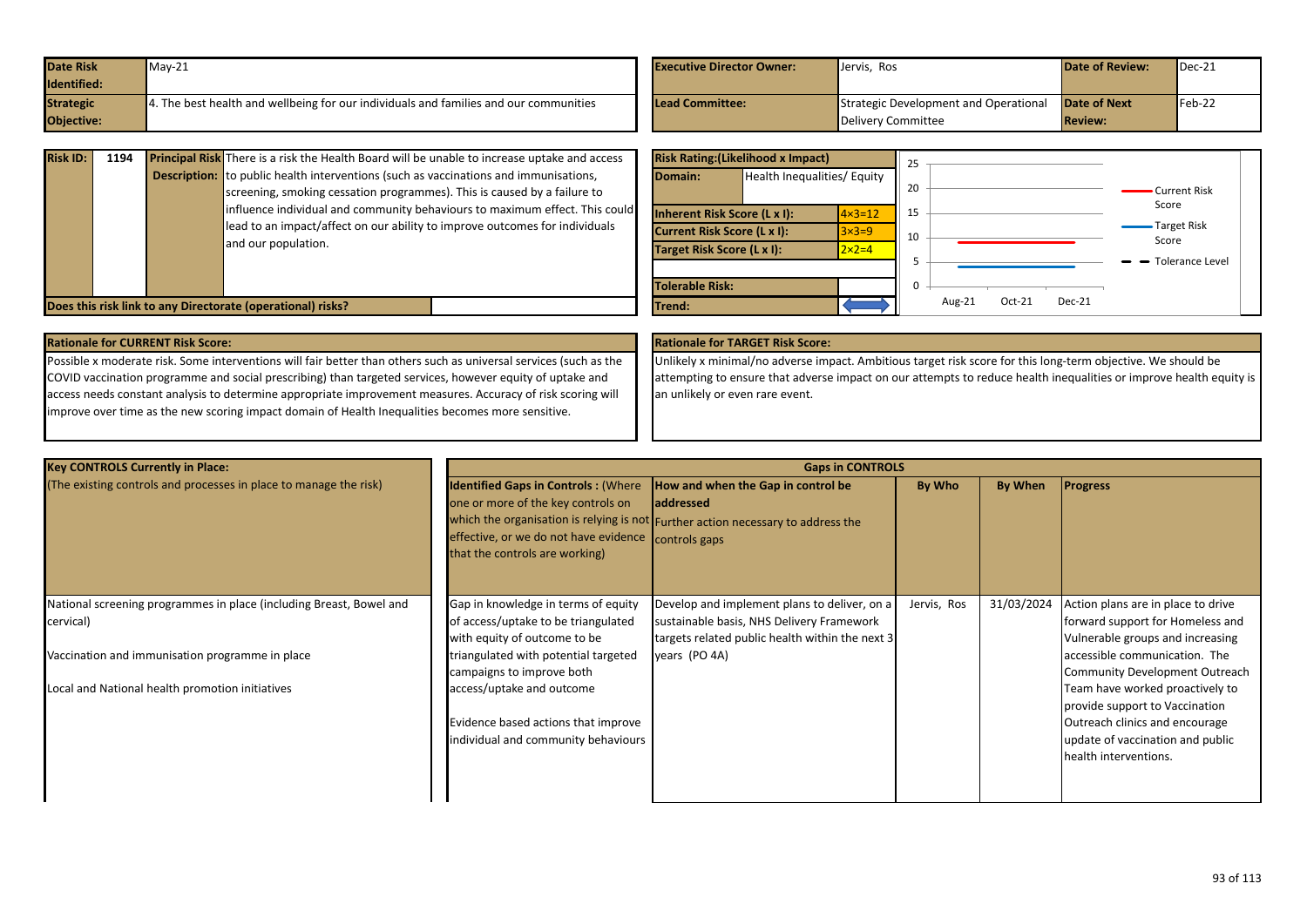| Date Risk        | $May-21$                                                                              | <b>Executive Director Owner:</b> | Jervis, Ros                           | <b>Date of Review:</b> | $\blacksquare$ Dec-21 |
|------------------|---------------------------------------------------------------------------------------|----------------------------------|---------------------------------------|------------------------|-----------------------|
| Identified:      |                                                                                       |                                  |                                       |                        |                       |
| <b>Strategic</b> | 4. The best health and wellbeing for our individuals and families and our communities | <b>Lead Committee:</b>           | Strategic Development and Operational | <b>Date of Next</b>    | $Feb-22$              |
| Objective:       |                                                                                       |                                  | Delivery Committee                    | <b>Review:</b>         |                       |

| <b>Risk ID:</b> | 1194 | <b>Principal Risk</b> There is a risk the Health Board will be unable to increase uptake and access<br><b>Description:</b> to public health interventions (such as vaccinations and immunisations,<br>screening, smoking cessation programmes). This is caused by a failure to<br>influence individual and community behaviours to maximum effect. This could<br>lead to an impact/affect on our ability to improve outcomes for individuals<br>and our population. | Domain:<br><b>Inherent Risk Score (L x I):</b><br><b>Current Risk Score (L x I):</b><br>Target Risk Score (L x I): | <b>Risk Rating: (Likelihood x Impact)</b><br>Health Inequalities/ Equity | $\frac{1}{4 \times 3} = 12$<br>$3\times3=9$<br>$2 \times 2 = 4$ | 20<br>15<br>10 |        |          |        | <b>Current Risk</b><br>Score<br>Target Risk<br>Score<br>$\rightarrow$ Tolerance Level |
|-----------------|------|---------------------------------------------------------------------------------------------------------------------------------------------------------------------------------------------------------------------------------------------------------------------------------------------------------------------------------------------------------------------------------------------------------------------------------------------------------------------|--------------------------------------------------------------------------------------------------------------------|--------------------------------------------------------------------------|-----------------------------------------------------------------|----------------|--------|----------|--------|---------------------------------------------------------------------------------------|
|                 |      | Does this risk link to any Directorate (operational) risks?                                                                                                                                                                                                                                                                                                                                                                                                         | <b>Tolerable Risk:</b><br>lTrend:                                                                                  |                                                                          |                                                                 |                | Aug-21 | $Oct-21$ | Dec-21 |                                                                                       |

### **Rationale for CURRENT Risk Score: Rationale for TARGET Risk Score:**

Possible x moderate risk. Some interventions will fair better than others such as universal services (such as the COVID vaccination programme and social prescribing) than targeted services, however equity of uptake and access needs constant analysis to determine appropriate improvement measures. Accuracy of risk scoring will improve over time as the new scoring impact domain of Health Inequalities becomes more sensitive.

Unlikely x minimal/no adverse impact. Ambitious target risk score for this long-term objective. We should be attempting to ensure that adverse impact on our attempts to reduce health inequalities or improve health equity is an unlikely or even rare event.

| <b>Key CONTROLS Currently in Place:</b>                             | <b>Gaps in CONTROLS</b>                                                                                                                                                   |                                                                                                                                            |             |            |                                       |  |  |  |
|---------------------------------------------------------------------|---------------------------------------------------------------------------------------------------------------------------------------------------------------------------|--------------------------------------------------------------------------------------------------------------------------------------------|-------------|------------|---------------------------------------|--|--|--|
| (The existing controls and processes in place to manage the risk)   | <b>Identified Gaps in Controls: (Where</b><br>one or more of the key controls on<br>effective, or we do not have evidence controls gaps<br>that the controls are working) | How and when the Gap in control be<br><b>addressed</b><br>which the organisation is relying is not Further action necessary to address the | By Who      | By When    | <b>Progress</b>                       |  |  |  |
| National screening programmes in place (including Breast, Bowel and | Gap in knowledge in terms of equity                                                                                                                                       | Develop and implement plans to deliver, on a                                                                                               | Jervis, Ros | 31/03/2024 | Action plans are in place to drive    |  |  |  |
| cervical)                                                           | of access/uptake to be triangulated                                                                                                                                       | sustainable basis, NHS Delivery Framework                                                                                                  |             |            | forward support for Homeless and      |  |  |  |
|                                                                     | with equity of outcome to be                                                                                                                                              | targets related public health within the next 3                                                                                            |             |            | Vulnerable groups and increasing      |  |  |  |
| Vaccination and immunisation programme in place                     | triangulated with potential targeted                                                                                                                                      | years (PO 4A)                                                                                                                              |             |            | accessible communication. The         |  |  |  |
|                                                                     | campaigns to improve both                                                                                                                                                 |                                                                                                                                            |             |            | <b>Community Development Outreach</b> |  |  |  |
| Local and National health promotion initiatives                     | access/uptake and outcome                                                                                                                                                 |                                                                                                                                            |             |            | Team have worked proactively to       |  |  |  |
|                                                                     |                                                                                                                                                                           |                                                                                                                                            |             |            | provide support to Vaccination        |  |  |  |
|                                                                     | Evidence based actions that improve                                                                                                                                       |                                                                                                                                            |             |            | Outreach clinics and encourage        |  |  |  |
|                                                                     | individual and community behaviours                                                                                                                                       |                                                                                                                                            |             |            | update of vaccination and public      |  |  |  |
|                                                                     |                                                                                                                                                                           |                                                                                                                                            |             |            | health interventions.                 |  |  |  |
|                                                                     |                                                                                                                                                                           |                                                                                                                                            |             |            |                                       |  |  |  |
|                                                                     |                                                                                                                                                                           |                                                                                                                                            |             |            |                                       |  |  |  |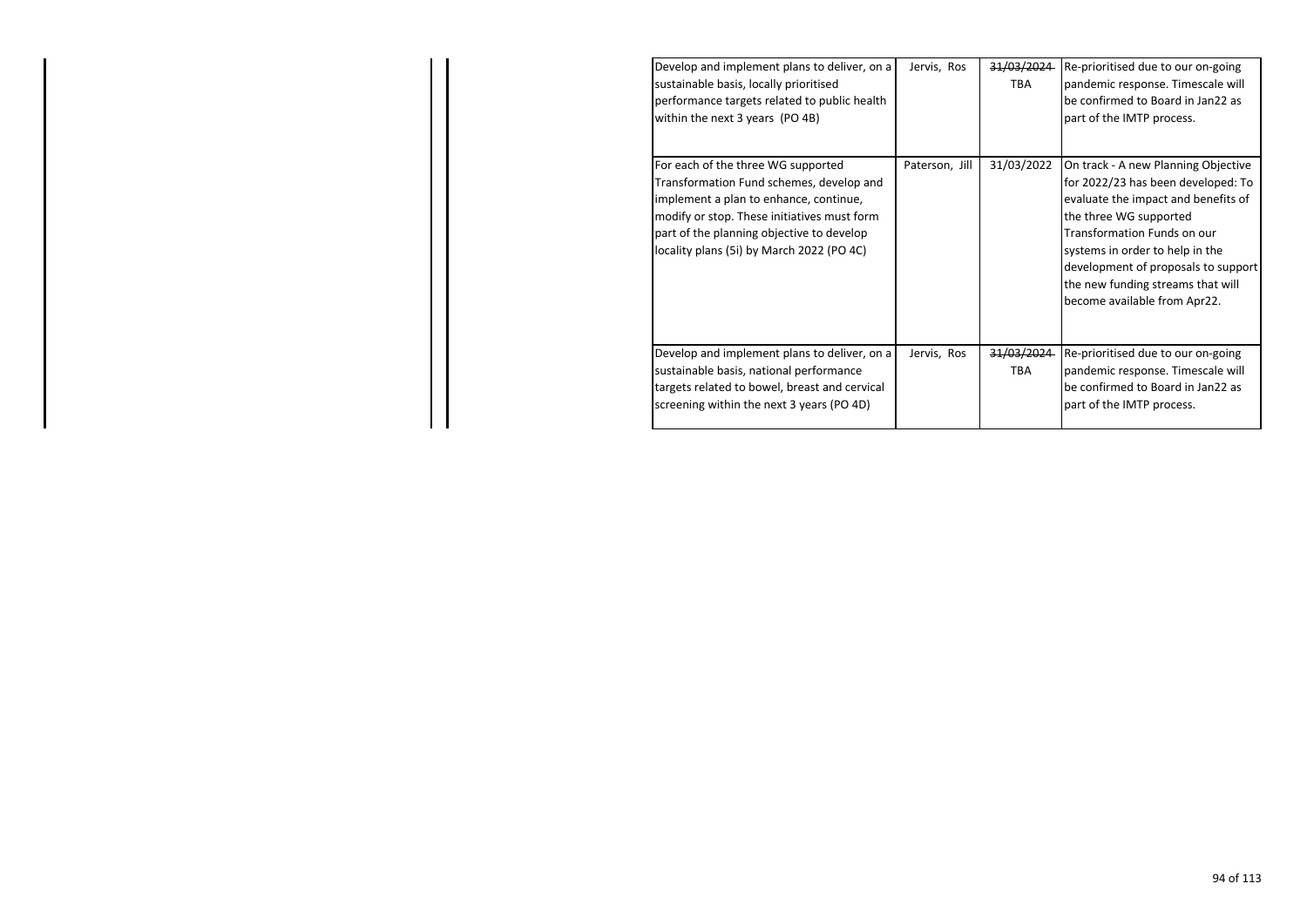| Develop and implement plans to deliver, on a<br>sustainable basis, locally prioritised<br>performance targets related to public health<br>within the next 3 years (PO 4B)                                                                                         | Jervis, Ros    | 31/03/2024<br><b>TBA</b> | Re-prioritised due to our on-going<br>pandemic response. Timescale will<br>be confirmed to Board in Jan22 as<br>part of the IMTP process.                                                                                                                                                                                       |
|-------------------------------------------------------------------------------------------------------------------------------------------------------------------------------------------------------------------------------------------------------------------|----------------|--------------------------|---------------------------------------------------------------------------------------------------------------------------------------------------------------------------------------------------------------------------------------------------------------------------------------------------------------------------------|
| For each of the three WG supported<br>Transformation Fund schemes, develop and<br>implement a plan to enhance, continue,<br>modify or stop. These initiatives must form<br>part of the planning objective to develop<br>locality plans (5i) by March 2022 (PO 4C) | Paterson, Jill | 31/03/2022               | On track - A new Planning Objective<br>for 2022/23 has been developed: To<br>evaluate the impact and benefits of<br>the three WG supported<br><b>Transformation Funds on our</b><br>systems in order to help in the<br>development of proposals to support<br>the new funding streams that will<br>become available from Apr22. |
| Develop and implement plans to deliver, on a<br>sustainable basis, national performance<br>targets related to bowel, breast and cervical<br>screening within the next 3 years (PO 4D)                                                                             | Jervis, Ros    | 31/03/2024<br>TBA        | Re-prioritised due to our on-going<br>pandemic response. Timescale will<br>be confirmed to Board in Jan22 as<br>part of the IMTP process.                                                                                                                                                                                       |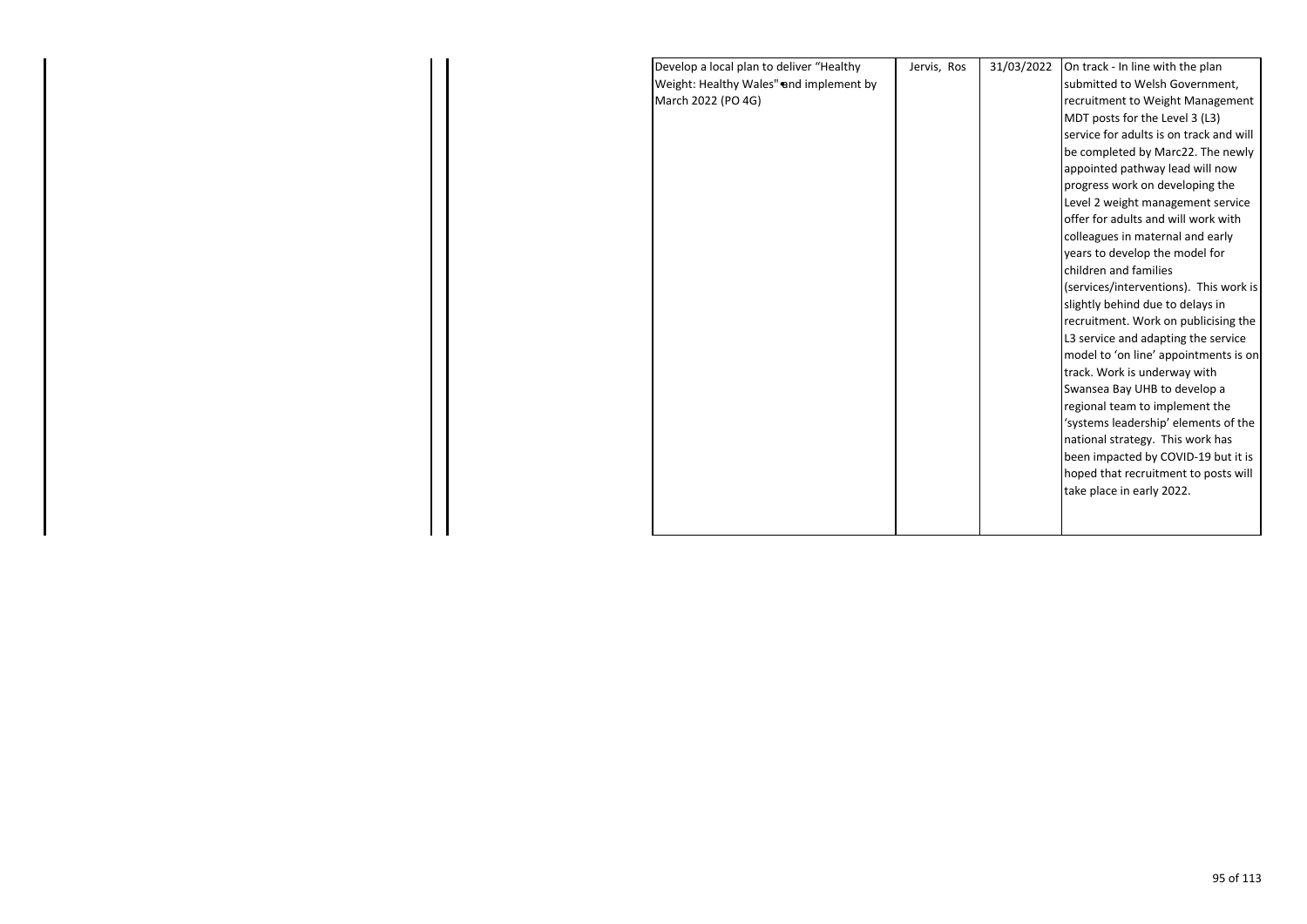| Develop a local plan to deliver "Healthy | Jervis, Ros | 31/03/2022 | On track - In line with the plan        |  |
|------------------------------------------|-------------|------------|-----------------------------------------|--|
| Weight: Healthy Wales" and implement by  |             |            | submitted to Welsh Government,          |  |
| March 2022 (PO 4G)                       |             |            | recruitment to Weight Management        |  |
|                                          |             |            | MDT posts for the Level 3 (L3)          |  |
|                                          |             |            | service for adults is on track and will |  |
|                                          |             |            | be completed by Marc22. The newly       |  |
|                                          |             |            | appointed pathway lead will now         |  |
|                                          |             |            | progress work on developing the         |  |
|                                          |             |            | Level 2 weight management service       |  |
|                                          |             |            | offer for adults and will work with     |  |
|                                          |             |            | colleagues in maternal and early        |  |
|                                          |             |            | years to develop the model for          |  |
|                                          |             |            | children and families                   |  |
|                                          |             |            | (services/interventions). This work is  |  |
|                                          |             |            | slightly behind due to delays in        |  |
|                                          |             |            | recruitment. Work on publicising the    |  |
|                                          |             |            | L3 service and adapting the service     |  |
|                                          |             |            | model to 'on line' appointments is on   |  |
|                                          |             |            | track. Work is underway with            |  |
|                                          |             |            | Swansea Bay UHB to develop a            |  |
|                                          |             |            | regional team to implement the          |  |
|                                          |             |            | 'systems leadership' elements of the    |  |
|                                          |             |            | national strategy. This work has        |  |
|                                          |             |            | been impacted by COVID-19 but it is     |  |
|                                          |             |            | hoped that recruitment to posts will    |  |
|                                          |             |            | take place in early 2022.               |  |
|                                          |             |            |                                         |  |
|                                          |             |            |                                         |  |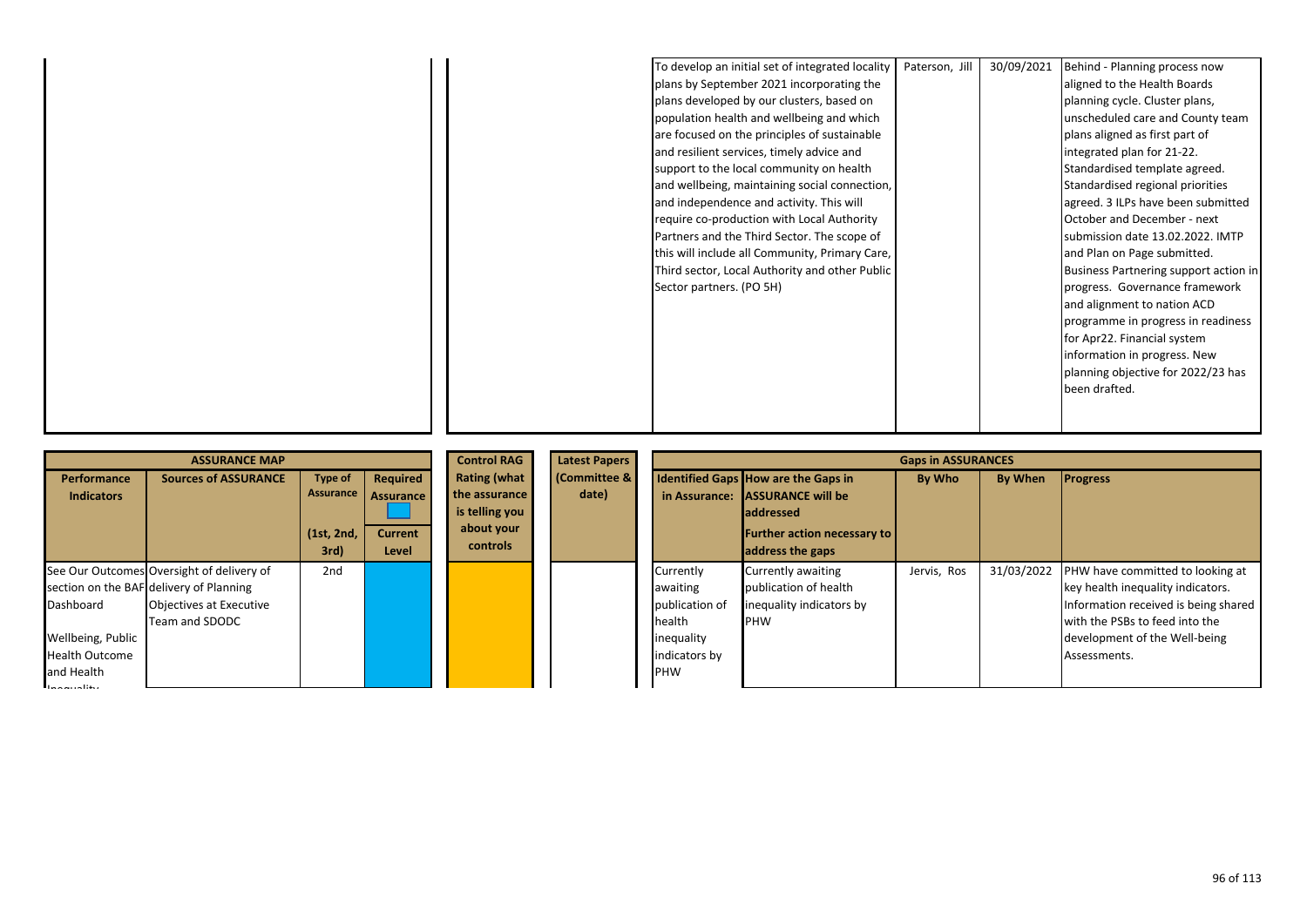|  | To develop an initial set of integrated locality | Paterson, Jill | 30/09/2021 | Behind - Planning process now         |
|--|--------------------------------------------------|----------------|------------|---------------------------------------|
|  | plans by September 2021 incorporating the        |                |            | aligned to the Health Boards          |
|  | plans developed by our clusters, based on        |                |            | planning cycle. Cluster plans,        |
|  | population health and wellbeing and which        |                |            | unscheduled care and County team      |
|  | are focused on the principles of sustainable     |                |            | plans aligned as first part of        |
|  | and resilient services, timely advice and        |                |            | integrated plan for 21-22.            |
|  | support to the local community on health         |                |            | Standardised template agreed.         |
|  | and wellbeing, maintaining social connection,    |                |            | Standardised regional priorities      |
|  | and independence and activity. This will         |                |            | agreed. 3 ILPs have been submitted    |
|  | require co-production with Local Authority       |                |            | October and December - next           |
|  | Partners and the Third Sector. The scope of      |                |            | submission date 13.02.2022. IMTP      |
|  | this will include all Community, Primary Care,   |                |            | and Plan on Page submitted.           |
|  | Third sector, Local Authority and other Public   |                |            | Business Partnering support action in |
|  | Sector partners. (PO 5H)                         |                |            | progress. Governance framework        |
|  |                                                  |                |            | and alignment to nation ACD           |
|  |                                                  |                |            | programme in progress in readiness    |
|  |                                                  |                |            | for Apr22. Financial system           |
|  |                                                  |                |            | information in progress. New          |
|  |                                                  |                |            | planning objective for 2022/23 has    |
|  |                                                  |                |            | been drafted.                         |
|  |                                                  |                |            |                                       |
|  |                                                  |                |            |                                       |

|                                                                                       | <b>ASSURANCE MAP</b>                                                                                                              |                                               |                                                         | <b>Control RAG</b>                                                               | <b>Latest Papers</b>            |                                                                                                | <b>Gaps in ASSURANCES</b>                                                                                                                      |             |            |                                                                                                                                                                                                  |
|---------------------------------------------------------------------------------------|-----------------------------------------------------------------------------------------------------------------------------------|-----------------------------------------------|---------------------------------------------------------|----------------------------------------------------------------------------------|---------------------------------|------------------------------------------------------------------------------------------------|------------------------------------------------------------------------------------------------------------------------------------------------|-------------|------------|--------------------------------------------------------------------------------------------------------------------------------------------------------------------------------------------------|
| Performance<br><b>Indicators</b>                                                      | <b>Sources of ASSURANCE</b>                                                                                                       | Type of<br>Assurance<br>(1st, 2nd,<br>$3rd$ ) | Required<br><b>Assurance</b><br><b>Current</b><br>Level | <b>Rating (what</b><br>the assurance<br>is telling you<br>about your<br>controls | <b>Committee &amp;</b><br>date) | in Assurance:                                                                                  | Identified Gaps How are the Gaps in<br><b>ASSURANCE will be</b><br><b>laddressed</b><br><b>Further action necessary to</b><br>address the gaps | By Who      | By When    | <b>Progress</b>                                                                                                                                                                                  |
| Dashboard<br>Wellbeing, Public<br><b>Health Outcome</b><br>and Health<br>$\mathbf{I}$ | See Our Outcomes Oversight of delivery of<br>section on the BAF delivery of Planning<br>Objectives at Executive<br>Team and SDODC | 2nd                                           |                                                         |                                                                                  |                                 | Currently<br>awaiting<br>publication of<br>health<br>inequality<br>indicators by<br><b>PHW</b> | Currently awaiting<br>publication of health<br>inequality indicators by<br><b>PHW</b>                                                          | Jervis, Ros | 31/03/2022 | PHW have committed to looking at<br>key health inequality indicators.<br>Information received is being shared<br>with the PSBs to feed into the<br>development of the Well-being<br>Assessments. |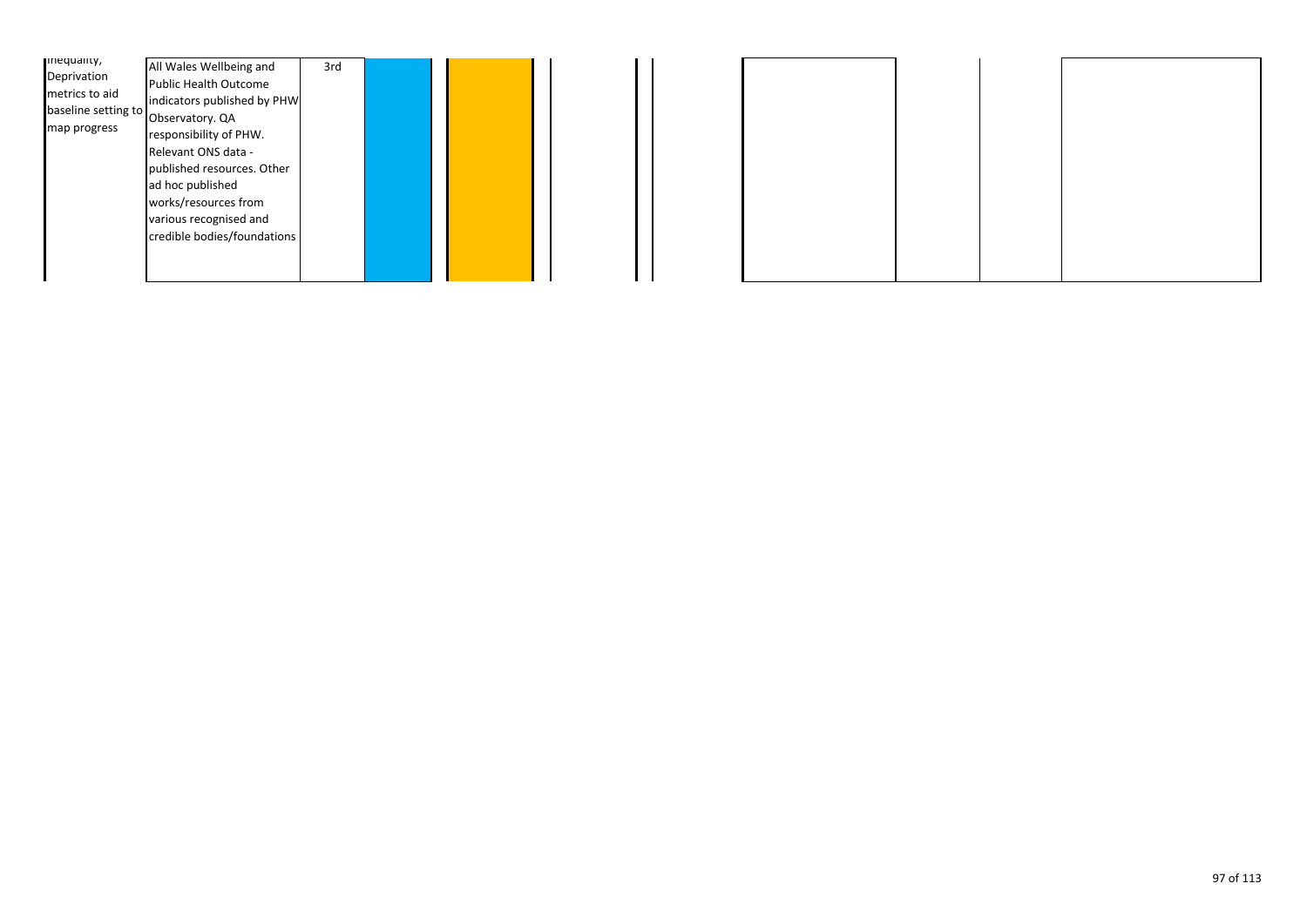| mequanty,<br>Deprivation<br>metrics to aid<br>baseline setting to<br>map progress | All Wales Wellbeing and<br><b>Public Health Outcome</b><br>indicators published by PHW<br>Observatory. QA<br>responsibility of PHW.<br>Relevant ONS data -<br>published resources. Other<br>ad hoc published<br>works/resources from<br>various recognised and<br>credible bodies/foundations | 3rd |  |  |  |
|-----------------------------------------------------------------------------------|-----------------------------------------------------------------------------------------------------------------------------------------------------------------------------------------------------------------------------------------------------------------------------------------------|-----|--|--|--|
|-----------------------------------------------------------------------------------|-----------------------------------------------------------------------------------------------------------------------------------------------------------------------------------------------------------------------------------------------------------------------------------------------|-----|--|--|--|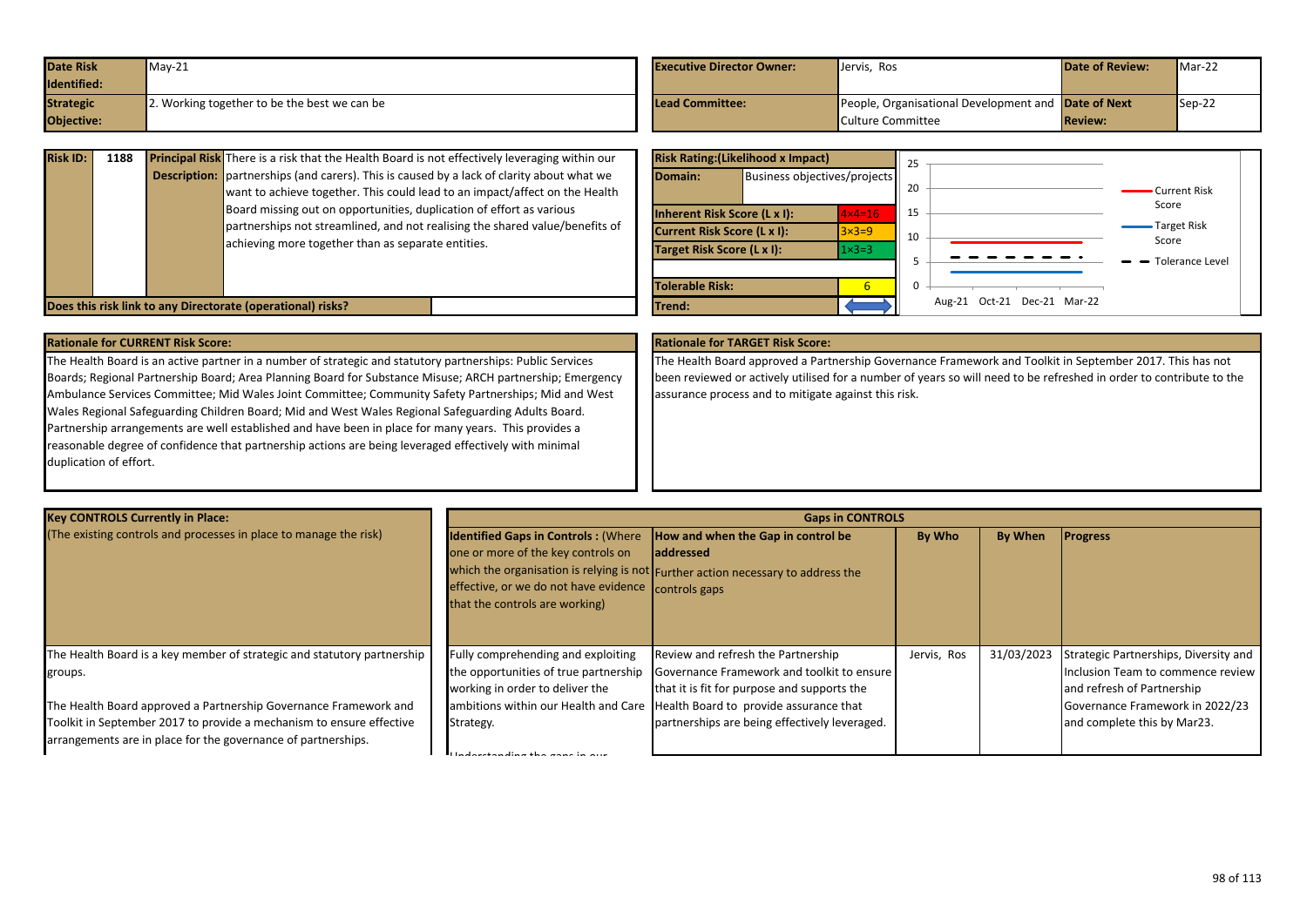| <b>Date Risk</b> | $May-21$                                     | <b>Executive Director Owner:</b> | Jervis, Ros                                         | <b>Date of Review:</b> | Mar-22 |
|------------------|----------------------------------------------|----------------------------------|-----------------------------------------------------|------------------------|--------|
| Identified:      |                                              |                                  |                                                     |                        |        |
| <b>Strategic</b> | ?. Working together to be the best we can be | <b>Lead Committee:</b>           | People, Organisational Development and Date of Next |                        | Sep-22 |
| Objective:       |                                              |                                  | Culture Committee                                   | <b>Review:</b>         |        |

| <b>Risk ID:</b> | 1188 |                     | <b>Principal Risk</b> There is a risk that the Health Board is not effectively leveraging within our                                                                                                                                                                                                                                                                      |  |
|-----------------|------|---------------------|---------------------------------------------------------------------------------------------------------------------------------------------------------------------------------------------------------------------------------------------------------------------------------------------------------------------------------------------------------------------------|--|
|                 |      | <b>Description:</b> | partnerships (and carers). This is caused by a lack of clarity about what we<br>want to achieve together. This could lead to an impact/affect on the Health<br>Board missing out on opportunities, duplication of effort as various<br>partnerships not streamlined, and not realising the shared value/benefits of<br>achieving more together than as separate entities. |  |
|                 |      |                     | Does this risk link to any Directorate (operational) risks?                                                                                                                                                                                                                                                                                                               |  |

|                                    | <b>Risk Rating: (Likelihood x Impact)</b> |                   | 25                             |
|------------------------------------|-------------------------------------------|-------------------|--------------------------------|
| Domain:                            | Business objectives/projects              |                   | 20<br>Current Risk             |
|                                    | <b>Inherent Risk Score (L x I):</b>       | $4 \times 4 = 16$ | Score<br>15                    |
| <b>Current Risk Score (L x I):</b> |                                           | $3\times3=9$      | Target Risk<br>10<br>Score     |
| Target Risk Score (L x I):         |                                           | $1 \times 3 = 3$  | <b>Tolerance Level</b>         |
| <b>Tolerable Risk:</b>             |                                           | 6                 | 0                              |
| Trend:                             |                                           |                   | Oct-21 Dec-21 Mar-22<br>Aug-21 |

The Health Board is an active partner in a number of strategic and statutory partnerships: Public Services Boards; Regional Partnership Board; Area Planning Board for Substance Misuse; ARCH partnership; Emergency Ambulance Services Committee; Mid Wales Joint Committee; Community Safety Partnerships; Mid and West Wales Regional Safeguarding Children Board; Mid and West Wales Regional Safeguarding Adults Board. Partnership arrangements are well established and have been in place for many years. This provides a reasonable degree of confidence that partnership actions are being leveraged effectively with minimal duplication of effort.

### **Rationale for CURRENT Risk Score: Rationale for TARGET Risk Score:**

The Health Board approved a Partnership Governance Framework and Toolkit in September 2017. This has not been reviewed or actively utilised for a number of years so will need to be refreshed in order to contribute to the assurance process and to mitigate against this risk.

| <b>Key CONTROLS Currently in Place:</b>                                 |                                                                               | <b>Gaps in CONTROLS</b>                                                          |             |                |                                       |
|-------------------------------------------------------------------------|-------------------------------------------------------------------------------|----------------------------------------------------------------------------------|-------------|----------------|---------------------------------------|
| (The existing controls and processes in place to manage the risk)       | <b>Identified Gaps in Controls: (Where How and when the Gap in control be</b> |                                                                                  | By Who      | <b>By When</b> | <b>Progress</b>                       |
|                                                                         | one or more of the key controls on                                            | <b>laddressed</b>                                                                |             |                |                                       |
|                                                                         |                                                                               | which the organisation is relying is not Further action necessary to address the |             |                |                                       |
|                                                                         | effective, or we do not have evidence controls gaps                           |                                                                                  |             |                |                                       |
|                                                                         | that the controls are working)                                                |                                                                                  |             |                |                                       |
|                                                                         |                                                                               |                                                                                  |             |                |                                       |
|                                                                         |                                                                               |                                                                                  |             |                |                                       |
| The Health Board is a key member of strategic and statutory partnership | Fully comprehending and exploiting                                            | Review and refresh the Partnership                                               | Jervis, Ros | 31/03/2023     | Strategic Partnerships, Diversity and |
| groups.                                                                 | the opportunities of true partnership                                         | Governance Framework and toolkit to ensure                                       |             |                | Inclusion Team to commence review     |
|                                                                         | working in order to deliver the                                               | that it is fit for purpose and supports the                                      |             |                | and refresh of Partnership            |
| The Health Board approved a Partnership Governance Framework and        |                                                                               | ambitions within our Health and Care Health Board to provide assurance that      |             |                | Governance Framework in 2022/23       |
| Toolkit in September 2017 to provide a mechanism to ensure effective    | Strategy.                                                                     | partnerships are being effectively leveraged.                                    |             |                | and complete this by Mar23.           |
| arrangements are in place for the governance of partnerships.           |                                                                               |                                                                                  |             |                |                                       |
|                                                                         | Understanding the gancin of                                                   |                                                                                  |             |                |                                       |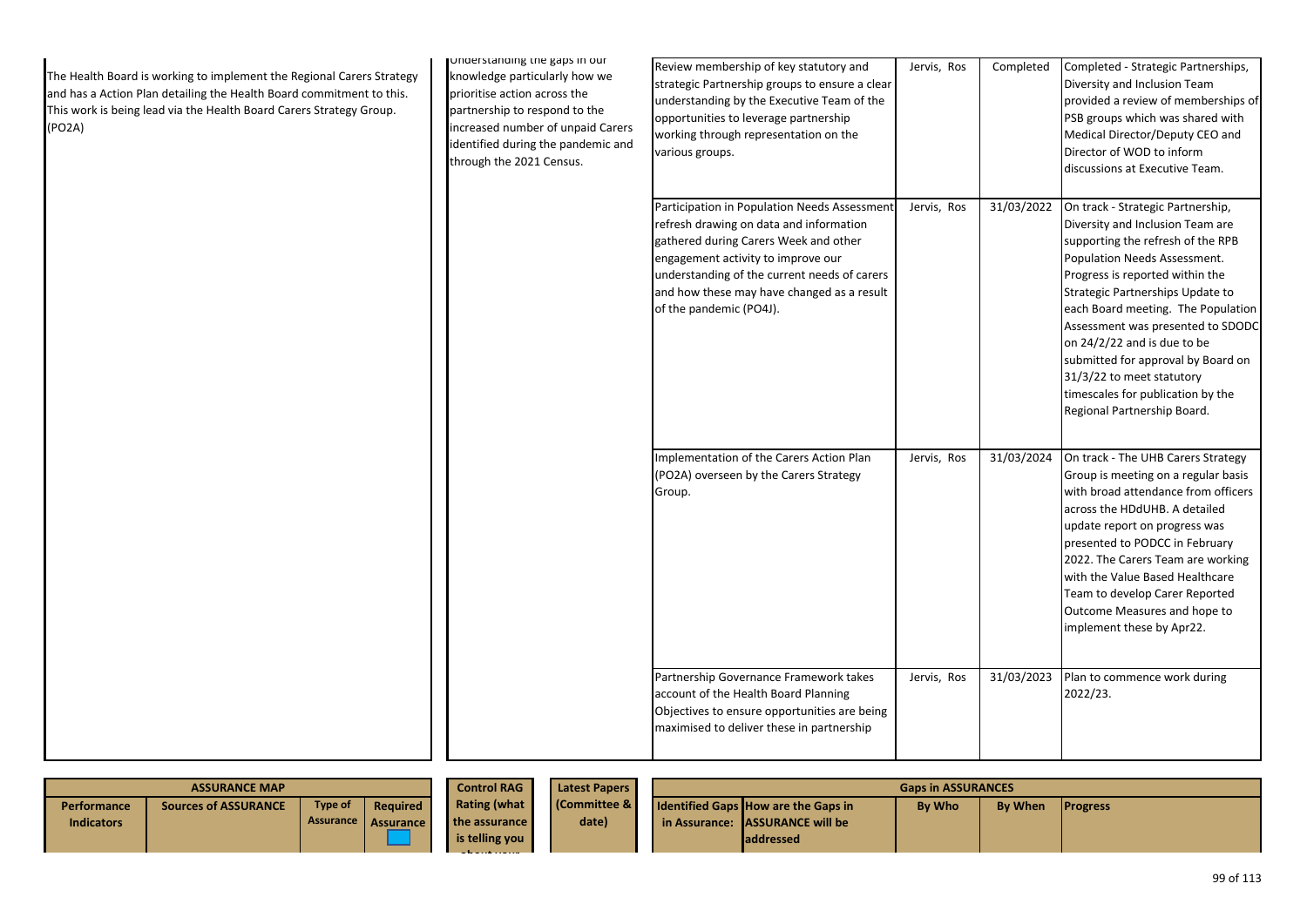| The Health Board is working to implement the Regional Carers Strategy<br>and has a Action Plan detailing the Health Board commitment to this.<br>This work is being lead via the Health Board Carers Strategy Group.<br>(PO2A) | Understanding the gaps in our<br>knowledge particularly how we<br>prioritise action across the<br>partnership to respond to the<br>increased number of unpaid Carers<br>identified during the pandemic and<br>through the 2021 Census. | Review membership of key statutory and<br>strategic Partnership groups to ensure a clear<br>understanding by the Executive Team of the<br>opportunities to leverage partnership<br>working through representation on the<br>various groups.                                                     | Jervis, Ros | Completed  | Completed - Strategic Partnerships,<br>Diversity and Inclusion Team<br>provided a review of memberships of<br>PSB groups which was shared with<br>Medical Director/Deputy CEO and<br>Director of WOD to inform<br>discussions at Executive Team.                                                                                                                                                                                                                   |
|--------------------------------------------------------------------------------------------------------------------------------------------------------------------------------------------------------------------------------|----------------------------------------------------------------------------------------------------------------------------------------------------------------------------------------------------------------------------------------|-------------------------------------------------------------------------------------------------------------------------------------------------------------------------------------------------------------------------------------------------------------------------------------------------|-------------|------------|--------------------------------------------------------------------------------------------------------------------------------------------------------------------------------------------------------------------------------------------------------------------------------------------------------------------------------------------------------------------------------------------------------------------------------------------------------------------|
|                                                                                                                                                                                                                                |                                                                                                                                                                                                                                        | Participation in Population Needs Assessment<br>refresh drawing on data and information<br>gathered during Carers Week and other<br>engagement activity to improve our<br>understanding of the current needs of carers<br>and how these may have changed as a result<br>of the pandemic (PO4J). | Jervis, Ros | 31/03/2022 | On track - Strategic Partnership,<br>Diversity and Inclusion Team are<br>supporting the refresh of the RPB<br>Population Needs Assessment.<br>Progress is reported within the<br>Strategic Partnerships Update to<br>each Board meeting. The Population<br>Assessment was presented to SDODC<br>on 24/2/22 and is due to be<br>submitted for approval by Board on<br>31/3/22 to meet statutory<br>timescales for publication by the<br>Regional Partnership Board. |
|                                                                                                                                                                                                                                |                                                                                                                                                                                                                                        | Implementation of the Carers Action Plan<br>(PO2A) overseen by the Carers Strategy<br>Group.                                                                                                                                                                                                    | Jervis, Ros | 31/03/2024 | On track - The UHB Carers Strategy<br>Group is meeting on a regular basis<br>with broad attendance from officers<br>across the HDdUHB. A detailed<br>update report on progress was<br>presented to PODCC in February<br>2022. The Carers Team are working<br>with the Value Based Healthcare<br>Team to develop Carer Reported<br>Outcome Measures and hope to<br>implement these by Apr22.                                                                        |
|                                                                                                                                                                                                                                |                                                                                                                                                                                                                                        | Partnership Governance Framework takes<br>account of the Health Board Planning<br>Objectives to ensure opportunities are being<br>maximised to deliver these in partnership                                                                                                                     | Jervis, Ros | 31/03/2023 | Plan to commence work during<br>2022/23.                                                                                                                                                                                                                                                                                                                                                                                                                           |

|                                  | <b>ASSURANCE MAP</b>        |                             | <b>Control RAG</b>           | <b>Latest Papers</b>                            | <b>Gaps in ASSURANCES</b> |                                                                                                     |               |                |                 |
|----------------------------------|-----------------------------|-----------------------------|------------------------------|-------------------------------------------------|---------------------------|-----------------------------------------------------------------------------------------------------|---------------|----------------|-----------------|
| Performance<br><b>Indicators</b> | <b>Sources of ASSURANCE</b> | Type of<br><b>Assurance</b> | Required<br><b>Assurance</b> | Rating (what<br>the assurance<br>is telling you | (Committee &<br>date)     | <b>Identified Gaps How are the Gaps in</b><br>in Assurance: LASSURANCE will be<br><b>laddressed</b> | <b>By Who</b> | <b>By When</b> | <b>Progress</b> |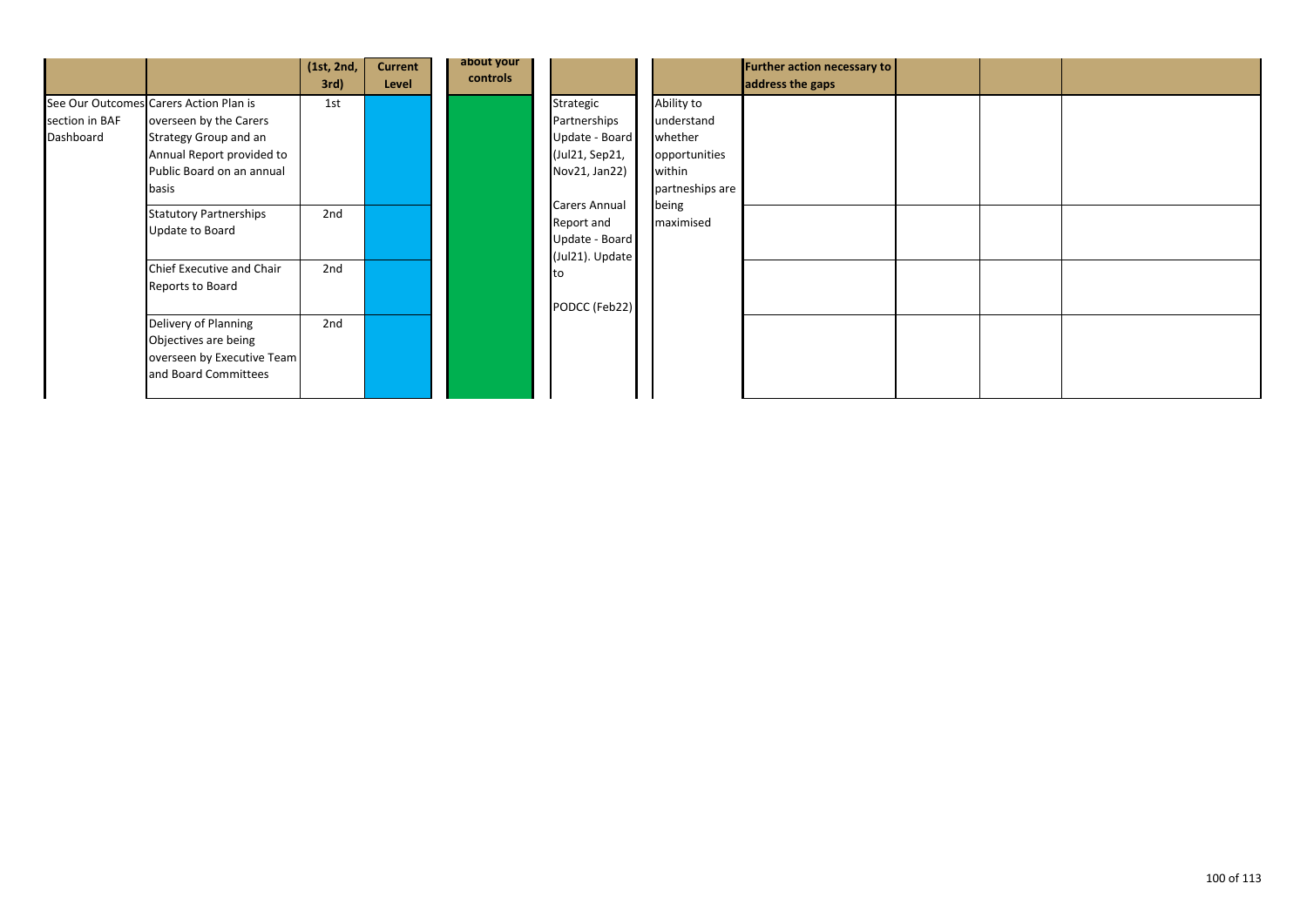|                             |                                                                                                                                                              | (1st, 2nd,<br>3rd) | <b>Current</b><br>Level | about your<br>controls |                                                                                |                                                                                                         | Further action necessary to<br>address the gaps |  |  |
|-----------------------------|--------------------------------------------------------------------------------------------------------------------------------------------------------------|--------------------|-------------------------|------------------------|--------------------------------------------------------------------------------|---------------------------------------------------------------------------------------------------------|-------------------------------------------------|--|--|
| section in BAF<br>Dashboard | See Our Outcomes Carers Action Plan is<br>overseen by the Carers<br>Strategy Group and an<br>Annual Report provided to<br>Public Board on an annual<br>basis | 1st                |                         |                        | Strategic<br>Partnerships<br>Update - Board<br>(Jul21, Sep21,<br>Nov21, Jan22) | Ability to<br>understand<br>whether<br>opportunities<br>within<br>partneships are<br>being<br>maximised |                                                 |  |  |
|                             | <b>Statutory Partnerships</b><br>Update to Board                                                                                                             | 2nd                |                         |                        | <b>Carers Annual</b><br>Report and<br>Update - Board<br>(Jul21). Update        |                                                                                                         |                                                 |  |  |
|                             | Chief Executive and Chair<br>Reports to Board                                                                                                                | 2nd                |                         |                        | PODCC (Feb22)                                                                  |                                                                                                         |                                                 |  |  |
|                             | Delivery of Planning<br>Objectives are being<br>overseen by Executive Team<br>and Board Committees                                                           | 2nd                |                         |                        |                                                                                |                                                                                                         |                                                 |  |  |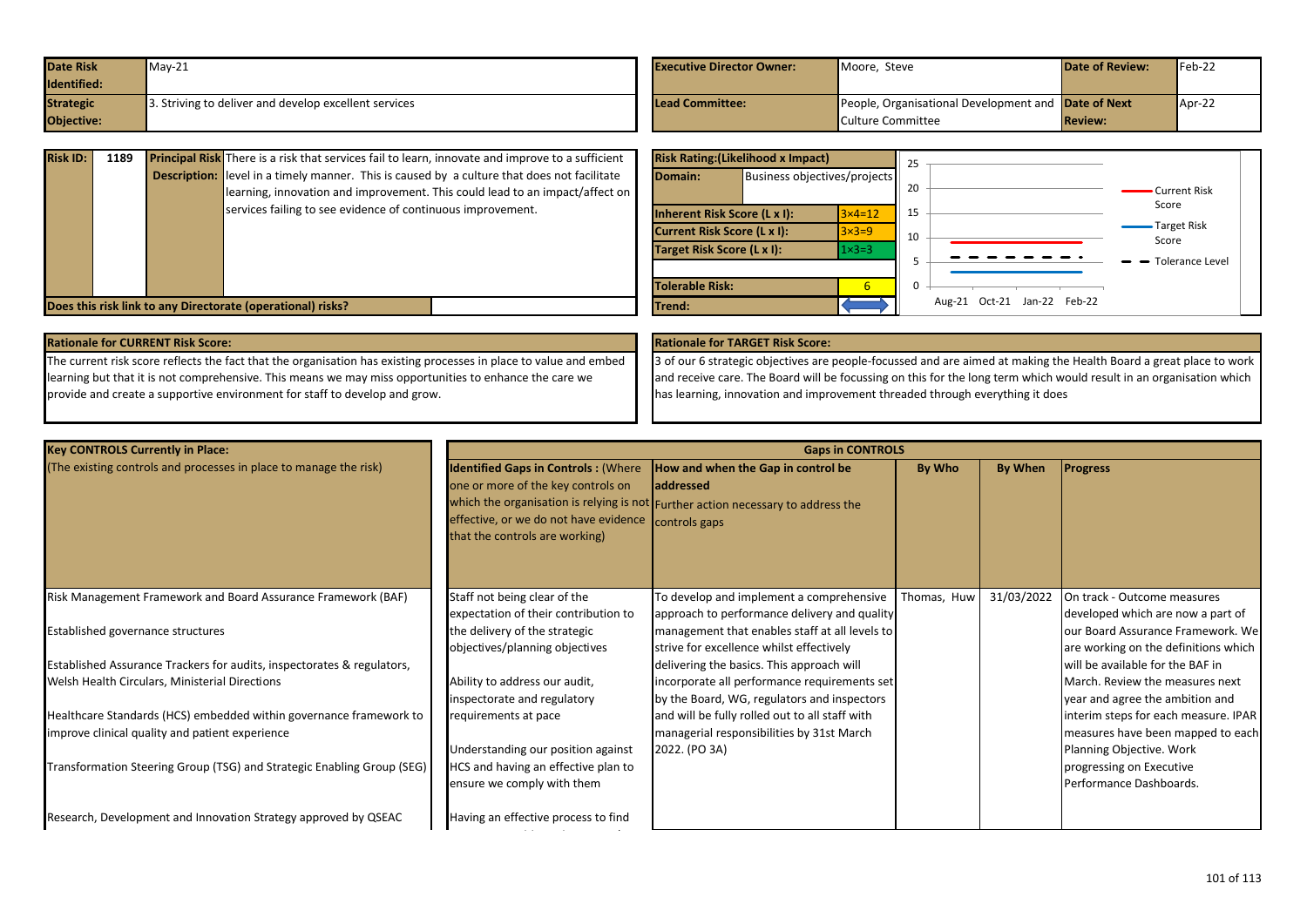| <b>Date Risk</b> | $Mav-21$                                             | <b>Executive Director Owner:</b> | Moore. Steve                                        | <b>Date of Review:</b> | $Feb-22$ |
|------------------|------------------------------------------------------|----------------------------------|-----------------------------------------------------|------------------------|----------|
| Identified:      |                                                      |                                  |                                                     |                        |          |
| <b>Strategic</b> | . Striving to deliver and develop excellent services | Lead Committee:                  | People, Organisational Development and Date of Next |                        | Apr-22   |
| Objective:       |                                                      |                                  | Culture Committee                                   | <b>Review:</b>         |          |

| <b>Risk ID:</b>                                             | 1189 |  | <b>Principal Risk</b> There is a risk that services fail to learn, innovate and improve to a sufficient |         | <b>Risk Rating: (Likelihood x Impact)</b>      |  |                  |                             |  |                       |
|-------------------------------------------------------------|------|--|---------------------------------------------------------------------------------------------------------|---------|------------------------------------------------|--|------------------|-----------------------------|--|-----------------------|
|                                                             |      |  | <b>Description:</b> level in a timely manner. This is caused by a culture that does not facilitate      |         | <b>Business objectives/projects</b><br>Domain: |  | 20               |                             |  |                       |
|                                                             |      |  | learning, innovation and improvement. This could lead to an impact/affect on $\parallel$                |         |                                                |  |                  |                             |  | Current Risk<br>Score |
|                                                             |      |  | services failing to see evidence of continuous improvement.                                             |         | Inherent Risk Score (L x I):                   |  | $3\times 4=12$   | 15                          |  |                       |
|                                                             |      |  |                                                                                                         |         | Current Risk Score (L x I):                    |  | $3\times3=9$     | 10                          |  | Target Risk<br>Score  |
|                                                             |      |  |                                                                                                         |         | Target Risk Score (L x I):                     |  | $1 \times 3 = 3$ |                             |  | $ -$ Tolerance Level  |
|                                                             |      |  |                                                                                                         |         |                                                |  |                  |                             |  |                       |
|                                                             |      |  |                                                                                                         |         | <b>Tolerable Risk:</b>                         |  |                  |                             |  |                       |
| Does this risk link to any Directorate (operational) risks? |      |  |                                                                                                         | lTrend: |                                                |  |                  | Aug-21 Oct-21 Jan-22 Feb-22 |  |                       |

|  |  |  | <b>Rationale for CURRENT Risk Score:</b> |  |
|--|--|--|------------------------------------------|--|
|--|--|--|------------------------------------------|--|

The current risk score reflects the fact that the organisation has existing processes in place to value and embed learning but that it is not comprehensive. This means we may miss opportunities to enhance the care we provide and create a supportive environment for staff to develop and grow.

# **Rationale for TARGET Risk Score:**

3 of our 6 strategic objectives are people-focussed and are aimed at making the Health Board a great place to work and receive care. The Board will be focussing on this for the long term which would result in an organisation which has learning, innovation and improvement threaded through everything it does

| <b>Key CONTROLS Currently in Place:</b>                                                                               |                                                                                                                                                             | <b>Gaps in CONTROLS</b>                                                                                                                               |             |            |                                                                                                       |
|-----------------------------------------------------------------------------------------------------------------------|-------------------------------------------------------------------------------------------------------------------------------------------------------------|-------------------------------------------------------------------------------------------------------------------------------------------------------|-------------|------------|-------------------------------------------------------------------------------------------------------|
| (The existing controls and processes in place to manage the risk)                                                     | <b>Identified Gaps in Controls: (Where</b><br>one or more of the key controls on<br>effective, or we do not have evidence<br>that the controls are working) | How and when the Gap in control be<br>laddressed<br>which the organisation is relying is not Further action necessary to address the<br>controls gaps | By Who      | By When    | <b>Progress</b>                                                                                       |
| Risk Management Framework and Board Assurance Framework (BAF)                                                         | Staff not being clear of the<br>expectation of their contribution to                                                                                        | To develop and implement a comprehensive<br>approach to performance delivery and quality                                                              | Thomas, Huw | 31/03/2022 | On track - Outcome measures<br>developed which are now a part of                                      |
| Established governance structures                                                                                     | the delivery of the strategic<br>objectives/planning objectives                                                                                             | management that enables staff at all levels to<br>strive for excellence whilst effectively                                                            |             |            | our Board Assurance Framework. We<br>are working on the definitions which                             |
| Established Assurance Trackers for audits, inspectorates & regulators,                                                |                                                                                                                                                             | delivering the basics. This approach will                                                                                                             |             |            | will be available for the BAF in                                                                      |
| Welsh Health Circulars, Ministerial Directions                                                                        | Ability to address our audit,<br>inspectorate and regulatory                                                                                                | incorporate all performance requirements set<br>by the Board, WG, regulators and inspectors                                                           |             |            | March. Review the measures next<br>year and agree the ambition and                                    |
| Healthcare Standards (HCS) embedded within governance framework to<br>improve clinical quality and patient experience | requirements at pace<br>Understanding our position against                                                                                                  | and will be fully rolled out to all staff with<br>managerial responsibilities by 31st March<br>2022. (PO 3A)                                          |             |            | interim steps for each measure. IPAR<br>measures have been mapped to each<br>Planning Objective. Work |
| Transformation Steering Group (TSG) and Strategic Enabling Group (SEG)                                                | HCS and having an effective plan to<br>ensure we comply with them                                                                                           |                                                                                                                                                       |             |            | progressing on Executive<br>Performance Dashboards.                                                   |
| Research, Development and Innovation Strategy approved by QSEAC                                                       | Having an effective process to find                                                                                                                         |                                                                                                                                                       |             |            |                                                                                                       |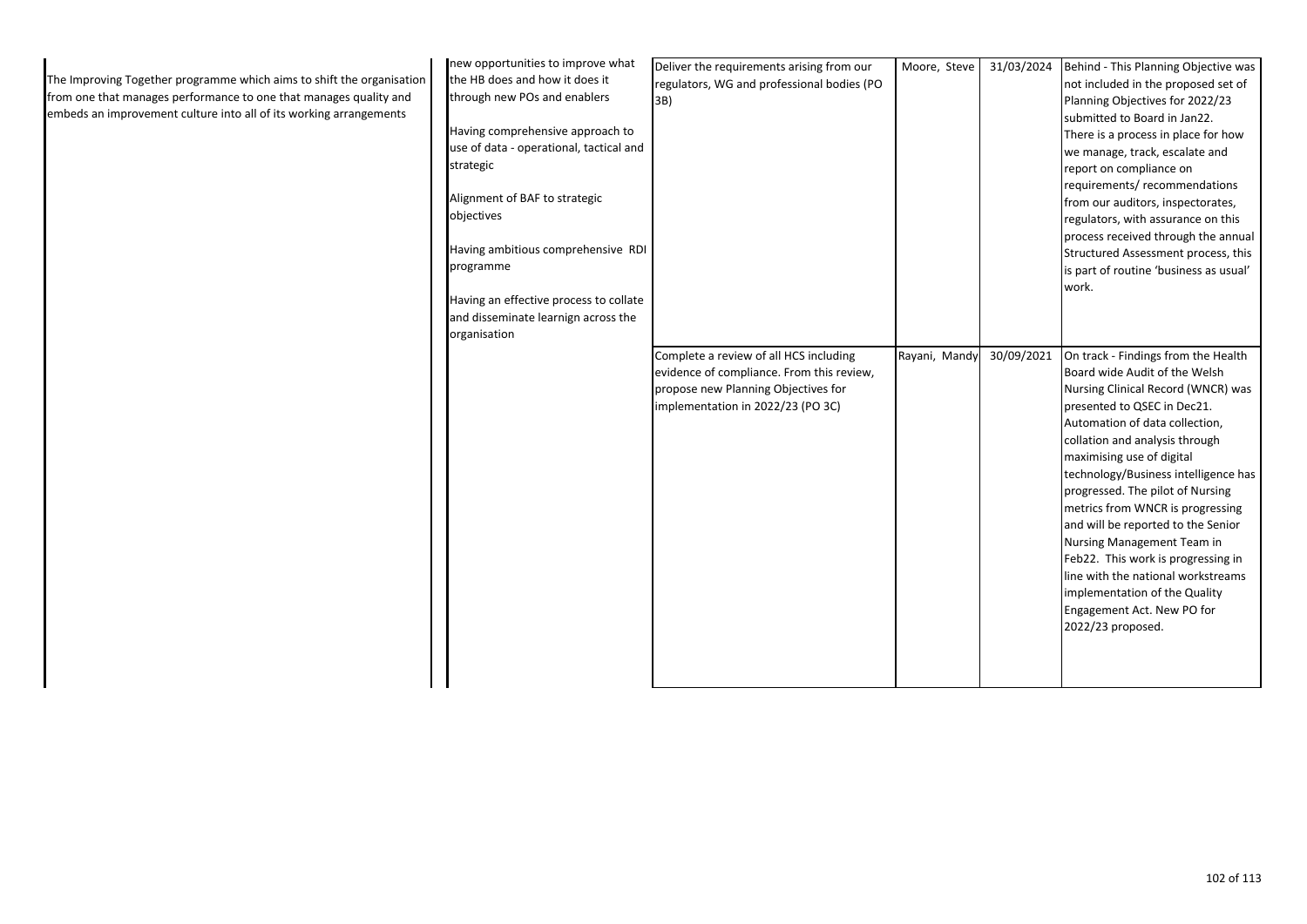| The Improving Together programme which aims to shift the organisation<br>from one that manages performance to one that manages quality and<br>embeds an improvement culture into all of its working arrangements | new opportunities to improve what<br>the HB does and how it does it<br>through new POs and enablers<br>Having comprehensive approach to<br>use of data - operational, tactical and<br>strategic<br>Alignment of BAF to strategic<br>objectives<br>Having ambitious comprehensive RDI<br>programme<br>Having an effective process to collate<br>and disseminate learnign across the<br>organisation | Deliver the requirements arising from our<br>regulators, WG and professional bodies (PO<br>3B)                                                                  | Moore, Steve  | 31/03/2024 Behind - This Planning Objective was<br>not included in the proposed set of<br>Planning Objectives for 2022/23<br>submitted to Board in Jan22.<br>There is a process in place for how<br>we manage, track, escalate and<br>report on compliance on<br>requirements/ recommendations<br>from our auditors, inspectorates,<br>regulators, with assurance on this<br>process received through the annual<br>Structured Assessment process, this<br>is part of routine 'business as usual'<br>work.                                                                                                |
|------------------------------------------------------------------------------------------------------------------------------------------------------------------------------------------------------------------|----------------------------------------------------------------------------------------------------------------------------------------------------------------------------------------------------------------------------------------------------------------------------------------------------------------------------------------------------------------------------------------------------|-----------------------------------------------------------------------------------------------------------------------------------------------------------------|---------------|-----------------------------------------------------------------------------------------------------------------------------------------------------------------------------------------------------------------------------------------------------------------------------------------------------------------------------------------------------------------------------------------------------------------------------------------------------------------------------------------------------------------------------------------------------------------------------------------------------------|
|                                                                                                                                                                                                                  |                                                                                                                                                                                                                                                                                                                                                                                                    | Complete a review of all HCS including<br>evidence of compliance. From this review,<br>propose new Planning Objectives for<br>implementation in 2022/23 (PO 3C) | Rayani, Mandy | 30/09/2021 On track - Findings from the Health<br>Board wide Audit of the Welsh<br>Nursing Clinical Record (WNCR) was<br>presented to QSEC in Dec21.<br>Automation of data collection,<br>collation and analysis through<br>maximising use of digital<br>technology/Business intelligence has<br>progressed. The pilot of Nursing<br>metrics from WNCR is progressing<br>and will be reported to the Senior<br>Nursing Management Team in<br>Feb22. This work is progressing in<br>line with the national workstreams<br>implementation of the Quality<br>Engagement Act. New PO for<br>2022/23 proposed. |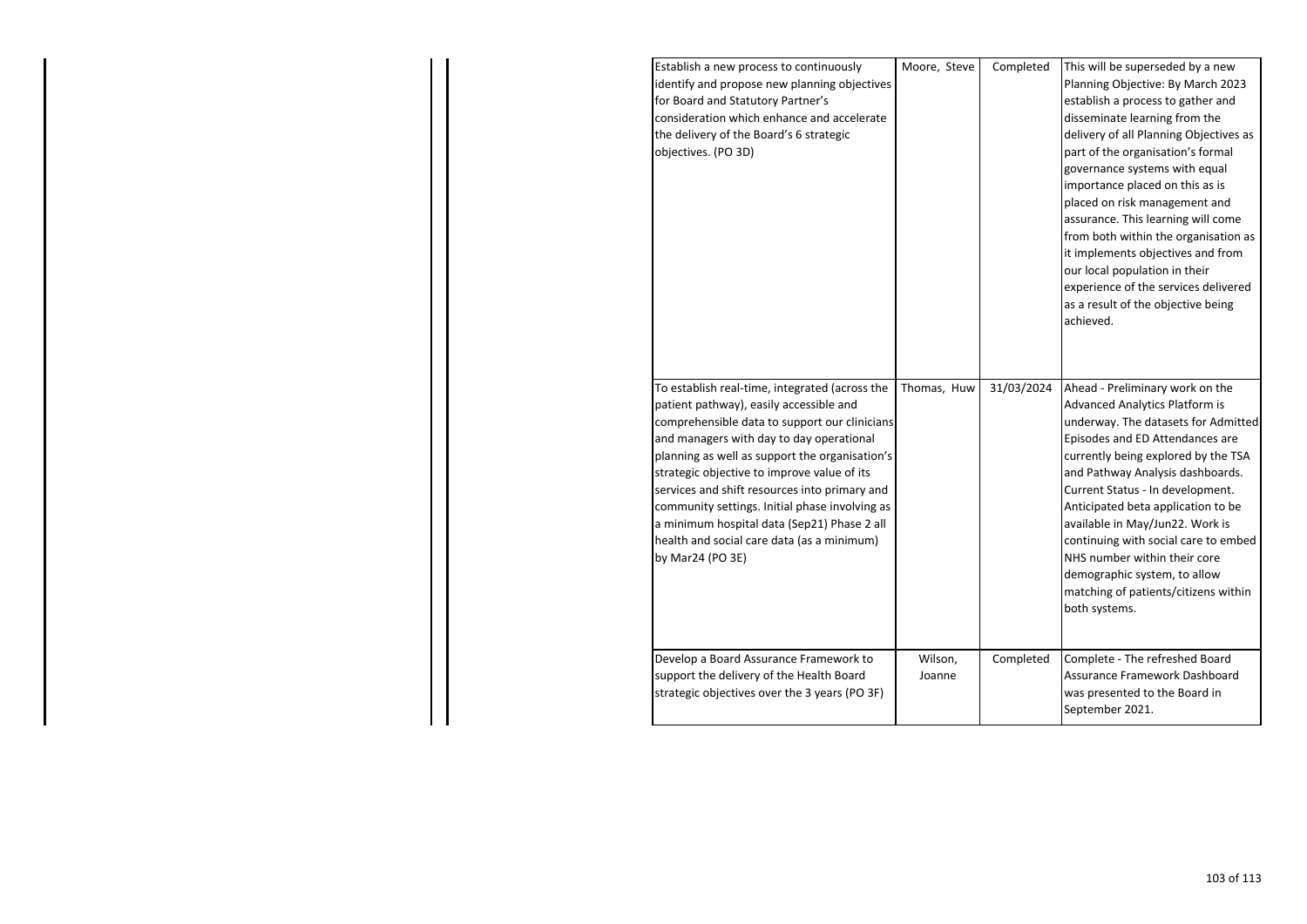| Establish a new process to continuously<br>identify and propose new planning objectives<br>for Board and Statutory Partner's<br>consideration which enhance and accelerate<br>the delivery of the Board's 6 strategic<br>objectives. (PO 3D)                                                                                                                                                                                                                                                                | Moore, Steve      | Completed  | This will be superseded by a new<br>Planning Objective: By March 2023<br>establish a process to gather and<br>disseminate learning from the<br>delivery of all Planning Objectives as<br>part of the organisation's formal<br>governance systems with equal<br>importance placed on this as is<br>placed on risk management and<br>assurance. This learning will come<br>from both within the organisation as<br>it implements objectives and from<br>our local population in their<br>experience of the services delivered<br>as a result of the objective being<br>achieved. |
|-------------------------------------------------------------------------------------------------------------------------------------------------------------------------------------------------------------------------------------------------------------------------------------------------------------------------------------------------------------------------------------------------------------------------------------------------------------------------------------------------------------|-------------------|------------|--------------------------------------------------------------------------------------------------------------------------------------------------------------------------------------------------------------------------------------------------------------------------------------------------------------------------------------------------------------------------------------------------------------------------------------------------------------------------------------------------------------------------------------------------------------------------------|
| To establish real-time, integrated (across the<br>patient pathway), easily accessible and<br>comprehensible data to support our clinicians<br>and managers with day to day operational<br>planning as well as support the organisation's<br>strategic objective to improve value of its<br>services and shift resources into primary and<br>community settings. Initial phase involving as<br>a minimum hospital data (Sep21) Phase 2 all<br>health and social care data (as a minimum)<br>by Mar24 (PO 3E) | Thomas, Huw       | 31/03/2024 | Ahead - Preliminary work on the<br><b>Advanced Analytics Platform is</b><br>underway. The datasets for Admitted<br>Episodes and ED Attendances are<br>currently being explored by the TSA<br>and Pathway Analysis dashboards.<br>Current Status - In development.<br>Anticipated beta application to be<br>available in May/Jun22. Work is<br>continuing with social care to embed<br>NHS number within their core<br>demographic system, to allow<br>matching of patients/citizens within<br>both systems.                                                                    |
| Develop a Board Assurance Framework to<br>support the delivery of the Health Board<br>strategic objectives over the 3 years (PO 3F)                                                                                                                                                                                                                                                                                                                                                                         | Wilson,<br>Joanne | Completed  | Complete - The refreshed Board<br>Assurance Framework Dashboard<br>was presented to the Board in<br>September 2021.                                                                                                                                                                                                                                                                                                                                                                                                                                                            |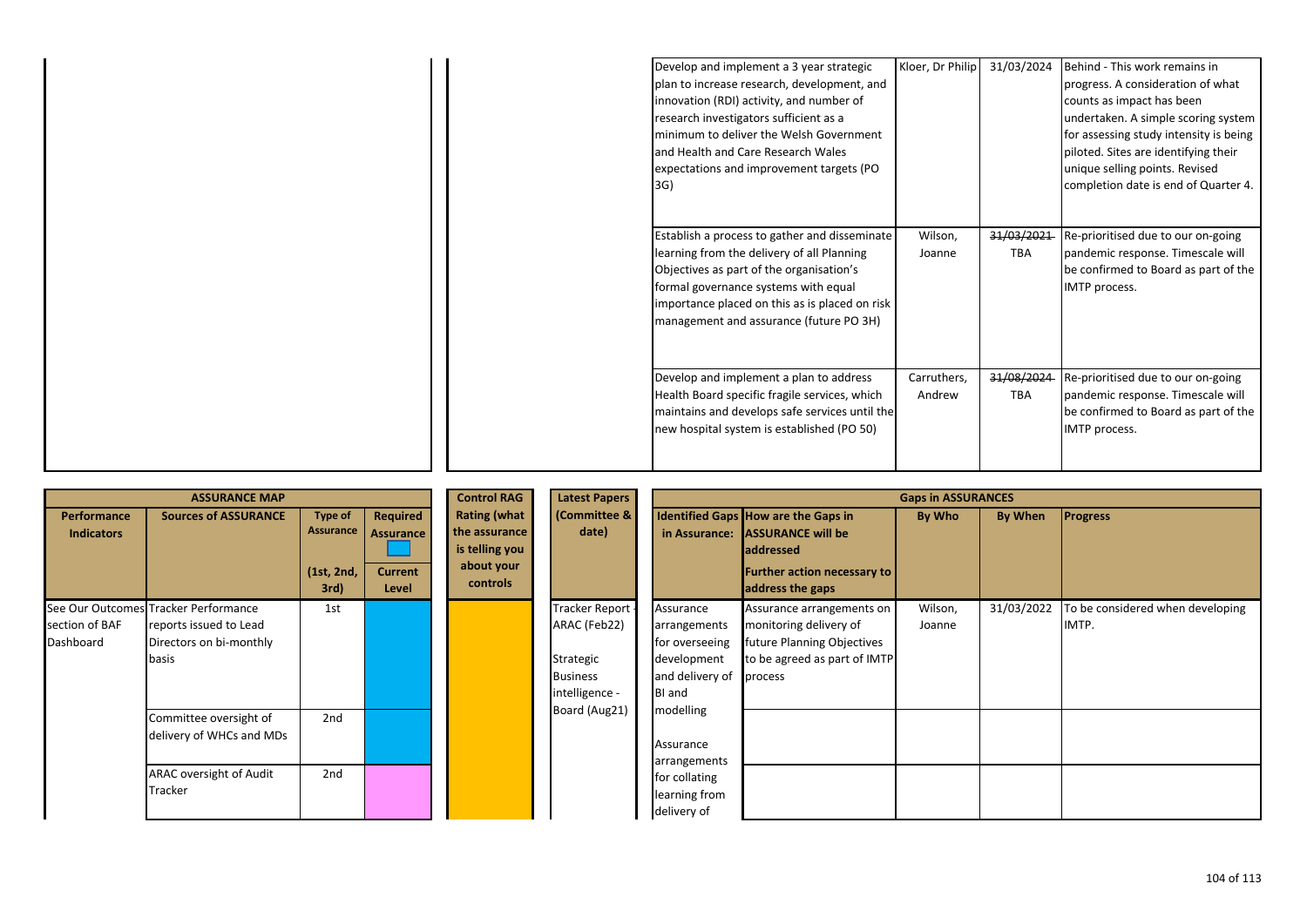| Develop and implement a 3 year strategic       | Kloer, Dr Philip | 31/03/2024 | Behind - This work remains in          |
|------------------------------------------------|------------------|------------|----------------------------------------|
| plan to increase research, development, and    |                  |            | progress. A consideration of what      |
| innovation (RDI) activity, and number of       |                  |            | counts as impact has been              |
| research investigators sufficient as a         |                  |            | undertaken. A simple scoring system    |
| minimum to deliver the Welsh Government        |                  |            | for assessing study intensity is being |
| and Health and Care Research Wales             |                  |            | piloted. Sites are identifying their   |
| expectations and improvement targets (PO       |                  |            | unique selling points. Revised         |
| 3G)                                            |                  |            | completion date is end of Quarter 4.   |
|                                                |                  |            |                                        |
|                                                |                  |            |                                        |
| Establish a process to gather and disseminate  | Wilson,          | 31/03/2021 | Re-prioritised due to our on-going     |
| learning from the delivery of all Planning     | Joanne           | <b>TBA</b> | pandemic response. Timescale will      |
| Objectives as part of the organisation's       |                  |            | be confirmed to Board as part of the   |
| formal governance systems with equal           |                  |            | IMTP process.                          |
| importance placed on this as is placed on risk |                  |            |                                        |
| management and assurance (future PO 3H)        |                  |            |                                        |
|                                                |                  |            |                                        |
|                                                |                  |            |                                        |
| Develop and implement a plan to address        | Carruthers,      | 31/08/2024 | Re-prioritised due to our on-going     |
| Health Board specific fragile services, which  | Andrew           | <b>TBA</b> | pandemic response. Timescale will      |
| maintains and develops safe services until the |                  |            | be confirmed to Board as part of the   |
| new hospital system is established (PO 50)     |                  |            | IMTP process.                          |
|                                                |                  |            |                                        |
|                                                |                  |            |                                        |

|                                                                     |                                                                                                 |                                                   |                                                         | <b>Control RAG</b>                                                               | <b>Latest Papers</b>                                                             | <b>Gaps in ASSURANCES</b>                                                                      |                                                                                                                                                      |                   |            |                                           |
|---------------------------------------------------------------------|-------------------------------------------------------------------------------------------------|---------------------------------------------------|---------------------------------------------------------|----------------------------------------------------------------------------------|----------------------------------------------------------------------------------|------------------------------------------------------------------------------------------------|------------------------------------------------------------------------------------------------------------------------------------------------------|-------------------|------------|-------------------------------------------|
| <b>Performance</b><br><b>Indicators</b>                             | <b>Sources of ASSURANCE</b>                                                                     | <b>Type of</b><br>Assurance<br>(1st, 2nd,<br>3rd) | Required<br><b>Assurance</b><br><b>Current</b><br>Level | <b>Rating (what</b><br>the assurance<br>is telling you<br>about your<br>controls | (Committee &<br>date)                                                            | in Assurance:                                                                                  | <b>Identified Gaps How are the Gaps in</b><br><b>ASSURANCE will be</b><br><b>addressed</b><br><b>Further action necessary to</b><br>address the gaps | By Who            | By When    | <b>Progress</b>                           |
| See Our Outcomes Tracker Performance<br>section of BAF<br>Dashboard | reports issued to Lead<br>Directors on bi-monthly<br>basis                                      | 1st                                               |                                                         |                                                                                  | Tracker Report<br>ARAC (Feb22)<br>Strategic<br><b>Business</b><br>intelligence - | Assurance<br>arrangements<br>for overseeing<br>development<br>and delivery of<br><b>BI</b> and | Assurance arrangements on<br>monitoring delivery of<br>future Planning Objectives<br>to be agreed as part of IMTP<br>process                         | Wilson,<br>Joanne | 31/03/2022 | To be considered when developing<br>IMTP. |
|                                                                     | Committee oversight of<br>delivery of WHCs and MDs<br><b>ARAC oversight of Audit</b><br>Tracker | 2 <sub>nd</sub><br>2nd                            |                                                         |                                                                                  | Board (Aug21)                                                                    | modelling<br>Assurance<br>arrangements<br>for collating<br>learning from<br>delivery of        |                                                                                                                                                      |                   |            |                                           |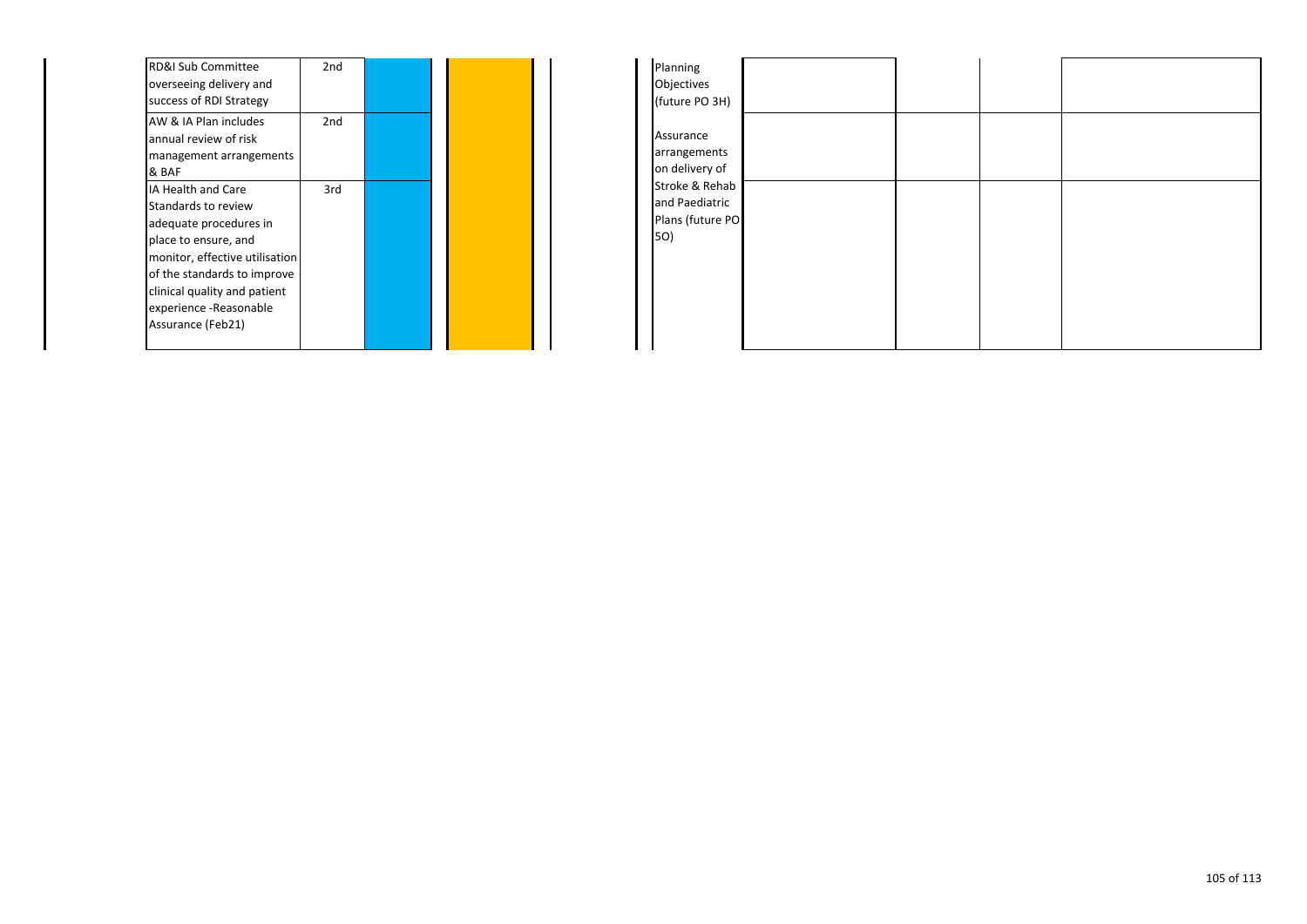| RD&I Sub Committee             | 2 <sub>nd</sub> |  |  |
|--------------------------------|-----------------|--|--|
| overseeing delivery and        |                 |  |  |
| success of RDI Strategy        |                 |  |  |
| AW & IA Plan includes          | 2nd             |  |  |
| annual review of risk          |                 |  |  |
| management arrangements        |                 |  |  |
| & BAF                          |                 |  |  |
| <b>IA Health and Care</b>      | 3rd             |  |  |
| Standards to review            |                 |  |  |
| adequate procedures in         |                 |  |  |
| place to ensure, and           |                 |  |  |
| monitor, effective utilisation |                 |  |  |
| of the standards to improve    |                 |  |  |
| clinical quality and patient   |                 |  |  |
| experience -Reasonable         |                 |  |  |
| Assurance (Feb21)              |                 |  |  |
|                                |                 |  |  |

| Planning         |  |  |
|------------------|--|--|
| Objectives       |  |  |
| (future PO 3H)   |  |  |
|                  |  |  |
| Assurance        |  |  |
| arrangements     |  |  |
| on delivery of   |  |  |
| Stroke & Rehab   |  |  |
| and Paediatric   |  |  |
| Plans (future PO |  |  |
| 5O)              |  |  |
|                  |  |  |
|                  |  |  |
|                  |  |  |
|                  |  |  |
|                  |  |  |
|                  |  |  |
|                  |  |  |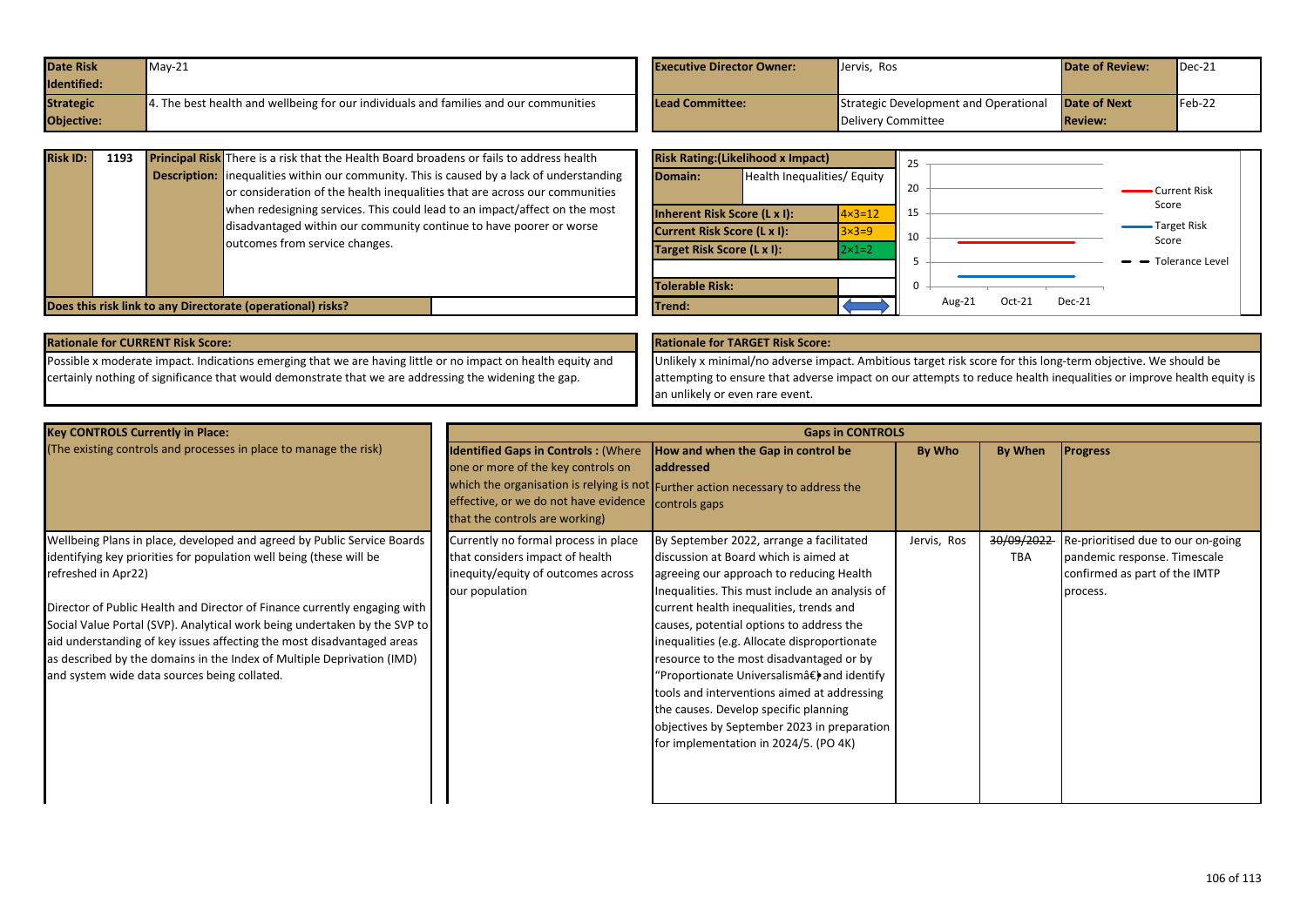| <b>Date Risk</b> | $May-21$                                                                             | <b>Executive Director Owner:</b> | Jervis, Ros                           | <b>Date of Review:</b> | $\blacksquare$ Dec-21 |
|------------------|--------------------------------------------------------------------------------------|----------------------------------|---------------------------------------|------------------------|-----------------------|
| Identified:      |                                                                                      |                                  |                                       |                        |                       |
| <b>Strategic</b> | . The best health and wellbeing for our individuals and families and our communities | <b>Lead Committee:</b>           | Strategic Development and Operational | <b>Date of Next</b>    | $Feb-22$              |
| Objective:       |                                                                                      |                                  | Delivery Committee                    | <b>Review:</b>         |                       |

| <b>Risk ID:</b> | 1193 | Principal Risk There is a risk that the Health Board broadens or fails to address health<br><b>Description:</b> inequalities within our community. This is caused by a lack of understanding<br>or consideration of the health inequalities that are across our communities<br>when redesigning services. This could lead to an impact/affect on the most<br>disadvantaged within our community continue to have poorer or worse<br>outcomes from service changes. | Domain:<br>Inherent Risk Score (L x I):<br><b>Current Risk Score (L x I):</b><br>Target Risk Score (L x I): | <b>Risk Rating: (Likelihood x Impact)</b><br>Health Inequalities/ Equity | $\vert 4 \times 3 = 12 \vert$<br>$3\times3=9$<br>$ 2 \times 1 = 2$ | 20<br>15<br>10 |                            | • Current Risk<br>Score<br>Target Risk<br>Score<br>$\rightarrow$ Tolerance Level |
|-----------------|------|--------------------------------------------------------------------------------------------------------------------------------------------------------------------------------------------------------------------------------------------------------------------------------------------------------------------------------------------------------------------------------------------------------------------------------------------------------------------|-------------------------------------------------------------------------------------------------------------|--------------------------------------------------------------------------|--------------------------------------------------------------------|----------------|----------------------------|----------------------------------------------------------------------------------|
|                 |      | Does this risk link to any Directorate (operational) risks?                                                                                                                                                                                                                                                                                                                                                                                                        | Tolerable Risk:<br>Trend:                                                                                   |                                                                          |                                                                    |                | Oct-21<br>Dec-21<br>Aug-21 |                                                                                  |

Possible x moderate impact. Indications emerging that we are having little or no impact on health equity and certainly nothing of significance that would demonstrate that we are addressing the widening the gap. **Rationale for CURRENT Risk Score: Rationale for TARGET Risk Score:**

Unlikely x minimal/no adverse impact. Ambitious target risk score for this long-term objective. We should be attempting to ensure that adverse impact on our attempts to reduce health inequalities or improve health equity is an unlikely or even rare event.

| <b>Key CONTROLS Currently in Place:</b>                                                                                                                                                                                                                                                                                                                                                                                                                                                                                             | <b>Gaps in CONTROLS</b>                                                                                                                                                   |                                                                                                                                                                                                                                                                                                                                                                                                                                                                                                                                                                                                   |             |                          |                                                                                                                 |  |  |
|-------------------------------------------------------------------------------------------------------------------------------------------------------------------------------------------------------------------------------------------------------------------------------------------------------------------------------------------------------------------------------------------------------------------------------------------------------------------------------------------------------------------------------------|---------------------------------------------------------------------------------------------------------------------------------------------------------------------------|---------------------------------------------------------------------------------------------------------------------------------------------------------------------------------------------------------------------------------------------------------------------------------------------------------------------------------------------------------------------------------------------------------------------------------------------------------------------------------------------------------------------------------------------------------------------------------------------------|-------------|--------------------------|-----------------------------------------------------------------------------------------------------------------|--|--|
| (The existing controls and processes in place to manage the risk)                                                                                                                                                                                                                                                                                                                                                                                                                                                                   | <b>Identified Gaps in Controls: (Where</b><br>one or more of the key controls on<br>effective, or we do not have evidence controls gaps<br>that the controls are working) | How and when the Gap in control be<br>laddressed<br>which the organisation is relying is not Further action necessary to address the                                                                                                                                                                                                                                                                                                                                                                                                                                                              | By Who      | By When                  | <b>Progress</b>                                                                                                 |  |  |
| Wellbeing Plans in place, developed and agreed by Public Service Boards<br>identifying key priorities for population well being (these will be<br>refreshed in Apr22)<br>Director of Public Health and Director of Finance currently engaging with<br>Social Value Portal (SVP). Analytical work being undertaken by the SVP to<br>aid understanding of key issues affecting the most disadvantaged areas<br>as described by the domains in the Index of Multiple Deprivation (IMD)<br>and system wide data sources being collated. | Currently no formal process in place<br>that considers impact of health<br>inequity/equity of outcomes across<br>our population                                           | By September 2022, arrange a facilitated<br>discussion at Board which is aimed at<br>agreeing our approach to reducing Health<br>Inequalities. This must include an analysis of<br>current health inequalities, trends and<br>causes, potential options to address the<br>inequalities (e.g. Allocate disproportionate<br>resource to the most disadvantaged or by<br>"Proportionate Universalismâ€) and identify<br>tools and interventions aimed at addressing<br>the causes. Develop specific planning<br>objectives by September 2023 in preparation<br>for implementation in 2024/5. (PO 4K) | Jervis, Ros | 30/09/2022<br><b>TBA</b> | Re-prioritised due to our on-going<br>pandemic response. Timescale<br>confirmed as part of the IMTP<br>process. |  |  |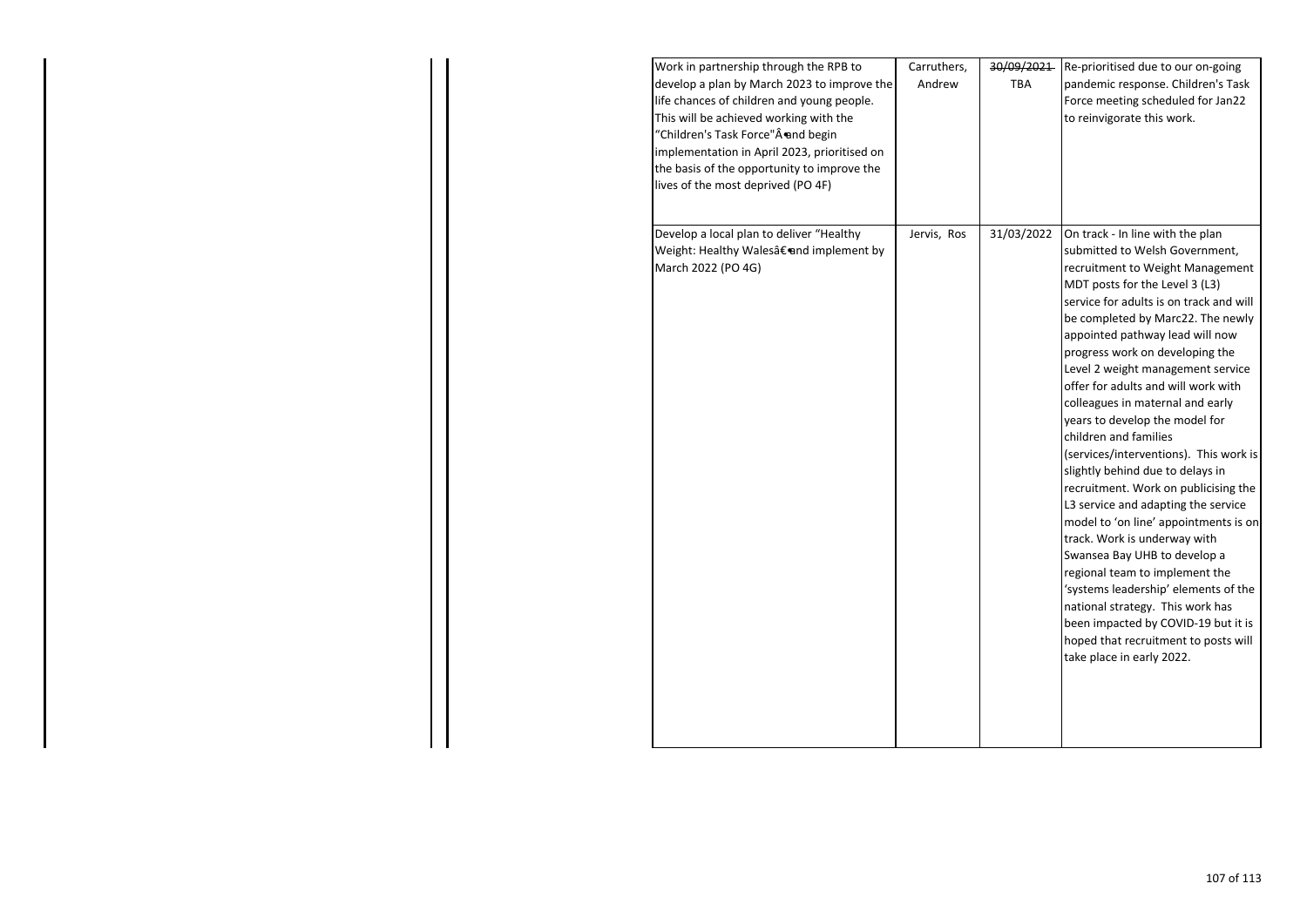| Work in partnership through the RPB to<br>develop a plan by March 2023 to improve the<br>life chances of children and young people.<br>This will be achieved working with the<br>"Children's Task Force"Âend begin<br>implementation in April 2023, prioritised on<br>the basis of the opportunity to improve the<br>lives of the most deprived (PO 4F) | Carruthers,<br>Andrew | 30/09/2021<br>TBA | Re-prioritised due to our on-going<br>pandemic response. Children's Task<br>Force meeting scheduled for Jan22<br>to reinvigorate this work.                                                                                                                                                                                                                                                                                                                                                                                                                                                                                                                                                                                                                                                                                                                                                                                                                               |
|---------------------------------------------------------------------------------------------------------------------------------------------------------------------------------------------------------------------------------------------------------------------------------------------------------------------------------------------------------|-----------------------|-------------------|---------------------------------------------------------------------------------------------------------------------------------------------------------------------------------------------------------------------------------------------------------------------------------------------------------------------------------------------------------------------------------------------------------------------------------------------------------------------------------------------------------------------------------------------------------------------------------------------------------------------------------------------------------------------------------------------------------------------------------------------------------------------------------------------------------------------------------------------------------------------------------------------------------------------------------------------------------------------------|
| Develop a local plan to deliver "Healthy<br>Weight: Healthy Walesâ€end implement by<br>March 2022 (PO 4G)                                                                                                                                                                                                                                               | Jervis, Ros           | 31/03/2022        | On track - In line with the plan<br>submitted to Welsh Government,<br>recruitment to Weight Management<br>MDT posts for the Level 3 (L3)<br>service for adults is on track and will<br>be completed by Marc22. The newly<br>appointed pathway lead will now<br>progress work on developing the<br>Level 2 weight management service<br>offer for adults and will work with<br>colleagues in maternal and early<br>years to develop the model for<br>children and families<br>(services/interventions). This work is<br>slightly behind due to delays in<br>recruitment. Work on publicising the<br>L3 service and adapting the service<br>model to 'on line' appointments is on<br>track. Work is underway with<br>Swansea Bay UHB to develop a<br>regional team to implement the<br>'systems leadership' elements of the<br>national strategy. This work has<br>been impacted by COVID-19 but it is<br>hoped that recruitment to posts will<br>take place in early 2022. |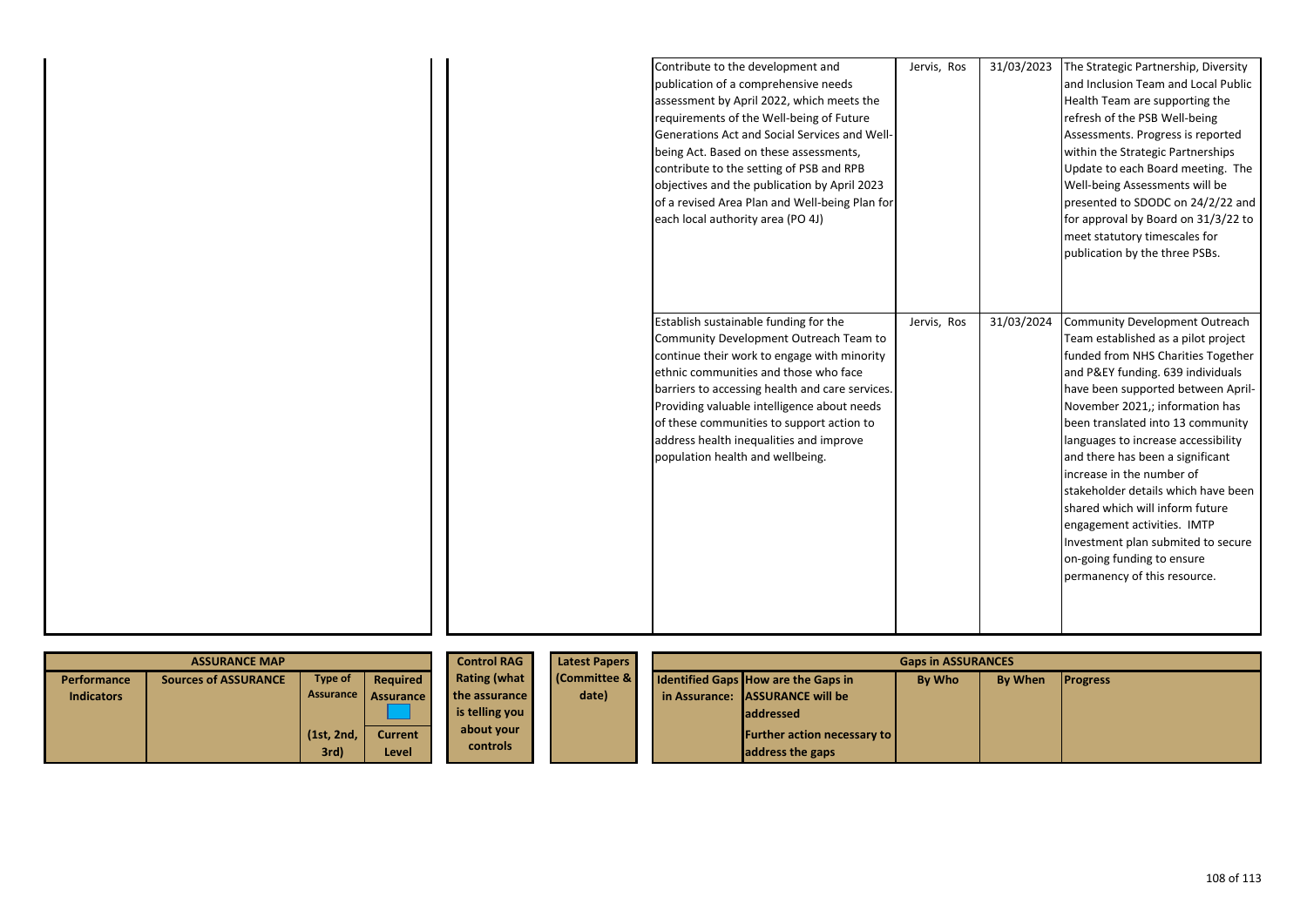|  | Contribute to the development and<br>publication of a comprehensive needs<br>assessment by April 2022, which meets the<br>requirements of the Well-being of Future<br>Generations Act and Social Services and Well-<br>being Act. Based on these assessments,<br>contribute to the setting of PSB and RPB<br>objectives and the publication by April 2023<br>of a revised Area Plan and Well-being Plan for | Jervis, Ros | 31/03/2023 | The Strategic Partnership, Diversity<br>and Inclusion Team and Local Public<br>Health Team are supporting the<br>refresh of the PSB Well-being<br>Assessments. Progress is reported<br>within the Strategic Partnerships<br>Update to each Board meeting. The<br>Well-being Assessments will be<br>presented to SDODC on 24/2/22 and |
|--|-------------------------------------------------------------------------------------------------------------------------------------------------------------------------------------------------------------------------------------------------------------------------------------------------------------------------------------------------------------------------------------------------------------|-------------|------------|--------------------------------------------------------------------------------------------------------------------------------------------------------------------------------------------------------------------------------------------------------------------------------------------------------------------------------------|
|  | each local authority area (PO 4J)<br>Establish sustainable funding for the<br>Community Development Outreach Team to                                                                                                                                                                                                                                                                                        | Jervis, Ros | 31/03/2024 | for approval by Board on 31/3/22 to<br>meet statutory timescales for<br>publication by the three PSBs.<br>Community Development Outreach<br>Team established as a pilot project                                                                                                                                                      |
|  | continue their work to engage with minority<br>ethnic communities and those who face<br>barriers to accessing health and care services.<br>Providing valuable intelligence about needs<br>of these communities to support action to<br>address health inequalities and improve<br>population health and wellbeing.                                                                                          |             |            | funded from NHS Charities Together<br>and P&EY funding. 639 individuals<br>have been supported between April-<br>November 2021,; information has<br>been translated into 13 community<br>languages to increase accessibility<br>and there has been a significant<br>increase in the number of<br>stakeholder details which have been |
|  |                                                                                                                                                                                                                                                                                                                                                                                                             |             |            | shared which will inform future<br>engagement activities. IMTP<br>Investment plan submited to secure<br>on-going funding to ensure<br>permanency of this resource.                                                                                                                                                                   |

| <b>Control RAG</b><br><b>ASSURANCE MAP</b> |                      |            |                     | <b>Latest Papers</b> | <b>Gaps in ASSURANCES</b> |                                                                                    |
|--------------------------------------------|----------------------|------------|---------------------|----------------------|---------------------------|------------------------------------------------------------------------------------|
| <b>Performance</b>                         | Sources of ASSURANCE | Type of    | Required            | Rating (what         | <b>Committee &amp;</b>    | <b>By When</b><br><b>Identified Gaps How are the Gaps in</b><br>By Who<br>Progress |
| <b>Indicators</b>                          |                      |            | Assurance Assurance | the assurance        | date)                     | in Assurance: LASSURANCE will be                                                   |
|                                            |                      |            |                     | is telling you       |                           | laddressed                                                                         |
|                                            |                      | (1st, 2nd, | <b>Current</b>      | about your           |                           | <b>Further action necessary to</b>                                                 |
|                                            |                      | 3rd)       | Level               | <b>controls</b>      |                           | address the gaps                                                                   |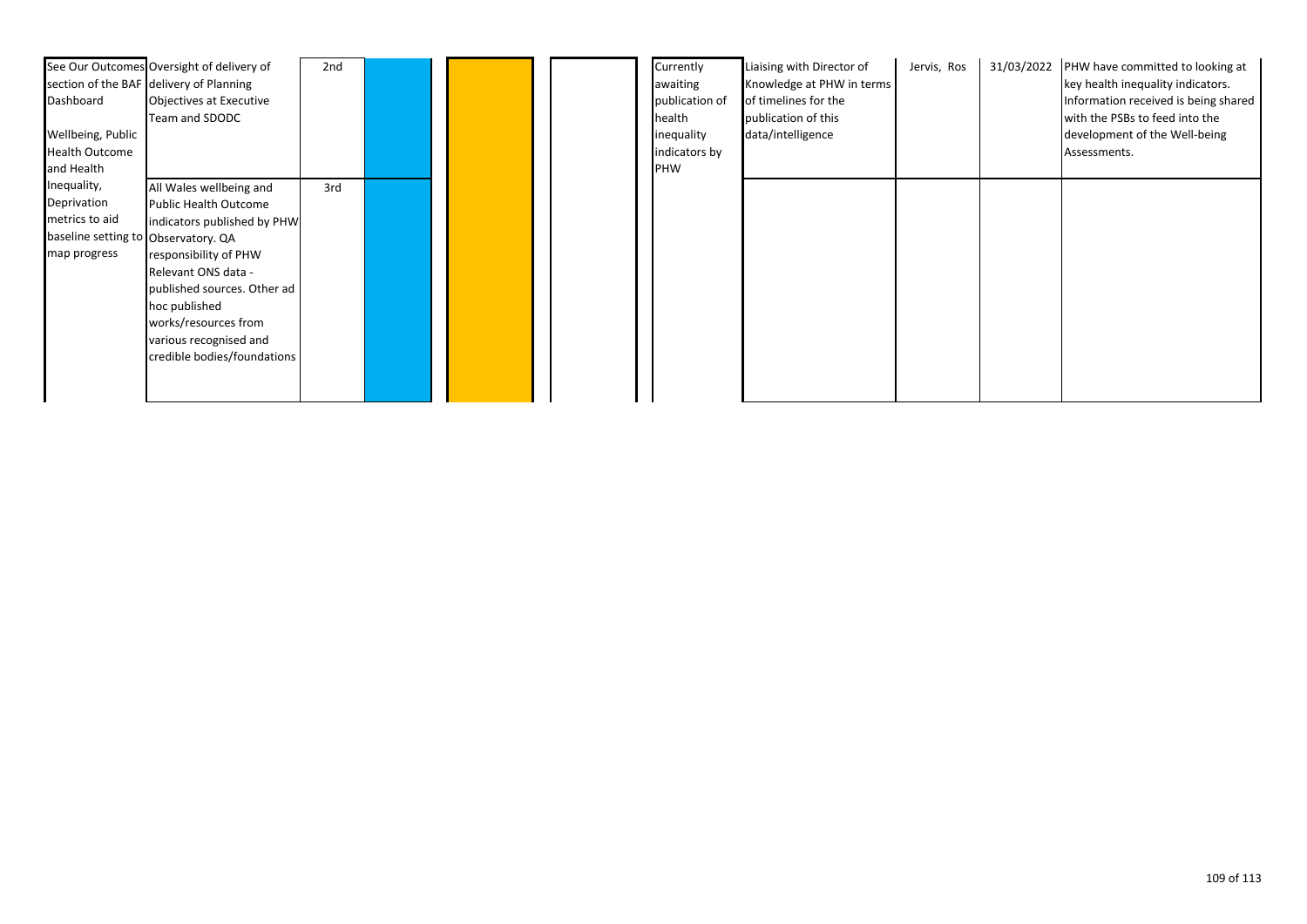| Dashboard                           | See Our Outcomes Oversight of delivery of<br>section of the BAF delivery of Planning<br>Objectives at Executive<br>Team and SDODC | 2nd |  | Currently<br>awaiting<br>publication of<br>health | Liaising with Director of<br>Knowledge at PHW in terms<br>of timelines for the<br>publication of this | Jervis, Ros | 31/03/2022 | PHW have committed to looking at<br>key health inequality indicators.<br>Information received is being shared<br>with the PSBs to feed into the |
|-------------------------------------|-----------------------------------------------------------------------------------------------------------------------------------|-----|--|---------------------------------------------------|-------------------------------------------------------------------------------------------------------|-------------|------------|-------------------------------------------------------------------------------------------------------------------------------------------------|
| Wellbeing, Public                   |                                                                                                                                   |     |  | inequality                                        | data/intelligence                                                                                     |             |            | development of the Well-being                                                                                                                   |
| <b>Health Outcome</b>               |                                                                                                                                   |     |  | indicators by                                     |                                                                                                       |             |            | Assessments.                                                                                                                                    |
| and Health                          |                                                                                                                                   |     |  | <b>PHW</b>                                        |                                                                                                       |             |            |                                                                                                                                                 |
| Inequality,                         | All Wales wellbeing and                                                                                                           | 3rd |  |                                                   |                                                                                                       |             |            |                                                                                                                                                 |
| Deprivation                         | <b>Public Health Outcome</b>                                                                                                      |     |  |                                                   |                                                                                                       |             |            |                                                                                                                                                 |
| metrics to aid                      | indicators published by PHW                                                                                                       |     |  |                                                   |                                                                                                       |             |            |                                                                                                                                                 |
| baseline setting to Observatory. QA |                                                                                                                                   |     |  |                                                   |                                                                                                       |             |            |                                                                                                                                                 |
| map progress                        | responsibility of PHW                                                                                                             |     |  |                                                   |                                                                                                       |             |            |                                                                                                                                                 |
|                                     | Relevant ONS data -                                                                                                               |     |  |                                                   |                                                                                                       |             |            |                                                                                                                                                 |
|                                     | published sources. Other ad                                                                                                       |     |  |                                                   |                                                                                                       |             |            |                                                                                                                                                 |
|                                     | hoc published                                                                                                                     |     |  |                                                   |                                                                                                       |             |            |                                                                                                                                                 |
|                                     | works/resources from                                                                                                              |     |  |                                                   |                                                                                                       |             |            |                                                                                                                                                 |
|                                     | various recognised and                                                                                                            |     |  |                                                   |                                                                                                       |             |            |                                                                                                                                                 |
|                                     | credible bodies/foundations                                                                                                       |     |  |                                                   |                                                                                                       |             |            |                                                                                                                                                 |
|                                     |                                                                                                                                   |     |  |                                                   |                                                                                                       |             |            |                                                                                                                                                 |
|                                     |                                                                                                                                   |     |  |                                                   |                                                                                                       |             |            |                                                                                                                                                 |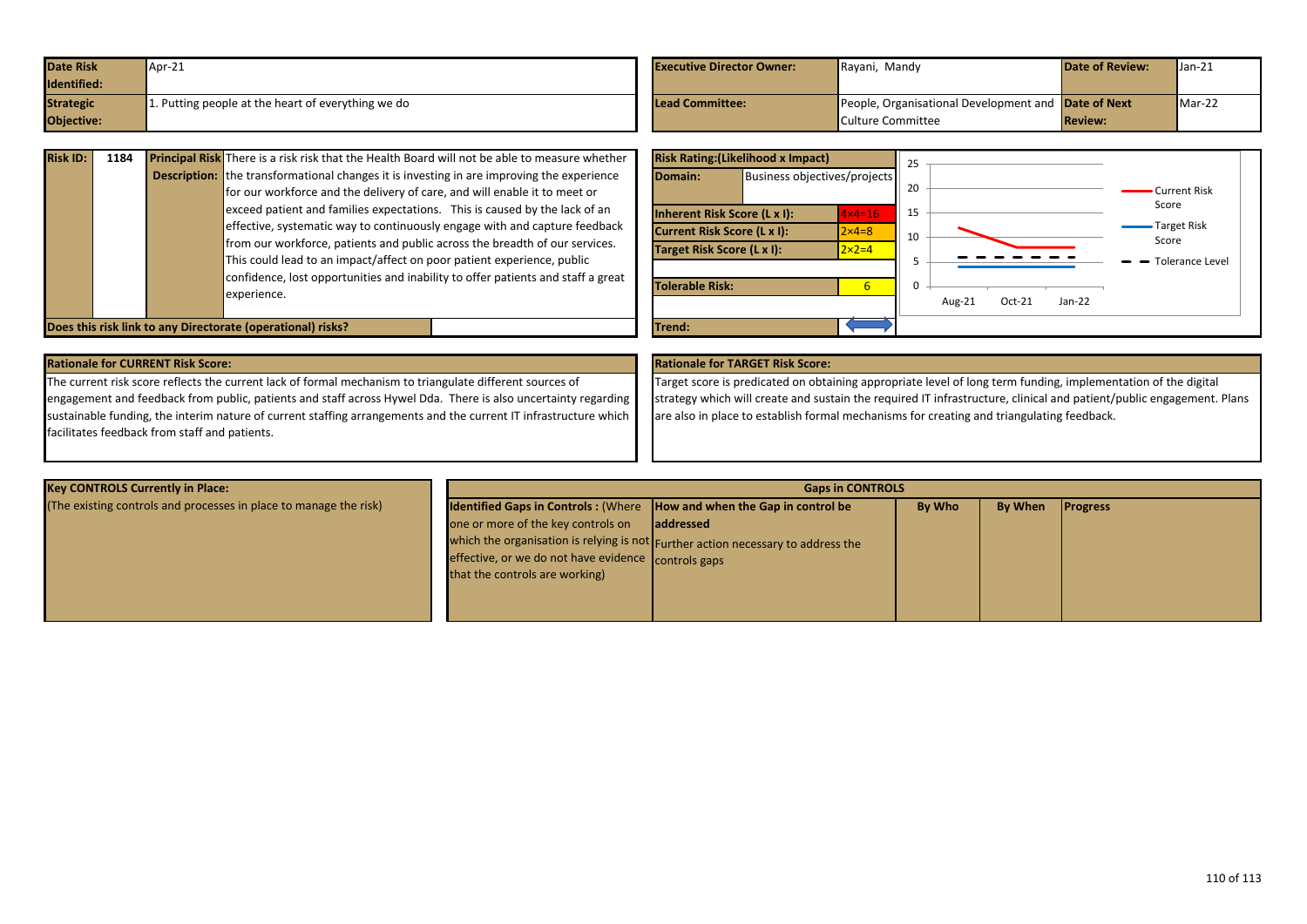| <b>Date Risk</b> | $M$ Apr-21                                        | <b>Executive Director Owner:</b> | Rayani, Mandy                                       | <b>Date of Review:</b> | $\mathsf{Uan-21}$ |
|------------------|---------------------------------------------------|----------------------------------|-----------------------------------------------------|------------------------|-------------------|
| Identified:      |                                                   |                                  |                                                     |                        |                   |
| <b>Strategic</b> | . Putting people at the heart of everything we do | Lead Committee:                  | People, Organisational Development and Date of Next |                        | $Mar-22$          |
| Objective:       |                                                   |                                  | Culture Committee                                   | <b>Review:</b>         |                   |

| <b>Risk ID:</b> | 1184 | <b>Principal Risk</b> There is a risk risk that the Health Board will not be able to measure whether |
|-----------------|------|------------------------------------------------------------------------------------------------------|
|                 |      | <b>Description:</b> the transformational changes it is investing in are improving the experience     |
|                 |      | for our workforce and the delivery of care, and will enable it to meet or                            |
|                 |      | exceed patient and families expectations. This is caused by the lack of an                           |
|                 |      | effective, systematic way to continuously engage with and capture feedback                           |
|                 |      | from our workforce, patients and public across the breadth of our services.                          |
|                 |      | This could lead to an impact/affect on poor patient experience, public                               |
|                 |      | confidence, lost opportunities and inability to offer patients and staff a great                     |
|                 |      | experience.                                                                                          |
|                 |      |                                                                                                      |



**Does this risk link to any Directorate (operational) risks?** Trend: **Trend:** Trend:

| <b>Rationale for CURRENT Risk Score:</b>                                                                         | <b>Rationale for TARGET Risk Score:</b> |
|------------------------------------------------------------------------------------------------------------------|-----------------------------------------|
| The current risk score reflects the current lack of formal mechanism to triangulate different sources of         | Target score is predicated on obta      |
| engagement and feedback from public, patients and staff across Hywel Dda. There is also uncertainty regarding    | strategy which will create and sust     |
| sustainable funding, the interim nature of current staffing arrangements and the current IT infrastructure which | are also in place to establish forma    |
| facilitates feedback from staff and patients.                                                                    |                                         |

Target score is predicated on obtaining appropriate level of long term funding, implementation of the digital strategy which will create and sustain the required IT infrastructure, clinical and patient/public engagement. Plans are also in place to establish formal mechanisms for creating and triangulating feedback.

| <b>Key CONTROLS Currently in Place:</b>                           | <b>Gaps in CONTROLS</b>                                                       |                                                                                  |               |                |                 |  |
|-------------------------------------------------------------------|-------------------------------------------------------------------------------|----------------------------------------------------------------------------------|---------------|----------------|-----------------|--|
| (The existing controls and processes in place to manage the risk) | <b>Identified Gaps in Controls: (Where How and when the Gap in control be</b> |                                                                                  | <b>By Who</b> | <b>By When</b> | <b>Progress</b> |  |
|                                                                   | one or more of the key controls on                                            | laddressed                                                                       |               |                |                 |  |
|                                                                   |                                                                               | which the organisation is relying is not Further action necessary to address the |               |                |                 |  |
|                                                                   | effective, or we do not have evidence controls gaps                           |                                                                                  |               |                |                 |  |
|                                                                   | that the controls are working)                                                |                                                                                  |               |                |                 |  |
|                                                                   |                                                                               |                                                                                  |               |                |                 |  |
|                                                                   |                                                                               |                                                                                  |               |                |                 |  |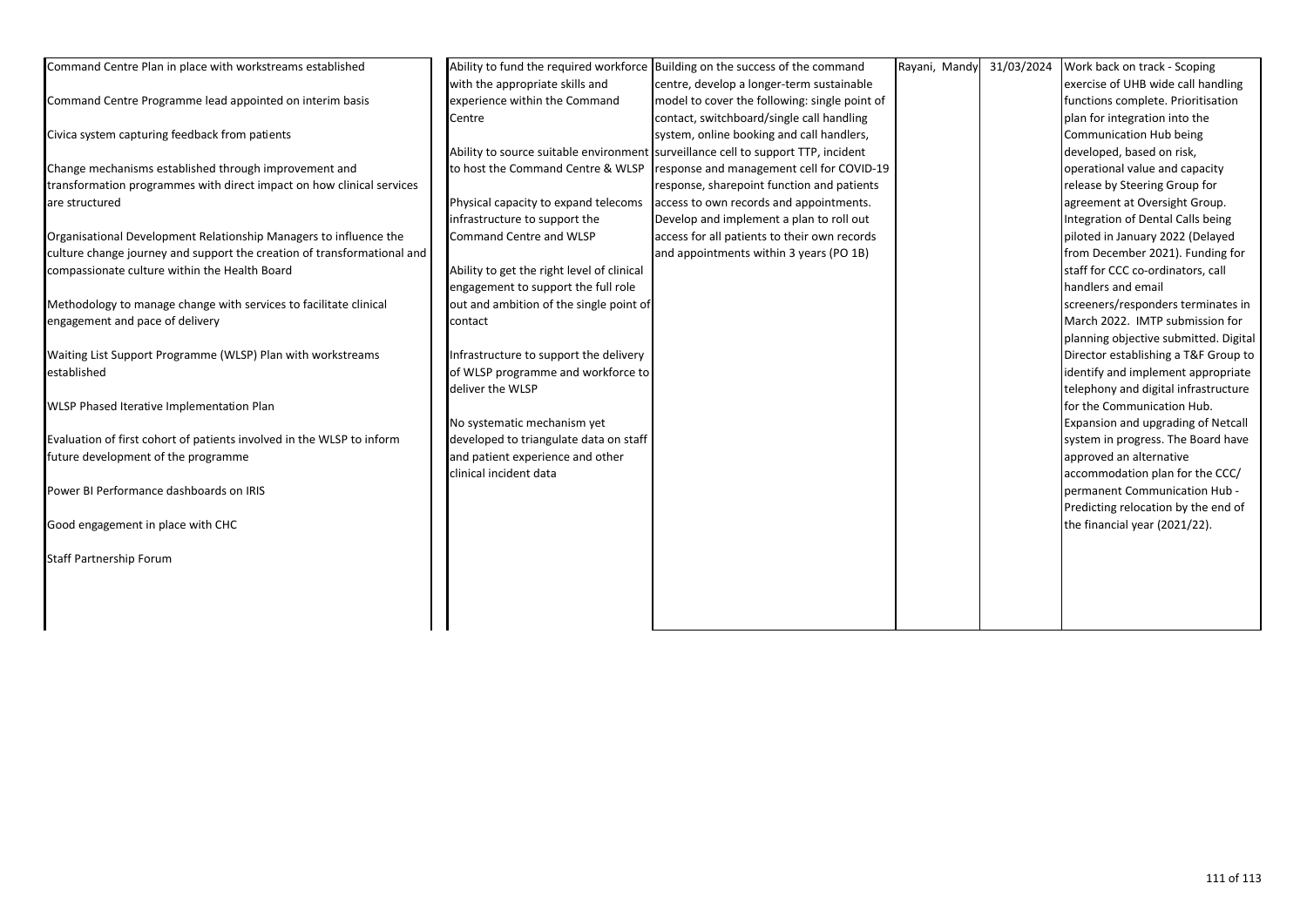| Command Centre Plan in place with workstreams established               | Ability to fund the required workforce     | Building on the success of the command                                            | Rayani, Mandy | 31/03/2024 | Work back on track - Scoping          |
|-------------------------------------------------------------------------|--------------------------------------------|-----------------------------------------------------------------------------------|---------------|------------|---------------------------------------|
|                                                                         | with the appropriate skills and            | centre, develop a longer-term sustainable                                         |               |            | exercise of UHB wide call handling    |
| Command Centre Programme lead appointed on interim basis                | experience within the Command              | model to cover the following: single point of                                     |               |            | functions complete. Prioritisation    |
|                                                                         | Centre                                     | contact, switchboard/single call handling                                         |               |            | plan for integration into the         |
| Civica system capturing feedback from patients                          |                                            | system, online booking and call handlers,                                         |               |            | Communication Hub being               |
|                                                                         |                                            | Ability to source suitable environment surveillance cell to support TTP, incident |               |            | developed, based on risk,             |
| Change mechanisms established through improvement and                   | to host the Command Centre & WLSP          | response and management cell for COVID-19                                         |               |            | operational value and capacity        |
| transformation programmes with direct impact on how clinical services   |                                            | response, sharepoint function and patients                                        |               |            | release by Steering Group for         |
| are structured                                                          | Physical capacity to expand telecoms       | access to own records and appointments.                                           |               |            | agreement at Oversight Group.         |
|                                                                         | infrastructure to support the              | Develop and implement a plan to roll out                                          |               |            | Integration of Dental Calls being     |
| Organisational Development Relationship Managers to influence the       | Command Centre and WLSP                    | access for all patients to their own records                                      |               |            | piloted in January 2022 (Delayed      |
| culture change journey and support the creation of transformational and |                                            | and appointments within 3 years (PO 1B)                                           |               |            | from December 2021). Funding for      |
| compassionate culture within the Health Board                           | Ability to get the right level of clinical |                                                                                   |               |            | staff for CCC co-ordinators, call     |
|                                                                         | engagement to support the full role        |                                                                                   |               |            | handlers and email                    |
| Methodology to manage change with services to facilitate clinical       | out and ambition of the single point of    |                                                                                   |               |            | screeners/responders terminates in    |
| engagement and pace of delivery                                         | contact                                    |                                                                                   |               |            | March 2022. IMTP submission for       |
|                                                                         |                                            |                                                                                   |               |            | planning objective submitted. Digital |
| Waiting List Support Programme (WLSP) Plan with workstreams             | Infrastructure to support the delivery     |                                                                                   |               |            | Director establishing a T&F Group to  |
| established                                                             | of WLSP programme and workforce to         |                                                                                   |               |            | identify and implement appropriate    |
|                                                                         | deliver the WLSP                           |                                                                                   |               |            | telephony and digital infrastructure  |
| WLSP Phased Iterative Implementation Plan                               |                                            |                                                                                   |               |            | for the Communication Hub.            |
|                                                                         | No systematic mechanism yet                |                                                                                   |               |            | Expansion and upgrading of Netcall    |
| Evaluation of first cohort of patients involved in the WLSP to inform   | developed to triangulate data on staff     |                                                                                   |               |            | system in progress. The Board have    |
| future development of the programme                                     | and patient experience and other           |                                                                                   |               |            | approved an alternative               |
|                                                                         | clinical incident data                     |                                                                                   |               |            | accommodation plan for the CCC/       |
| Power BI Performance dashboards on IRIS                                 |                                            |                                                                                   |               |            | permanent Communication Hub -         |
|                                                                         |                                            |                                                                                   |               |            | Predicting relocation by the end of   |
| Good engagement in place with CHC                                       |                                            |                                                                                   |               |            | the financial year (2021/22).         |
|                                                                         |                                            |                                                                                   |               |            |                                       |
| <b>Staff Partnership Forum</b>                                          |                                            |                                                                                   |               |            |                                       |
|                                                                         |                                            |                                                                                   |               |            |                                       |
|                                                                         |                                            |                                                                                   |               |            |                                       |
|                                                                         |                                            |                                                                                   |               |            |                                       |
|                                                                         |                                            |                                                                                   |               |            |                                       |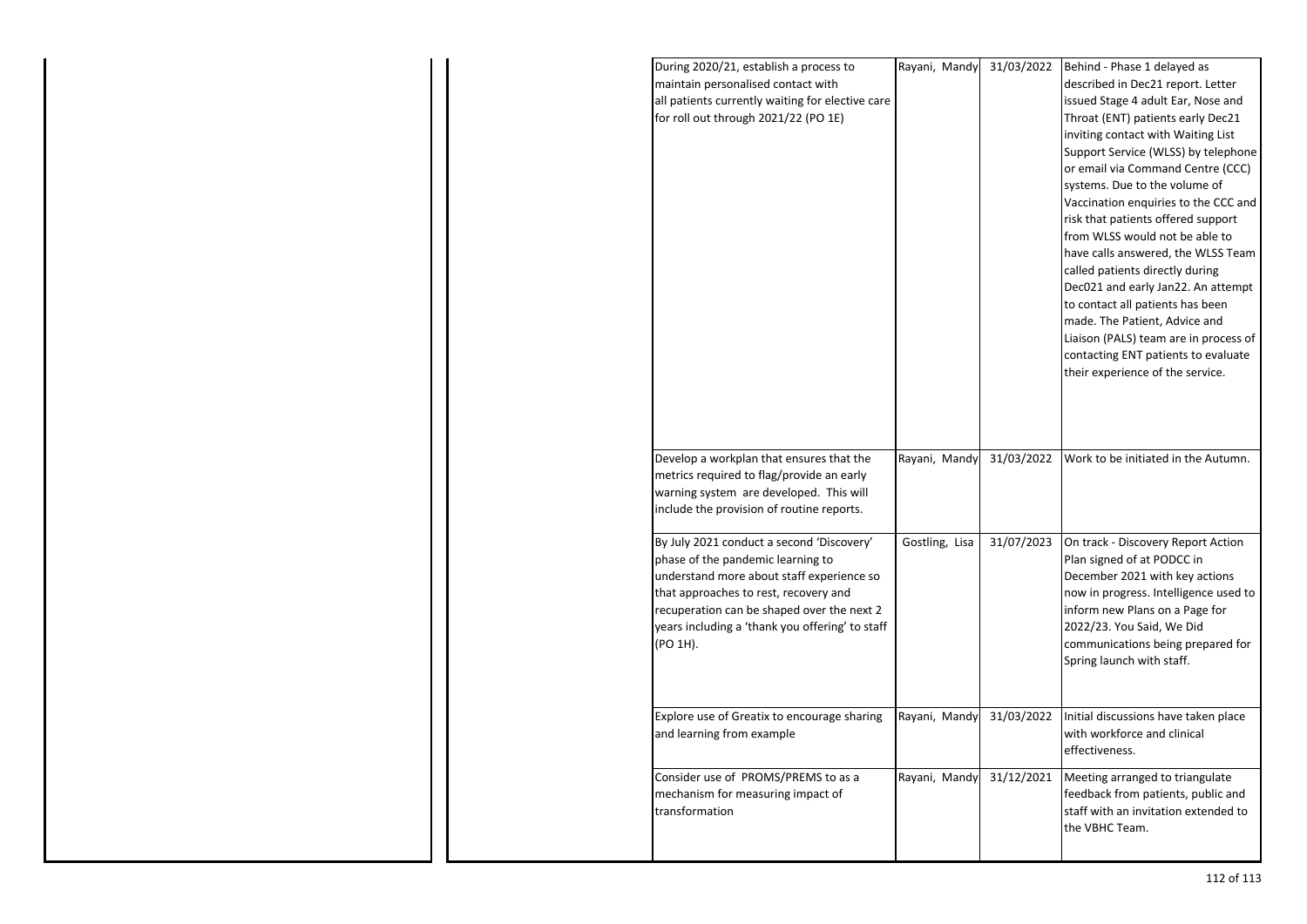| maintain personalised contact with<br>described in Dec21 report. Letter<br>all patients currently waiting for elective care<br>issued Stage 4 adult Ear, Nose and<br>for roll out through 2021/22 (PO 1E)<br>Throat (ENT) patients early Dec21<br>inviting contact with Waiting List<br>Support Service (WLSS) by telephone<br>or email via Command Centre (CCC)<br>systems. Due to the volume of<br>Vaccination enquiries to the CCC and<br>risk that patients offered support<br>from WLSS would not be able to<br>have calls answered, the WLSS Team<br>called patients directly during<br>Dec021 and early Jan22. An attempt<br>to contact all patients has been<br>made. The Patient, Advice and<br>Liaison (PALS) team are in process of<br>contacting ENT patients to evaluate<br>their experience of the service. |
|---------------------------------------------------------------------------------------------------------------------------------------------------------------------------------------------------------------------------------------------------------------------------------------------------------------------------------------------------------------------------------------------------------------------------------------------------------------------------------------------------------------------------------------------------------------------------------------------------------------------------------------------------------------------------------------------------------------------------------------------------------------------------------------------------------------------------|
|                                                                                                                                                                                                                                                                                                                                                                                                                                                                                                                                                                                                                                                                                                                                                                                                                           |
|                                                                                                                                                                                                                                                                                                                                                                                                                                                                                                                                                                                                                                                                                                                                                                                                                           |
|                                                                                                                                                                                                                                                                                                                                                                                                                                                                                                                                                                                                                                                                                                                                                                                                                           |
|                                                                                                                                                                                                                                                                                                                                                                                                                                                                                                                                                                                                                                                                                                                                                                                                                           |
|                                                                                                                                                                                                                                                                                                                                                                                                                                                                                                                                                                                                                                                                                                                                                                                                                           |
|                                                                                                                                                                                                                                                                                                                                                                                                                                                                                                                                                                                                                                                                                                                                                                                                                           |
|                                                                                                                                                                                                                                                                                                                                                                                                                                                                                                                                                                                                                                                                                                                                                                                                                           |
|                                                                                                                                                                                                                                                                                                                                                                                                                                                                                                                                                                                                                                                                                                                                                                                                                           |
|                                                                                                                                                                                                                                                                                                                                                                                                                                                                                                                                                                                                                                                                                                                                                                                                                           |
|                                                                                                                                                                                                                                                                                                                                                                                                                                                                                                                                                                                                                                                                                                                                                                                                                           |
|                                                                                                                                                                                                                                                                                                                                                                                                                                                                                                                                                                                                                                                                                                                                                                                                                           |
|                                                                                                                                                                                                                                                                                                                                                                                                                                                                                                                                                                                                                                                                                                                                                                                                                           |
|                                                                                                                                                                                                                                                                                                                                                                                                                                                                                                                                                                                                                                                                                                                                                                                                                           |
|                                                                                                                                                                                                                                                                                                                                                                                                                                                                                                                                                                                                                                                                                                                                                                                                                           |
|                                                                                                                                                                                                                                                                                                                                                                                                                                                                                                                                                                                                                                                                                                                                                                                                                           |
|                                                                                                                                                                                                                                                                                                                                                                                                                                                                                                                                                                                                                                                                                                                                                                                                                           |
|                                                                                                                                                                                                                                                                                                                                                                                                                                                                                                                                                                                                                                                                                                                                                                                                                           |
|                                                                                                                                                                                                                                                                                                                                                                                                                                                                                                                                                                                                                                                                                                                                                                                                                           |
|                                                                                                                                                                                                                                                                                                                                                                                                                                                                                                                                                                                                                                                                                                                                                                                                                           |
|                                                                                                                                                                                                                                                                                                                                                                                                                                                                                                                                                                                                                                                                                                                                                                                                                           |
|                                                                                                                                                                                                                                                                                                                                                                                                                                                                                                                                                                                                                                                                                                                                                                                                                           |
|                                                                                                                                                                                                                                                                                                                                                                                                                                                                                                                                                                                                                                                                                                                                                                                                                           |
| Rayani, Mandy<br>31/03/2022<br>Work to be initiated in the Autumn.<br>Develop a workplan that ensures that the                                                                                                                                                                                                                                                                                                                                                                                                                                                                                                                                                                                                                                                                                                            |
| metrics required to flag/provide an early                                                                                                                                                                                                                                                                                                                                                                                                                                                                                                                                                                                                                                                                                                                                                                                 |
| warning system are developed. This will                                                                                                                                                                                                                                                                                                                                                                                                                                                                                                                                                                                                                                                                                                                                                                                   |
| include the provision of routine reports.                                                                                                                                                                                                                                                                                                                                                                                                                                                                                                                                                                                                                                                                                                                                                                                 |
| By July 2021 conduct a second 'Discovery'<br>Gostling, Lisa<br>31/07/2023<br>On track - Discovery Report Action                                                                                                                                                                                                                                                                                                                                                                                                                                                                                                                                                                                                                                                                                                           |
| phase of the pandemic learning to<br>Plan signed of at PODCC in                                                                                                                                                                                                                                                                                                                                                                                                                                                                                                                                                                                                                                                                                                                                                           |
| understand more about staff experience so<br>December 2021 with key actions                                                                                                                                                                                                                                                                                                                                                                                                                                                                                                                                                                                                                                                                                                                                               |
| that approaches to rest, recovery and<br>now in progress. Intelligence used to                                                                                                                                                                                                                                                                                                                                                                                                                                                                                                                                                                                                                                                                                                                                            |
| recuperation can be shaped over the next 2<br>inform new Plans on a Page for                                                                                                                                                                                                                                                                                                                                                                                                                                                                                                                                                                                                                                                                                                                                              |
| years including a 'thank you offering' to staff<br>2022/23. You Said, We Did                                                                                                                                                                                                                                                                                                                                                                                                                                                                                                                                                                                                                                                                                                                                              |
| (PO 1H).<br>communications being prepared for                                                                                                                                                                                                                                                                                                                                                                                                                                                                                                                                                                                                                                                                                                                                                                             |
| Spring launch with staff.                                                                                                                                                                                                                                                                                                                                                                                                                                                                                                                                                                                                                                                                                                                                                                                                 |
|                                                                                                                                                                                                                                                                                                                                                                                                                                                                                                                                                                                                                                                                                                                                                                                                                           |
|                                                                                                                                                                                                                                                                                                                                                                                                                                                                                                                                                                                                                                                                                                                                                                                                                           |
| Explore use of Greatix to encourage sharing<br>Rayani, Mandy<br>31/03/2022<br>Initial discussions have taken place                                                                                                                                                                                                                                                                                                                                                                                                                                                                                                                                                                                                                                                                                                        |
| with workforce and clinical<br>and learning from example                                                                                                                                                                                                                                                                                                                                                                                                                                                                                                                                                                                                                                                                                                                                                                  |
| effectiveness.                                                                                                                                                                                                                                                                                                                                                                                                                                                                                                                                                                                                                                                                                                                                                                                                            |
| Consider use of PROMS/PREMS to as a<br>Rayani, Mandy<br>31/12/2021<br>Meeting arranged to triangulate                                                                                                                                                                                                                                                                                                                                                                                                                                                                                                                                                                                                                                                                                                                     |
| mechanism for measuring impact of<br>feedback from patients, public and                                                                                                                                                                                                                                                                                                                                                                                                                                                                                                                                                                                                                                                                                                                                                   |
| transformation<br>staff with an invitation extended to                                                                                                                                                                                                                                                                                                                                                                                                                                                                                                                                                                                                                                                                                                                                                                    |
| the VBHC Team.                                                                                                                                                                                                                                                                                                                                                                                                                                                                                                                                                                                                                                                                                                                                                                                                            |
|                                                                                                                                                                                                                                                                                                                                                                                                                                                                                                                                                                                                                                                                                                                                                                                                                           |